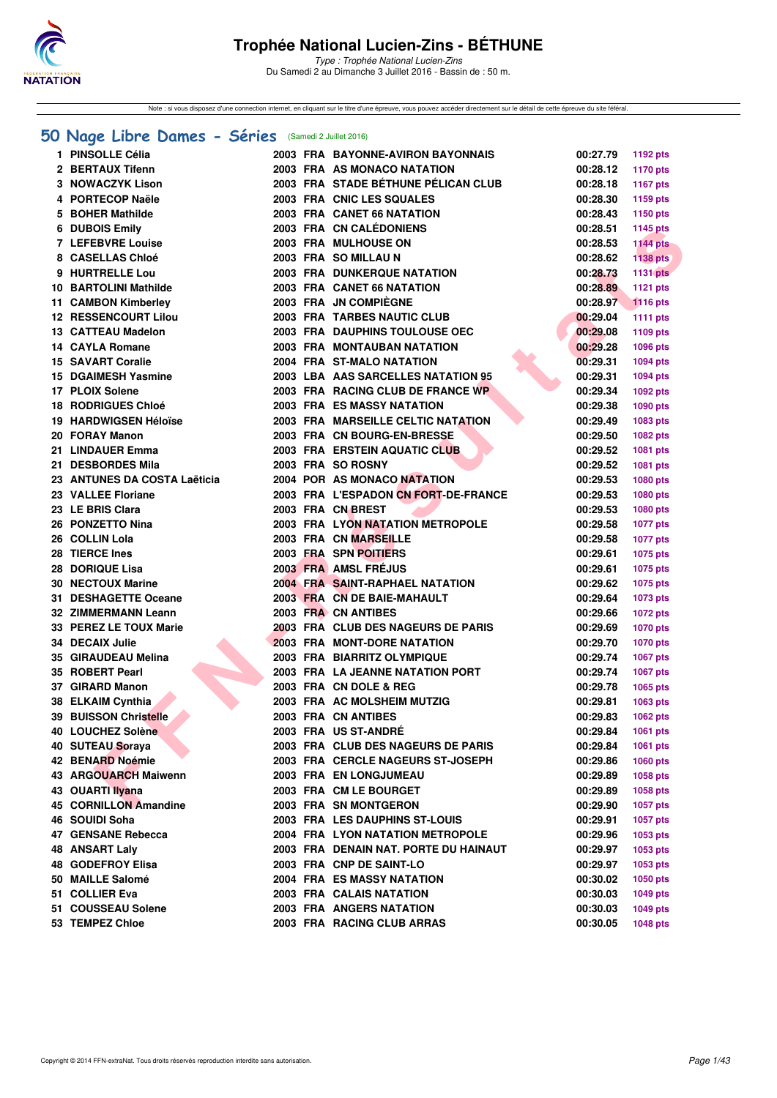

Type : Trophée National Lucien-Zins Du Samedi 2 au Dimanche 3 Juillet 2016 - Bassin de : 50 m.

Note : si vous disposez d'une connection internet, en cliquant sur le titre d'une épreuve, vous pouvez accéder directement sur le détail de cette épreuve du site féféral.

#### **[50 Nage Libre Dames - Séries](http://www.ffnatation.fr/webffn/resultats.php?idact=nat&go=epr&idcpt=34121&idepr=1)** (Samedi 2 Juillet 2016)

| 1 PINSOLLE Célia             |  | 2003 FRA BAYONNE-AVIRON BAYONNAIS       | 00:27.79          | 1192 pts        |
|------------------------------|--|-----------------------------------------|-------------------|-----------------|
| 2 BERTAUX Tifenn             |  | 2003 FRA AS MONACO NATATION             | 00:28.12          | 1170 pts        |
| <b>3 NOWACZYK Lison</b>      |  | 2003 FRA STADE BÉTHUNE PÉLICAN CLUB     | 00:28.18          | 1167 pts        |
| 4 PORTECOP Naële             |  | 2003 FRA CNIC LES SQUALES               | 00:28.30          | 1159 pts        |
| 5 BOHER Mathilde             |  | 2003 FRA CANET 66 NATATION              | 00:28.43          | 1150 pts        |
| 6 DUBOIS Emily               |  | 2003 FRA CN CALÉDONIENS                 | 00:28.51          | 1145 pts        |
| 7 LEFEBVRE Louise            |  | 2003 FRA MULHOUSE ON                    | 00:28.53          | <b>1144 pts</b> |
| 8 CASELLAS Chloé             |  | 2003 FRA SO MILLAU N                    | 00:28.62          | <b>1138 pts</b> |
| 9 HURTRELLE Lou              |  | <b>2003 FRA DUNKERQUE NATATION</b>      | 00:28.73          | 1131 pts        |
| 10 BARTOLINI Mathilde        |  | 2003 FRA CANET 66 NATATION              | 00:28.89          | <b>1121 pts</b> |
| 11 CAMBON Kimberley          |  | 2003 FRA JN COMPIEGNE                   | 00:28.97          | <b>1116 pts</b> |
| <b>12 RESSENCOURT Lilou</b>  |  | 2003 FRA TARBES NAUTIC CLUB             | 00:29.04          | <b>1111 pts</b> |
| 13 CATTEAU Madelon           |  | 2003 FRA DAUPHINS TOULOUSE OEC          | 00:29.08          | 1109 pts        |
| 14 CAYLA Romane              |  | 2003 FRA MONTAUBAN NATATION             | 00:29.28          | 1096 pts        |
| <b>15 SAVART Coralie</b>     |  | 2004 FRA ST-MALO NATATION               | 00:29.31          | <b>1094 pts</b> |
| <b>15 DGAIMESH Yasmine</b>   |  | 2003 LBA AAS SARCELLES NATATION 95      | 00:29.31          | <b>1094 pts</b> |
| 17 PLOIX Solene              |  | 2003 FRA RACING CLUB DE FRANCE WP       | 00:29.34          | 1092 pts        |
| <b>18 RODRIGUES Chloé</b>    |  | <b>2003 FRA ES MASSY NATATION</b>       | 00:29.38          | 1090 pts        |
| <b>19 HARDWIGSEN Héloïse</b> |  | 2003 FRA MARSEILLE CELTIC NATATION      | 00:29.49          | 1083 pts        |
| 20 FORAY Manon               |  | 2003 FRA CN BOURG-EN-BRESSE             | 00:29.50          | 1082 pts        |
| 21 LINDAUER Emma             |  | <b>2003 FRA ERSTEIN AQUATIC CLUB</b>    | 00:29.52          | 1081 pts        |
| 21 DESBORDES Mila            |  | 2003 FRA SO ROSNY                       | 00:29.52          | 1081 pts        |
| 23 ANTUNES DA COSTA Laëticia |  | 2004 POR AS MONACO NATATION             | 00:29.53          | 1080 pts        |
| 23 VALLEE Floriane           |  | 2003 FRA L'ESPADON CN FORT-DE-FRANCE    | 00:29.53          | 1080 pts        |
| 23 LE BRIS Clara             |  | 2003 FRA CN BREST                       | 00:29.53          | 1080 pts        |
| 26 PONZETTO Nina             |  | 2003 FRA LYON NATATION METROPOLE        | 00:29.58          | <b>1077 pts</b> |
| 26 COLLIN Lola               |  | 2003 FRA CN MARSEILLE                   | 00:29.58          | <b>1077 pts</b> |
| 28 TIERCE Ines               |  | 2003 FRA SPN POITIERS                   | 00:29.61          | 1075 pts        |
| 28 DORIQUE Lisa              |  | 2003 FRA AMSL FRÉJUS                    | 00:29.61          | <b>1075 pts</b> |
| 30 NECTOUX Marine            |  | <b>2004 FRA SAINT-RAPHAEL NATATION</b>  | 00:29.62          | <b>1075 pts</b> |
| 31 DESHAGETTE Oceane         |  | 2003 FRA CN DE BAIE-MAHAULT             | 00:29.64          | 1073 pts        |
| 32 ZIMMERMANN Leann          |  | 2003 FRA CN ANTIBES                     | 00:29.66          | <b>1072 pts</b> |
| 33 PEREZ LE TOUX Marie       |  | 2003 FRA CLUB DES NAGEURS DE PARIS      | 00:29.69          | <b>1070 pts</b> |
| 34 DECAIX Julie              |  | <b>2003 FRA MONT-DORE NATATION</b>      | 00:29.70          | <b>1070 pts</b> |
| 35 GIRAUDEAU Melina          |  | 2003 FRA BIARRITZ OLYMPIQUE             | 00:29.74          | 1067 pts        |
| 35 ROBERT Pearl              |  | 2003 FRA LA JEANNE NATATION PORT        | 00:29.74          | <b>1067 pts</b> |
| 37 GIRARD Manon              |  | 2003 FRA CN DOLE & REG                  | 00:29.78          | 1065 pts        |
| 38 ELKAIM Cynthia            |  | 2003 FRA AC MOLSHEIM MUTZIG             | 00:29.81          | 1063 pts        |
| <b>39 BUISSON Christelle</b> |  | 2003 FRA CN ANTIBES                     | 00:29.83          | 1062 pts        |
| 40 LOUCHEZ Solène            |  | 2003 FRA US ST-ANDRÉ                    | 00:29.84 1061 pts |                 |
| 40 SUTEAU Soraya             |  | 2003 FRA CLUB DES NAGEURS DE PARIS      | 00:29.84          | 1061 pts        |
| 42 BENARD Noémie             |  | 2003 FRA CERCLE NAGEURS ST-JOSEPH       | 00:29.86          | 1060 pts        |
| 43 ARGOUARCH Maiwenn         |  | 2003 FRA EN LONGJUMEAU                  | 00:29.89          | 1058 pts        |
| 43 OUARTI Ilyana             |  | 2003 FRA CM LE BOURGET                  | 00:29.89          | 1058 pts        |
| 45 CORNILLON Amandine        |  | 2003 FRA SN MONTGERON                   | 00:29.90          | 1057 pts        |
| 46 SOUIDI Soha               |  | 2003 FRA LES DAUPHINS ST-LOUIS          | 00:29.91          | 1057 pts        |
| 47 GENSANE Rebecca           |  | <b>2004 FRA LYON NATATION METROPOLE</b> | 00:29.96          | 1053 pts        |
| <b>48 ANSART Laly</b>        |  | 2003 FRA DENAIN NAT. PORTE DU HAINAUT   | 00:29.97          | 1053 pts        |
| <b>48 GODEFROY Elisa</b>     |  | 2003 FRA CNP DE SAINT-LO                | 00:29.97          | 1053 pts        |
| 50 MAILLE Salomé             |  | <b>2004 FRA ES MASSY NATATION</b>       | 00:30.02          | 1050 pts        |
| 51 COLLIER Eva               |  | 2003 FRA CALAIS NATATION                | 00:30.03          | 1049 pts        |
| 51 COUSSEAU Solene           |  | 2003 FRA ANGERS NATATION                | 00:30.03          | <b>1049 pts</b> |
| 53 TEMPEZ Chloe              |  | 2003 FRA RACING CLUB ARRAS              | 00:30.05          | 1048 pts        |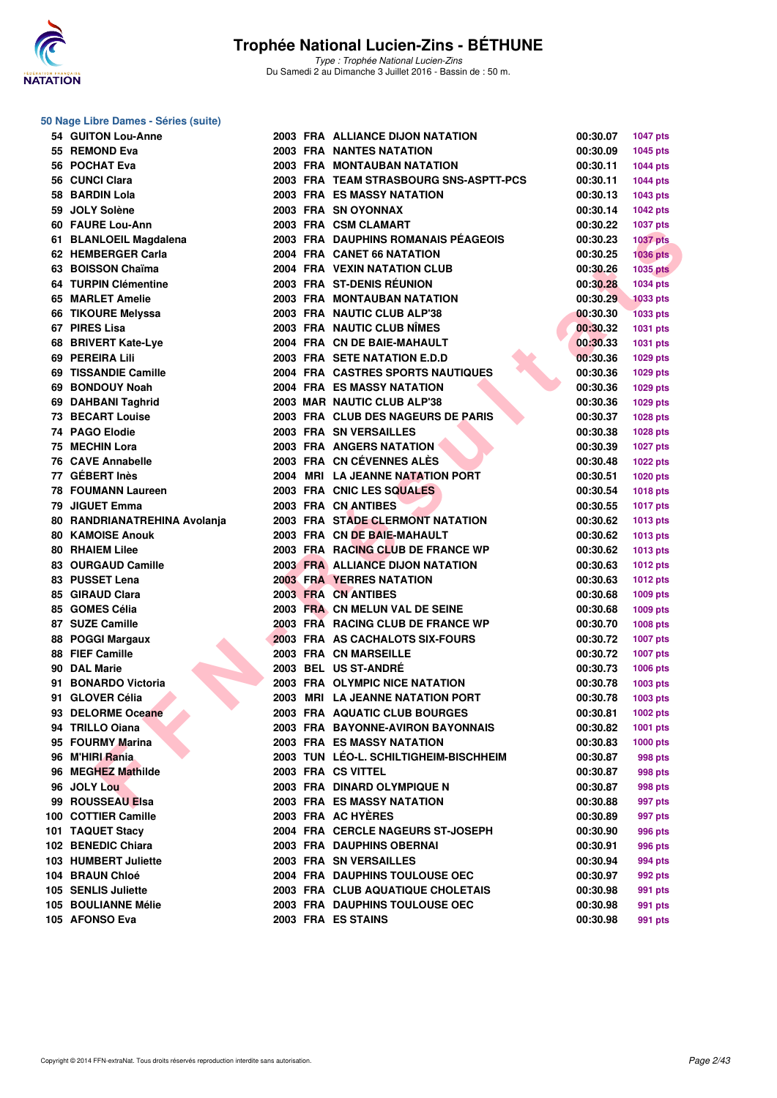

**50 Nage Libre Dames - Séries (suite)**

| 54 GUITON Lou-Anne           |  | 2003 FRA ALLIANCE DIJON NATATION       | 00:30.07 | <b>1047 pts</b> |
|------------------------------|--|----------------------------------------|----------|-----------------|
| 55 REMOND Eva                |  | <b>2003 FRA NANTES NATATION</b>        | 00:30.09 | 1045 pts        |
| 56 POCHAT Eva                |  | <b>2003 FRA MONTAUBAN NATATION</b>     | 00:30.11 | 1044 pts        |
| 56 CUNCI Clara               |  | 2003 FRA TEAM STRASBOURG SNS-ASPTT-PCS | 00:30.11 | <b>1044 pts</b> |
| 58 BARDIN Lola               |  | <b>2003 FRA ES MASSY NATATION</b>      | 00:30.13 | <b>1043 pts</b> |
| 59 JOLY Solène               |  | 2003 FRA SN OYONNAX                    | 00:30.14 | <b>1042 pts</b> |
| 60 FAURE Lou-Ann             |  | 2003 FRA CSM CLAMART                   | 00:30.22 | <b>1037 pts</b> |
| 61 BLANLOEIL Magdalena       |  | 2003 FRA DAUPHINS ROMANAIS PÉAGEOIS    | 00:30.23 | <b>1037 pts</b> |
| 62 HEMBERGER Carla           |  | 2004 FRA CANET 66 NATATION             | 00:30.25 | <b>1036 pts</b> |
| 63 BOISSON Chaïma            |  | 2004 FRA VEXIN NATATION CLUB           | 00:30.26 | <b>1035 pts</b> |
| 64 TURPIN Clémentine         |  | 2003 FRA ST-DENIS RÉUNION              | 00:30.28 | 1034 pts        |
| 65 MARLET Amelie             |  | <b>2003 FRA MONTAUBAN NATATION</b>     | 00:30.29 | <b>1033 pts</b> |
| 66 TIKOURE Melyssa           |  | 2003 FRA NAUTIC CLUB ALP'38            | 00:30.30 | 1033 pts        |
| 67 PIRES Lisa                |  | 2003 FRA NAUTIC CLUB NÎMES             | 00:30.32 | 1031 pts        |
| 68 BRIVERT Kate-Lye          |  | 2004 FRA CN DE BAIE-MAHAULT            | 00:30.33 | 1031 pts        |
| 69 PEREIRA Lili              |  | 2003 FRA SETE NATATION E.D.D           | 00:30.36 | 1029 pts        |
| 69 TISSANDIE Camille         |  | 2004 FRA CASTRES SPORTS NAUTIQUES      | 00:30.36 | 1029 pts        |
| 69 BONDOUY Noah              |  | <b>2004 FRA ES MASSY NATATION</b>      | 00:30.36 | 1029 pts        |
| 69 DAHBANI Taghrid           |  | 2003 MAR NAUTIC CLUB ALP'38            | 00:30.36 | 1029 pts        |
| <b>73 BECART Louise</b>      |  | 2003 FRA CLUB DES NAGEURS DE PARIS     | 00:30.37 | 1028 pts        |
| 74 PAGO Elodie               |  | 2003 FRA SN VERSAILLES                 | 00:30.38 | 1028 pts        |
| 75 MECHIN Lora               |  | 2003 FRA ANGERS NATATION               | 00:30.39 |                 |
| 76 CAVE Annabelle            |  | 2003 FRA CN CÉVENNES ALÈS              |          | <b>1027 pts</b> |
| 77 GÉBERT Inès               |  | 2004 MRI LA JEANNE NATATION PORT       | 00:30.48 | 1022 pts        |
|                              |  | 2003 FRA CNIC LES SQUALES              | 00:30.51 | 1020 pts        |
| <b>78 FOUMANN Laureen</b>    |  |                                        | 00:30.54 | 1018 pts        |
| 79 JIGUET Emma               |  | 2003 FRA CN ANTIBES                    | 00:30.55 | <b>1017 pts</b> |
| 80 RANDRIANATREHINA Avolanja |  | 2003 FRA STADE CLERMONT NATATION       | 00:30.62 | 1013 pts        |
| <b>80 KAMOISE Anouk</b>      |  | 2003 FRA CN DE BAIE-MAHAULT            | 00:30.62 | 1013 pts        |
| <b>80 RHAIEM Lilee</b>       |  | 2003 FRA RACING CLUB DE FRANCE WP      | 00:30.62 | 1013 pts        |
| 83 OURGAUD Camille           |  | 2003 FRA ALLIANCE DIJON NATATION       | 00:30.63 | <b>1012 pts</b> |
| 83 PUSSET Lena               |  | <b>2003 FRA YERRES NATATION</b>        | 00:30.63 | 1012 pts        |
| 85 GIRAUD Clara              |  | 2003 FRA CN ANTIBES                    | 00:30.68 | 1009 pts        |
| 85 GOMES Célia               |  | 2003 FRA CN MELUN VAL DE SEINE         | 00:30.68 | 1009 pts        |
| 87 SUZE Camille              |  | 2003 FRA RACING CLUB DE FRANCE WP      | 00:30.70 | <b>1008 pts</b> |
| 88 POGGI Margaux             |  | <b>2003 FRA AS CACHALOTS SIX-FOURS</b> | 00:30.72 | <b>1007 pts</b> |
| 88 FIEF Camille              |  | <b>2003 FRA CN MARSEILLE</b>           | 00:30.72 | <b>1007 pts</b> |
| 90 DAL Marie                 |  | 2003 BEL US ST-ANDRÉ                   | 00:30.73 | 1006 pts        |
| 91 BONARDO Victoria          |  | 2003 FRA OLYMPIC NICE NATATION         | 00:30.78 | 1003 pts        |
| 91 GLOVER Célia              |  | 2003 MRI LA JEANNE NATATION PORT       | 00:30.78 | 1003 pts        |
| 93 DELORME Oceane            |  | 2003 FRA AQUATIC CLUB BOURGES          | 00:30.81 | 1002 pts        |
| 94 TRILLO Oiana              |  | 2003 FRA BAYONNE-AVIRON BAYONNAIS      | 00:30.82 | 1001 pts        |
| 95 FOURMY Marina             |  | <b>2003 FRA ES MASSY NATATION</b>      | 00:30.83 | <b>1000 pts</b> |
| 96 M'HIRI Rania              |  | 2003 TUN LÉO-L. SCHILTIGHEIM-BISCHHEIM | 00:30.87 | 998 pts         |
| 96 MEGHEZ Mathilde           |  | 2003 FRA CS VITTEL                     | 00:30.87 | 998 pts         |
| 96 JOLY Lou                  |  | 2003 FRA DINARD OLYMPIQUE N            | 00:30.87 | 998 pts         |
| 99 ROUSSEAU Elsa             |  | 2003 FRA ES MASSY NATATION             | 00:30.88 | 997 pts         |
| 100 COTTIER Camille          |  | 2003 FRA AC HYÈRES                     | 00:30.89 | 997 pts         |
| 101 TAQUET Stacy             |  | 2004 FRA CERCLE NAGEURS ST-JOSEPH      | 00:30.90 | 996 pts         |
| 102 BENEDIC Chiara           |  | <b>2003 FRA DAUPHINS OBERNAI</b>       | 00:30.91 | 996 pts         |
| 103 HUMBERT Juliette         |  | 2003 FRA SN VERSAILLES                 | 00:30.94 | 994 pts         |
| 104 BRAUN Chloé              |  | 2004 FRA DAUPHINS TOULOUSE OEC         | 00:30.97 | 992 pts         |
| 105 SENLIS Juliette          |  | 2003 FRA CLUB AQUATIQUE CHOLETAIS      | 00:30.98 | 991 pts         |
| 105 BOULIANNE Mélie          |  | 2003 FRA DAUPHINS TOULOUSE OEC         | 00:30.98 | 991 pts         |
| 105 AFONSO Eva               |  | 2003 FRA ES STAINS                     | 00:30.98 | 991 pts         |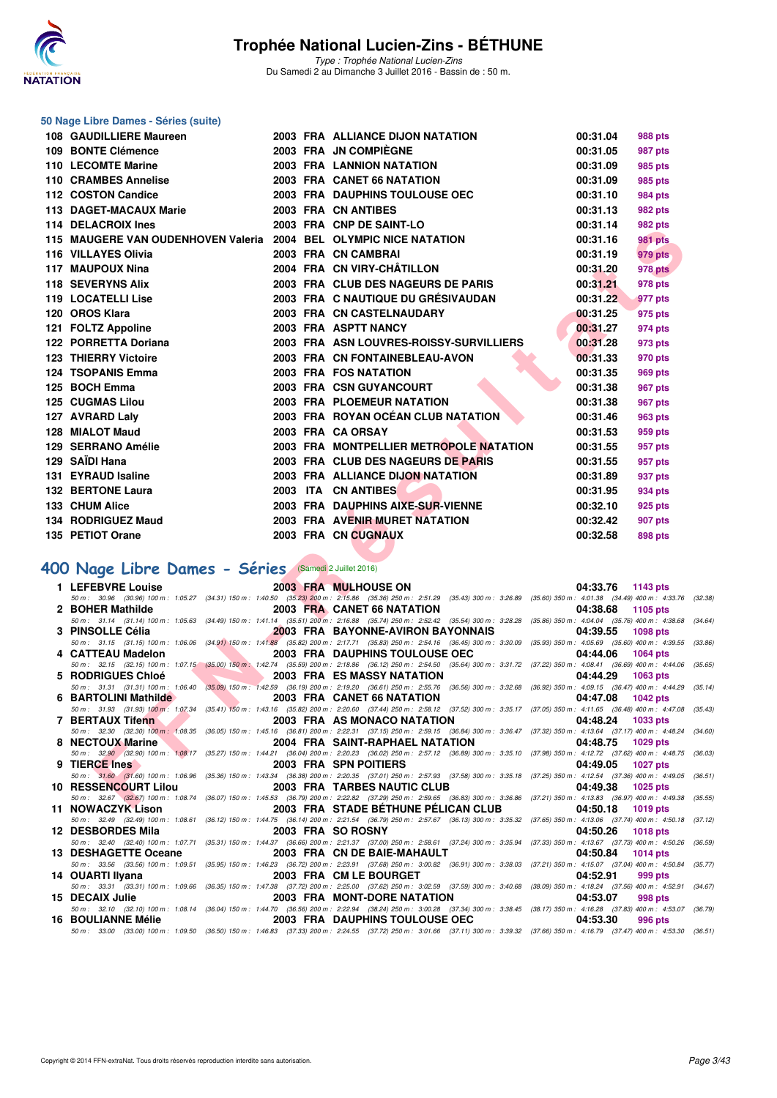

Type : Trophée National Lucien-Zins Du Samedi 2 au Dimanche 3 Juillet 2016 - Bassin de : 50 m.

| 50 Nage Libre Dames - Séries (suite)                                                                                                                                                                                                                      |  |                                                                                                                                                                                                                              |                      |                                                                 |
|-----------------------------------------------------------------------------------------------------------------------------------------------------------------------------------------------------------------------------------------------------------|--|------------------------------------------------------------------------------------------------------------------------------------------------------------------------------------------------------------------------------|----------------------|-----------------------------------------------------------------|
| 108 GAUDILLIERE Maureen                                                                                                                                                                                                                                   |  | 2003 FRA ALLIANCE DIJON NATATION                                                                                                                                                                                             | 00:31.04             | 988 pts                                                         |
| 109 BONTE Clémence                                                                                                                                                                                                                                        |  | 2003 FRA JN COMPIÈGNE                                                                                                                                                                                                        | 00:31.05             | 987 pts                                                         |
| 110 LECOMTE Marine                                                                                                                                                                                                                                        |  | <b>2003 FRA LANNION NATATION</b>                                                                                                                                                                                             | 00:31.09             | 985 pts                                                         |
| 110 CRAMBES Annelise                                                                                                                                                                                                                                      |  | 2003 FRA CANET 66 NATATION                                                                                                                                                                                                   | 00:31.09             | 985 pts                                                         |
| 112 COSTON Candice                                                                                                                                                                                                                                        |  | 2003 FRA DAUPHINS TOULOUSE OEC                                                                                                                                                                                               | 00:31.10             | 984 pts                                                         |
| 113 DAGET-MACAUX Marie                                                                                                                                                                                                                                    |  | 2003 FRA CN ANTIBES                                                                                                                                                                                                          | 00:31.13             | 982 pts                                                         |
| 114 DELACROIX Ines                                                                                                                                                                                                                                        |  | 2003 FRA CNP DE SAINT-LO                                                                                                                                                                                                     | 00:31.14             | 982 pts                                                         |
| 115 MAUGERE VAN OUDENHOVEN Valeria                                                                                                                                                                                                                        |  | 2004 BEL OLYMPIC NICE NATATION                                                                                                                                                                                               | 00:31.16             | 981 pts                                                         |
| 116 VILLAYES Olivia                                                                                                                                                                                                                                       |  | 2003 FRA CN CAMBRAI                                                                                                                                                                                                          | 00:31.19             | 979 pts                                                         |
| 117 MAUPOUX Nina                                                                                                                                                                                                                                          |  | 2004 FRA CN VIRY-CHATILLON                                                                                                                                                                                                   | 00:31.20             | 978 pts                                                         |
| 118 SEVERYNS Alix                                                                                                                                                                                                                                         |  | 2003 FRA CLUB DES NAGEURS DE PARIS                                                                                                                                                                                           | 00:31.21             | 978 pts                                                         |
| 119 LOCATELLI Lise                                                                                                                                                                                                                                        |  | 2003 FRA C NAUTIQUE DU GRÉSIVAUDAN                                                                                                                                                                                           | 00:31.22             | 977 pts                                                         |
| 120 OROS Klara                                                                                                                                                                                                                                            |  | 2003 FRA CN CASTELNAUDARY                                                                                                                                                                                                    | 00:31.25             | 975 pts                                                         |
| 121 FOLTZ Appoline                                                                                                                                                                                                                                        |  | 2003 FRA ASPTT NANCY                                                                                                                                                                                                         | 00:31.27             | 974 pts                                                         |
| 122 PORRETTA Doriana                                                                                                                                                                                                                                      |  | 2003 FRA ASN LOUVRES-ROISSY-SURVILLIERS                                                                                                                                                                                      | 00:31.28             | 973 pts                                                         |
| <b>123 THIERRY Victoire</b>                                                                                                                                                                                                                               |  | 2003 FRA CN FONTAINEBLEAU-AVON                                                                                                                                                                                               | 00:31.33             | 970 pts                                                         |
| 124 TSOPANIS Emma                                                                                                                                                                                                                                         |  | 2003 FRA FOS NATATION                                                                                                                                                                                                        | 00:31.35             | 969 pts                                                         |
| 125 BOCH Emma                                                                                                                                                                                                                                             |  | 2003 FRA CSN GUYANCOURT                                                                                                                                                                                                      | 00:31.38             | 967 pts                                                         |
| 125 CUGMAS Lilou                                                                                                                                                                                                                                          |  | 2003 FRA PLOEMEUR NATATION                                                                                                                                                                                                   | 00:31.38             | 967 pts                                                         |
| 127 AVRARD Laly<br>128 MIALOT Maud                                                                                                                                                                                                                        |  | 2003 FRA ROYAN OCÉAN CLUB NATATION<br>2003 FRA CA ORSAY                                                                                                                                                                      | 00:31.46<br>00:31.53 | 963 pts                                                         |
| 129 SERRANO Amélie                                                                                                                                                                                                                                        |  | 2003 FRA MONTPELLIER METROPOLE NATATION                                                                                                                                                                                      | 00:31.55             | 959 pts<br>957 pts                                              |
| 129 SAÏDI Hana                                                                                                                                                                                                                                            |  | 2003 FRA CLUB DES NAGEURS DE PARIS                                                                                                                                                                                           | 00:31.55             | 957 pts                                                         |
| 131 EYRAUD Isaline                                                                                                                                                                                                                                        |  | 2003 FRA ALLIANCE DIJON NATATION                                                                                                                                                                                             | 00:31.89             | 937 pts                                                         |
| <b>132 BERTONE Laura</b>                                                                                                                                                                                                                                  |  | 2003 ITA CN ANTIBES                                                                                                                                                                                                          | 00:31.95             | 934 pts                                                         |
| 133 CHUM Alice                                                                                                                                                                                                                                            |  | 2003 FRA DAUPHINS AIXE-SUR-VIENNE                                                                                                                                                                                            | 00:32.10             | 925 pts                                                         |
| 134 RODRIGUEZ Maud                                                                                                                                                                                                                                        |  | 2003 FRA AVENIR MURET NATATION                                                                                                                                                                                               | 00:32.42             | 907 pts                                                         |
| 135 PETIOT Orane                                                                                                                                                                                                                                          |  | 2003 FRA CN CUGNAUX                                                                                                                                                                                                          | 00:32.58             | 898 pts                                                         |
|                                                                                                                                                                                                                                                           |  |                                                                                                                                                                                                                              |                      |                                                                 |
| 400 Nage Libre Dames - Séries (Samedi 2 Juillet 2016)                                                                                                                                                                                                     |  |                                                                                                                                                                                                                              |                      |                                                                 |
|                                                                                                                                                                                                                                                           |  |                                                                                                                                                                                                                              |                      |                                                                 |
| 1 LEFEBVRE Louise                                                                                                                                                                                                                                         |  | <b>2003 FRA MULHOUSE ON</b><br>50 m: 30.96 (30.96) 100 m: 1:05.27 (34.31) 150 m: 1:40.50 (35.23) 200 m: 2:15.86 (35.36) 250 m: 2:51.29 (35.43) 300 m: 3:26.89 (35.60) 350 m: 4:01.38 (34.49) 400 m: 4:33.76 (3:              |                      | 04:33.76 1143 pts                                               |
| 2 BOHER Mathilde                                                                                                                                                                                                                                          |  | 2003 FRA CANET 66 NATATION                                                                                                                                                                                                   | 04:38.68             | 1105 pts                                                        |
| 3 PINSOLLE Célia                                                                                                                                                                                                                                          |  | 50 m: 31.14 (31.14) 100 m: 1:05.63 (34.49) 150 m: 1:41.14 (35.51) 200 m: 2:16.88 (35.74) 250 m: 2:52.42 (35.54) 300 m: 3:28.28 (35.86) 350 m: 4:04.04 (35.76) 400 m: 4:38.68 (3.<br><b>2003 FRA BAYONNE-AVIRON BAYONNAIS</b> | 04:39.55             | 1098 pts                                                        |
|                                                                                                                                                                                                                                                           |  | 50 m: 31.15 (31.15) 100 m: 1:06.06 (34.91) 150 m: 1:41.88 (35.82) 200 m: 2:17.71 (35.83) 250 m: 2:54.16 (36.45) 300 m: 3:30.09 (35.93) 350 m: 4:05.69 (35.60) 400 m: 4:39.55 (3:                                             |                      |                                                                 |
| 4 CATTEAU Madelon                                                                                                                                                                                                                                         |  | 2003 FRA DAUPHINS TOULOUSE OEC                                                                                                                                                                                               | 04:44.06             | <b>1064 pts</b>                                                 |
| 5 RODRIGUES Chloé<br><u>and the contract of the contract of the contract of the contract of the contract of the contract of the contract of the contract of the contract of the contract of the contract of the contract of the contract of the contr</u> |  | 50 m: 32.15 (32.15) 100 m: 1:07.15 (35.00) 150 m: 1:42.74 (35.59) 200 m: 2:18.86 (36.12) 250 m: 2:54.50 (35.64) 300 m: 3:31.72 (37.22) 350 m: 4:08.41 (36.69) 400 m: 4:44.06 (3<br>2003 FRA ES MASSY NATATION                | 04:44.29             | <b>1063 pts</b>                                                 |
|                                                                                                                                                                                                                                                           |  | 50 m: 31.31 (31.31) 100 m: 1:06.40 (35.09) 150 m: 1:42.59 (36.19) 200 m: 2:19.20 (36.61) 250 m: 2:55.76 (36.56) 300 m: 3:32.68 (36.92) 350 m: 4:09.15 (36.47) 400 m: 4:44.29 (3.                                             |                      |                                                                 |
| 6 BARTOLINI Mathilde                                                                                                                                                                                                                                      |  | 2003 FRA CANET 66 NATATION                                                                                                                                                                                                   | 04:47.08 1042 pts    |                                                                 |
| 7 BERTAUX Tifenn                                                                                                                                                                                                                                          |  | 50 m : 31.93 (31.93) 100 m : 1:07.34 (35.41) 150 m : 1:43.16 (35.82) 200 m : 2:20.60 (37.44) 250 m : 2:58.12 (37.52) 300 m : 3:35.17 (37.05) 350 m : 4:11.65 (36.48) 400 m : 4:47.08 (3:<br>2003 FRA AS MONACO NATATION      | 04:48.24             | 1033 pts                                                        |
|                                                                                                                                                                                                                                                           |  | 50 m : 32.30 (32.30) 100 m : 1.08.35 (36.05) 150 m : 1:45.16 (36.81) 200 m : 2:22.31 (37.15) 250 m : 2:59.15 (36.84) 300 m : 3:36.47 (37.32) 350 m : 4:13.64 (37.17) 400 m : 4:48.24 (3-                                     |                      |                                                                 |
| 8 NECTOUX Marine<br>50 m: 32.90 (32.90) 100 m: 1:08.17                                                                                                                                                                                                    |  | 2004 FRA SAINT-RAPHAEL NATATION<br>(35.27) 150 m : 1:44.21 (36.04) 200 m : 2:20.23 (36.02) 250 m : 2:57.12 (36.89) 300 m : 3:35.10                                                                                           | 04:48.75             | 1029 pts<br>(37.98) 350 m : 4:12.72 (37.62) 400 m : 4:48.75 (3) |
| 9 TIERCE Ines                                                                                                                                                                                                                                             |  | 2003 FRA SPN POITIERS                                                                                                                                                                                                        | 04:49.05             | <b>1027 pts</b>                                                 |
| 50 m : 31.60 (31.60) 100 m : 1:06.96                                                                                                                                                                                                                      |  | (35.36) 150 m : 1:43.34 (36.38) 200 m : 2:20.35 (37.01) 250 m : 2:57.93 (37.58) 300 m : 3:35.18 (37.25) 350 m : 4:12.54 (37.36) 400 m : 4:49.05 (31                                                                          |                      |                                                                 |
| <b>10 RESSENCOURT Lilou</b>                                                                                                                                                                                                                               |  | <b>2003 FRA TARBES NAUTIC CLUB</b><br>50 m: 32.67 (32.67) 100 m: 1:08.74 (36.07) 150 m: 1:45.53 (36.79) 200 m: 2:22.82 (37.29) 250 m: 2:59.65 (36.83) 300 m: 3:36.86 (37.21) 350 m: 4:13.83 (36.97) 400 m: 4:49.38 (3        | 04:49.38             | 1025 pts                                                        |
| $11$ NOWACTVIA $\sim$                                                                                                                                                                                                                                     |  | 2002 EDA CTABE DÉTUUNE DÉLICAN CLUB                                                                                                                                                                                          |                      | $0.4 - 0.40 - 40.40$                                            |

## **[400 Nage Libre Dames - Séries](http://www.ffnatation.fr/webffn/resultats.php?idact=nat&go=epr&idcpt=34121&idepr=4)** (Samedi 2 Juillet 2016)

| 1 LEFEBVRE Louise           | 2003 FRA MULHOUSE ON                                                                                                                                                                 | 04:33.76 1143 pts           |
|-----------------------------|--------------------------------------------------------------------------------------------------------------------------------------------------------------------------------------|-----------------------------|
|                             | 50 m: 30.96 (30.96) 100 m: 1:05.27 (34.31) 150 m: 1:40.50 (35.23) 200 m: 2:15.86 (35.36) 250 m: 2:51.29 (35.43) 300 m: 3:26.89 (35.60) 350 m: 4:01.38 (34.49) 400 m: 4:33.76 (32.38) |                             |
| 2 BOHER Mathilde            | 2003 FRA CANET 66 NATATION                                                                                                                                                           | 04:38.68<br>1105 pts        |
|                             | 50 m: 31.14 (31.14) 100 m: 1:05.63 (34.49) 150 m: 1:41.14 (35.51) 200 m: 2:16.88 (35.74) 250 m: 2:52.42 (35.54) 300 m: 3:28.28 (35.86) 350 m: 4:04.04 (35.76) 400 m: 4:38.68         | (34.64)                     |
| 3 PINSOLLE Célia            | 2003 FRA BAYONNE-AVIRON BAYONNAIS                                                                                                                                                    | 04:39.55<br><b>1098 pts</b> |
|                             | 50 m: 31.15 (31.15) 100 m: 1:06.06 (34.91) 150 m: 1:41.88 (35.82) 200 m: 2:17.71 (35.83) 250 m: 2:54.16 (36.45) 300 m: 3:30.09 (35.93) 350 m: 4:05.69 (35.60) 400 m: 4:39.55         | (33.86)                     |
| 4 CATTEAU Madelon           | 2003 FRA DAUPHINS TOULOUSE OEC                                                                                                                                                       | 04:44.06<br><b>1064 pts</b> |
|                             | 50 m: 32.15 (32.15) 100 m: 1:07.15 (35.00) 150 m: 1:42.74 (35.59) 200 m: 2:18.86 (36.12) 250 m: 2:54.50 (35.64) 300 m: 3:31.72 (37.22) 350 m: 4:08.41 (36.69) 400 m: 4:44.06         | (35.65)                     |
| 5 RODRIGUES Chloé           | 2003 FRA ES MASSY NATATION                                                                                                                                                           | 04:44.29<br>1063 pts        |
|                             | 50 m : 31.31 (31.31) 100 m : 1:06.40 (35.09) 150 m : 1:42.59 (36.19) 200 m : 2:19.20 (36.61) 250 m : 2:55.76 (36.56) 300 m : 3:32.68 (36.92) 350 m : 4:09.15 (36.47) 400 m : 4:44.29 | (35.14)                     |
| 6 BARTOLINI Mathilde        | 2003 FRA CANET 66 NATATION                                                                                                                                                           | 04:47.08<br>1042 pts        |
|                             | 50 m: 31.93 (31.93) 100 m: 1:07.34 (35.41) 150 m: 1:43.16 (35.82) 200 m: 2:20.60 (37.44) 250 m: 2:58.12 (37.52) 300 m: 3:35.17 (37.05) 350 m: 4:11.65 (36.48) 400 m: 4:47.08         | (35.43)                     |
| 7 BERTAUX Tifenn            | 2003 FRA AS MONACO NATATION                                                                                                                                                          | 04:48.24<br><b>1033 pts</b> |
|                             | 50 m: 32.30 (32.30) 100 m: 1:08.35 (36.05) 150 m: 1:45.16 (36.81) 200 m: 2:22.31 (37.15) 250 m: 2:59.15 (36.84) 300 m: 3:36.47 (37.32) 350 m: 4:13.64 (37.17) 400 m: 4:48.24 (34.60) |                             |
| 8 NECTOUX Marine            | 2004 FRA SAINT-RAPHAEL NATATION                                                                                                                                                      | 04:48.75<br><b>1029 pts</b> |
|                             | 50 m : 32,90 (32.90) 100 m : 1:08.17 (35.27) 150 m : 1:44.21 (36.04) 200 m : 2:20.23 (36.02) 250 m : 2:57.12 (36.89) 300 m : 3:35.10 (37.98) 350 m : 4:12.72 (37.62) 400 m : 4:48.75 | (36.03)                     |
| 9 TIERCE Ines               | 2003 FRA SPN POITIERS                                                                                                                                                                | 04:49.05<br>1027 pts        |
|                             | 50 m: 31.60 (31.60) 100 m: 1:06.96 (35.36) 150 m: 1:43.34 (36.38) 200 m: 2:20.35 (37.01) 250 m: 2:57.93 (37.58) 300 m: 3:35.18 (37.25) 350 m: 4:12.54 (37.36) 400 m: 4:49.05         | (36.51)                     |
| <b>10 RESSENCOURT Lilou</b> | 2003 FRA TARBES NAUTIC CLUB                                                                                                                                                          | 04:49.38<br>1025 pts        |
|                             | 50 m : 32.67 (32.67) 100 m : 1:08.74 (36.07) 150 m : 1:45.53 (36.79) 200 m : 2:22.82 (37.29) 250 m : 2:59.65 (36.83) 300 m : 3:36.86 (37.21) 350 m : 4:13.83 (36.97) 400 m : 4:49.38 | (35.55)                     |
| 11 NOWACZYK Lison           | 2003 FRA STADE BÉTHUNE PÉLICAN CLUB                                                                                                                                                  | 04:50.18<br>1019 pts        |
|                             | 50 m : 32.49 (32.49) 100 m : 1:08.61 (36.12) 150 m : 1:44.75 (36.14) 200 m : 2:21.54 (36.79) 250 m : 2:57.67 (36.13) 300 m : 3:35.32 (37.65) 350 m : 4:13.06 (37.74) 400 m : 4:50.18 | (37.12)                     |
| <b>12 DESBORDES Mila</b>    | 2003 FRA SO ROSNY                                                                                                                                                                    | 04:50.26<br>1018 pts        |
|                             | 50 m: 32.40 (32.40) 100 m: 1:07.71 (35.31) 150 m: 1:44.37 (36.66) 200 m: 2:21.37 (37.00) 250 m: 2:58.61 (37.24) 300 m: 3:35.94 (37.33) 350 m: 4:13.67 (37.73) 400 m: 4:50.26         | (36.59)                     |
| 13 DESHAGETTE Oceane        | 2003 FRA CN DE BAIE-MAHAULT                                                                                                                                                          | 04:50.84<br><b>1014 pts</b> |
|                             | 50 m: 33.56 (33.56) 100 m: 1:09.51 (35.95) 150 m: 1:46.23 (36.72) 200 m: 2:23.91 (37.68) 250 m: 3:00.82 (36.91) 300 m: 3:38.03 (37.21) 350 m: 4:15.07 (37.04) 400 m: 4:50.84         | (35.77)                     |
| 14 OUARTI Ilvana            | 2003 FRA CM LE BOURGET                                                                                                                                                               | 04:52.91<br>999 pts         |
|                             | 50 m: 33.31 (33.31) 100 m: 1:09.66 (36.35) 150 m: 1:47.38 (37.72) 200 m: 2:25.00 (37.62) 250 m: 3:02.59 (37.59) 300 m: 3:40.68 (38.09) 350 m: 4:18.24 (37.56) 400 m: 4:52.91         | (34.67)                     |
| 15 DECAIX Julie             | 2003 FRA MONT-DORE NATATION                                                                                                                                                          | 04:53.07<br>998 pts         |
|                             | 50 m: 32.10 (32.10) 100 m: 1:08.14 (36.04) 150 m: 1:44.70 (36.56) 200 m: 2:22.94 (38.24) 250 m: 3:00.28 (37.34) 300 m: 3:38.45 (38.17) 350 m: 4:16.28 (37.83) 400 m: 4:53.07 (36.79) |                             |
| <b>16 BOULIANNE Mélie</b>   | 2003 FRA DAUPHINS TOULOUSE OEC                                                                                                                                                       | 04:53.30<br>996 pts         |
|                             | 50 m: 33.00 (33.00) 100 m: 1:09.50 (36.50) 150 m: 1:46.83 (37.33) 200 m: 2:24.55 (37.72) 250 m: 3:01.66 (37.11) 300 m: 3:39.32 (37.66) 350 m: 4:16.79 (37.47) 400 m: 4:53.30 (36.51) |                             |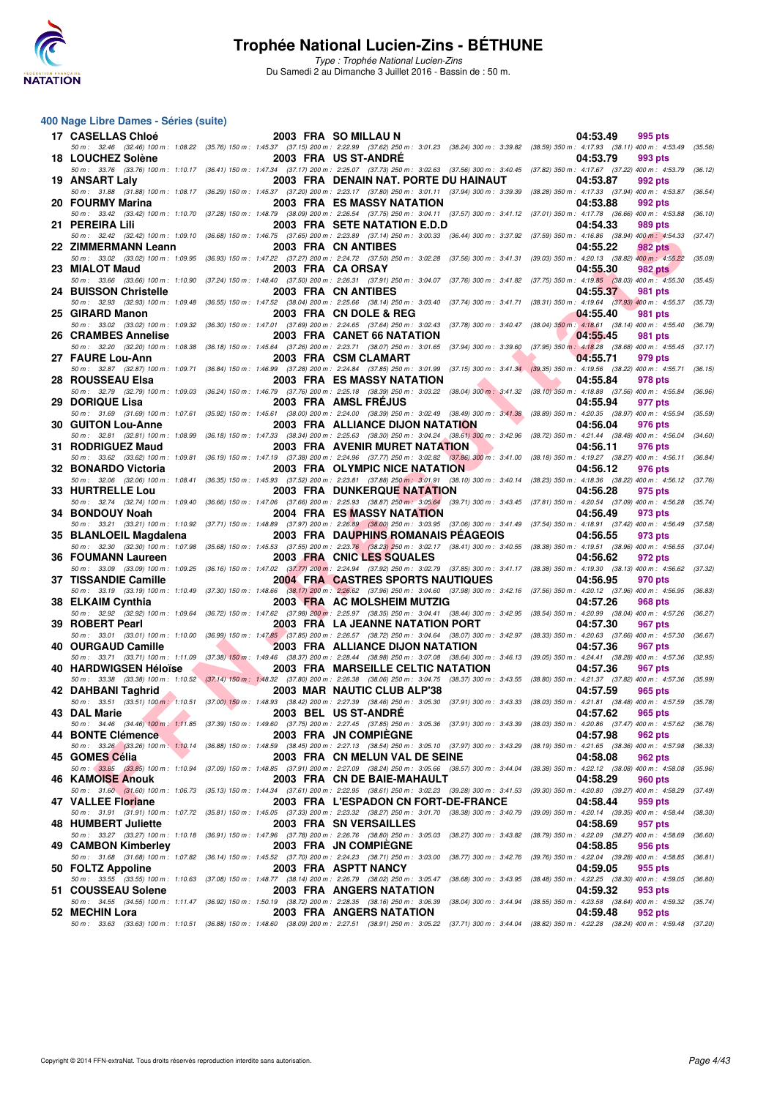

Type : Trophée National Lucien-Zins Du Samedi 2 au Dimanche 3 Juillet 2016 - Bassin de : 50 m.

#### **400 Nage Libre Dames - Séries (suite)**

| 17 CASELLAS Chloé                                                                                                                                                                                                            |  | 2003 FRA SO MILLAU N                                 | 04:53.49                                                    | 995 pts            |         |
|------------------------------------------------------------------------------------------------------------------------------------------------------------------------------------------------------------------------------|--|------------------------------------------------------|-------------------------------------------------------------|--------------------|---------|
| 50 m: 32.46 (32.46) 100 m: 1:08.22 (35.76) 150 m: 1:45.37 (37.15) 200 m: 2:22.99 (37.62) 250 m: 3:01.23 (38.24) 300 m: 3:39.82 (38.59) 350 m: 4:17.93 (38.11) 400 m: 4:53.49 (35.56)<br>18 LOUCHEZ Solène                    |  | 2003 FRA US ST-ANDRE                                 | 04:53.79                                                    | 993 pts            |         |
| 50 m: 33.76 (33.76) 100 m: 1:10.17 (36.41) 150 m: 1:47.34 (37.17) 200 m: 2:25.07 (37.73) 250 m: 3:02.63 (37.56) 300 m: 3:40.45 (37.82) 350 m: 4:17.67 (37.22) 400 m: 4:53.79 (36.12)<br>19 ANSART Laly                       |  | 2003 FRA DENAIN NAT. PORTE DU HAINAUT                | 04:53.87                                                    | 992 pts            |         |
| 50 m: 31.88 (31.88) 100 m: 1:08.17 (36.29) 150 m: 1:45.37 (37.20) 200 m: 2:23.17 (37.80) 250 m: 3:01.11 (37.94) 300 m: 3:39.39 (38.28) 350 m: 4:17.33 (37.94) 400 m: 4:53.87<br>20 FOURMY Marina                             |  | <b>2003 FRA ES MASSY NATATION</b>                    | 04:53.88                                                    | 992 pts            | (36.54) |
| 50 m: 33.42 (33.42) 100 m: 1:10.70 (37.28) 150 m: 1:48.79 (38.09) 200 m: 2:26.54 (37.75) 250 m: 3:04.11 (37.57) 300 m: 3:41.12 (37.01) 350 m: 4:17.78 (36.66) 400 m: 4:53.88<br>21 PEREIRA Lili                              |  | 2003 FRA SETE NATATION E.D.D                         | 04:54.33                                                    | 989 pts            | (36.10) |
| 50 m: 32.42 (32.42) 100 m: 1:09.10 (36.68) 150 m: 1:46.75 (37.65) 200 m: 2:23.89 (37.14) 250 m: 3:00.33 (36.44) 300 m: 3:37.92 (37.59) 350 m: 4:16.86 (38.94) 400 m: 4:54.33<br>22 ZIMMERMANN Leann                          |  | 2003 FRA CN ANTIBES                                  | 04:55.22                                                    | 982 pts            | (37.47) |
| 50 m: 33.02 (33.02) 100 m: 1:09.95 (36.93) 150 m: 1:47.22 (37.27) 200 m: 2:24.72 (37.50) 250 m: 3:02.28 (37.56) 300 m: 3:41.31 (39.03) 350 m: 4:20.13 (38.82) 400 m: 4:55.22                                                 |  |                                                      |                                                             |                    | (35.09) |
| 23 MIALOT Maud<br>50 m: 33.66 (33.66) 100 m: 1:10.90 (37.24) 150 m: 1:48.40 (37.50) 200 m: 2:26.31 (37.91) 250 m: 3:04.07 (37.76) 300 m: 3:41.82 (37.75) 350 m: 4:19.85 (38.03) 400 m: 4:55.30 (35.45)                       |  | 2003 FRA CA ORSAY                                    | 04:55.30                                                    | 982 pts            |         |
| 24 BUISSON Christelle<br>50 m: 32.93 (32.93) 100 m: 1:09.48 (36.55) 150 m: 1:47.52 (38.04) 200 m: 2:25.66 (38.14) 250 m: 3:03.40 (37.74) 300 m: 3:41.71 (38.31) 350 m: 4:19.64 (37.93) 400 m: 4:55.37                        |  | 2003 FRA CN ANTIBES                                  | 04:55.37                                                    | <b>981 pts</b>     | (35.73) |
| 25 GIRARD Manon<br>50 m: 33.02 (33.02) 100 m: 1:09.32 (36.30) 150 m: 1:47.01 (37.69) 200 m: 2:24.65 (37.64) 250 m: 3:02.43 (37.78) 300 m: 3:40.47 (38.04) 350 m: 4:18.61 (38.14) 400 m: 4:55.40                              |  | 2003 FRA CN DOLE & REG                               | 04:55.40                                                    | 981 pts            | (36.79) |
| 26 CRAMBES Annelise<br>50 m: 32.20 (32.20) 100 m: 1:08.38 (36.18) 150 m: 1:45.64 (37.26) 200 m: 2:23.71 (38.07) 250 m: 3:01.65 (37.94) 300 m: 3:39.60 (37.95) 350 m: 4:18.28 (38.68) 400 m: 4:55.45                          |  | 2003 FRA CANET 66 NATATION                           | 04:55.45                                                    | 981 pts            | (37.17) |
| 27 FAURE Lou-Ann                                                                                                                                                                                                             |  | 2003 FRA CSM CLAMART                                 | 04:55.71                                                    | 979 pts            |         |
| 50 m: 32.87 (32.87) 100 m: 1:09.71 (36.84) 150 m: 1:46.99 (37.28) 200 m: 2:24.84 (37.85) 250 m: 3:01.99 (37.15) 300 m: 3:41.34 (39.35) 350 m: 4:19.56 (38.22) 400 m: 4:55.71<br>28 ROUSSEAU Elsa                             |  | <b>2003 FRA ES MASSY NATATION</b>                    | 04:55.84                                                    | 978 pts            | (36.15) |
| 50 m : 32.79 (32.79) 100 m : 1:09.03 (36.24) 150 m : 1:46.79 (37.76) 200 m : 2:25.18 (38.39) 250 m : 3:03.22 (38.04) 300 m : 3:41.32 (38.10) 350 m : 4:18.88 (37.56) 400 m : 4:55.84<br>29 DORIQUE Lisa                      |  | 2003 FRA AMSL FREJUS                                 | 04:55.94                                                    | 977 pts            | (36.96) |
| 50 m : 31.69 (31.69) 100 m : 1:07.61 (35.92) 150 m : 1:45.61 (38.00) 200 m : 2:24.00 (38.39) 250 m : 3:02.49 (38.49) 300 m : 3:41.38 (38.89) 350 m : 4:20.35 (38.97) 400 m : 4:55.94<br><b>30 GUITON Lou-Anne</b>            |  | <b>2003 FRA ALLIANCE DIJON NATATION</b>              | 04:56.04                                                    | 976 pts            | (35.59) |
| 50 m: 32.81 (32.81) 100 m: 1:08.99 (36.18) 150 m: 1:47.33 (38.34) 200 m: 2:25.63 (38.30) 250 m: 3:04.24 (38.61) 300 m: 3:42.96 (38.72) 350 m: 4:21.44 (38.48) 400 m: 4:56.04 (34.60)<br>31 RODRIGUEZ Maud                    |  | <b>2003 FRA AVENIR MURET NATATION</b>                | 04:56.11                                                    | 976 pts            |         |
| 50 m: 33.62 (33.62) 100 m: 1:09.81 (36.19) 150 m: 1:47.19 (37.38) 200 m: 2:24.96 (37.77) 250 m: 3:02.82 (37.86) 300 m: 3:41.00 (38.18) 350 m: 4:19.27 (38.27) 400 m: 4:56.11                                                 |  |                                                      |                                                             |                    | (36.84) |
| 32 BONARDO Victoria<br>50 m: 32.06 (32.06) 100 m: 1:08.41 (36.35) 150 m: 1:45.93 (37.52) 200 m: 2:23.81 (37.88) 250 m: 3:01.91 (38.10) 300 m: 3:40.14 (38.23) 350 m: 4:18.36 (38.22) 400 m: 4:56.12                          |  | 2003 FRA OLYMPIC NICE NATATION                       | 04:56.12                                                    | 976 pts            | (37.76) |
| 33 HURTRELLE Lou<br>50 m: 32.74 (32.74) 100 m: 1:09.40 (36.66) 150 m: 1:47.06 (37.66) 200 m: 2:25.93 (38.87) 250 m: 3:05.64 (39.71) 300 m: 3:43.45 (37.81) 350 m: 4:20.54 (37.09) 400 m: 4:56.28                             |  | <b>2003 FRA DUNKERQUE NATATION</b>                   | 04:56.28                                                    | 975 pts            | (35.74) |
| 34 BONDOUY Noah<br>50 m: 33.21 (33.21) 100 m: 1:10.92 (37.71) 150 m: 1:48.89 (37.97) 200 m: 2:26.89 (38.00) 250 m: 3:03.95 (37.06) 300 m: 3:41.49 (37.54) 350 m: 4:18.91 (37.42) 400 m: 4:56.49 (37.58)                      |  | <b>2004 FRA ES MASSY NATATION</b>                    | 04:56.49                                                    | 973 pts            |         |
| 35 BLANLOEIL Magdalena<br>50 m: 32.30 (32.30) 100 m: 1:07.98 (35.68) 150 m: 1:45.53 (37.55) 200 m: 2:23.76 (38.23) 250 m: 3:02.17 (38.41) 300 m: 3:40.55 (38.38) 350 m: 4:19.51 (38.96) 400 m: 4:56.55 (37.04)               |  | 2003 FRA DAUPHINS ROMANAIS PEAGEOIS                  | 04:56.55                                                    | 973 pts            |         |
|                                                                                                                                                                                                                              |  |                                                      | 04:56.62                                                    |                    |         |
| 36 FOUMANN Laureen                                                                                                                                                                                                           |  | 2003 FRA CNIC LES SQUALES                            |                                                             | 972 pts            |         |
| 50 m: 33.09 (33.09) 100 m: 1:09.25 (36.16) 150 m: 1:47.02 (37.77) 200 m: 2:24.94 (37.92) 250 m: 3:02.79 (37.85) 300 m: 3:41.17 (38.38) 350 m: 4:19.30 (38.13) 400 m: 4:56.62<br>37 TISSANDIE Camille                         |  | <b>2004 FRA CASTRES SPORTS NAUTIQUES</b>             | 04:56.95                                                    | 970 pts            | (37.32) |
| 50 m: 33.19 (33.19) 100 m: 1:10.49 (37.30) 150 m: 1:48.66 (38.17) 200 m: 2:26.62 (37.96) 250 m: 3:04.60 (37.98) 300 m: 3:42.16 (37.56) 350 m: 4:20.12 (37.96) 400 m: 4:56.95 (36.83)<br>38 ELKAIM Cynthia                    |  | 2003 FRA AC MOLSHEIM MUTZIG                          | 04:57.26                                                    | <b>968 pts</b>     |         |
| 50 m : 32.92 (32.92) 100 m : 1:09.64 (36.72) 150 m : 1:47.62 (37.98) 200 m : 2:25.97 (38.35) 250 m : 3:04.41 (38.44) 300 m : 3:42.95 (38.54) 350 m : 4:20.99 (38.04) 400 m : 4:57.26<br>39 ROBERT Pearl                      |  | <b>2003 FRA LA JEANNE NATATION PORT</b>              | 04:57.30                                                    | 967 pts            | (36.27) |
| 50 m: 33.01 (33.01) 100 m: 1:10.00 (36.99) 150 m: 1:47.85 (37.85) 200 m: 2:26.57 (38.72) 250 m: 3:04.64 (38.07) 300 m: 3:42.97 (38.33) 350 m: 4:20.63 (37.66) 400 m: 4:57.30                                                 |  |                                                      |                                                             |                    | (36.67) |
| 40 OURGAUD Camille<br>50 m: 33.71 (33.71) 100 m: 1:11.09 (37.38) 150 m: 1:49.46 (38.37) 200 m: 2:28.44 (38.98) 250 m: 3:07.08 (38.64) 300 m: 3:46.13 (39.05) 350 m: 4:24.41 (38.28) 400 m: 4:57.36 (32.95)                   |  | 2003 FRA ALLIANCE DIJON NATATION                     | 04:57.36                                                    | 967 pts            |         |
| 40 HARDWIGSEN Héloïse<br>50 m: 33.38 (33.38) 100 m: 1:10.52 (37.14) 150 m: 1:48.32 (37.80) 200 m: 2:26.38 (38.06) 250 m: 3:04.75 (38.37) 300 m: 3:43.55 (38.80) 350 m: 4:21.37 (37.82) 400 m: 4:57.36 (35.99)                |  | 2003 FRA MARSEILLE CELTIC NATATION                   | 04:57.36                                                    | 967 pts            |         |
| 42 DAHBANI Taghrid<br>50 m: 33.51 (33.51) 100 m: 1:10.51 (37.00) 150 m: 1:48.93 (38.42) 200 m: 2:27.39 (38.46) 250 m: 3:05.30 (37.91) 300 m: 3:43.33 (38.03) 350 m: 4:21.81 (38.48) 400 m: 4:57.59 (35.78)                   |  | 2003 MAR NAUTIC CLUB ALP'38                          | 04:57.59                                                    | 965 pts            |         |
| 43 DAL Marie<br>50 m: 34.46 (34.46) 100 m: 1:11.85 (37.39) 150 m: 1:49.60 (37.75) 200 m: 2:27.45 (37.85) 250 m: 3:05.36 (37.91) 300 m: 3:43.39 (38.03) 350 m: 4:20.86 (37.47) 400 m: 4:57.62 (36.76)                         |  | 2003 BEL US ST-ANDRE                                 | 04:57.62                                                    | 965 pts            |         |
| 44 BONTE Clémence<br>50 m: 33.26 (33.26) 100 m: 1:10.14 (36.88) 150 m: 1:48.59 (38.45) 200 m: 2:27.13 (38.54) 250 m: 3:05.10 (37.97) 300 m: 3:43.29 (38.19) 350 m: 4:21.65 (38.36) 400 m: 4:57.98                            |  | 2003 FRA JN COMPIEGNE                                | 04:57.98                                                    | 962 pts            | (36.33) |
| 45 GOMES Célia                                                                                                                                                                                                               |  | 2003 FRA CN MELUN VAL DE SEINE                       | 04:58.08                                                    | 962 pts            |         |
| 50 m : 33.85 (33.85) 100 m : 1:10.94 (37.09) 150 m : 1:48.85 (37.91) 200 m : 2:27.09 (38.24) 250 m : 3:05.66 (38.57) 300 m : 3:44.04 (38.38) 350 m : 4:22.12 (38.08) 400 m : 4:58.08<br><b>46 KAMOISE Anouk</b>              |  | 2003 FRA CN DE BAIE-MAHAULT                          | 04:58.29                                                    | 960 pts            | (35.96) |
| 50 m : 31.60 (31.60) 100 m : 1:06.73 (35.13) 150 m : 1:44.34 (37.61) 200 m : 2:22.95 (38.61) 250 m : 3:02.23 (39.28) 300 m : 3:41.53 (39.30) 350 m : 4:20.80 (39.27) 400 m : 4:58.29<br>47 VALLEE Floriane                   |  | 2003 FRA L'ESPADON CN FORT-DE-FRANCE                 | 04:58.44                                                    | 959 pts            | (37.49) |
| 50 m : 31.91 (31.91) 100 m : 1:07.72 (35.81) 150 m : 1:45.05 (37.33) 200 m : 2:23.32 (38.27) 250 m : 3:01.70 (38.38) 300 m : 3:40.79 (39.09) 350 m : 4:20.14 (39.35) 400 m : 4:58.44<br>48 HUMBERT Juliette                  |  | 2003 FRA SN VERSAILLES                               | 04:58.69                                                    | 957 pts            | (38.30) |
| 50 m : 33.27 (33.27) 100 m : 1:10.18 (36.91) 150 m : 1:47.96 (37.78) 200 m : 2:26.76 (38.80) 250 m : 3:05.03 (38.27) 300 m : 3:43.82<br>49 CAMBON Kimberley                                                                  |  | 2003 FRA JN COMPIEGNE                                | (38.79) 350 m : 4:22.09 (38.27) 400 m : 4:58.69<br>04:58.85 | 956 pts            | (36.60) |
| 50 m : 31.68 (31.68) 100 m : 1:07.82 (36.14) 150 m : 1:45.52 (37.70) 200 m : 2:24.23 (38.71) 250 m : 3:03.00 (38.77) 300 m : 3:42.76 (39.76) 350 m : 4:22.04 (39.28) 400 m : 4:58.85 (36.81)                                 |  |                                                      |                                                             |                    |         |
| 50 FOLTZ Appoline<br>50 m : 33.55 (33.55) 100 m : 1:10.63 (37.08) 150 m : 1:48.77 (38.14) 200 m : 2:26.79 (38.02) 250 m : 3:05.47 (38.68) 300 m : 3:43.95 (38.48) 350 m : 4:22.25 (38.30) 400 m : 4:59.05                    |  | 2003 FRA ASPTT NANCY                                 | 04:59.05                                                    | 955 pts            | (36.80) |
| 51 COUSSEAU Solene<br>50 m: 34.55 (34.55) 100 m: 1:11.47 (36.92) 150 m: 1:50.19 (38.72) 200 m: 2:28.35 (38.16) 250 m: 3:06.39 (38.04) 300 m: 3:44.94 (38.55) 350 m: 4:23.58 (38.64) 400 m: 4:59.32 (35.74)<br>52 MECHIN Lora |  | 2003 FRA ANGERS NATATION<br>2003 FRA ANGERS NATATION | 04:59.32<br>04:59.48                                        | 953 pts<br>952 pts |         |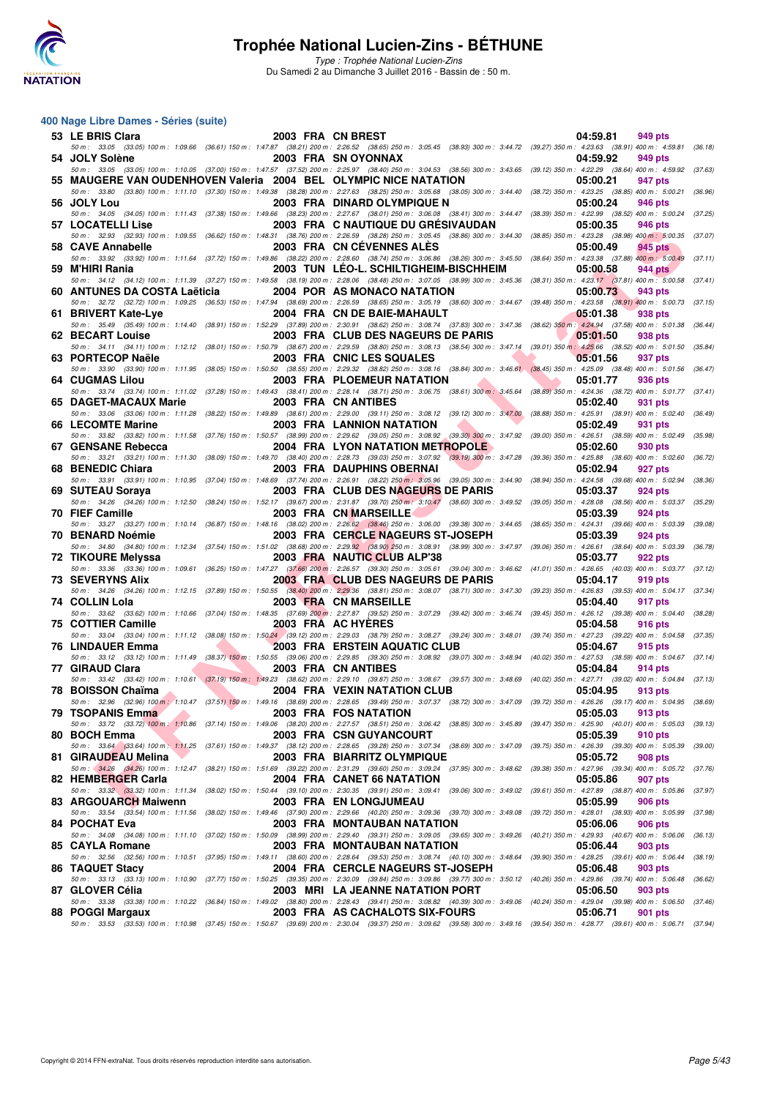

Type : Trophée National Lucien-Zins Du Samedi 2 au Dimanche 3 Juillet 2016 - Bassin de : 50 m.

#### **400 Nage Libre Dames - Séries (suite)**

| 53 LE BRIS Clara             | 2003 FRA CN BREST |                                                                                                                                                                                                                                                                                                                                                                                     | 04:59.81<br>949 pts                                                                   |
|------------------------------|-------------------|-------------------------------------------------------------------------------------------------------------------------------------------------------------------------------------------------------------------------------------------------------------------------------------------------------------------------------------------------------------------------------------|---------------------------------------------------------------------------------------|
| 54 JOLY Solène               |                   | 50 m: 33.05 (33.05) 100 m: 1:09.66 (36.61) 150 m: 1:47.87 (38.21) 200 m: 2:26.52 (38.65) 250 m: 3:05.45 (38.93) 300 m: 3:44.72 (39.27) 350 m: 4:23.63 (38.91) 400 m: 4:59.81<br>2003 FRA SN OYONNAX<br>50 m: 33.05 (33.05) 100 m: 1:10.05 (37.00) 150 m: 1:47.57 (37.52) 200 m: 2:25.97 (38.40) 250 m: 3:04.53 (38.56) 300 m: 3:43.65 (39.12) 350 m: 4:22.29 (38.64) 400 m: 4:59.92 | (36.18)<br>04:59.92<br>949 pts<br>(37.63)                                             |
|                              |                   | 55 MAUGERE VAN OUDENHOVEN Valeria 2004 BEL OLYMPIC NICE NATATION                                                                                                                                                                                                                                                                                                                    | 05:00.21<br>947 pts                                                                   |
| 56 JOLY Lou                  |                   | 50 m: 33.80 (33.80) 100 m: 1:11.10 (37.30) 150 m: 1:49.38 (38.28) 200 m: 2:27.63 (38.25) 250 m: 3:05.68 (38.05) 300 m: 3:44.40 (38.72) 350 m: 4:23.25 (38.85) 400 m: 5:00.21<br>2003 FRA DINARD OLYMPIQUE N                                                                                                                                                                         | (36.96)<br>05:00.24<br>946 pts                                                        |
| 57 LOCATELLI Lise            |                   | 50 m: 34.05 (34.05) 100 m: 1:11.43 (37.38) 150 m: 1:49.66 (38.23) 200 m: 2:27.67 (38.01) 250 m: 3:06.08 (38.41) 300 m: 3:44.47 (38.39) 350 m: 4:22.99 (38.52) 400 m: 5:00.24<br>2003 FRA C NAUTIQUE DU GRÉSIVAUDAN                                                                                                                                                                  | (37.25)<br>05:00.35<br>946 pts                                                        |
|                              |                   | 50 m: 32.93 (32.93) 100 m: 1:09.55 (36.62) 150 m: 1:48.31 (38.76) 200 m: 2:26.59 (38.28) 250 m: 3:05.45 (38.86) 300 m: 3:44.30 (38.85) 350 m: 4:23.28 (38.98) 400 m: 5:00.35 (37.07)                                                                                                                                                                                                |                                                                                       |
| 58 CAVE Annabelle            |                   | 2003 FRA CN CEVENNES ALES<br>50 m : 33.92 (33.92) 100 m : 1:11.64 (37.72) 150 m : 1:49.86 (38.22) 200 m : 2:28.60 (38.74) 250 m : 3:06.86 (38.26) 300 m : 3:45.50 (38.64) 350 m : 4:23.38 (37.88) 400 m : 5:00.49                                                                                                                                                                   | 05:00.49<br>945 pts<br>(37.11)                                                        |
| 59 M'HIRI Rania              |                   | 2003 TUN LEO-L. SCHILTIGHEIM-BISCHHEIM<br>50 m: 34.12 (34.12) 100 m: 1:11.39 (37.27) 150 m: 1:49.58 (38.19) 200 m: 2:28.06 (38.48) 250 m: 3:07.05 (38.99) 300 m: 3:45.36 (38.31) 350 m: 4:23.17 (37.81) 400 m: 5:00.58 (37.41)                                                                                                                                                      | 05:00.58<br>944 pts                                                                   |
| 60 ANTUNES DA COSTA Laëticia |                   | 2004 POR AS MONACO NATATION<br>50 m: 32.72 (32.72) 100 m: 1:09.25 (36.53) 150 m: 1:47.94 (38.69) 200 m: 2:26.59 (38.65) 250 m: 3:05.19 (38.60) 300 m: 3:44.67 (39.48) 350 m: 4:23.58 (38.91) 400 m: 5:00.73                                                                                                                                                                         | 05:00.73<br>943 pts<br>(37.15)                                                        |
| 61 BRIVERT Kate-Lye          |                   | 2004 FRA CN DE BAIE-MAHAULT<br>50 m: 35.49 (35.49) 100 m: 1:14.40 (38.91) 150 m: 1:52.29 (37.89) 200 m: 2:30.91 (38.62) 250 m: 3:08.74 (37.83) 300 m: 3:47.36 (38.62) 350 m: 4:24.94 (37.58) 400 m: 5:01.38                                                                                                                                                                         | 05:01.38<br>938 pts<br>(36.44)                                                        |
| 62 BECART Louise             |                   | 2003 FRA CLUB DES NAGEURS DE PARIS                                                                                                                                                                                                                                                                                                                                                  | 05:01.50<br>938 pts                                                                   |
| 63 PORTECOP Naële            |                   | 50 m: 34.11 (34.11) 100 m: 1:12.12 (38.01) 150 m: 1:50.79 (38.67) 200 m: 2:29.59 (38.80) 250 m: 3:08.13 (38.54) 300 m: 3:47.14 (39.01) 350 m: 4:25.66 (38.52) 400 m: 5:01.50 (35.84)<br>2003 FRA CNIC LES SQUALES                                                                                                                                                                   | 05:01.56<br>937 pts                                                                   |
| <b>64 CUGMAS Lilou</b>       |                   | 50 m: 33.90 (33.90) 100 m: 1:11.95 (38.05) 150 m: 1:50.50 (38.55) 200 m: 2:29.32 (38.82) 250 m: 3:08.16 (38.84) 300 m: 3:46.61 (38.45) 350 m: 4:25.09 (38.48) 400 m: 5:01.56<br>2003 FRA PLOEMEUR NATATION                                                                                                                                                                          | (36.47)<br>05:01.77<br>936 pts                                                        |
| 65 DAGET-MACAUX Marie        |                   | 50 m: 33.74 (33.74) 100 m: 1:11.02 (37.28) 150 m: 1:49.43 (38.41) 200 m: 2:28.14 (38.71) 250 m: 3:06.75 (38.61) 300 m: 3:45.64 (38.89) 350 m: 4:24.36 (38.72) 400 m: 5:01.77 (37.41)<br>2003 FRA CN ANTIBES                                                                                                                                                                         | 05:02.40<br>931 pts                                                                   |
|                              |                   | 50 m: 33.06 (33.06) 100 m: 1:11.28 (38.22) 150 m: 1:49.89 (38.61) 200 m: 2:29.00 (39.11) 250 m: 3:08.12 (39.12) 300 m: 3:47.00 (38.88) 350 m: 4:25.91 (38.91) 400 m: 5:02.40                                                                                                                                                                                                        | (36.49)                                                                               |
| 66 LECOMTE Marine            |                   | <b>2003 FRA LANNION NATATION</b><br>50 m: 33.82 (33.82) 100 m: 1:11.58 (37.76) 150 m: 1:50.57 (38.99) 200 m: 2:29.62 (39.05) 250 m: 3:08.92 (39.30) 300 m: 3:47.92 (39.00) 350 m: 4:26.51 (38.59) 400 m: 5:02.49                                                                                                                                                                    | 05:02.49<br>931 pts<br>(35.98)                                                        |
| 67 GENSANE Rebecca           |                   | <b>2004 FRA LYON NATATION METROPOLE</b><br>50 m: 33.21 (33.21) 100 m: 1:11.30 (38.09) 150 m: 1:49.70 (38.40) 200 m: 2:28.73 (39.03) 250 m: 3:07.92 (39.19) 300 m: 3:47.28 (39.36) 350 m: 4:25.88 (38.60) 400 m: 5:02.60                                                                                                                                                             | 05:02.60<br>930 pts<br>(36.72)                                                        |
| 68 BENEDIC Chiara            |                   | 2003 FRA DAUPHINS OBERNAI<br>50 m: 33.91 (33.91) 100 m: 1:10.95 (37.04) 150 m: 1:48.69 (37.74) 200 m: 2:26.91 (38.22) 250 m: 3:05.96 (39.05) 300 m: 3:44.90 (38.94) 350 m: 4:24.58 (39.68) 400 m: 5:02.94                                                                                                                                                                           | 05:02.94<br>927 pts                                                                   |
| 69 SUTEAU Soraya             |                   | 2003 FRA CLUB DES NAGEURS DE PARIS                                                                                                                                                                                                                                                                                                                                                  | (38.36)<br>05:03.37<br>924 pts                                                        |
| 70 FIEF Camille              |                   | 50 m : 34.26 (34.26) 100 m : 1:12.50 (38.24) 150 m : 1:52.17 (39.67) 200 m : 2:31.87 (39.70) 250 m : 3:10.47 (38.60) 300 m : 3:49.52 (39.05) 350 m : 4:28.08 (38.56) 400 m : 5:03.37 (35.29)<br>2003 FRA CN MARSEILLE                                                                                                                                                               | 05:03.39<br>924 pts                                                                   |
| 70 BENARD Noémie             |                   | 50 m: 33.27 (33.27) 100 m: 1:10.14 (36.87) 150 m: 1:48.16 (38.02) 200 m: 2:26.62 (38.46) 250 m: 3:06.00 (39.38) 300 m: 3:44.65 (38.65) 350 m: 4:24.31 (39.66) 400 m: 5:03.39<br><b>2003 FRA CERCLE NAGEURS ST-JOSEPH</b>                                                                                                                                                            | (39.08)<br>05:03.39<br>924 pts                                                        |
| 72 TIKOURE Melyssa           |                   | 50 m : 34.80 (34.80) 100 m : 1:12.34 (37.54) 150 m : 1:51.02 (38.68) 200 m : 2:29.92 (38.90) 250 m : 3:08.91 (38.99) 300 m : 3:47.97 (39.06) 350 m : 4:26.61 (38.64) 400 m : 5:03.39 (36.78)<br>2003 FRA NAUTIC CLUB ALP'38                                                                                                                                                         | 05:03.77<br>922 pts                                                                   |
|                              |                   | 50 m: 33.36 (33.36) 100 m: 1:09.61 (36.25) 150 m: 1:47.27 (37.66) 200 m: 2:26.57 (39.30) 250 m: 3:05.61 (39.04) 300 m: 3:46.62 (41.01) 350 m: 4:26.65 (40.03) 400 m: 5:03.77                                                                                                                                                                                                        | (37.12)                                                                               |
| <b>73 SEVERYNS Alix</b>      |                   | 2003 FRA CLUB DES NAGEURS DE PARIS<br>50 m: 34.26 (34.26) 100 m: 1:12.15 (37.89) 150 m: 1:50.55 (38.40) 200 m: 2:29.36 (38.81) 250 m: 3:08.07 (38.71) 300 m: 3:47.30 (39.23) 350 m: 4:26.83 (39.53) 400 m: 5:04.17 (37.34)                                                                                                                                                          | 05:04.17<br>919 pts                                                                   |
| 74 COLLIN Lola               |                   | 2003 FRA CN MARSEILLE<br>50 m: 33.62 (33.62) 100 m: 1:10.66 (37.04) 150 m: 1:48.35 (37.69) 200 m: 2:27.87 (39.52) 250 m: 3:07.29 (39.42) 300 m: 3:46.74 (39.45) 350 m: 4:26.12 (39.38) 400 m: 5:04.40 (38.28)                                                                                                                                                                       | 05:04.40<br>917 pts                                                                   |
| 75 COTTIER Camille           |                   | 2003 FRA AC HYERES<br>50 m: 33.04 (33.04) 100 m: 1:11.12 (38.08) 150 m: 1:50.24 (39.12) 200 m: 2:29.03 (38.79) 250 m: 3:08.27 (39.24) 300 m: 3:48.01 (39.74) 350 m: 4:27.23 (39.22) 400 m: 5:04.58                                                                                                                                                                                  | 05:04.58<br>916 pts<br>(37.35)                                                        |
| <b>76 LINDAUER Emma</b>      |                   | <b>2003 FRA ERSTEIN AQUATIC CLUB</b>                                                                                                                                                                                                                                                                                                                                                | 05:04.67<br>915 pts                                                                   |
| 77 GIRAUD Clara              |                   | 50 m: 33.12 (33.12) 100 m: 1:11.49 (38.37) 150 m: 1:50.55 (39.06) 200 m: 2:29.85 (39.30) 250 m: 3:08.92 (39.07) 300 m: 3:48.94 (40.02) 350 m: 4:27.53 (38.59) 400 m: 5:04.67 (37.14)<br>2003 FRA CN ANTIBES                                                                                                                                                                         | 05:04.84<br>914 pts                                                                   |
| 78 BOISSON Chaïma            |                   | 50 m: 33.42 (33.42) 100 m: 1:10.61 (37.19) 150 m: 1:49.23 (38.62) 200 m: 2:29.10 (39.87) 250 m: 3:08.67 (39.57) 300 m: 3:48.69 (40.02) 350 m: 4:27.71 (39.02) 400 m: 5:04.84 (37.13)<br>2004 FRA VEXIN NATATION CLUB                                                                                                                                                                | 05:04.95<br>913 pts                                                                   |
| 79 TSOPANIS Emma             |                   | 50 m : 32.96 (32.96) 100 m : 1:10.47 (37.51) 150 m : 1:49.16 (38.69) 200 m : 2:28.65 (39.49) 250 m : 3:07.37 (38.72) 300 m : 3:47.09 (39.72) 350 m : 4:26.26 (39.17) 400 m : 5:04.95 (38.69)<br>2003 FRA FOS NATATION                                                                                                                                                               | 05:05.03<br>913 pts                                                                   |
|                              |                   | 50 m: 33.72 (33.72) 100 m: 1:10.86 (37.14) 150 m: 1:49.06 (38.20) 200 m: 2:27.57 (38.51) 250 m: 3:06.42 (38.85) 300 m: 3:45.89 (39.47) 350 m: 4:25.90 (40.01) 400 m: 5:05.03 (39.13)                                                                                                                                                                                                |                                                                                       |
| 80 BOCH Emma                 |                   | 2003 FRA CSN GUYANCOURT<br>50 m : 33.64 (33.64) 100 m : 1:11.25 (37.61) 150 m : 1:49.37 (38.12) 200 m : 2:28.65 (39.28) 250 m : 3:07.34 (38.69) 300 m : 3:47.09                                                                                                                                                                                                                     | 05:05.39<br>910 pts<br>(39.75) 350 m : 4:26.39 (39.30) 400 m : 5:05.39 (39.00)        |
| 81 GIRAUDEAU Melina          |                   | 2003 FRA BIARRITZ OLYMPIQUE<br>50 m: 34.26 (34.26) 100 m: 1:12.47 (38.21) 150 m: 1:51.69 (39.22) 200 m: 2:31.29 (39.60) 250 m: 3:09.24 (37.95) 300 m: 3:48.62 (39.38) 350 m: 4:27.96 (39.34) 400 m: 5:05.72 (37.76)                                                                                                                                                                 | 05:05.72<br>908 pts                                                                   |
| 82 HEMBERGER Carla           |                   | 2004 FRA CANET 66 NATATION<br>50 m: 33.32 (33.32) 100 m: 1:11.34 (38.02) 150 m: 1:50.44 (39.10) 200 m: 2:30.35 (39.91) 250 m: 3:09.41 (39.06) 300 m: 3:49.02 (39.61) 350 m: 4:27.89 (38.87) 400 m: 5:05.86 (37.97)                                                                                                                                                                  | 05:05.86<br>907 pts                                                                   |
| 83 ARGOUARCH Maiwenn         |                   | 2003 FRA EN LONGJUMEAU                                                                                                                                                                                                                                                                                                                                                              | 05:05.99<br>906 pts                                                                   |
| 84 POCHAT Eva                |                   | 50 m : 33.54 (33.54) 100 m : 1:11.56 (38.02) 150 m : 1:49.46 (37.90) 200 m : 2:29.66 (40.20) 250 m : 3:09.36 (39.70) 300 m : 3:49.08<br>2003 FRA MONTAUBAN NATATION                                                                                                                                                                                                                 | (39.72) 350 m : 4:28.01 (38.93) 400 m : 5:05.99<br>(37.98)<br>05:06.06<br>906 pts     |
| 85 CAYLA Romane              |                   | 50 m : 34.08 (34.08) 100 m : 1:11.10 (37.02) 150 m : 1:50.09 (38.99) 200 m : 2:29.40 (39.31) 250 m : 3:09.05 (39.65) 300 m : 3:49.26<br>2003 FRA MONTAUBAN NATATION                                                                                                                                                                                                                 | $(40.21)$ 350 m : 4:29.93 $(40.67)$ 400 m : 5:06.06<br>(36.13)<br>05:06.44<br>903 pts |
| 86 TAQUET Stacy              |                   | 50 m : 32.56 (32.56) 100 m : 1:10.51 (37.95) 150 m : 1:49.11 (38.60) 200 m : 2:28.64 (39.53) 250 m : 3:08.74 (40.10) 300 m : 3:48.64<br>2004 FRA CERCLE NAGEURS ST-JOSEPH                                                                                                                                                                                                           | (39.90) 350 m : 4:28.25 (39.61) 400 m : 5:06.44<br>(38.19)<br>05:06.48<br>903 pts     |
|                              |                   | 50 m: 33.13 (33.13) 100 m: 1:10.90 (37.77) 150 m: 1:50.25 (39.35) 200 m: 2:30.09 (39.84) 250 m: 3:09.86 (39.77) 300 m: 3:50.12 (40.26) 350 m: 4:29.86 (39.74) 400 m: 5:06.48                                                                                                                                                                                                        | (36.62)                                                                               |
| 87 GLOVER Célia              |                   | 2003 MRI LA JEANNE NATATION PORT<br>50 m : 33.38 (33.38) 100 m : 1:10.22 (36.84) 150 m : 1:49.02 (38.80) 200 m : 2:28.43 (39.41) 250 m : 3:08.82 (40.39) 300 m : 3:49.06 (40.24) 350 m : 4:29.04 (39.98) 400 m : 5:06.50 (37.46)                                                                                                                                                    | 05:06.50<br>903 pts                                                                   |
| 88 POGGI Margaux             |                   | 2003 FRA AS CACHALOTS SIX-FOURS<br>50 m: 33.53 (33.53) 100 m: 1:10.98 (37.45) 150 m: 1:50.67 (39.69) 200 m: 2:30.04 (39.37) 250 m: 3:09.62 (39.58) 300 m: 3:49.16 (39.54) 350 m: 4:28.77 (39.61) 400 m: 5:06.71 (37.94)                                                                                                                                                             | 05:06.71<br>901 pts                                                                   |
|                              |                   |                                                                                                                                                                                                                                                                                                                                                                                     |                                                                                       |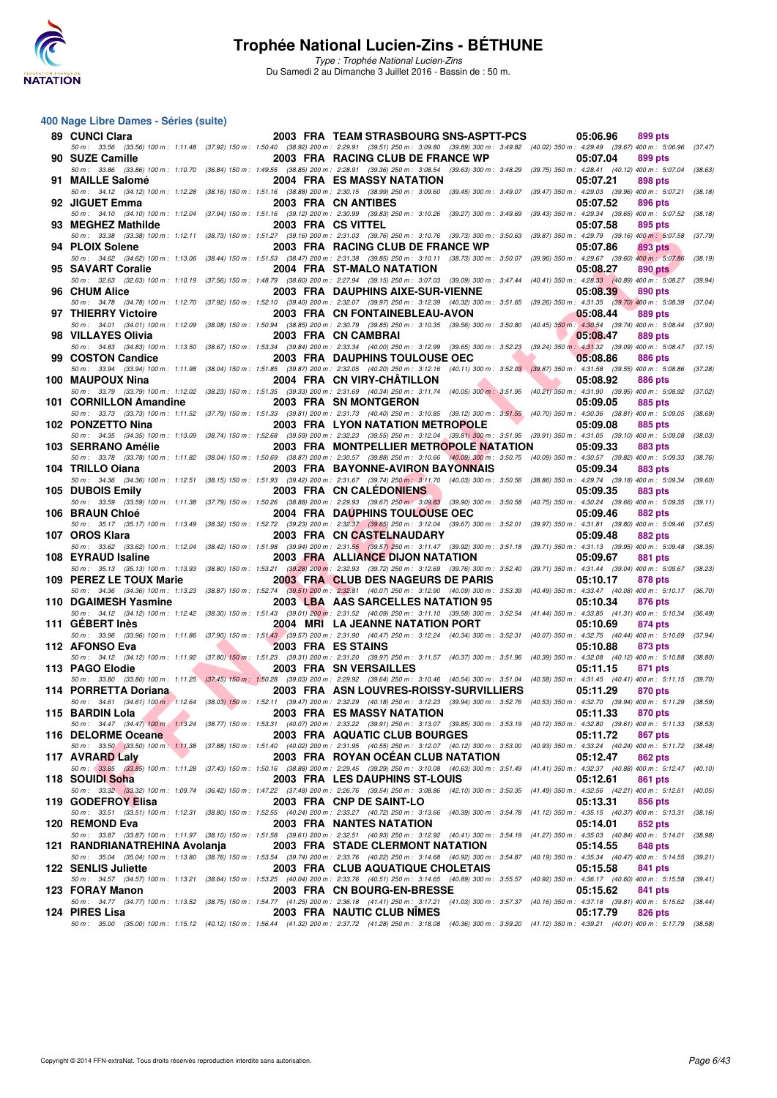

Type : Trophée National Lucien-Zins Du Samedi 2 au Dimanche 3 Juillet 2016 - Bassin de : 50 m.

#### **400 Nage Libre Dames - Séries (suite)**

| 89 CUNCI Clara                |                                                   | 2003 FRA TEAM STRASBOURG SNS-ASPTT-PCS                                                                                                                                                                                            | 05:06.96                              | 899 pts            |
|-------------------------------|---------------------------------------------------|-----------------------------------------------------------------------------------------------------------------------------------------------------------------------------------------------------------------------------------|---------------------------------------|--------------------|
| 90 SUZE Camille               |                                                   | 50 m: 33.56 (33.56) 100 m: 1:11.48 (37.92) 150 m: 1:50.40 (38.92) 200 m: 2:29.91 (39.51) 250 m: 3:09.80 (39.89) 300 m: 3:49.82 (40.02) 350 m: 4:29.49 (39.67) 400 m: 5:06.96 (37.47)<br>2003 FRA RACING CLUB DE FRANCE WP         | 05:07.04                              | 899 pts            |
| 91 MAILLE Salomé              |                                                   | 50 m: 33.86 (33.86) 100 m: 1:10.70 (36.84) 150 m: 1:49.55 (38.85) 200 m: 2:28.91 (39.36) 250 m: 3:08.54 (39.63) 300 m: 3:48.29 (39.75) 350 m: 4:28.41 (40.12) 400 m: 5:07.04 (38.63)<br>2004 FRA ES MASSY NATATION                | 05:07.21                              | 898 pts            |
| 92 JIGUET Emma                |                                                   | 50 m : 34.12 (34.12) 100 m : 1:12.28 (38.16) 150 m : 1:51.16 (38.88) 200 m : 2:30.15 (38.99) 250 m : 3:09.60 (39.45) 300 m : 3:49.07 (39.47) 350 m : 4:29.03 (39.96) 400 m : 5:07.21 (38.18)<br>2003 FRA CN ANTIBES               | 05:07.52                              | 896 pts            |
|                               |                                                   | 50 m: 34.10 (34.10) 100 m: 1:12.04 (37.94) 150 m: 1:51.16 (39.12) 200 m: 2:30.99 (39.83) 250 m: 3:10.26 (39.27) 300 m: 3:49.69 (39.43) 350 m: 4:29.34 (39.65) 400 m: 5:07.52                                                      |                                       | (38.18)            |
| 93 MEGHEZ Mathilde            |                                                   | 2003 FRA CS VITTEL<br>50 m: 33.38 (33.38) 100 m: 1:12.11 (38.73) 150 m: 1:51.27 (39.16) 200 m: 2:31.03 (39.76) 250 m: 3:10.76 (39.73) 300 m: 3:50.63 (39.87) 350 m: 4:29.79 (39.16) 400 m: 5:07.58 (37.79)                        | 05:07.58                              | 895 pts            |
| 94 PLOIX Solene               |                                                   | 2003 FRA RACING CLUB DE FRANCE WP                                                                                                                                                                                                 | 05:07.86                              | 893 pts            |
| 95 SAVART Coralie             |                                                   | 50 m: 34.62 (34.62) 100 m: 1:13.06 (38.44) 150 m: 1:51.53 (38.47) 200 m: 2:31.38 (39.85) 250 m: 3:10.11 (38.73) 300 m: 3:50.07 (39.96) 350 m: 4:29.67 (39.60) 400 m: 5:07.86<br>2004 FRA ST-MALO NATATION                         | 05:08.27                              | (38.19)<br>890 pts |
|                               |                                                   | 50 m : 32.63 (32.63) 100 m : 1:10.19 (37.56) 150 m : 1:48.79 (38.60) 200 m : 2:27.94 (39.15) 250 m : 3:07.03 (39.09) 300 m : 3:47.44 (40.41) 350 m : 4:28.33 (40.89) 400 m : 5:08.27 (39.94)                                      |                                       |                    |
| 96 CHUM Alice                 |                                                   | 2003 FRA DAUPHINS AIXE-SUR-VIENNE<br>50 m : 34.78 (34.78) 100 m : 1:12.70 (37.92) 150 m : 1:52.10 (39.40) 200 m : 2:32.07 (39.97) 250 m : 3:12.39 (40.32) 300 m : 3:51.65 (39.26) 350 m : 4:31.35 (39.70) 400 m : 5:08.39 (37.04) | 05:08.39                              | 890 pts            |
| 97 THIERRY Victoire           |                                                   | 2003 FRA CN FONTAINEBLEAU-AVON<br>50 m: 34.01 (34.01) 100 m: 1:12.09 (38.08) 150 m: 1:50.94 (38.85) 200 m: 2:30.79 (39.85) 250 m: 3:10.35 (39.56) 300 m: 3:50.80 (40.45) 350 m: 4:30.54 (39.74) 400 m: 5:08.44 (37.90)            | 05:08.44                              | <b>889 pts</b>     |
| 98 VILLAYES Olivia            |                                                   | 2003 FRA CN CAMBRAI                                                                                                                                                                                                               | 05:08.47                              | 889 pts            |
| 99 COSTON Candice             |                                                   | 50 m : 34.83 (34.83) 100 m : 1:13.50 (38.67) 150 m : 1:53.34 (39.84) 200 m : 2:33.34 (40.00) 250 m : 3:12.99 (39.65) 300 m : 3:52.23 (39.24) 350 m : 4:31.32 (39.09) 400 m : 5:08.47 (37.15)<br>2003 FRA DAUPHINS TOULOUSE OEC    | a an<br>05:08.86                      | 886 pts            |
|                               |                                                   | 50 m: 33.94 (33.94) 100 m: 1:11.98 (38.04) 150 m: 1:51.85 (39.87) 200 m: 2:32.05 (40.20) 250 m: 3:12.16 (40.11) 300 m: 3:52.03 (39.87) 350 m: 4:31.58 (39.55) 400 m: 5:08.86 (37.28)                                              |                                       |                    |
| 100 MAUPOUX Nina              |                                                   | 2004 FRA CN VIRY-CHATILLON<br>50 m: 33.79 (33.79) 100 m: 1:12.02 (38.23) 150 m: 1:51.35 (39.33) 200 m: 2:31.69 (40.34) 250 m: 3:11.74 (40.05) 300 m: 3:51.95 (40.21) 350 m: 4:31.90 (39.95) 400 m: 5:08.92 (37.02)                | <b>The Second Service</b><br>05:08.92 | 886 pts            |
| 101 CORNILLON Amandine        |                                                   | 2003 FRA SN MONTGERON<br>50 m: 33.73 (33.73) 100 m: 1:11.52 (37.79) 150 m: 1:51.33 (39.81) 200 m: 2:31.73 (40.40) 250 m: 3:10.85 (39.12) 300 m: 3:51.55 (40.70) 350 m: 4:30.36 (38.81) 400 m: 5:09.05 (38.69)                     | 05:09.05                              | <b>885 pts</b>     |
| 102 PONZETTO Nina             |                                                   | <b>2003 FRA LYON NATATION METROPOLE</b>                                                                                                                                                                                           | 05:09.08                              | 885 pts            |
| 103 SERRANO Amélie            |                                                   | 50 m: 34.35 (34.35) 100 m: 1:13.09 (38.74) 150 m: 1:52.68 (39.59) 200 m: 2:32.23 (39.55) 250 m: 3:12.04 (39.81) 300 m: 3:51.95 (39.91) 350 m: 4:31.05 (39.10) 400 m: 5:09.08 (38.03)<br>2003 FRA MONTPELLIER METROPOLE NATATION   | 05:09.33                              | 883 pts            |
|                               |                                                   | 50 m: 33.78 (33.78) 100 m: 1:11.82 (38.04) 150 m: 1:50.69 (38.87) 200 m: 2:30.57 (39.88) 250 m: 3:10.66 (40.09) 300 m: 3:50.75 (40.09) 350 m: 4:30.57 (39.82) 400 m: 5:09.33 (38.76)                                              |                                       |                    |
| 104 TRILLO Oiana              |                                                   | 2003 FRA BAYONNE-AVIRON BAYONNAIS<br>50 m: 34.36 (34.36) 100 m: 1:12.51 (38.15) 150 m: 1:51.93 (39.42) 200 m: 2:31.67 (39.74) 250 m: 3:11.70 (40.03) 300 m: 3:50.56 (38.86) 350 m: 4:29.74 (39.18) 400 m: 5:09.34 (39.60)         | 05:09.34                              | <b>883 pts</b>     |
| 105 DUBOIS Emily              |                                                   | 2003 FRA CN CALEDONIENS                                                                                                                                                                                                           | 05:09.35                              | 883 pts            |
| 106 BRAUN Chloé               |                                                   | 50 m: 33.59 (33.59) 100 m: 1:11.38 (37.79) 150 m: 1:50.26 (38.88) 200 m: 2:29.93 (39.67) 250 m: 3:09.83 (39.90) 300 m: 3:50.58 (40.75) 350 m: 4:30.24 (39.66) 400 m: 5:09.35 (39.11)<br>2004 FRA DAUPHINS TOULOUSE OEC            | 05:09.46                              | 882 pts            |
| 107 OROS Klara                |                                                   | 50 m: 35.17 (35.17) 100 m: 1:13.49 (38.32) 150 m: 1:52.72 (39.23) 200 m: 2:32.37 (39.65) 250 m: 3:12.04 (39.67) 300 m: 3:52.01 (39.97) 350 m: 4:31.81 (39.80) 400 m: 5:09.46 (37.65)<br>2003 FRA CN CASTELNAUDARY                 | 05:09.48                              | 882 pts            |
|                               |                                                   | 50 m: 33.62 (33.62) 100 m: 1:12.04 (38.42) 150 m: 1:51.98 (39.94) 200 m: 2:31.55 (39.57) 250 m: 3:11.47 (39.92) 300 m: 3:51.18 (39.71) 350 m: 4:31.13 (39.95) 400 m: 5:09.48 (38.35)                                              |                                       |                    |
| 108 EYRAUD Isaline            |                                                   | 2003 FRA ALLIANCE DIJON NATATION<br>50 m: 35.13 (35.13) 100 m: 1:13.93 (38.80) 150 m: 1:53.21 (39.28) 200 m: 2:32.93 (39.72) 250 m: 3:12.69 (39.76) 300 m: 3:52.40 (39.71) 350 m: 4:31.44 (39.04) 400 m: 5:09.67 (38.23)          | 05:09.67                              | 881 pts            |
| 109 PEREZ LE TOUX Marie       |                                                   | 2003 FRA CLUB DES NAGEURS DE PARIS                                                                                                                                                                                                | 05:10.17                              | 878 pts            |
| 110 DGAIMESH Yasmine          |                                                   | 50 m: 34.36 (34.36) 100 m: 1:13.23 (38.87) 150 m: 1:52.74 (39.51) 200 m: 2:32.81 (40.07) 250 m: 3:12.90 (40.09) 300 m: 3:53.39 (40.49) 350 m: 4:33.47 (40.08) 400 m: 5:10.17 (36.70)<br>2003 LBA AAS SARCELLES NATATION 95        | 05:10.34                              | 876 pts            |
| 111 GEBERT Inès               |                                                   | 50 m: 34.12 (34.12) 100 m: 1:12.42 (38.30) 150 m: 1:51.43 (39.01) 200 m: 2:31.52 (40.09) 250 m: 3:11.10 (39.58) 300 m: 3:52.54 (41.44) 350 m: 4:33.85 (41.31) 400 m: 5:10.34 (36.49)<br>2004 MRI LA JEANNE NATATION PORT          | 05:10.69                              | 874 pts            |
|                               |                                                   | 50 m: 33.96 (33.96) 100 m: 1:11.86 (37.90) 150 m: 1:51.43 (39.57) 200 m: 2:31.90 (40.47) 250 m: 3:12.24 (40.34) 300 m: 3:52.31 (40.07) 350 m: 4:32.75 (40.44) 400 m: 5:10.69 (37.94)                                              |                                       |                    |
| 112 AFONSO Eva                | <b><i>Contract Contract Contract Contract</i></b> | 2003 FRA ES STAINS<br>50 m: 34.12 (34.12) 100 m: 1:11.92 (37.80) 150 m: 1:51.23 (39.31) 200 m: 2:31.20 (39.97) 250 m: 3:11.57 (40.37) 300 m: 3:51.96 (40.39) 350 m: 4:32.08 (40.12) 400 m: 5:10.88 (38.80)                        | 05:10.88                              | 873 pts            |
| 113 PAGO Elodie               |                                                   | 2003 FRA SN VERSAILLES                                                                                                                                                                                                            | 05:11.15                              | 871 pts            |
| 114 PORRETTA Doriana          |                                                   | 50 m: 33.80 (33.80) 100 m: 1:11.25 (37.45) 150 m: 1:50.28 (39.03) 200 m: 2:29.92 (39.64) 250 m: 3:10.46 (40.54) 300 m: 3:51.04 (40.58) 350 m: 4:31.45 (40.41) 400 m: 5:11.15 (39.70)<br>2003 FRA ASN LOUVRES-ROISSY-SURVILLIERS   | 05:11.29                              | 870 pts            |
| 115 BARDIN Lola               |                                                   | 50 m: 34.61 (34.61) 100 m: 1:12.64 (38.03) 150 m: 1:52.11 (39.47) 200 m: 2:32.29 (40.18) 250 m: 3:12.23 (39.94) 300 m: 3:52.76 (40.53) 350 m: 4:32.70 (39.94) 400 m: 5:11.29 (38.59)<br>2003 FRA ES MASSY NATATION                | 05:11.33                              | 870 pts            |
|                               |                                                   | 50 m: 34.47 (34.47) 100 m: 1:13.24 (38.77) 150 m: 1:53.31 (40.07) 200 m: 2:33.22 (39.91) 250 m: 3:13.07 (39.85) 300 m: 3:53.19 (40.12) 350 m: 4:32.80 (39.61) 400 m: 5:11.33 (38.53)                                              |                                       |                    |
| 116 DELORME Oceane            |                                                   | 2003 FRA AQUATIC CLUB BOURGES<br>50 m: 33.50 (33.50) 100 m: 1:11.38 (37.88) 150 m: 1:51.40 (40.02) 200 m: 2:31.95 (40.55) 250 m: 3:12.07 (40.12) 300 m: 3:53.00 (40.93) 350 m: 4:33.24 (40.24) 400 m: 5:11.72 (38.48)             | 05:11.72                              | 867 pts            |
| 117 AVRARD Laly               |                                                   | 2003 FRA ROYAN OCEAN CLUB NATATION                                                                                                                                                                                                | 05:12.47                              | <b>862 pts</b>     |
| 118 SOUIDI Soha               |                                                   | 50 m: 33.85 (33.85) 100 m: 1:11.28 (37.43) 150 m: 1:50.16 (38.88) 200 m: 2:29.45 (39.29) 250 m: 3:10.08 (40.63) 300 m: 3:51.49 (41.41) 350 m: 4:32.37 (40.88) 400 m: 5:12.47 (40.10)<br>2003 FRA LES DAUPHINS ST-LOUIS            | 05:12.61                              | 861 pts            |
| 119 GODEFROY Elisa            |                                                   | 50 m: 33.32 (33.32) 100 m: 1:09.74 (36.42) 150 m: 1:47.22 (37.48) 200 m: 2:26.76 (39.54) 250 m: 3:08.86 (42.10) 300 m: 3:50.35 (41.49) 350 m: 4:32.56 (42.21) 400 m: 5:12.61 (40.05)<br>2003 FRA CNP DE SAINT-LO                  | 05:13.31                              |                    |
|                               |                                                   | 50 m: 33.51 (33.51) 100 m: 1:12.31 (38.80) 150 m: 1:52.55 (40.24) 200 m: 2:33.27 (40.72) 250 m: 3:13.66 (40.39) 300 m: 3:54.78 (41.12) 350 m: 4:35.15 (40.37) 400 m: 5:13.31 (38.16)                                              |                                       | 856 pts            |
| 120 REMOND Eva                |                                                   | 2003 FRA NANTES NATATION<br>50 m: 33.87 (33.87) 100 m: 1:11.97 (38.10) 150 m: 1:51.58 (39.61) 200 m: 2:32.51 (40.93) 250 m: 3:12.92 (40.41) 300 m: 3:54.19 (41.27) 350 m: 4:35.03 (40.84) 400 m: 5:14.01 (38.98)                  | 05:14.01                              | 852 pts            |
| 121 RANDRIANATREHINA Avolanja |                                                   | 2003 FRA STADE CLERMONT NATATION                                                                                                                                                                                                  | 05:14.55                              | 848 pts            |
| <b>122 SENLIS Juliette</b>    |                                                   | 50 m: 35.04 (35.04) 100 m: 1:13.80 (38.76) 150 m: 1:53.54 (39.74) 200 m: 2:33.76 (40.22) 250 m: 3:14.68 (40.92) 300 m: 3:54.87 (40.19) 350 m: 4:35.34 (40.47) 400 m: 5:14.55 (39.21)<br>2003 FRA CLUB AQUATIQUE CHOLETAIS         | 05:15.58                              | 841 pts            |
|                               |                                                   | 50 m: 34.57 (34.57) 100 m: 1:13.21 (38.64) 150 m: 1:53.25 (40.04) 200 m: 2:33.76 (40.51) 250 m: 3:14.65 (40.89) 300 m: 3:55.57 (40.92) 350 m: 4:36.17 (40.60) 400 m: 5:15.58 (39.41)                                              |                                       |                    |
| 123 FORAY Manon               |                                                   | 2003 FRA CN BOURG-EN-BRESSE<br>50 m: 34.77 (34.77) 100 m: 1:13.52 (38.75) 150 m: 1:54.77 (41.25) 200 m: 2:36.18 (41.41) 250 m: 3:17.21 (41.03) 300 m: 3:57.37 (40.16) 350 m: 4:37.18 (39.81) 400 m: 5:15.62 (38.44)               | 05:15.62                              | 841 pts            |
| 124 PIRES Lisa                |                                                   | 2003 FRA NAUTIC CLUB NIMES<br>50 m: 35.00 (35.00) 100 m: 1:15.12 (40.12) 150 m: 1:56.44 (41.32) 200 m: 2:37.72 (41.28) 250 m: 3:18.08 (40.36) 300 m: 3:59.20 (41.12) 350 m: 4:39.21 (40.01) 400 m: 5:17.79 (38.58)                | 05:17.79                              | 826 pts            |
|                               |                                                   |                                                                                                                                                                                                                                   |                                       |                    |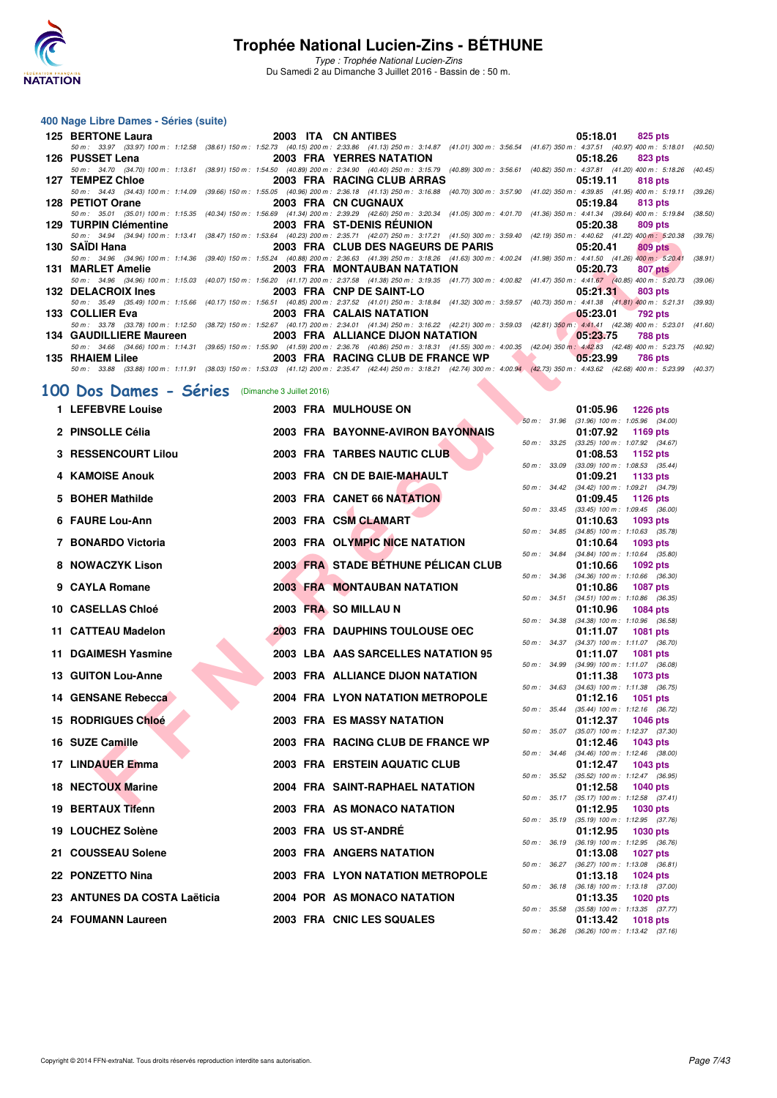

Type : Trophée National Lucien-Zins Du Samedi 2 au Dimanche 3 Juillet 2016 - Bassin de : 50 m.

#### **400 Nage Libre Dames - Séries (suite)**

| 125 BERTONE Laura                                                                                                                                                                            | 2003 ITA CN ANTIBES                | 05:18.01 | 825 pts        |
|----------------------------------------------------------------------------------------------------------------------------------------------------------------------------------------------|------------------------------------|----------|----------------|
| 50 m: 33.97 (33.97) 100 m: 1:12.58 (38.61) 150 m: 1:52.73 (40.15) 200 m: 2:33.86 (41.13) 250 m: 3:14.87 (41.01) 300 m: 3:56.54 (41.67) 350 m: 4:37.51 (40.97) 400 m: 5:18.01 (40.50)         |                                    |          |                |
| 126 PUSSET Lena                                                                                                                                                                              | 2003 FRA YERRES NATATION           | 05:18.26 | 823 pts        |
| 50 m: 34.70 (34.70) 100 m: 1:13.61 (38.91) 150 m: 1:54.50 (40.89) 200 m: 2:34.90 (40.40) 250 m: 3:15.79 (40.89) 300 m: 3:56.61 (40.82) 350 m: 4:37.81 (41.20) 400 m: 5:18.26 (40.45)         |                                    |          |                |
| 127 TEMPEZ Chloe                                                                                                                                                                             | 2003 FRA RACING CLUB ARRAS         | 05:19.11 | 818 pts        |
| 50 m: 34.43 (34.43) 100 m: 1:14.09 (39.66) 150 m: 1:55.05 (40.96) 200 m: 2:36.18 (41.13) 250 m: 3:16.88 (40.70) 300 m: 3:57.90 (41.02) 350 m: 4:39.85 (41.95) 400 m: 5:19.11 (39.26)         |                                    |          |                |
| 128 PETIOT Orane                                                                                                                                                                             | 2003 FRA CN CUGNAUX                | 05:19.84 | 813 pts        |
| 50 m: 35.01 (35.01) 100 m: 1:15.35 (40.34) 150 m: 1:56.69 (41.34) 200 m: 2:39.29 (42.60) 250 m: 3:20.34 (41.05) 300 m: 4:01.70 (41.36) 350 m: 4:41.34 (39.64) 400 m: 5:19.84 (38.50)         |                                    |          |                |
| 129 TURPIN Clémentine 2003 FRA ST-DENIS REUNION                                                                                                                                              |                                    | 05:20.38 | 809 pts        |
| 50 m: 34.94 (34.94) 100 m: 1:13.41 (38.47) 150 m: 1:53.64 (40.23) 200 m: 2:35.71 (42.07) 250 m: 3:17.21 (41.50) 300 m: 3:59.40 (42.19) 350 m: 4:40.62 (41.22) 400 m: 5:20.38                 |                                    |          | (39.76)        |
| 130 SAIDI Hana                                                                                                                                                                               | 2003 FRA CLUB DES NAGEURS DE PARIS | 05:20.41 | $809$ pts      |
| 50 m: 34.96 (34.96) 100 m: 1:14.36 (39.40) 150 m: 1:55.24 (40.88) 200 m: 2:36.63 (41.39) 250 m: 3:18.26 (41.63) 300 m: 4:00.24 (41.98) 350 m: 4:41.50 (41.26) 400 m: 5:20.41                 |                                    |          | (38.91)        |
| 131 MARLET Amelie                                                                                                                                                                            | 2003 FRA MONTAUBAN NATATION        | 05:20.73 | 807 pts        |
| 50 m: 34.96 (34.96) 100 m: 1:15.03 (40.07) 150 m: 1:56.20 (41.17) 200 m: 2:37.58 (41.38) 250 m: 3:19.35 (41.77) 300 m: 4:00.82 (41.47) 350 m: 4:41.67 (40.85) 400 m: 5:20.73                 |                                    |          | (39.06)        |
| 132 DELACROIX Ines                                                                                                                                                                           | 2003 FRA CNP DE SAINT-LO           | 05:21.31 | 803 pts        |
| 50 m: 35.49 (35.49) 100 m: 1:15.66 (40.17) 150 m: 1:56.51 (40.85) 200 m: 2:37.52 (41.01) 250 m: 3:18.84 (41.32) 300 m: 3:59.57 (40.73) 350 m: 4:41.38 (41.81) 400 m: 5:21.31 (39.93)         |                                    |          |                |
| 133 COLLIER Eva                                                                                                                                                                              | 2003 FRA CALAIS NATATION           | 05:23.01 | 792 pts        |
| 50 m: 33.78 (33.78) 100 m: 1:12.50 (38.72) 150 m: 1:52.67 (40.17) 200 m: 2:34.01 (41.34) 250 m: 3:16.22 (42.21) 300 m: 3:59.03 (42.81) 350 m: 4:41.41 (42.38) 400 m: 5:23.01 (41.60)         |                                    |          |                |
| 134 GAUDILLIERE Maureen                                                                                                                                                                      | 2003 FRA ALLIANCE DIJON NATATION   | 05:23.75 | <b>788 pts</b> |
| 50 m: 34.66 (34.66) 100 m: 1:14.31 (39.65) 150 m: 1:55.90 (41.59) 200 m: 2:36.76 (40.86) 250 m: 3:18.31 (41.55) 300 m: 4:00.35 (42.04) 350 m: 4:42.83 (42.48) 400 m: 5:23.75 (40.92)         |                                    |          |                |
| 135 RHAIEM Lilee                                                                                                                                                                             | 2003 FRA RACING CLUB DE FRANCE WP  | 05:23.99 | 786 pts        |
| 50 m : 33.88 (33.88) 100 m : 1:11.91 (38.03) 150 m : 1:53.03 (41.12) 200 m : 2:35.47 (42.44) 250 m : 3:18.21 (42.74) 300 m : 4:00.94 (42.73) 350 m : 4:43.62 (42.68) 400 m : 5:23.99 (40.37) |                                    |          |                |
|                                                                                                                                                                                              |                                    |          |                |
| 100 Dos Dames - Séries (Dimanche 3 Juillet 2016)                                                                                                                                             |                                    |          |                |
|                                                                                                                                                                                              |                                    |          |                |

#### **[100 Dos Dames - Séries](http://www.ffnatation.fr/webffn/resultats.php?idact=nat&go=epr&idcpt=34121&idepr=12)** (Dimanche 3 Juillet 2016)

| $123$ TURFIN UCHICHING                                                |  | <b><i>LOUS FRA SI-DENIS REUNIUN</i></b>                                                                                                                                                                                |              | 00.ZU.JO<br><b>OUS PIS</b>                                                |  |
|-----------------------------------------------------------------------|--|------------------------------------------------------------------------------------------------------------------------------------------------------------------------------------------------------------------------|--------------|---------------------------------------------------------------------------|--|
| 130 SAIDI Hana                                                        |  | 50 m: 34.94 (34.94) 100 m: 1:13.41 (38.47) 150 m: 1:53.64 (40.23) 200 m: 2:35.71 (42.07) 250 m: 3:17.21 (41.50) 300 m: 3:59.40 (42.19) 350 m: 4:40.62 (41.22) 400 m: 5:20.38 (3<br>2003 FRA CLUB DES NAGEURS DE PARIS  |              | 05:20.41<br>809 pts                                                       |  |
| 131 MARLET Amelie                                                     |  | 50 m: 34.96 (34.96) 100 m: 1:14.36 (39.40) 150 m: 1:55.24 (40.88) 200 m: 2:36.63 (41.39) 250 m: 3:18.26 (41.63) 300 m: 4:00.24 (41.98) 350 m: 4:41.50 (41.26) 400 m: 5:20.41 (31<br><b>2003 FRA MONTAUBAN NATATION</b> |              | 05:20.73<br>807 pts                                                       |  |
| 132 DELACROIX Ines                                                    |  | 50 m: 34.96 (34.96) 100 m: 1:15.03 (40.07) 150 m: 1:56.20 (41.17) 200 m: 2:37.58 (41.38) 250 m: 3:19.35 (41.77) 300 m: 4:00.82 (41.47) 350 m: 4:41.67 (40.85) 400 m: 5:20.73 (3<br>2003 FRA CNP DE SAINT-LO            |              | <b>803 pts</b><br>05:21.31                                                |  |
| 133 COLLIER Eva                                                       |  | 50 m: 35.49 (35.49) 100 m: 1:15.66 (40.17) 150 m: 1:56.51 (40.85) 200 m: 2:37.52 (41.01) 250 m: 3:18.84 (41.32) 300 m: 3:59.57 (40.73) 350 m: 4:41.38 (41.81) 400 m: 5:21.31 (3<br>2003 FRA CALAIS NATATION            |              | 05:23.01<br>792 pts                                                       |  |
|                                                                       |  | 50 m: 33.78 (33.78) 100 m: 1:12.50 (38.72) 150 m: 1:52.67 (40.17) 200 m: 2:34.01 (41.34) 250 m: 3:16.22 (42.21) 300 m: 3:59.03 (42.81) 350 m: 4:41.41 (42.38) 400 m: 5:23.01 (4                                        |              |                                                                           |  |
| 134 GAUDILLIERE Maureen                                               |  | 2003 FRA ALLIANCE DIJON NATATION<br>50 m: 34.66 (34.66) 100 m: 1:14.31 (39.65) 150 m: 1:55.90 (41.59) 200 m: 2:36.76 (40.86) 250 m: 3:18.31 (41.55) 300 m: 4:00.35 (42.04) 350 m: 4:42.83 (42.48) 400 m: 5:23.75 (4)   |              | 05:23.75<br>788 pts                                                       |  |
| 135 RHAIEM Lilee                                                      |  | 2003 FRA RACING CLUB DE FRANCE WP<br>50 m: 33.88 (33.88) 100 m: 1:11.91 (38.03) 150 m: 1:53.03 (41.12) 200 m: 2:35.47 (42.44) 250 m: 3:18.21 (42.74) 300 m: 4:00.94 (42.73) 350 m: 4:43.62 (42.68) 400 m: 5:23.99 (40) |              | 05:23.99<br>786 pts                                                       |  |
|                                                                       |  |                                                                                                                                                                                                                        |              |                                                                           |  |
| .00 Dos Dames - Séries (Dimanche 3 Juillet 2016)<br>1 LEFEBVRE Louise |  |                                                                                                                                                                                                                        |              |                                                                           |  |
|                                                                       |  | 2003 FRA MULHOUSE ON                                                                                                                                                                                                   |              | 01:05.96<br><b>1226 pts</b><br>50 m: 31.96 (31.96) 100 m: 1:05.96 (34.00) |  |
| 2 PINSOLLE Célia                                                      |  | 2003 FRA BAYONNE-AVIRON BAYONNAIS                                                                                                                                                                                      |              | 01:07.92<br>1169 $pts$<br>50 m: 33.25 (33.25) 100 m: 1:07.92 (34.67)      |  |
| 3 RESSENCOURT Lilou                                                   |  | 2003 FRA TARBES NAUTIC CLUB                                                                                                                                                                                            | 50 m : 33.09 | 01:08.53<br>1152 $pts$<br>$(33.09)$ 100 m : 1:08.53 $(35.44)$             |  |
| 4 KAMOISE Anouk                                                       |  | 2003 FRA CN DE BAIE-MAHAULT                                                                                                                                                                                            |              | 01:09.21<br>1133 pts                                                      |  |
| 5 BOHER Mathilde                                                      |  | 2003 FRA CANET 66 NATATION                                                                                                                                                                                             |              | 50 m: 34.42 (34.42) 100 m: 1:09.21 (34.79)<br>01:09.45<br><b>1126 pts</b> |  |
| 6 FAURE Lou-Ann                                                       |  | 2003 FRA CSM CLAMART                                                                                                                                                                                                   |              | 50 m: 33.45 (33.45) 100 m: 1:09.45 (36.00)<br>01:10.63<br>1093 pts        |  |
| 7 BONARDO Victoria                                                    |  | 2003 FRA OLYMPIC NICE NATATION                                                                                                                                                                                         |              | 50 m: 34.85 (34.85) 100 m: 1:10.63 (35.78)<br>1093 pts                    |  |
|                                                                       |  |                                                                                                                                                                                                                        | 50 m : 34.84 | 01:10.64<br>$(34.84)$ 100 m : 1:10.64 $(35.80)$                           |  |
| 8 NOWACZYK Lison                                                      |  | 2003 FRA STADE BÉTHUNE PÉLICAN CLUB                                                                                                                                                                                    |              | 01:10.66<br>1092 pts<br>50 m: 34.36 (34.36) 100 m: 1:10.66 (36.30)        |  |
| 9 CAYLA Romane                                                        |  | <b>2003 FRA MONTAUBAN NATATION</b>                                                                                                                                                                                     | 50 m : 34.51 | 01:10.86<br><b>1087 pts</b><br>$(34.51)$ 100 m : 1:10.86 $(36.35)$        |  |
| 10 CASELLAS Chloé                                                     |  | 2003 FRA SO MILLAU N                                                                                                                                                                                                   |              | 01:10.96<br>1084 pts                                                      |  |
| 11 CATTEAU Madelon                                                    |  | <b>2003 FRA DAUPHINS TOULOUSE OEC</b>                                                                                                                                                                                  | 50 m : 34.38 | $(34.38)$ 100 m : 1:10.96 $(36.58)$<br>01:11.07<br><b>1081 pts</b>        |  |
| 11 DGAIMESH Yasmine                                                   |  | 2003 LBA AAS SARCELLES NATATION 95                                                                                                                                                                                     |              | 50 m: 34.37 (34.37) 100 m: 1:11.07 (36.70)<br>01:11.07<br>1081 pts        |  |
| <b>13 GUITON Lou-Anne</b>                                             |  | 2003 FRA ALLIANCE DIJON NATATION                                                                                                                                                                                       |              | 50 m: 34.99 (34.99) 100 m: 1:11.07 (36.08)<br>01:11.38<br>1073 pts        |  |
|                                                                       |  |                                                                                                                                                                                                                        |              | 50 m: 34.63 (34.63) 100 m: 1:11.38 (36.75)                                |  |
| <b>14 GENSANE Rebecca</b>                                             |  | 2004 FRA LYON NATATION METROPOLE                                                                                                                                                                                       |              | 01:12.16<br>1051 pts<br>50 m: 35.44 (35.44) 100 m: 1:12.16 (36.72)        |  |
| <b>15 RODRIGUES Chloé</b>                                             |  | <b>2003 FRA ES MASSY NATATION</b>                                                                                                                                                                                      |              | 01:12.37<br>1046 pts<br>50 m: 35.07 (35.07) 100 m: 1:12.37 (37.30)        |  |
| 16 SUZE Camille                                                       |  | 2003 FRA RACING CLUB DE FRANCE WP                                                                                                                                                                                      |              | 01:12.46<br>1043 pts<br>50 m: 34.46 (34.46) 100 m: 1:12.46 (38.00)        |  |
| 17 LINDAUER Emma                                                      |  | 2003 FRA ERSTEIN AQUATIC CLUB                                                                                                                                                                                          |              | 01:12.47<br>1043 pts                                                      |  |
| 18 NECTOUX Marine                                                     |  | 2004 FRA SAINT-RAPHAEL NATATION                                                                                                                                                                                        |              | 50 m: 35.52 (35.52) 100 m: 1:12.47 (36.95)<br>01:12.58<br>1040 pts        |  |
| 19 BERTAUX Tifenn                                                     |  | 2003 FRA AS MONACO NATATION                                                                                                                                                                                            |              | 50 m: 35.17 (35.17) 100 m: 1:12.58 (37.41)<br>01:12.95 1030 pts           |  |
| 19 LOUCHEZ Solène                                                     |  | 2003 FRA US ST-ANDRÉ                                                                                                                                                                                                   |              | 50 m: 35.19 (35.19) 100 m: 1:12.95 (37.76)                                |  |
|                                                                       |  |                                                                                                                                                                                                                        |              | 01:12.95<br>1030 pts<br>50 m: 36.19 (36.19) 100 m: 1:12.95 (36.76)        |  |
| 21 COUSSEAU Solene                                                    |  | <b>2003 FRA ANGERS NATATION</b>                                                                                                                                                                                        |              | 01:13.08<br><b>1027 pts</b><br>50 m: 36.27 (36.27) 100 m: 1:13.08 (36.81) |  |
| 22 PONZETTO Nina                                                      |  | <b>2003 FRA LYON NATATION METROPOLE</b>                                                                                                                                                                                |              | 01:13.18<br>1024 pts<br>50 m: 36.18 (36.18) 100 m: 1:13.18 (37.00)        |  |
| 23 ANTUNES DA COSTA Laëticia                                          |  | 2004 POR AS MONACO NATATION                                                                                                                                                                                            |              | 01:13.35<br>1020 pts                                                      |  |
| 24 FOUMANN Laureen                                                    |  | 2003 FRA CNIC LES SQUALES                                                                                                                                                                                              |              | 50 m: 35.58 (35.58) 100 m: 1:13.35 (37.77)<br>01:13.42<br>1018 pts        |  |
|                                                                       |  |                                                                                                                                                                                                                        |              | 50 m : 36.26 (36.26) 100 m : 1:13.42 (37.16)                              |  |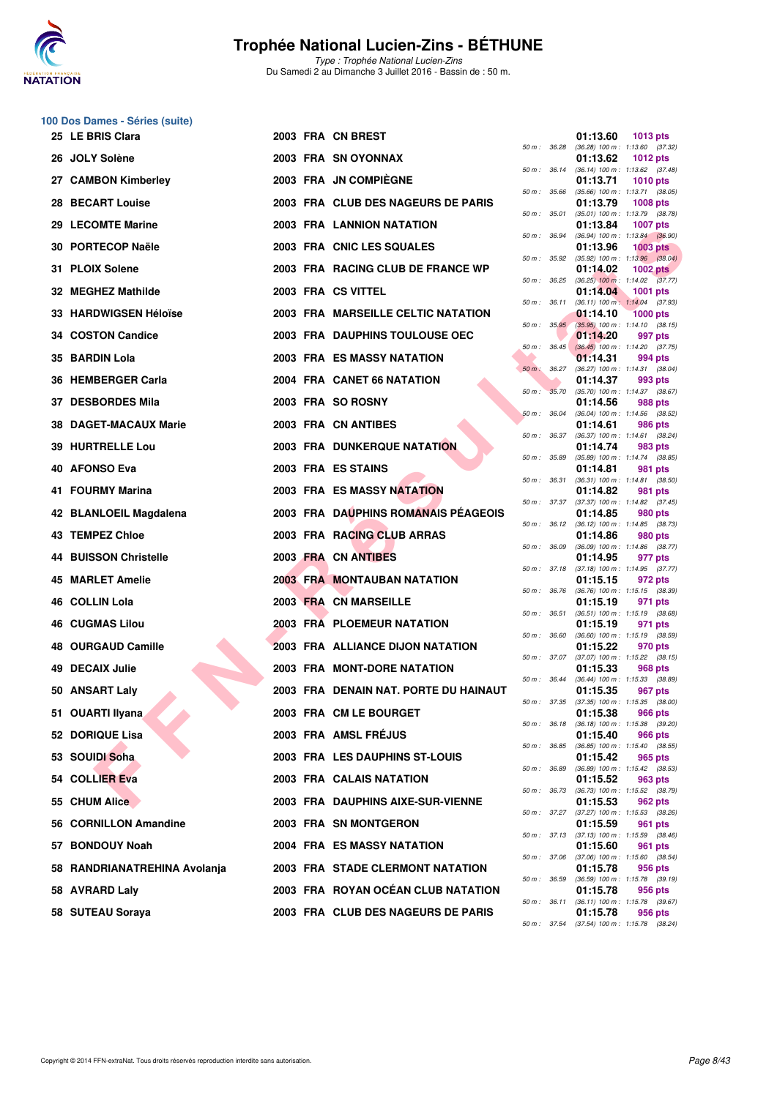

Type : Trophée National Lucien-Zins Du Samedi 2 au Dimanche 3 Juillet 2016 - Bassin de : 50 m.

# **100 Dos Dames - Séries (suite)**

| 25 LE BRIS Clara             |  | 2003 FRA CN BREST                       |                  |                  | 01:13.60<br>1013 pts                                                      |
|------------------------------|--|-----------------------------------------|------------------|------------------|---------------------------------------------------------------------------|
| 26 JOLY Solène               |  | 2003 FRA SN OYONNAX                     |                  |                  | 50 m: 36.28 (36.28) 100 m: 1:13.60 (37.32)<br>01:13.62<br><b>1012 pts</b> |
| 27 CAMBON Kimberley          |  | 2003 FRA JN COMPIÈGNE                   | 50 m : 36.14     |                  | $(36.14)$ 100 m : 1:13.62 $(37.48)$<br>01:13.71<br><b>1010 pts</b>        |
| 28 BECART Louise             |  | 2003 FRA CLUB DES NAGEURS DE PARIS      | 50 m: 35.66      |                  | $(35.66)$ 100 m : 1:13.71 $(38.05)$<br>01:13.79<br><b>1008 pts</b>        |
| 29 LECOMTE Marine            |  | <b>2003 FRA LANNION NATATION</b>        | 50 m: 35.01      |                  | $(35.01)$ 100 m : 1:13.79 $(38.78)$<br>01:13.84<br><b>1007 pts</b>        |
| 30 PORTECOP Naële            |  | 2003 FRA CNIC LES SQUALES               | 50 m : 36.94     |                  | $(36.94)$ 100 m : 1:13.84 $(36.90)$<br>01:13.96<br>$1003$ pts             |
| 31 PLOIX Solene              |  | 2003 FRA RACING CLUB DE FRANCE WP       | 50 m: 35.92      |                  | $(35.92)$ 100 m : 1:13.96 $(38.04)$<br>01:14.02<br>$1002$ pts             |
| 32 MEGHEZ Mathilde           |  | 2003 FRA CS VITTEL                      | 50 m : 36.25     |                  | $(36.25)$ 100 m : 1:14.02 $(37.77)$<br>01:14.04<br>1001 pts               |
| 33   HARDWIGSEN Héloïse      |  | 2003 FRA MARSEILLE CELTIC NATATION      |                  | 50 m : 36.11     | $(36.11)$ 100 m : 1:14.04 $(37.93)$<br>01:14.10<br><b>1000 pts</b>        |
| 34 COSTON Candice            |  | 2003 FRA DAUPHINS TOULOUSE OEC          |                  | 50 m: 35.95      | $(35.95)$ 100 m : 1:14.10 $(38.15)$<br>01:14.20<br>997 pts                |
| 35 BARDIN Lola               |  | <b>2003 FRA ES MASSY NATATION</b>       |                  | $50 m$ : $36.45$ | $(36.45)$ 100 m : 1:14.20 $(37.75)$<br>01:14.31<br>994 pts                |
| 36 HEMBERGER Carla           |  | 2004 FRA CANET 66 NATATION              | $50 m$ : $36.27$ |                  | (36.27) 100 m: 1:14.31 (38.04)<br>01:14.37<br>993 pts                     |
| 37 DESBORDES Mila            |  | 2003 FRA SO ROSNY                       | $50 m$ :         | 35.70            | $(35.70)$ 100 m : 1:14.37 $(38.67)$<br>01:14.56<br>988 pts                |
| 38 DAGET-MACAUX Marie        |  | 2003 FRA CN ANTIBES                     | 50 m: 36.04      |                  | (36.04) 100 m: 1:14.56 (38.52)<br>01:14.61<br>986 pts                     |
| 39 HURTRELLE Lou             |  | <b>2003 FRA DUNKERQUE NATATION</b>      |                  | 50 m : 36.37     | $(36.37)$ 100 m : 1:14.61 $(38.24)$<br>01:14.74                           |
|                              |  | 2003 FRA ES STAINS                      | 50 m : 35.89     |                  | 983 pts<br>$(35.89)$ 100 m : 1:14.74 $(38.85)$                            |
| 40 AFONSO Eva                |  |                                         | 50 m : 36.31     |                  | 01:14.81<br>981 pts<br>$(36.31)$ 100 m : 1:14.81 $(38.50)$                |
| 41 FOURMY Marina             |  | <b>2003 FRA ES MASSY NATATION</b>       | 50 m: 37.37      |                  | 01:14.82<br>981 pts<br>$(37.37)$ 100 m : 1:14.82 $(37.45)$                |
| 42 BLANLOEIL Magdalena       |  | 2003 FRA DAUPHINS ROMANAIS PEAGEOIS     |                  |                  | 01:14.85<br>980 pts<br>50 m: 36.12 (36.12) 100 m: 1:14.85 (38.73)         |
| 43 TEMPEZ Chloe              |  | 2003 FRA RACING CLUB ARRAS              | 50 m : 36.09     |                  | 01:14.86<br>980 pts<br>$(36.09)$ 100 m : 1:14.86 $(38.77)$                |
| 44 BUISSON Christelle        |  | 2003 FRA CN ANTIBES                     | 50 m : 37.18     |                  | 01:14.95<br>977 pts<br>$(37.18)$ 100 m : 1:14.95 $(37.77)$                |
| 45 MARLET Amelie             |  | <b>2003 FRA MONTAUBAN NATATION</b>      |                  |                  | 01:15.15<br>972 pts<br>50 m : 36.76 (36.76) 100 m : 1:15.15 (38.39)       |
| 46 COLLIN Lola               |  | 2003 FRA CN MARSEILLE                   | 50 m: 36.51      |                  | 01:15.19<br>971 pts<br>$(36.51)$ 100 m : 1:15.19 $(38.68)$                |
| <b>46 CUGMAS Lilou</b>       |  | 2003 FRA PLOEMEUR NATATION              | 50 m : 36.60     |                  | 01:15.19<br>971 pts<br>$(36.60)$ 100 m : 1:15.19 $(38.59)$                |
| 48 OURGAUD Camille           |  | <b>2003 FRA ALLIANCE DIJON NATATION</b> | 50 m : 37.07     |                  | 01:15.22<br>970 pts<br>$(37.07)$ 100 m : 1:15.22 $(38.15)$                |
| 49 DECAIX Julie              |  | 2003 FRA MONT-DORE NATATION             | 50 m : 36.44     |                  | 01:15.33<br>968 pts<br>$(36.44)$ 100 m : 1:15.33 $(38.89)$                |
| 50 ANSART Laly               |  | 2003 FRA DENAIN NAT. PORTE DU HAINAUT   | 50 m : 37.35     |                  | 01:15.35<br>967 pts<br>$(37.35)$ 100 m : 1:15.35 $(38.00)$                |
| 51 OUARTI Ilyana             |  | 2003 FRA CM LE BOURGET                  |                  |                  | 01:15.38<br>966 pts                                                       |
| 52 DORIQUE Lisa              |  | 2003 FRA AMSL FRÉJUS                    |                  |                  | 50 m: 36.18 (36.18) 100 m: 1:15.38 (39.20)<br>01:15.40<br>966 pts         |
| 53 SOUIDI Soha               |  | 2003 FRA LES DAUPHINS ST-LOUIS          |                  |                  | 50 m: 36.85 (36.85) 100 m: 1:15.40 (38.55)<br>01:15.42<br>965 pts         |
| 54 COLLIER Eva               |  | 2003 FRA CALAIS NATATION                | 50 m : 36.89     |                  | (36.89) 100 m : 1:15.42 (38.53)<br>01:15.52<br>963 pts                    |
| 55 CHUM Alice                |  | 2003 FRA DAUPHINS AIXE-SUR-VIENNE       |                  |                  | 50 m: 36.73 (36.73) 100 m: 1:15.52 (38.79)<br>01:15.53<br>962 pts         |
| 56 CORNILLON Amandine        |  | <b>2003 FRA SN MONTGERON</b>            |                  |                  | 50 m: 37.27 (37.27) 100 m: 1:15.53 (38.26)<br>01:15.59<br>961 pts         |
| 57 BONDOUY Noah              |  | <b>2004 FRA ES MASSY NATATION</b>       |                  |                  | 50 m: 37.13 (37.13) 100 m: 1:15.59 (38.46)<br>01:15.60<br>961 pts         |
| 58 RANDRIANATREHINA Avolanja |  | 2003 FRA STADE CLERMONT NATATION        |                  |                  | 50 m: 37.06 (37.06) 100 m: 1:15.60 (38.54)<br>01:15.78<br>956 pts         |
| 58 AVRARD Laly               |  | 2003 FRA ROYAN OCEAN CLUB NATATION      |                  |                  | 50 m : 36.59 (36.59) 100 m : 1:15.78 (39.19)<br>01:15.78<br>956 pts       |
| 58 SUTEAU Soraya             |  | 2003 FRA CLUB DES NAGEURS DE PARIS      |                  |                  | 50 m: 36.11 (36.11) 100 m: 1:15.78 (39.67)<br>01:15.78<br>956 pts         |
|                              |  |                                         |                  |                  |                                                                           |

|          |       | 01:13.60                      | 1013 pts                              |
|----------|-------|-------------------------------|---------------------------------------|
| $50 m$ : | 36.28 | $(36.28) 100 m$ :<br>01:13.62 | 1:13.60<br>(37.32)<br><b>1012 pts</b> |
| $50 m$ : | 36.14 | $(36.14) 100 m$ :             | 1:13.62<br>(37.48)                    |
|          |       | 01:13.71                      | 1010 pts                              |
| $50 m$ : | 35.66 | $(35.66) 100 m$ :<br>01:13.79 | 1:13.71<br>(38.05)<br>1008 pts        |
| $50 m$ : | 35.01 | $(35.01)$ 100 m :             | 1:13.79<br>(38.78)                    |
|          |       | 01:13.84                      | 1007 pts                              |
| 50 m :   | 36.94 | $(36.94) 100 m$ :<br>01:13.96 | 1:13.84<br>(36.90)<br><b>1003 pts</b> |
| $50 m$ : | 35.92 | $(35.92) 100 m$ :             | 1:13.96<br>(38.04)                    |
| 50 m :   | 36.25 | 01:14.02<br>$(36.25)$ 100 m : | 1002 pts<br>1:14.02<br>(37.77)        |
|          |       | 01:14.04                      | <b>1001 pts</b>                       |
| $50 m$ : | 36.11 | $(36.11)$ 100 m :             | 1:14.04<br>(37.93)                    |
| $50 m$ : | 35.95 | 01:14.10<br>$(35.95)$ 100 m : | <b>1000 pts</b><br>1:14.10<br>(38.15) |
|          |       | 01:14.20                      | 997 pts                               |
| 50 m :   | 36.45 | $(36.45)$ 100 m :             | 1:14.20<br>(37.75)                    |
| $50 m$ : | 36.27 | 01:14.31<br>$(36.27)$ 100 m : | 994 pts<br>1:14.31<br>(38.04)         |
|          |       | 01:14.37                      | 993 pts                               |
| $50 m$ : | 35.70 | $(35.70)$ 100 m :             | 1:14.37<br>(38.67)                    |
| $50 m$ : | 36.04 | 01:14.56<br>$(36.04) 100 m$ : | 988 pts<br>1:14.56<br>(38.52)         |
|          |       | 01:14.61                      | <b>986 pts</b>                        |
| $50 m$ : | 36.37 | $(36.37) 100 m$ :             | 1:14.61<br>(38.24)                    |
| $50 m$ : | 35.89 | 01:14.74<br>$(35.89) 100 m$ : | 983 pts<br>1:14.74<br>(38.85)         |
|          |       | 01:14.81                      | 981<br>pts                            |
| $50 m$ : | 36.31 | $(36.31)$ 100 m :<br>01:14.82 | 1:14.81<br>(38.50)<br>981 pts         |
| 50 m :   | 37.37 | $(37.37) 100 m$ :             | 1:14.82<br>(37.45)                    |
|          |       | 01:14.85                      | 980 pts                               |
| $50 m$ : | 36.12 | $(36.12) 100 m$ :<br>01:14.86 | 1:14.85<br>(38.73)<br>980 pts         |
| 50 m :   | 36.09 | (36.09) 100 m :               | (38.77)<br>1:14.86                    |
|          |       | 01:14.95                      | 977 pts                               |
| $50 m$ : | 37.18 | $(37.18) 100 m$ :<br>01:15.15 | 1:14.95<br>(37.77)<br>972 pts         |
| $50 m$ : | 36.76 | $(36.76) 100 m$ :             | 1:15.15<br>(38.39)                    |
| $50 m$ : | 36.51 | 01:15.19<br>$(36.51)$ 100 m : | 971<br>pts<br>1:15.19<br>(38.68)      |
|          |       | 01:15.19                      | 971 pts                               |
| $50 m$ : | 36.60 | $(36.60)$ 100 m :             | 1:15.19<br>(38.59)                    |
| $50 m$ : | 37.07 | 01:15.22<br>(37.07) 100 m :   | 970 pts<br>1:15.22<br>(38.15)         |
|          |       | 01:15.33                      | 968 pts                               |
| 50 m :   | 36.44 | (36.44) 100 m :<br>01:15.35   | 1:15.33<br>(38.89)                    |
| $50 m$ : | 37.35 | $(37.35)$ 100 m :             | 967 pts<br>1:15.35<br>(38.00)         |
|          |       | 01:15.38                      | <b>966 pts</b>                        |
| $50 m$ : | 36.18 | $(36.18) 100 m$ :<br>01:15.40 | 1:15.38<br>(39.20)<br><b>966 pts</b>  |
| $50 m$ : | 36.85 | $(36.85) 100 m$ :             | 1:15.40<br>(38.55)                    |
|          |       | 01:15.42                      | 965 pts                               |
| $50 m$ : | 36.89 | $(36.89) 100 m$ :<br>01:15.52 | 1:15.42<br>(38.53)<br><b>963 pts</b>  |
| $50 m$ : | 36.73 | (36.73) 100 m :               | 1:15.52<br>(38.79)                    |
|          |       | 01:15.53                      | 962 pts                               |
| $50 m$ : | 37.27 | (37.27) 100 m :<br>01:15.59   | 1:15.53<br>(38.26)<br>961<br>pts      |
| $50 m$ : | 37.13 | $(37.13) 100 m$ :             | 1:15.59<br>(38.46)                    |
| $50 m$ : | 37.06 | 01:15.60<br>$(37.06) 100 m$ : | 961<br>pts<br>1:15.60<br>(38.54)      |
|          |       | 01:15.78                      | 956 pts                               |
| $50 m$ : | 36.59 | $(36.59) 100 m$ :             | 1:15.78<br>(39.19)                    |
| $50 m$ : | 36.11 | 01:15.78<br>(36.11) 100 m :   | 956 pts<br>1:15.78<br>(39.67)         |
|          |       | 01:15.78                      | 956 pts                               |
| 50 m :   | 37.54 |                               | $(37.54)$ 100 m : 1:15.78 $(38.24)$   |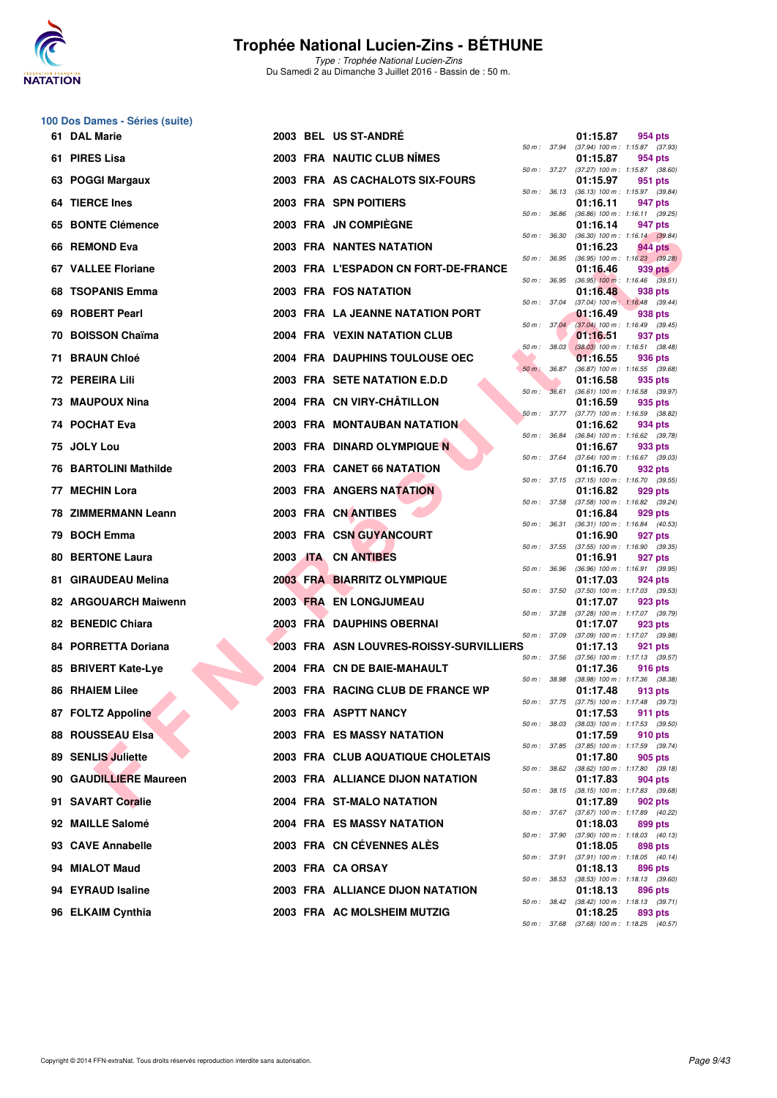

Type : Trophée National Lucien-Zins Du Samedi 2 au Dimanche 3 Juillet 2016 - Bassin de : 50 m.

#### **100 Dos Dames - Séries (suite)**

| 61 DAL Marie            |  | <b>2003 BEL US ST-ANDRE</b>             |                  |                  | 01:15.87 | 954 pts                                               |
|-------------------------|--|-----------------------------------------|------------------|------------------|----------|-------------------------------------------------------|
| 61 PIRES Lisa           |  | 2003 FRA NAUTIC CLUB NIMES              | 50 m: 37.94      |                  | 01:15.87 | $(37.94)$ 100 m : 1:15.87 $(37.93)$<br>954 pts        |
| 63 POGGI Margaux        |  | 2003 FRA AS CACHALOTS SIX-FOURS         | 50 m: 37.27      |                  | 01:15.97 | $(37.27)$ 100 m : 1:15.87 $(38.60)$<br>951 pts        |
| 64 TIERCE Ines          |  | 2003 FRA SPN POITIERS                   | 50 m : 36.13     |                  | 01:16.11 | $(36.13)$ 100 m : 1:15.97 $(39.84)$<br>947 pts        |
| 65 BONTE Clémence       |  | 2003 FRA JN COMPIÈGNE                   | 50 m : 36.86     |                  | 01:16.14 | $(36.86)$ 100 m : 1:16.11 $(39.25)$<br>947 pts        |
| 66 REMOND Eva           |  | <b>2003 FRA NANTES NATATION</b>         | 50 m : 36.30     |                  | 01:16.23 | $(36.30)$ 100 m : 1:16.14 $(39.84)$<br>944 pts        |
| 67 VALLEE Floriane      |  | 2003 FRA L'ESPADON CN FORT-DE-FRANCE    | 50 m : 36.95     |                  | 01:16.46 | $(36.95)$ 100 m : 1:16.23 $(39.28)$<br>939 pts        |
| 68 TSOPANIS Emma        |  | 2003 FRA FOS NATATION                   | 50 m : 36.95     |                  | 01:16.48 | $(36.95)$ 100 m : 1:16.46 $(39.51)$<br>938 pts        |
| 69 ROBERT Pearl         |  | 2003 FRA LA JEANNE NATATION PORT        | 50 m: 37.04      |                  | 01:16.49 | $(37.04)$ 100 m : 1:16.48 $(39.44)$<br>938 pts        |
| 70 BOISSON Chaïma       |  | 2004 FRA VEXIN NATATION CLUB            | 50 m : 37.04     |                  | 01:16.51 | (37.04) 100 m : 1:16.49 (39.45)<br>937 pts            |
| 71 BRAUN Chloé          |  | 2004 FRA DAUPHINS TOULOUSE OEC          | 50 m: 38.03      |                  | 01:16.55 | $(38.03)$ 100 m : 1:16.51 $(38.48)$<br>936 pts        |
| 72 PEREIRA Lili         |  | 2003 FRA SETE NATATION E.D.D            | $50 m$ : $36.87$ |                  | 01:16.58 | $(36.87)$ 100 m : 1:16.55 $(39.68)$<br>935 pts        |
| 73 MAUPOUX Nina         |  | 2004 FRA CN VIRY-CHÂTILLON              | 50 m: 36.61      |                  | 01:16.59 | $(36.61)$ 100 m : 1:16.58 $(39.97)$<br>935 pts        |
| 74 POCHAT Eva           |  | <b>2003 FRA MONTAUBAN NATATION</b>      | 50 m: 37.77      |                  | 01:16.62 | $(37.77)$ 100 m : 1:16.59 $(38.82)$<br>934 pts        |
| 75 JOLY Lou             |  | 2003 FRA DINARD OLYMPIQUE N             | 50 m : 36.84     |                  | 01:16.67 | $(36.84)$ 100 m : 1:16.62 $(39.78)$<br>933 pts        |
| 76 BARTOLINI Mathilde   |  | 2003 FRA CANET 66 NATATION              | 50 m : 37.64     |                  | 01:16.70 | $(37.64)$ 100 m : 1:16.67 $(39.03)$<br>932 pts        |
| 77 MECHIN Lora          |  | 2003 FRA ANGERS NATATION                |                  |                  | 01:16.82 | 50 m: 37.15 (37.15) 100 m: 1:16.70 (39.55)<br>929 pts |
| 78 ZIMMERMANN Leann     |  | 2003 FRA CN ANTIBES                     | 50 m : 37.58     |                  | 01:16.84 | $(37.58)$ 100 m : 1:16.82 $(39.24)$<br>929 pts        |
| 79 BOCH Emma            |  | 2003 FRA CSN GUYANCOURT                 | 50 m : 36.31     |                  | 01:16.90 | (36.31) 100 m: 1:16.84 (40.53)<br>927 pts             |
| <b>80 BERTONE Laura</b> |  | 2003 <b>ITA CN ANTIBES</b>              |                  |                  | 01:16.91 | 50 m: 37.55 (37.55) 100 m: 1:16.90 (39.35)<br>927 pts |
| 81 GIRAUDEAU Melina     |  | <b>2003 FRA BIARRITZ OLYMPIQUE</b>      | 50 m: 36.96      |                  | 01:17.03 | $(36.96)$ 100 m : 1:16.91 $(39.95)$<br>924 pts        |
| 82 ARGOUARCH Maiwenn    |  | 2003 FRA EN LONGJUMEAU                  | 50 m : 37.50     |                  | 01:17.07 | $(37.50)$ 100 m : 1:17.03 $(39.53)$<br>923 pts        |
| 82 BENEDIC Chiara       |  | 2003 FRA DAUPHINS OBERNAI               | 50 m : 37.28     |                  | 01:17.07 | (37.28) 100 m : 1:17.07 (39.79)<br>923 pts            |
| 84 PORRETTA Doriana     |  | 2003 FRA ASN LOUVRES-ROISSY-SURVILLIERS | 50 m : 37.09     |                  | 01:17.13 | $(37.09)$ 100 m : 1:17.07 $(39.98)$<br>921 pts        |
| 85 BRIVERT Kate-Lye     |  | 2004 FRA CN DE BAIE-MAHAULT             |                  |                  | 01:17.36 | 50 m: 37.56 (37.56) 100 m: 1:17.13 (39.57)<br>916 pts |
| 86 RHAIEM Lilee         |  | 2003 FRA RACING CLUB DE FRANCE WP       | 50 m : 38.98     |                  | 01:17.48 | $(38.98)$ 100 m : 1:17.36 $(38.38)$<br>913 pts        |
| 87 FOLTZ Appoline       |  | 2003 FRA ASPTT NANCY                    | 50 m: 37.75      |                  | 01:17.53 | $(37.75)$ 100 m : 1:17.48 $(39.73)$<br>911 pts        |
| <b>88 ROUSSEAU Elsa</b> |  | 2003 FRA ES MASSY NATATION              | 50 m : 38.03     |                  | 01:17.59 | (38.03) 100 m : 1:17.53 (39.50)<br>910 pts            |
| 89 SENLIS Juliette      |  | 2003 FRA CLUB AQUATIQUE CHOLETAIS       | 50 m : 37.85     |                  | 01:17.80 | $(37.85)$ 100 m : 1:17.59 $(39.74)$<br>905 pts        |
| 90 GAUDILLIERE Maureen  |  | 2003 FRA ALLIANCE DIJON NATATION        | 50 m : 38.62     |                  | 01:17.83 | $(38.62)$ 100 m : 1:17.80 $(39.18)$<br>904 pts        |
| 91 SAVART Coralie       |  | 2004 FRA ST-MALO NATATION               |                  | $50 m$ : $38.15$ | 01:17.89 | $(38.15)$ 100 m : 1:17.83 $(39.68)$<br>902 pts        |
| 92 MAILLE Salomé        |  | 2004 FRA ES MASSY NATATION              | 50 m : 37.67     |                  | 01:18.03 | $(37.67)$ 100 m : 1:17.89 $(40.22)$<br>899 pts        |
| 93 CAVE Annabelle       |  | 2003 FRA CN CEVENNES ALES               | 50 m : 37.90     |                  | 01:18.05 | $(37.90)$ 100 m : 1:18.03 $(40.13)$<br>898 pts        |
| 94 MIALOT Maud          |  | 2003 FRA CA ORSAY                       | 50 m : 37.91     |                  | 01:18.13 | $(37.91)$ 100 m : 1:18.05 $(40.14)$<br>896 pts        |
| 94 EYRAUD Isaline       |  | 2003 FRA ALLIANCE DIJON NATATION        | 50 m : 38.53     |                  | 01:18.13 | $(38.53)$ 100 m : 1:18.13 $(39.60)$<br>896 pts        |
| 96 ELKAIM Cynthia       |  | 2003 FRA AC MOLSHEIM MUTZIG             | 50 m : 38.42     |                  | 01:18.25 | $(38.42)$ 100 m : 1:18.13 $(39.71)$<br>893 pts        |
|                         |  |                                         |                  |                  |          |                                                       |

|                                | ,,,,,,,,,,                                                                                                                 | ี ฮิฮฺฯ มเจ                                                                                                                                                                                                                                                                                                                                                                                                                                                              |                                                                                                                                                                                                                                                                          |
|--------------------------------|----------------------------------------------------------------------------------------------------------------------------|--------------------------------------------------------------------------------------------------------------------------------------------------------------------------------------------------------------------------------------------------------------------------------------------------------------------------------------------------------------------------------------------------------------------------------------------------------------------------|--------------------------------------------------------------------------------------------------------------------------------------------------------------------------------------------------------------------------------------------------------------------------|
| 37.27<br>50 m :                | (37.27) 100 m :                                                                                                            | 1:15.87                                                                                                                                                                                                                                                                                                                                                                                                                                                                  | (38.60)                                                                                                                                                                                                                                                                  |
|                                | 01:15.97                                                                                                                   | 951                                                                                                                                                                                                                                                                                                                                                                                                                                                                      | pts                                                                                                                                                                                                                                                                      |
| $50 m$ :<br>36.13              | $(36.13) 100 m$ :                                                                                                          | 1:15.97                                                                                                                                                                                                                                                                                                                                                                                                                                                                  | (39.84)                                                                                                                                                                                                                                                                  |
|                                | 01:16.11                                                                                                                   | 947                                                                                                                                                                                                                                                                                                                                                                                                                                                                      | pts                                                                                                                                                                                                                                                                      |
| $50 m$ :<br>36.86              | $(36.86) 100 m$ :                                                                                                          | 1:16.11                                                                                                                                                                                                                                                                                                                                                                                                                                                                  | (39.25)                                                                                                                                                                                                                                                                  |
|                                | 01:16.14                                                                                                                   | 947                                                                                                                                                                                                                                                                                                                                                                                                                                                                      | pts                                                                                                                                                                                                                                                                      |
| 36.30<br>50 m :                | $(36.30)$ 100 m :                                                                                                          | 1:16.14                                                                                                                                                                                                                                                                                                                                                                                                                                                                  | (39.84)                                                                                                                                                                                                                                                                  |
|                                | 01:16.23                                                                                                                   | <b>944 pts</b>                                                                                                                                                                                                                                                                                                                                                                                                                                                           |                                                                                                                                                                                                                                                                          |
| 36.95<br>$50 m$ :              | $(36.95) 100 m$ :                                                                                                          | 1:16.23                                                                                                                                                                                                                                                                                                                                                                                                                                                                  | (39.28)                                                                                                                                                                                                                                                                  |
|                                | 01:16.46                                                                                                                   | 939                                                                                                                                                                                                                                                                                                                                                                                                                                                                      | pts                                                                                                                                                                                                                                                                      |
| $50 m$ :                       |                                                                                                                            | 1:16.46                                                                                                                                                                                                                                                                                                                                                                                                                                                                  | (39.51)                                                                                                                                                                                                                                                                  |
|                                |                                                                                                                            |                                                                                                                                                                                                                                                                                                                                                                                                                                                                          |                                                                                                                                                                                                                                                                          |
| $50 m$ :                       |                                                                                                                            |                                                                                                                                                                                                                                                                                                                                                                                                                                                                          | (39.44)                                                                                                                                                                                                                                                                  |
|                                |                                                                                                                            |                                                                                                                                                                                                                                                                                                                                                                                                                                                                          | pts                                                                                                                                                                                                                                                                      |
| $50 m$ :                       |                                                                                                                            |                                                                                                                                                                                                                                                                                                                                                                                                                                                                          | (39.45)                                                                                                                                                                                                                                                                  |
|                                |                                                                                                                            |                                                                                                                                                                                                                                                                                                                                                                                                                                                                          | pts                                                                                                                                                                                                                                                                      |
| $50 m$ :                       |                                                                                                                            |                                                                                                                                                                                                                                                                                                                                                                                                                                                                          | (38.48)                                                                                                                                                                                                                                                                  |
|                                |                                                                                                                            |                                                                                                                                                                                                                                                                                                                                                                                                                                                                          | pts                                                                                                                                                                                                                                                                      |
| $50 m$ :                       |                                                                                                                            |                                                                                                                                                                                                                                                                                                                                                                                                                                                                          | (39.68)                                                                                                                                                                                                                                                                  |
|                                |                                                                                                                            |                                                                                                                                                                                                                                                                                                                                                                                                                                                                          | pts                                                                                                                                                                                                                                                                      |
| $50 m$ :                       |                                                                                                                            |                                                                                                                                                                                                                                                                                                                                                                                                                                                                          | (39.97)                                                                                                                                                                                                                                                                  |
|                                |                                                                                                                            |                                                                                                                                                                                                                                                                                                                                                                                                                                                                          |                                                                                                                                                                                                                                                                          |
| 50 m :                         |                                                                                                                            |                                                                                                                                                                                                                                                                                                                                                                                                                                                                          | (38.82)                                                                                                                                                                                                                                                                  |
|                                |                                                                                                                            |                                                                                                                                                                                                                                                                                                                                                                                                                                                                          | pts                                                                                                                                                                                                                                                                      |
| 50 m :                         |                                                                                                                            |                                                                                                                                                                                                                                                                                                                                                                                                                                                                          | (39.78)                                                                                                                                                                                                                                                                  |
|                                |                                                                                                                            |                                                                                                                                                                                                                                                                                                                                                                                                                                                                          |                                                                                                                                                                                                                                                                          |
|                                |                                                                                                                            |                                                                                                                                                                                                                                                                                                                                                                                                                                                                          | (39.03)                                                                                                                                                                                                                                                                  |
|                                |                                                                                                                            |                                                                                                                                                                                                                                                                                                                                                                                                                                                                          |                                                                                                                                                                                                                                                                          |
|                                |                                                                                                                            |                                                                                                                                                                                                                                                                                                                                                                                                                                                                          | (39.55)                                                                                                                                                                                                                                                                  |
|                                |                                                                                                                            |                                                                                                                                                                                                                                                                                                                                                                                                                                                                          | pts<br>(39.24)                                                                                                                                                                                                                                                           |
|                                |                                                                                                                            |                                                                                                                                                                                                                                                                                                                                                                                                                                                                          | pts                                                                                                                                                                                                                                                                      |
| $50 m$ :                       |                                                                                                                            |                                                                                                                                                                                                                                                                                                                                                                                                                                                                          | (40.53)                                                                                                                                                                                                                                                                  |
|                                |                                                                                                                            |                                                                                                                                                                                                                                                                                                                                                                                                                                                                          | pts                                                                                                                                                                                                                                                                      |
| $50 m$ :                       |                                                                                                                            |                                                                                                                                                                                                                                                                                                                                                                                                                                                                          | (39.35)                                                                                                                                                                                                                                                                  |
|                                |                                                                                                                            |                                                                                                                                                                                                                                                                                                                                                                                                                                                                          | pts                                                                                                                                                                                                                                                                      |
| $50 m$ :                       |                                                                                                                            |                                                                                                                                                                                                                                                                                                                                                                                                                                                                          | (39.95)                                                                                                                                                                                                                                                                  |
|                                |                                                                                                                            |                                                                                                                                                                                                                                                                                                                                                                                                                                                                          | pts                                                                                                                                                                                                                                                                      |
| $50 m$ :<br>37.50              | $(37.50)$ 100 m :                                                                                                          |                                                                                                                                                                                                                                                                                                                                                                                                                                                                          | (39.53)                                                                                                                                                                                                                                                                  |
|                                |                                                                                                                            |                                                                                                                                                                                                                                                                                                                                                                                                                                                                          |                                                                                                                                                                                                                                                                          |
|                                | 01:17.07                                                                                                                   | 923                                                                                                                                                                                                                                                                                                                                                                                                                                                                      | pts                                                                                                                                                                                                                                                                      |
| $50 m$ :<br>37.28              | $(37.28) 100 m$ :                                                                                                          | 1:17.07                                                                                                                                                                                                                                                                                                                                                                                                                                                                  | (39.79)                                                                                                                                                                                                                                                                  |
|                                | 01:17.07                                                                                                                   | 923                                                                                                                                                                                                                                                                                                                                                                                                                                                                      | pts                                                                                                                                                                                                                                                                      |
| 37.09<br>50 m :                | $(37.09)$ 100 m :                                                                                                          | 1:17.07                                                                                                                                                                                                                                                                                                                                                                                                                                                                  | (39.98)                                                                                                                                                                                                                                                                  |
|                                | 01:17.13                                                                                                                   | 921                                                                                                                                                                                                                                                                                                                                                                                                                                                                      | pts                                                                                                                                                                                                                                                                      |
| $50 m$ :<br>37.56              | $(37.56) 100 m$ :                                                                                                          | 1:17.13                                                                                                                                                                                                                                                                                                                                                                                                                                                                  | (39.57)                                                                                                                                                                                                                                                                  |
|                                | 01:17.36                                                                                                                   | 916 pts                                                                                                                                                                                                                                                                                                                                                                                                                                                                  |                                                                                                                                                                                                                                                                          |
| $50 m$ :<br>38.98              | (38.98) 100 m :                                                                                                            | 1:17.36                                                                                                                                                                                                                                                                                                                                                                                                                                                                  | (38.38)                                                                                                                                                                                                                                                                  |
|                                | 01:17.48                                                                                                                   | 913                                                                                                                                                                                                                                                                                                                                                                                                                                                                      | pts                                                                                                                                                                                                                                                                      |
| 37.75<br>$50 m$ :              | $(37.75) 100 m$ :                                                                                                          | 1:17.48                                                                                                                                                                                                                                                                                                                                                                                                                                                                  | (39.73)                                                                                                                                                                                                                                                                  |
|                                | 01:17.53                                                                                                                   | 911                                                                                                                                                                                                                                                                                                                                                                                                                                                                      | pts                                                                                                                                                                                                                                                                      |
| $50 m$ :<br>38.03              | $(38.03)$ 100 m :                                                                                                          | 1:17.53                                                                                                                                                                                                                                                                                                                                                                                                                                                                  | (39.50)                                                                                                                                                                                                                                                                  |
|                                | 01:17.59                                                                                                                   | 910 pts                                                                                                                                                                                                                                                                                                                                                                                                                                                                  |                                                                                                                                                                                                                                                                          |
| 50 m :<br>37.85                | (37.85) 100 m :                                                                                                            | 1:17.59                                                                                                                                                                                                                                                                                                                                                                                                                                                                  | (39.74)                                                                                                                                                                                                                                                                  |
|                                | 01:17.80                                                                                                                   | 905 pts                                                                                                                                                                                                                                                                                                                                                                                                                                                                  |                                                                                                                                                                                                                                                                          |
| $50 m$ :<br>38.62              | $(38.62)$ 100 m :                                                                                                          | 1:17.80                                                                                                                                                                                                                                                                                                                                                                                                                                                                  | (39.18)                                                                                                                                                                                                                                                                  |
|                                | 01:17.83                                                                                                                   | 904 pts                                                                                                                                                                                                                                                                                                                                                                                                                                                                  |                                                                                                                                                                                                                                                                          |
| $50 m$ :<br>38.15              | (38.15) 100 m:                                                                                                             | 1:17.83                                                                                                                                                                                                                                                                                                                                                                                                                                                                  | (39.68)                                                                                                                                                                                                                                                                  |
| 37.67<br>$50 m$ :              | 01:17.89<br>$(37.67) 100 m$ :                                                                                              | 902 pts<br>1:17.89                                                                                                                                                                                                                                                                                                                                                                                                                                                       | (40.22)                                                                                                                                                                                                                                                                  |
|                                | 01:18.03                                                                                                                   |                                                                                                                                                                                                                                                                                                                                                                                                                                                                          |                                                                                                                                                                                                                                                                          |
| 37.90<br>$50 m$ :              | $(37.90)$ 100 m :                                                                                                          | 899 pts<br>1:18.03                                                                                                                                                                                                                                                                                                                                                                                                                                                       | (40.13)                                                                                                                                                                                                                                                                  |
|                                | 01:18.05                                                                                                                   | 898 pts                                                                                                                                                                                                                                                                                                                                                                                                                                                                  |                                                                                                                                                                                                                                                                          |
| $50 m$ :<br>37.91              | (37.91) 100 m :                                                                                                            | 1:18.05                                                                                                                                                                                                                                                                                                                                                                                                                                                                  | (40.14)                                                                                                                                                                                                                                                                  |
|                                | 01:18.13                                                                                                                   | 896 pts                                                                                                                                                                                                                                                                                                                                                                                                                                                                  |                                                                                                                                                                                                                                                                          |
| 38.53<br>$50 m$ :              | $(38.53) 100 m$ :                                                                                                          | 1:18.13                                                                                                                                                                                                                                                                                                                                                                                                                                                                  | (39.60)                                                                                                                                                                                                                                                                  |
|                                | 01:18.13                                                                                                                   | 896 pts                                                                                                                                                                                                                                                                                                                                                                                                                                                                  |                                                                                                                                                                                                                                                                          |
| $50 m$ :<br>38.42              | $(38.42) 100 m$ :                                                                                                          | 1:18.13                                                                                                                                                                                                                                                                                                                                                                                                                                                                  | (39.71)                                                                                                                                                                                                                                                                  |
| 37.68<br>$50 m$ :              | 01:18.25<br>$(37.68)$ 100 m :                                                                                              | 893 pts<br>1:18.25                                                                                                                                                                                                                                                                                                                                                                                                                                                       | (40.57)                                                                                                                                                                                                                                                                  |
| $50 m$ :<br>$50 m$ :<br>50 m : | 36.95<br>37.04<br>37.04<br>38.03<br>36.87<br>36.61<br>37.77<br>36.84<br>37.64<br>37.15<br>37.58<br>36.31<br>37.55<br>36.96 | $(36.95)$ 100 m :<br>01:16.48<br>$(37.04) 100 m$ :<br>01:16.49<br>$(37.04)$ 100 m :<br>01:16.51<br>$(38.03)$ 100 m :<br>01:16.55<br>$(36.87) 100 m$ :<br>01:16.58<br>$(36.61)$ 100 m :<br>01:16.59<br>(37.77) 100 m :<br>01:16.62<br>$(36.84) 100 m$ :<br>01:16.67<br>$(37.64) 100 m$ :<br>01:16.70<br>$(37.15) 100 m$ :<br>01:16.82<br>$(37.58) 100 m$ :<br>01:16.84<br>$(36.31)$ 100 m :<br>01:16.90<br>$(37.55)$ 100 m :<br>01:16.91<br>$(36.96)$ 100 m :<br>01:17.03 | 938 pts<br>1:16.48<br>938<br>1:16.49<br>937<br>1:16.51<br>936<br>1:16.55<br>935<br>1:16.58<br>935 pts<br>1:16.59<br>934<br>1:16.62<br>933 pts<br>1:16.67<br>932 pts<br>1:16.70<br>929<br>1:16.82<br>929<br>1:16.84<br>927<br>1:16.90<br>927<br>1:16.91<br>924<br>1:17.03 |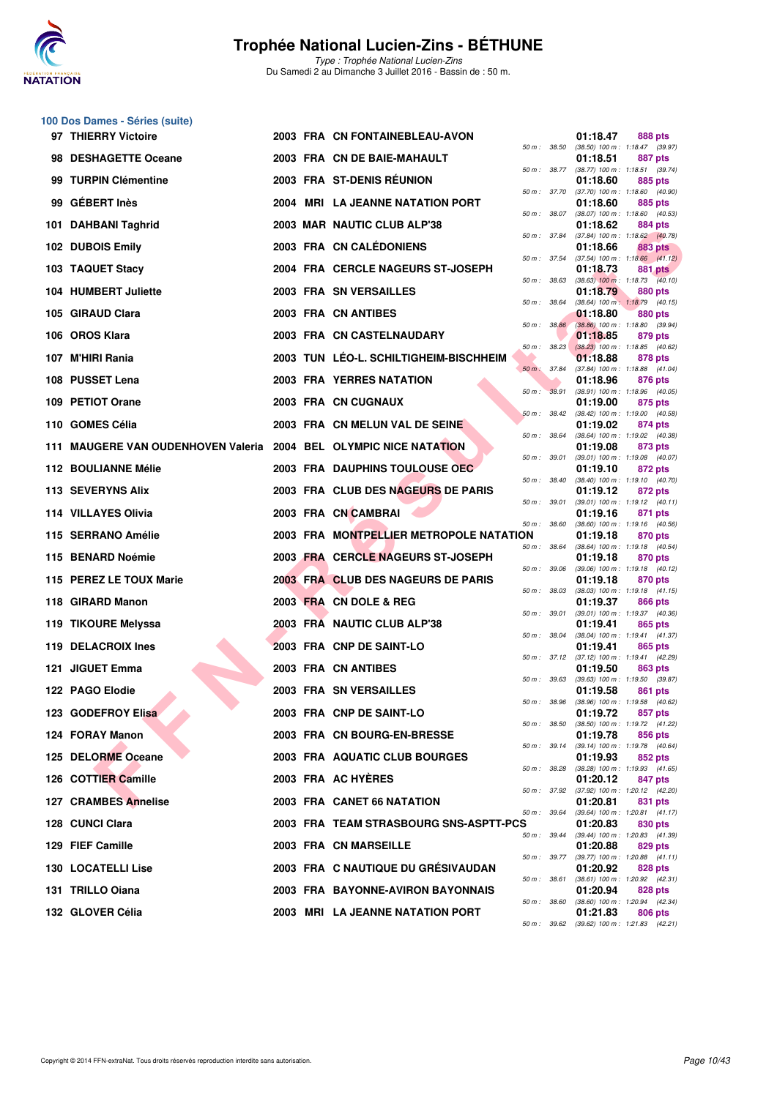

| 100 Dos Dames - Séries (suite) |
|--------------------------------|
| 07 THIEDDV Victoire            |

| 97 THIERRY Victoire                                               |  | 2003 FRA CN FONTAINEBLEAU-AVON                                        |              | 01:18.47             | 888 pts                                                            |
|-------------------------------------------------------------------|--|-----------------------------------------------------------------------|--------------|----------------------|--------------------------------------------------------------------|
| 98 DESHAGETTE Oceane                                              |  | 2003 FRA CN DE BAIE-MAHAULT                                           |              | 01:18.51             | 50 m: 38.50 (38.50) 100 m: 1:18.47 (39.97)<br>887 pts              |
| 99 TURPIN Clémentine                                              |  | 2003 FRA ST-DENIS REUNION                                             | 50 m : 38.77 | 01:18.60             | $(38.77)$ 100 m : 1:18.51 $(39.74)$<br>885 pts                     |
| 99 GÉBERT Inès                                                    |  | 2004 MRI LA JEANNE NATATION PORT                                      |              | 01:18.60             | 50 m: 37.70 (37.70) 100 m: 1:18.60 (40.90)<br>885 pts              |
| 101 DAHBANI Taghrid                                               |  | 2003 MAR NAUTIC CLUB ALP'38                                           |              | 01:18.62             | 50 m: 38.07 (38.07) 100 m: 1:18.60 (40.53)<br>884 pts              |
| 102 DUBOIS Emily                                                  |  | 2003 FRA CN CALÉDONIENS                                               |              | 01:18.66             | 50 m: 37.84 (37.84) 100 m: 1:18.62 (40.78)<br>883 pts              |
| 103 TAQUET Stacy                                                  |  | 2004 FRA CERCLE NAGEURS ST-JOSEPH                                     |              | 01:18.73             | 50 m: 37.54 (37.54) 100 m: 1:18.66 (41.12)<br>881 pts              |
| 104 HUMBERT Juliette                                              |  | 2003 FRA SN VERSAILLES                                                | 50 m : 38.63 | 01:18.79             | $(38.63)$ 100 m : 1:18.73 $(40.10)$<br>880 pts                     |
| 105 GIRAUD Clara                                                  |  | 2003 FRA CN ANTIBES                                                   | 50 m: 38.64  | 01:18.80             | $(38.64)$ 100 m : 1:18.79 $(40.15)$<br>880 pts                     |
| 106 OROS Klara                                                    |  | 2003 FRA CN CASTELNAUDARY                                             | 50 m : 38.86 | 01:18.85             | $(38.86)$ 100 m : 1:18.80 $(39.94)$<br>879 pts                     |
| 107 M'HIRI Rania                                                  |  | 2003 TUN LEO-L. SCHILTIGHEIM-BISCHHEIM                                | 50 m: 38.23  | 01:18.88             | $(38.23)$ 100 m : 1:18.85 $(40.62)$<br>878 pts                     |
| 108 PUSSET Lena                                                   |  | <b>2003 FRA YERRES NATATION</b>                                       |              | 01:18.96             | 50 m : 37.84 (37.84) 100 m : 1:18.88 (41.04)<br>876 pts            |
| 109 PETIOT Orane                                                  |  | 2003 FRA CN CUGNAUX                                                   | 50 m: 38.91  | 01:19.00             | $(38.91)$ 100 m : 1:18.96 $(40.05)$<br>875 pts                     |
| 110 GOMES Célia                                                   |  | 2003 FRA CN MELUN VAL DE SEINE                                        | 50 m: 38.42  | 01:19.02             | $(38.42)$ 100 m : 1:19.00 $(40.58)$<br>874 pts                     |
| 111 MAUGERE VAN OUDENHOVEN Valeria 2004 BEL OLYMPIC NICE NATATION |  |                                                                       | 50 m : 38.64 | 01:19.08             | $(38.64)$ 100 m : 1:19.02 $(40.38)$<br>873 pts                     |
| 112 BOULIANNE Mélie                                               |  | 2003 FRA DAUPHINS TOULOUSE OEC                                        | 50 m : 39.01 | 01:19.10             | $(39.01)$ 100 m : 1:19.08 $(40.07)$<br>872 pts                     |
| 113 SEVERYNS Alix                                                 |  | 2003 FRA CLUB DES NAGEURS DE PARIS                                    | 50 m : 38.40 | 01:19.12             | $(38.40)$ 100 m : 1:19.10 $(40.70)$<br>872 pts                     |
| 114 VILLAYES Olivia                                               |  | 2003 FRA CN CAMBRAI                                                   | 50 m : 39.01 | 01:19.16             | $(39.01)$ 100 m : 1:19.12 $(40.11)$<br>871 pts                     |
| 115 SERRANO Amélie                                                |  | 2003 FRA MONTPELLIER METROPOLE NATATION                               |              | 01:19.18             | 50 m: 38.60 (38.60) 100 m: 1:19.16 (40.56)<br>870 pts              |
| 115 BENARD Noémie                                                 |  | 2003 FRA CERCLE NAGEURS ST-JOSEPH                                     | 50 m : 38.64 | 01:19.18             | $(38.64)$ 100 m : 1:19.18 $(40.54)$<br>870 pts                     |
| 115 PEREZ LE TOUX Marie                                           |  | 2003 FRA CLUB DES NAGEURS DE PARIS                                    | 50 m : 39.06 | 01:19.18             | $(39.06)$ 100 m : 1:19.18 $(40.12)$<br>870 pts                     |
| 118 GIRARD Manon                                                  |  | 2003 FRA CN DOLE & REG                                                | 50 m : 38.03 | 01:19.37             | $(38.03)$ 100 m : 1:19.18 $(41.15)$<br>866 pts                     |
| 119 TIKOURE Melyssa                                               |  | 2003 FRA NAUTIC CLUB ALP'38                                           | 50 m : 39.01 | 01:19.41             | (39.01) 100 m: 1:19.37 (40.36)<br>865 pts                          |
| <b>119 DELACROIX Ines</b>                                         |  | 2003 FRA CNP DE SAINT-LO                                              |              | 01:19.41             | 50 m: 38.04 (38.04) 100 m: 1:19.41 (41.37)<br>865 pts              |
| 121 JIGUET Emma                                                   |  | 2003 FRA CN ANTIBES                                                   |              | 01:19.50             | 50 m: 37.12 (37.12) 100 m: 1:19.41 (42.29)<br>863 pts              |
| 122 PAGO Elodie                                                   |  | 2003 FRA SN VERSAILLES                                                |              | 01:19.58             | 50 m: 39.63 (39.63) 100 m: 1:19.50 (39.87)<br>861 pts              |
| 123 GODEFROY Elisa                                                |  | 2003 FRA CNP DE SAINT-LO                                              |              |                      | 50 m : 38.96 (38.96) 100 m : 1:19.58 (40.62)<br>01:19.72 857 pts   |
| 124 FORAY Manon                                                   |  | 2003 FRA CN BOURG-EN-BRESSE                                           |              | 01:19.78             | 50 m: 38.50 (38.50) 100 m: 1:19.72 (41.22)<br>856 pts              |
| 125 DELORME Oceane                                                |  | 2003 FRA AQUATIC CLUB BOURGES                                         |              | 01:19.93             | 50 m: 39.14 (39.14) 100 m: 1:19.78 (40.64)<br>852 pts              |
| 126 COTTIER Camille                                               |  | 2003 FRA AC HYERES                                                    |              |                      | 50 m: 38.28 (38.28) 100 m: 1:19.93 (41.65)                         |
|                                                                   |  |                                                                       |              | 01:20.12             | 847 pts<br>50 m: 37.92 (37.92) 100 m: 1:20.12 (42.20)              |
| 127 CRAMBES Annelise                                              |  | 2003 FRA CANET 66 NATATION                                            |              | 01:20.81             | 831 pts<br>50 m: 39.64 (39.64) 100 m: 1:20.81 (41.17)              |
| 128 CUNCI Clara                                                   |  | 2003 FRA TEAM STRASBOURG SNS-ASPTT-PCS                                |              | 01:20.83             | 830 pts<br>50 m: 39.44 (39.44) 100 m: 1:20.83 (41.39)              |
| 129 FIEF Camille                                                  |  | 2003 FRA CN MARSEILLE                                                 |              | 01:20.88             | 829 pts<br>50 m: 39.77 (39.77) 100 m: 1:20.88 (41.11)              |
| 130 LOCATELLI Lise                                                |  | 2003 FRA C NAUTIQUE DU GRÉSIVAUDAN                                    |              | 01:20.92             | 828 pts                                                            |
|                                                                   |  |                                                                       |              |                      | 50 m: 38.61 (38.61) 100 m: 1:20.92 (42.31)                         |
| 131 TRILLO Oiana<br>132 GLOVER Célia                              |  | 2003 FRA BAYONNE-AVIRON BAYONNAIS<br>2003 MRI LA JEANNE NATATION PORT |              | 01:20.94<br>01:21.83 | 828 pts<br>50 m : 38.60 (38.60) 100 m : 1:20.94 (42.34)<br>806 pts |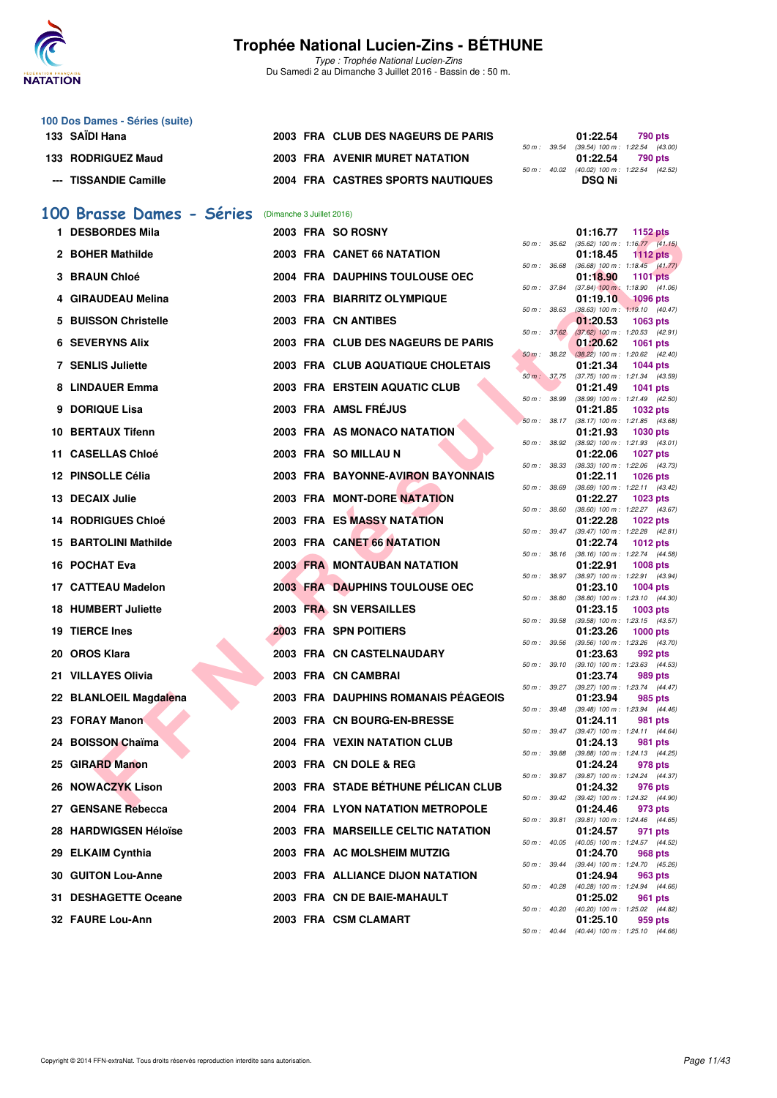

Type : Trophée National Lucien-Zins Du Samedi 2 au Dimanche 3 Juillet 2016 - Bassin de : 50 m.

| 100 Dos Dames - Séries (suite) |                                    |  |                                            |         |
|--------------------------------|------------------------------------|--|--------------------------------------------|---------|
| 133 SAÏDI Hana                 | 2003 FRA CLUB DES NAGEURS DE PARIS |  | 01:22.54                                   | 790 pts |
|                                |                                    |  | 50 m: 39.54 (39.54) 100 m: 1:22.54 (43.00  |         |
| 133 RODRIGUEZ Maud             | 2003 FRA AVENIR MURET NATATION     |  | 01:22.54                                   | 790 pts |
|                                |                                    |  | 50 m: 40.02 (40.02) 100 m: 1:22.54 (42.52) |         |
| --- TISSANDIE Camille          | 2004 FRA CASTRES SPORTS NAUTIQUES  |  | <b>DSQ Ni</b>                              |         |

#### **[100 Brasse Dames - Séries](http://www.ffnatation.fr/webffn/resultats.php?idact=nat&go=epr&idcpt=34121&idepr=22)** (Dimanche 3 Juillet 2016)

| 1 DESBORDES Mila           |  | 2003 FRA SO ROSNY                     |              |              | 01:16.77<br><b>1152 pts</b>                                                 |
|----------------------------|--|---------------------------------------|--------------|--------------|-----------------------------------------------------------------------------|
| 2 BOHER Mathilde           |  | 2003 FRA CANET 66 NATATION            |              |              | 50 m: 35.62 (35.62) 100 m: 1:16.77 (41.15)<br>01:18.45<br>1112 $pts$        |
| 3 BRAUN Chloé              |  | 2004 FRA DAUPHINS TOULOUSE OEC        | 50 m : 36.68 |              | $(36.68)$ 100 m : 1:18.45 $(41.77)$<br>01:18.90<br><b>1101 pts</b>          |
| 4 GIRAUDEAU Melina         |  | 2003 FRA BIARRITZ OLYMPIQUE           | 50 m : 37.84 |              | $(37.84)$ 100 m : 1:18.90 $(41.06)$<br>$1096$ pts<br>01:19.10               |
| 5 BUISSON Christelle       |  | 2003 FRA CN ANTIBES                   | 50 m: 38.63  |              | $(38.63)$ 100 m : 1:19.10 $(40.47)$<br>01:20.53<br>1063 pts                 |
| <b>6 SEVERYNS Alix</b>     |  | 2003 FRA CLUB DES NAGEURS DE PARIS    | 50 m: 37.62  |              | $(37.62)$ 100 m : 1:20.53 $(42.91)$<br>01:20.62<br><b>1061 pts</b>          |
| <b>7 SENLIS Juliette</b>   |  | 2003 FRA CLUB AQUATIQUE CHOLETAIS     |              |              | 50 m : 38.22 (38.22) 100 m : 1:20.62 (42.40)<br>01:21.34<br><b>1044 pts</b> |
| 8 LINDAUER Emma            |  | <b>2003 FRA ERSTEIN AQUATIC CLUB</b>  |              |              | 50 m: 37.75 (37.75) 100 m: 1:21.34 (43.59)<br>01:21.49<br>1041 pts          |
| 9 DORIQUE Lisa             |  | 2003 FRA AMSL FRÉJUS                  | 50 m : 38.99 |              | (38.99) 100 m: 1:21.49 (42.50)<br>01:21.85<br>1032 pts                      |
| 10 BERTAUX Tifenn          |  | 2003 FRA AS MONACO NATATION           |              |              | 50 m: 38.17 (38.17) 100 m: 1:21.85 (43.68)<br>01:21.93<br>1030 pts          |
|                            |  |                                       | 50 m : 38.92 |              | $(38.92)$ 100 m : 1:21.93 $(43.01)$                                         |
| 11 CASELLAS Chloé          |  | 2003 FRA SO MILLAU N                  | 50 m : 38.33 |              | 01:22.06<br><b>1027 pts</b><br>$(38.33)$ 100 m : 1:22.06 $(43.73)$          |
| 12 PINSOLLE Célia          |  | 2003 FRA BAYONNE-AVIRON BAYONNAIS     | 50 m : 38.69 |              | 01:22.11<br><b>1026 pts</b><br>(38.69) 100 m: 1:22.11 (43.42)               |
| 13 DECAIX Julie            |  | 2003 FRA MONT-DORE NATATION           |              |              | 01:22.27<br>1023 pts                                                        |
| <b>14 RODRIGUES Chloé</b>  |  | 2003 FRA ES MASSY NATATION            | 50 m : 38.60 |              | (38.60) 100 m : 1:22.27 (43.67)<br>01:22.28<br>1022 pts                     |
| 15 BARTOLINI Mathilde      |  | 2003 FRA CANET 66 NATATION            |              |              | 50 m: 39.47 (39.47) 100 m: 1:22.28 (42.81)<br>01:22.74<br><b>1012 pts</b>   |
| 16 POCHAT Eva              |  | <b>2003 FRA MONTAUBAN NATATION</b>    |              | 50 m: 38.16  | (38.16) 100 m : 1:22.74 (44.58)<br>01:22.91<br><b>1008 pts</b>              |
|                            |  |                                       |              | 50 m : 38.97 | (38.97) 100 m: 1:22.91 (43.94)                                              |
| 17 CATTEAU Madelon         |  | <b>2003 FRA DAUPHINS TOULOUSE OEC</b> | 50 m : 38.80 |              | 01:23.10<br><b>1004 pts</b><br>$(38.80)$ 100 m : 1:23.10 $(44.30)$          |
| <b>18 HUMBERT Juliette</b> |  | 2003 FRA SN VERSAILLES                |              |              | 01:23.15<br>1003 pts                                                        |
| 19 TIERCE Ines             |  | 2003 FRA SPN POITIERS                 | 50 m: 39.58  |              | (39.58) 100 m: 1:23.15 (43.57)<br>01:23.26<br>$1000$ pts                    |
| 20 OROS Klara              |  | 2003 FRA CN CASTELNAUDARY             |              | 50 m : 39.56 | $(39.56)$ 100 m : 1:23.26 $(43.70)$<br>01:23.63<br>992 pts                  |
| 21 VILLAYES Olivia         |  | 2003 FRA CN CAMBRAI                   | 50 m : 39.10 |              | (39.10) 100 m: 1:23.63 (44.53)<br>01:23.74<br>989 pts                       |
| 22 BLANLOEIL Magdalena     |  | 2003 FRA DAUPHINS ROMANAIS PEAGEOIS   |              |              | 50 m: 39.27 (39.27) 100 m: 1:23.74 (44.47)<br>01:23.94<br>985 pts           |
|                            |  |                                       | 50 m : 39.48 |              | $(39.48)$ 100 m : 1:23.94 $(44.46)$                                         |
| 23 FORAY Manon             |  | 2003 FRA CN BOURG-EN-BRESSE           |              | 50 m : 39.47 | 01:24.11<br>981 pts<br>$(39.47)$ 100 m : 1:24.11 $(44.64)$                  |
| 24 BOISSON Chaïma          |  | <b>2004 FRA VEXIN NATATION CLUB</b>   | 50 m : 39.88 |              | 01:24.13<br>981 pts<br>(39.88) 100 m: 1:24.13 (44.25)                       |
| 25 GIRARD Manon            |  | 2003 FRA CN DOLE & REG                |              |              | 01:24.24<br>978 pts                                                         |
| 26 NOWACZYK Lison          |  | 2003 FRA STADE BÉTHUNE PÉLICAN CLUB   |              |              | 50 m: 39.87 (39.87) 100 m: 1:24.24 (44.37)<br>01:24.32<br>976 pts           |
| 27 GENSANE Rebecca         |  | 2004 FRA LYON NATATION METROPOLE      |              |              | 50 m: 39.42 (39.42) 100 m: 1:24.32 (44.90)<br>01:24.46 973 pts              |
| 28 HARDWIGSEN Héloïse      |  | 2003 FRA MARSEILLE CELTIC NATATION    |              |              | 50 m: 39.81 (39.81) 100 m: 1:24.46 (44.65)<br>01:24.57<br>971 pts           |
| 29 ELKAIM Cynthia          |  | 2003 FRA AC MOLSHEIM MUTZIG           |              |              | 50 m: 40.05 (40.05) 100 m: 1:24.57 (44.52)<br>01:24.70<br>968 pts           |
|                            |  |                                       |              |              | 50 m: 39.44 (39.44) 100 m: 1:24.70 (45.26)                                  |
| <b>30 GUITON Lou-Anne</b>  |  | 2003 FRA ALLIANCE DIJON NATATION      |              |              | 01:24.94<br>963 pts<br>50 m : 40.28 (40.28) 100 m : 1:24.94 (44.66)         |
| 31 DESHAGETTE Oceane       |  | 2003 FRA CN DE BAIE-MAHAULT           |              |              | 01:25.02<br>961 pts<br>50 m: 40.20 (40.20) 100 m: 1:25.02 (44.82)           |
| 32 FAURE Lou-Ann           |  | 2003 FRA CSM CLAMART                  |              |              | 01:25.10<br>959 pts<br>$50 m - 40 dA$ (40 $dA$ ) $100 m - 1.25 10$ (44 66)  |
|                            |  |                                       |              |              |                                                                             |

| $50 m$ : | 35.62 | 01:16.77<br>$(35.62)$ 100 m : | 1152 pts<br>1:16.77<br>(41.15) |
|----------|-------|-------------------------------|--------------------------------|
|          |       | 01:18.45                      | <b>1112 pts</b>                |
| 50 m :   | 36.68 | $(36.68)$ 100 m :             | 1:18.45<br>(41.77)             |
|          |       | 01:18.90                      | 1101<br>pts                    |
| $50 m$ : | 37.84 | $(37.84)$ 100 m :             | 1:18.90<br>(41.06)             |
|          |       | 01:19.10                      | 1096 pts                       |
| $50 m$ : | 38.63 | $(38.63) 100 m$ :             | 1:19.10<br>(40.47)             |
|          | 37.62 | 01:20.53<br>$(37.62)$ 100 m : | 1063<br>pts<br>1:20.53         |
| 50 m :   |       | 01:20.62                      | (42.91)<br>1061<br>pts         |
| $50 m$ : | 38.22 | $(38.22)$ 100 m :             | 1:20.62<br>(42.40)             |
|          |       | 01:21.34                      | 1044 pts                       |
| $50 m$ : | 37.75 | $(37.75)$ 100 m :             | 1:21.34<br>(43.59)             |
|          |       | 01:21.49                      | 1041<br>pts                    |
| 50 m :   | 38.99 | (38.99) 100 m :               | 1:21.49<br>(42.50)             |
|          |       | 01:21.85                      | 1032 pts                       |
| $50 m$ : | 38.17 | $(38.17) 100 m$ :             | 1:21.85<br>(43.68)             |
| $50 m$ : | 38.92 | 01:21.93<br>$(38.92)$ 100 m : | 1030 pts<br>1:21.93<br>(43.01) |
|          |       | 01:22.06                      | 1027<br>pts                    |
| 50 m :   | 38.33 | $(38.33) 100 m$ :             | 1:22.06<br>(43.73)             |
|          |       | 01:22.11                      | 1026 pts                       |
| $50 m$ : | 38.69 | $(38.69) 100 m$ :             | 1:22.11<br>(43.42)             |
|          |       | 01:22.27                      | 1023 pts                       |
| $50 m$ : | 38.60 | $(38.60)$ 100 m :             | 1:22.27<br>(43.67)             |
|          |       | 01:22.28                      | 1022 pts                       |
| 50 m :   | 39.47 | $(39.47) 100 m$ :             | 1:22.28<br>(42.81)             |
| $50 m$ : | 38.16 | 01:22.74<br>$(38.16) 100 m$ : | 1012 pts<br>1:22.74<br>(44.58) |
|          |       | 01:22.91                      | 1008 pts                       |
| $50 m$ : | 38.97 | (38.97) 100 m :               | 1:22.91<br>(43.94)             |
|          |       | 01:23.10                      | 1004 pts                       |
| 50 m :   | 38.80 | $(38.80)$ 100 m :             | (44.30)<br>1:23.10             |
|          |       | 01:23.15                      | 1003 pts                       |
| 50 m :   | 39.58 | (39.58) 100 m :               | 1:23.15<br>(43.57)             |
|          |       | 01:23.26                      | 1000 pts                       |
| 50 m :   | 39.56 | $(39.56) 100 m$ :             | 1:23.26<br>(43.70)             |
| 50 m :   | 39.10 | 01:23.63<br>$(39.10) 100 m$ : | 992 pts<br>(44.53)<br>1:23.63  |
|          |       | 01:23.74                      | 989<br>pts                     |
| $50 m$ : | 39.27 | (39.27) 100 m :               | 1:23.74<br>(44.47)             |
|          |       | 01:23.94                      | 985<br>pts                     |
| $50 m$ : | 39.48 | $(39.48) 100 m$ :             | 1:23.94<br>(44.46)             |
|          |       | 01:24.11                      | 981<br>pts                     |
| 50 m :   | 39.47 | (39.47) 100 m :               | 1:24.11<br>(44.64)             |
|          | 39.88 | 01:24.13                      | 981<br>pts                     |
| $50 m$ : |       | (39.88) 100 m :<br>01:24.24   | 1:24.13<br>(44.25)<br>978 pts  |
| $50 m$ : | 39.87 | (39.87) 100 m :               | 1:24.24<br>(44.37)             |
|          |       | 01:24.32                      | 976 pts                        |
| $50 m$ : | 39.42 | $(39.42) 100 m$ :             | 1:24.32<br>(44.90)             |
|          |       | 01:24.46                      | 973 pts                        |
| $50 m$ : | 39.81 | $(39.81) 100 m$ :             | 1:24.46<br>(44.65)             |
|          |       | 01:24.57                      | 971<br>pts                     |
| $50 m$ : | 40.05 | $(40.05)$ 100 m :             | 1:24.57<br>(44.52)             |
|          |       | 01:24.70                      | <b>968 pts</b>                 |
| $50 m$ : | 39.44 | $(39.44) 100 m$ :<br>01:24.94 | 1:24.70<br>(45.26)<br>963 pts  |
| $50 m$ : | 40.28 | $(40.28) 100 m$ :             | 1:24.94<br>(44.66)             |
|          |       | 01:25.02                      | 961<br>pts                     |
| $50 m$ : | 40.20 | $(40.20)$ 100 m :             | 1:25.02<br>(44.82)             |
|          |       | 01:25.10                      | 959 pts                        |
| $50 m$ : | 40.44 | $(40.44)$ 100 m :             | 1:25.10<br>(44.66)             |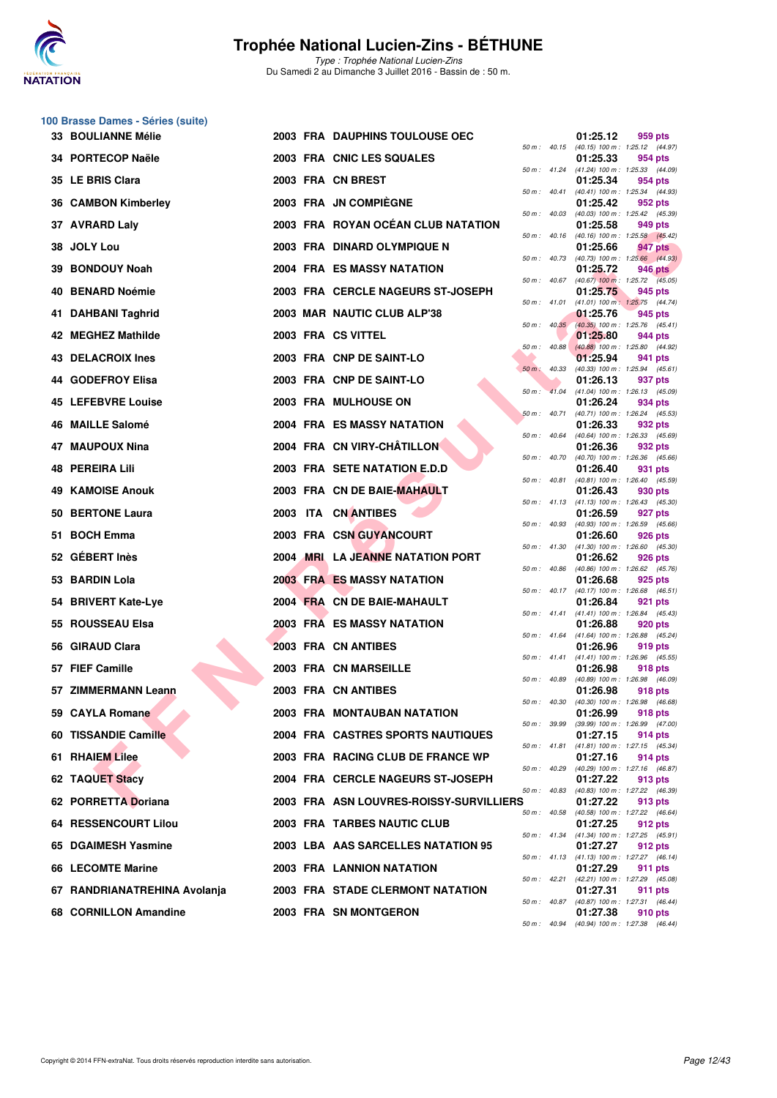

|     | 100 Brasse Dames - Séries (suite) |  |                                          |                  |                          |          |                                                         |
|-----|-----------------------------------|--|------------------------------------------|------------------|--------------------------|----------|---------------------------------------------------------|
|     | <b>33 BOULIANNE Mélie</b>         |  | 2003 FRA DAUPHINS TOULOUSE OEC           |                  |                          | 01:25.12 | 959 pts<br>50 m: 40.15 (40.15) 100 m: 1:25.12 (44.97)   |
|     | 34 PORTECOP Naële                 |  | 2003 FRA CNIC LES SQUALES                |                  |                          | 01:25.33 | 954 pts<br>50 m: 41.24 (41.24) 100 m: 1:25.33 (44.09)   |
|     | 35 LE BRIS Clara                  |  | 2003 FRA CN BREST                        |                  | 50 m: 40.41              | 01:25.34 | 954 pts                                                 |
|     | 36 CAMBON Kimberley               |  | 2003 FRA JN COMPIEGNE                    |                  |                          | 01:25.42 | (40.41) 100 m: 1:25.34 (44.93)<br>952 pts               |
|     | 37 AVRARD Laly                    |  | 2003 FRA ROYAN OCÉAN CLUB NATATION       | 50 m: 40.03      |                          | 01:25.58 | (40.03) 100 m: 1:25.42 (45.39)<br>949 pts               |
|     | 38 JOLY Lou                       |  | 2003 FRA DINARD OLYMPIQUE N              |                  | 50 m : 40.16             | 01:25.66 | (40.16) 100 m: 1:25.58 (45.42)<br>947 pts               |
| 39  | <b>BONDOUY Noah</b>               |  | <b>2004 FRA ES MASSY NATATION</b>        |                  | 50 m : 40.73             | 01:25.72 | (40.73) 100 m: 1:25.66 (44.93)<br>946 pts               |
| 40  | <b>BENARD Noémie</b>              |  | 2003 FRA CERCLE NAGEURS ST-JOSEPH        |                  |                          | 01:25.75 | 50 m : 40.67 (40.67) 100 m : 1:25.72 (45.05)<br>945 pts |
|     | 41 DAHBANI Taghrid                |  | 2003 MAR NAUTIC CLUB ALP'38              | 50 m : 41.01     |                          | 01:25.76 | $(41.01)$ 100 m : 1:25.75 $(44.74)$<br>945 pts          |
|     | 42 MEGHEZ Mathilde                |  | 2003 FRA CS VITTEL                       |                  | $50 \text{ m}$ : $40.35$ | 01:25.80 | (40.35) 100 m: 1:25.76 (45.41)<br>944 pts               |
|     | 43 DELACROIX Ines                 |  | 2003 FRA CNP DE SAINT-LO                 | 50 m : 40.88     |                          | 01:25.94 | (40.88) 100 m : 1:25.80 (44.92)<br>941 pts              |
|     | 44 GODEFROY Elisa                 |  | 2003 FRA CNP DE SAINT-LO                 | $50 m$ : $40.33$ |                          | 01:26.13 | (40.33) 100 m: 1:25.94 (45.61)<br>937 pts               |
|     | 45 LEFEBVRE Louise                |  | 2003 FRA MULHOUSE ON                     |                  | $50 \text{ m}$ : $41.04$ | 01:26.24 | $(41.04)$ 100 m : 1:26.13 $(45.09)$<br>934 pts          |
|     | 46 MAILLE Salomé                  |  | 2004 FRA ES MASSY NATATION               |                  | $50 m$ : $40.71$         | 01:26.33 | (40.71) 100 m: 1:26.24 (45.53)<br>932 pts               |
|     | 47 MAUPOUX Nina                   |  | 2004 FRA CN VIRY-CHÂTILLON               |                  | $50 m$ : $40.64$         | 01:26.36 | $(40.64)$ 100 m : 1:26.33 $(45.69)$                     |
|     | <b>48 PEREIRA Lili</b>            |  | 2003 FRA SETE NATATION E.D.D.            | $50 m$ : $40.70$ |                          |          | 932 pts<br>$(40.70)$ 100 m : 1:26.36 $(45.66)$          |
|     |                                   |  |                                          |                  | 50 m : 40.81             | 01:26.40 | 931 pts<br>(40.81) 100 m: 1:26.40 (45.59)               |
| 49. | <b>KAMOISE Anouk</b>              |  | 2003 FRA CN DE BAIE-MAHAULT              |                  | 50 m : 41.13             | 01:26.43 | 930 pts<br>$(41.13)$ 100 m : 1:26.43 $(45.30)$          |
|     | 50 BERTONE Laura                  |  | 2003 ITA CN ANTIBES                      |                  | 50 m : 40.93             | 01:26.59 | 927 pts<br>(40.93) 100 m: 1:26.59 (45.66)               |
|     | 51 BOCH Emma                      |  | 2003 FRA CSN GUYANCOURT                  |                  |                          | 01:26.60 | 926 pts<br>50 m: 41.30 (41.30) 100 m: 1:26.60 (45.30)   |
|     | 52 GÉBERT Inès                    |  | 2004 MRI LA JEANNE NATATION PORT         | 50 m : 40.86     |                          | 01:26.62 | 926 pts<br>(40.86) 100 m: 1:26.62 (45.76)               |
|     | 53 BARDIN Lola                    |  | <b>2003 FRA ES MASSY NATATION</b>        |                  |                          | 01:26.68 | 925 pts<br>50 m: 40.17 (40.17) 100 m: 1:26.68 (46.51)   |
|     | 54 BRIVERT Kate-Lye               |  | 2004 FRA CN DE BAIE-MAHAULT              |                  | 50 m : 41.41             | 01:26.84 | 921 pts<br>$(41.41)$ 100 m : 1:26.84 $(45.43)$          |
|     | 55 ROUSSEAU Elsa                  |  | <b>2003 FRA ES MASSY NATATION</b>        |                  | 50 m : 41.64             | 01:26.88 | 920 pts<br>$(41.64)$ 100 m : 1:26.88 $(45.24)$          |
|     | 56 GIRAUD Clara                   |  | 2003 FRA CN ANTIBES                      |                  |                          | 01:26.96 | 919 pts                                                 |
|     | 57 FIEF Camille                   |  | 2003 FRA CN MARSEILLE                    |                  |                          | 01:26.98 | 50 m: 41.41 (41.41) 100 m: 1:26.96 (45.55)<br>918 pts   |
|     | 57 ZIMMERMANN Leann               |  | 2003 FRA CN ANTIBES                      | 50 m : 40.89     |                          | 01:26.98 | (40.89) 100 m : 1:26.98 (46.09)<br>918 pts              |
|     | 59 CAYLA Romane                   |  | 2003 FRA MONTAUBAN NATATION              | 50 m : 40.30     |                          | 01:26.99 | (40.30) 100 m : 1:26.98 (46.68)<br><b>918 pts</b>       |
|     | 60 TISSANDIE Camille              |  | <b>2004 FRA CASTRES SPORTS NAUTIQUES</b> |                  | 50 m : 39.99             | 01:27.15 | $(39.99)$ 100 m : 1:26.99 $(47.00)$<br>914 pts          |
|     | 61 RHAIEM Lilee                   |  | 2003 FRA RACING CLUB DE FRANCE WP        |                  | 50 m : 41.81             | 01:27.16 | (41.81) 100 m: 1:27.15 (45.34)<br>914 pts               |
|     | 62 TAQUET Stacy                   |  | 2004 FRA CERCLE NAGEURS ST-JOSEPH        |                  | 50 m : 40.29             | 01:27.22 | (40.29) 100 m: 1:27.16 (46.87)<br>913 pts               |
|     | 62 PORRETTA Doriana               |  | 2003 FRA ASN LOUVRES-ROISSY-SURVILLIERS  |                  | 50 m : 40.83             | 01:27.22 | (40.83) 100 m: 1:27.22 (46.39)<br>913 pts               |
|     | <b>64 RESSENCOURT Lilou</b>       |  | 2003 FRA TARBES NAUTIC CLUB              |                  | 50 m : 40.58             | 01:27.25 | (40.58) 100 m : 1:27.22 (46.64)<br>912 pts              |
|     | 65 DGAIMESH Yasmine               |  | 2003 LBA AAS SARCELLES NATATION 95       |                  |                          | 01:27.27 | 50 m: 41.34 (41.34) 100 m: 1:27.25 (45.91)<br>912 pts   |
|     | 66 LECOMTE Marine                 |  | 2003 FRA LANNION NATATION                |                  |                          | 01:27.29 | 50 m: 41.13 (41.13) 100 m: 1:27.27 (46.14)<br>911 pts   |
|     | 67 RANDRIANATREHINA Avolanja      |  | 2003 FRA STADE CLERMONT NATATION         |                  | 50 m : 42.21             | 01:27.31 | (42.21) 100 m: 1:27.29 (45.08)<br>911 pts               |
|     | 68 CORNILLON Amandine             |  | 2003 FRA SN MONTGERON                    |                  | 50 m : 40.87             | 01:27.38 | (40.87) 100 m: 1:27.31 (46.44)<br>910 pts               |
|     |                                   |  |                                          |                  |                          |          |                                                         |

|          |       | 01:25.12                            | 959 pts                              |
|----------|-------|-------------------------------------|--------------------------------------|
| 50 m :   | 40.15 | $(40.15)$ 100 m :                   | 1:25.12 (44.97)                      |
| $50 m$ : | 41.24 | 01:25.33<br>$(41.24) 100 m$ :       | 954 pts<br>1:25.33<br>(44.09)        |
|          |       | 01:25.34                            | 954 pts                              |
| $50 m$ : | 40.41 | (40.41) 100 m :                     | 1:25.34<br>(44.93)                   |
| 50 m :   | 40.03 | 01:25.42<br>$(40.03) 100 m$ :       | 952 pts<br>1:25.42 (45.39)           |
|          |       | 01:25.58                            | 949 pts                              |
| 50 m :   | 40.16 | $(40.16) 100 m$ :                   | 1:25.58 (45.42)                      |
| $50 m$ : | 40.73 | 01:25.66<br>(40.73) 100 m :         | 947 pts<br>1:25.66 (44.93)           |
|          |       | 01:25.72                            | <b>946 pts</b>                       |
| 50 m :   | 40.67 | $(40.67)$ 100 m :<br>01:25.75       | 1:25.72<br>(45.05)<br>945 pts        |
| 50 m :   | 41.01 | $(41.01) 100 m$ :                   | 1:25.75<br>(44.74)                   |
|          |       | 01:25.76                            | 945 pts                              |
| $50 m$ : | 40.35 | $(40.35)$ 100 m :<br>01:25.80       | 1:25.76<br>(45.41)<br>944 pts        |
| 50 m :   | 40.88 | $(40.88) 100 m$ :                   | 1:25.80<br>(44.92)                   |
| $50 m$ : | 40.33 | 01:25.94<br>$(40.33) 100 m$ :       | 941 pts<br>1:25.94<br>(45.61)        |
|          |       | 01:26.13                            | 937 pts                              |
| $50 m$ : | 41.04 | $(41.04) 100 m$ :                   | 1:26.13<br>(45.09)                   |
| $50 m$ : | 40.71 | 01:26.24<br>$(40.71)$ 100 m :       | 934 pts<br>1:26.24<br>(45.53)        |
|          |       | 01:26.33                            | 932 pts                              |
| $50 m$ : | 40.64 | $(40.64) 100 m$ :<br>01:26.36       | (45.69)<br>1:26.33                   |
| $50 m$ : | 40.70 | (40.70) 100 m :                     | 932 pts<br>1:26.36<br>(45.66)        |
|          |       | 01:26.40                            | 931 pts                              |
| 50 m :   | 40.81 | $(40.81)$ 100 m :<br>01:26.43       | 1:26.40<br>(45.59)<br>930 pts        |
| 50 m :   | 41.13 | (41.13) 100 m :                     | 1:26.43<br>(45.30)                   |
|          |       | 01:26.59                            | 927 pts                              |
| $50 m$ : | 40.93 | $(40.93)$ 100 m :<br>01:26.60       | 1:26.59<br>(45.66)<br><b>926 pts</b> |
| 50 m :   | 41.30 | $(41.30) 100 m$ :                   | 1:26.60<br>(45.30)                   |
| $50 m$ : | 40.86 | 01:26.62<br>$(40.86) 100 m$ :       | 926 pts<br>1:26.62<br>(45.76)        |
|          |       | 01:26.68                            | 925 pts                              |
| $50 m$ : | 40.17 | $(40.17) 100 m$ :                   | 1:26.68<br>(46.51)                   |
| 50 m :   | 41.41 | 01:26.84<br>$(41.41) 100 m$ :       | 921 pts<br>1:26.84<br>(45.43)        |
|          |       | 01:26.88                            | 920 pts                              |
| $50 m$ : | 41.64 | $(41.64) 100 m$ :<br>01:26.96       | 1:26.88<br>(45.24)<br>919 pts        |
| $50 m$ : | 41.41 | $(41.41) 100 m$ :                   | 1:26.96<br>(45.55)                   |
|          |       | 01:26.98                            | 918 pts                              |
| $50 m$ : | 40.89 | $(40.89)$ 100 m :<br>01:26.98       | 1:26.98 (46.09)<br>918 pts           |
| $50 m$ : | 40.30 | $(40.30)$ 100 m :                   | 1:26.98<br>(46.68)                   |
| $50 m$ : | 39.99 | 01:26.99<br>(39.99) 100 m :         | 918 pts<br>1:26.99<br>(47.00)        |
|          |       | 01:27.15                            | 914 pts                              |
| $50 m$ : | 41.81 | $(41.81) 100 m$ :                   | 1:27.15<br>(45.34)                   |
| $50 m$ : | 40.29 | 01:27.16<br>(40.29) 100 m :         | 914 pts<br>1:27.16<br>(46.87)        |
|          |       | 01:27.22                            | 913 pts                              |
| $50 m$ : | 40.83 | $(40.83) 100 m$ :<br>01:27.22       | 1:27.22<br>(46.39)<br>913 pts        |
| $50 m$ : | 40.58 | $(40.58) 100 m$ :                   | 1:27.22<br>(46.64)                   |
|          |       | 01:27.25                            | 912 pts                              |
| $50 m$ : | 41.34 | (41.34) 100 m :<br>01:27.27         | 1:27.25<br>(45.91)<br>912 pts        |
| $50 m$ : | 41.13 | (41.13) 100 m :                     | 1:27.27<br>(46.14)                   |
| $50 m$ : | 42.21 | 01:27.29<br>$(42.21)$ 100 m :       | 911<br>pts<br>1:27.29<br>(45.08)     |
|          |       | 01:27.31                            | 911<br>pts                           |
| $50 m$ : | 40.87 | (40.87) 100 m :                     | 1:27.31<br>(46.44)                   |
| 50 m :   | 40.94 | 01:27.38<br>(40.94) 100 m : 1:27.38 | 910 pts<br>(46.44)                   |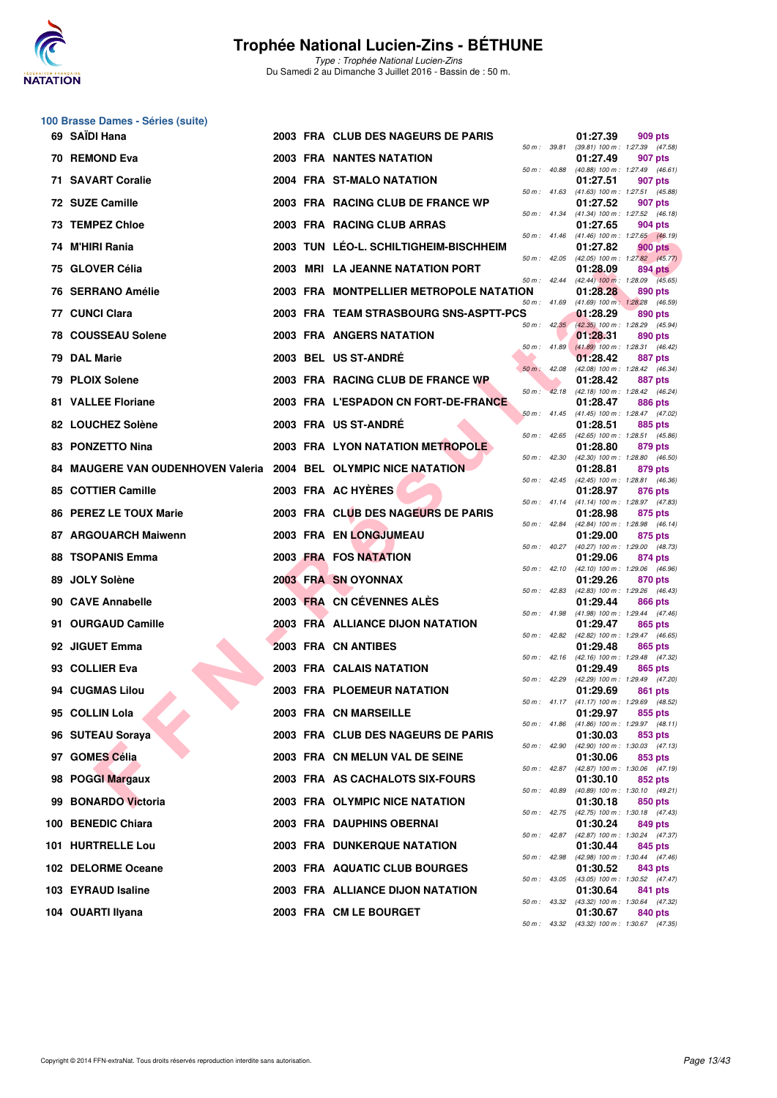

**100 Brasse Dames - Séries (suite)**

### **Trophée National Lucien-Zins - BÉTHUNE**

|     | 69 SAÏDI Hana                                                    |  | 2003 FRA CLUB DES NAGEURS DE PARIS      |                  |                  | 01:27.39 | 909 pts                                                        |
|-----|------------------------------------------------------------------|--|-----------------------------------------|------------------|------------------|----------|----------------------------------------------------------------|
|     | 70 REMOND Eva                                                    |  | <b>2003 FRA NANTES NATATION</b>         | 50 m : 39.81     |                  | 01:27.49 | $(39.81)$ 100 m : 1:27.39 $(47.58)$<br>907 pts                 |
|     | 71 SAVART Coralie                                                |  | 2004 FRA ST-MALO NATATION               | 50 m : 40.88     |                  | 01:27.51 | $(40.88)$ 100 m : 1:27.49 $(46.61)$<br>907 pts                 |
|     | 72 SUZE Camille                                                  |  | 2003 FRA RACING CLUB DE FRANCE WP       | 50 m : 41.63     |                  | 01:27.52 | (41.63) 100 m: 1:27.51 (45.88)<br>907 pts                      |
|     | 73 TEMPEZ Chloe                                                  |  | 2003 FRA RACING CLUB ARRAS              | 50 m : 41.34     |                  | 01:27.65 | $(41.34)$ 100 m : 1:27.52 $(46.18)$<br>904 pts                 |
|     | 74 M'HIRI Rania                                                  |  | 2003 TUN LEO-L. SCHILTIGHEIM-BISCHHEIM  | 50 m: 41.46      |                  | 01:27.82 | $(41.46)$ 100 m : 1:27.65 $(46.19)$<br>900 pts                 |
|     | 75 GLOVER Célia                                                  |  | 2003 MRI LA JEANNE NATATION PORT        | 50 m: 42.05      |                  | 01:28.09 | (42.05) 100 m : 1:27.82 (45.77)<br>894 pts                     |
|     | 76 SERRANO Amélie                                                |  | 2003 FRA MONTPELLIER METROPOLE NATATION | 50 m: 42.44      |                  | 01:28.28 | $(42.44)$ 100 m : 1:28.09 $(45.65)$<br>890 pts                 |
|     | 77 CUNCI Clara                                                   |  | 2003 FRA TEAM STRASBOURG SNS-ASPTT-PCS  | 50 m : 41.69     |                  | 01:28.29 | (41.69) 100 m: 1:28.28 (46.59)<br>890 pts                      |
|     | <b>78 COUSSEAU Solene</b>                                        |  | 2003 FRA ANGERS NATATION                |                  |                  | 01:28.31 | 50 m: 42.35 (42.35) 100 m: 1:28.29 (45.94)<br>890 pts          |
|     | 79 DAL Marie                                                     |  | 2003 BEL US ST-ANDRE                    | $50 m$ : 41.89   |                  | 01:28.42 | $(41.89)$ 100 m : 1:28.31 (46.42)<br>887 pts                   |
|     | 79 PLOIX Solene                                                  |  | 2003 FRA RACING CLUB DE FRANCE WP       | $50 m$ : 42.08   |                  | 01:28.42 | (42.08) 100 m: 1:28.42 (46.34)<br>887 pts                      |
|     | <b>81 VALLEE Floriane</b>                                        |  | 2003 FRA L'ESPADON CN FORT-DE-FRANCE    | 50 m: 42.18      |                  | 01:28.47 | (42.18) 100 m: 1:28.42 (46.24)<br>886 pts                      |
|     | 82 LOUCHEZ Solène                                                |  | 2003 FRA US ST-ANDRE                    |                  | $50 m$ : $41.45$ | 01:28.51 | $(41.45)$ 100 m : 1:28.47 $(47.02)$<br>885 pts                 |
|     | 83 PONZETTO Nina                                                 |  | <b>2003 FRA LYON NATATION METROPOLE</b> |                  | 50 m : 42.65     | 01:28.80 | $(42.65)$ 100 m : 1:28.51 $(45.86)$<br>879 pts                 |
|     | 84 MAUGERE VAN OUDENHOVEN Valeria 2004 BEL OLYMPIC NICE NATATION |  |                                         | 50 m: 42.30      |                  | 01:28.81 | $(42.30)$ 100 m : 1:28.80 $(46.50)$<br>879 pts                 |
|     | 85 COTTIER Camille                                               |  | 2003 FRA AC HYERES                      |                  |                  | 01:28.97 | 50 m: 42.45 (42.45) 100 m: 1:28.81 (46.36)<br>876 pts          |
|     | 86 PEREZ LE TOUX Marie                                           |  | 2003 FRA CLUB DES NAGEURS DE PARIS      | 50 m : 41.14     |                  | 01:28.98 | (41.14) 100 m: 1:28.97 (47.83)<br>875 pts                      |
|     | 87 ARGOUARCH Maiwenn                                             |  | 2003 FRA EN LONGJUMEAU                  | 50 m : 42.84     |                  | 01:29.00 | (42.84) 100 m: 1:28.98 (46.14)<br>875 pts                      |
|     | 88 TSOPANIS Emma                                                 |  | 2003 FRA FOS NATATION                   | $50 m$ : $40.27$ |                  | 01:29.06 | (40.27) 100 m : 1:29.00 (48.73)<br>874 pts                     |
| 89. | <b>JOLY Solène</b>                                               |  | 2003 FRA SN OYONNAX                     | 50 m : 42.10     |                  | 01:29.26 | (42.10) 100 m: 1:29.06 (46.96)<br>870 pts                      |
|     | 90 CAVE Annabelle                                                |  | 2003 FRA CN CÉVENNES ALES               |                  |                  | 01:29.44 | 50 m: 42.83 (42.83) 100 m: 1:29.26 (46.43)<br>866 pts          |
|     | 91 OURGAUD Camille                                               |  | 2003 FRA ALLIANCE DIJON NATATION        | 50 m: 41.98      |                  | 01:29.47 | $(41.98)$ 100 m : 1:29.44 $(47.46)$<br>865 pts                 |
|     | 92 JIGUET Emma                                                   |  | <b>2003 FRA CN ANTIBES</b>              |                  |                  | 01:29.48 | 50 m : 42.82 (42.82) 100 m : 1:29.47 (46.65)<br>865 pts        |
|     | 93 COLLIER Eva                                                   |  | 2003 FRA CALAIS NATATION                |                  |                  | 01:29.49 | 50 m: 42.16 (42.16) 100 m: 1:29.48 (47.32)<br>865 pts          |
|     | 94 CUGMAS Lilou                                                  |  | 2003 FRA PLOEMEUR NATATION              | 50 m : 42.29     |                  | 01:29.69 | (42.29) 100 m: 1:29.49 (47.20)<br>861 pts                      |
|     | 95 COLLIN Lola                                                   |  | 2003 FRA CN MARSEILLE                   |                  |                  |          | 50 m: 41.17 (41.17) 100 m: 1:29.69 (48.52)<br>01:29.97 855 pts |
|     | 96 SUTEAU Soraya                                                 |  | 2003 FRA CLUB DES NAGEURS DE PARIS      |                  |                  | 01:30.03 | 50 m: 41.86 (41.86) 100 m: 1:29.97 (48.11)<br>853 pts          |
|     | 97 GOMES Célia                                                   |  | 2003 FRA CN MELUN VAL DE SEINE          | 50 m : 42.90     |                  | 01:30.06 | $(42.90)$ 100 m : 1:30.03 $(47.13)$<br>853 pts                 |
|     | 98 POGGI Margaux                                                 |  | 2003 FRA AS CACHALOTS SIX-FOURS         |                  |                  | 01:30.10 | 50 m: 42.87 (42.87) 100 m: 1:30.06 (47.19)<br>852 pts          |
|     | 99 BONARDO Victoria                                              |  | 2003 FRA OLYMPIC NICE NATATION          |                  | 50 m : 40.89     | 01:30.18 | (40.89) 100 m: 1:30.10 (49.21)<br>850 pts                      |
|     | 100 BENEDIC Chiara                                               |  | 2003 FRA DAUPHINS OBERNAI               | 50 m : 42.75     |                  | 01:30.24 | (42.75) 100 m : 1:30.18 (47.43)<br>849 pts                     |
|     | 101 HURTRELLE Lou                                                |  | <b>2003 FRA DUNKERQUE NATATION</b>      |                  |                  | 01:30.44 | 50 m: 42.87 (42.87) 100 m: 1:30.24 (47.37)<br>845 pts          |
|     | 102 DELORME Oceane                                               |  | 2003 FRA AQUATIC CLUB BOURGES           |                  |                  | 01:30.52 | 50 m : 42.98 (42.98) 100 m : 1:30.44 (47.46)<br>843 pts        |
|     | 103 EYRAUD Isaline                                               |  | 2003 FRA ALLIANCE DIJON NATATION        |                  |                  | 01:30.64 | 50 m : 43.05 (43.05) 100 m : 1:30.52 (47.47)<br>841 pts        |
|     | 104 OUARTI Ilyana                                                |  | 2003 FRA CM LE BOURGET                  |                  |                  | 01:30.67 | 50 m : 43.32 (43.32) 100 m : 1:30.64 (47.32)<br>840 pts        |
|     |                                                                  |  |                                         |                  |                  |          | 50 m: 43.32 (43.32) 100 m: 1:30.67 (47.35)                     |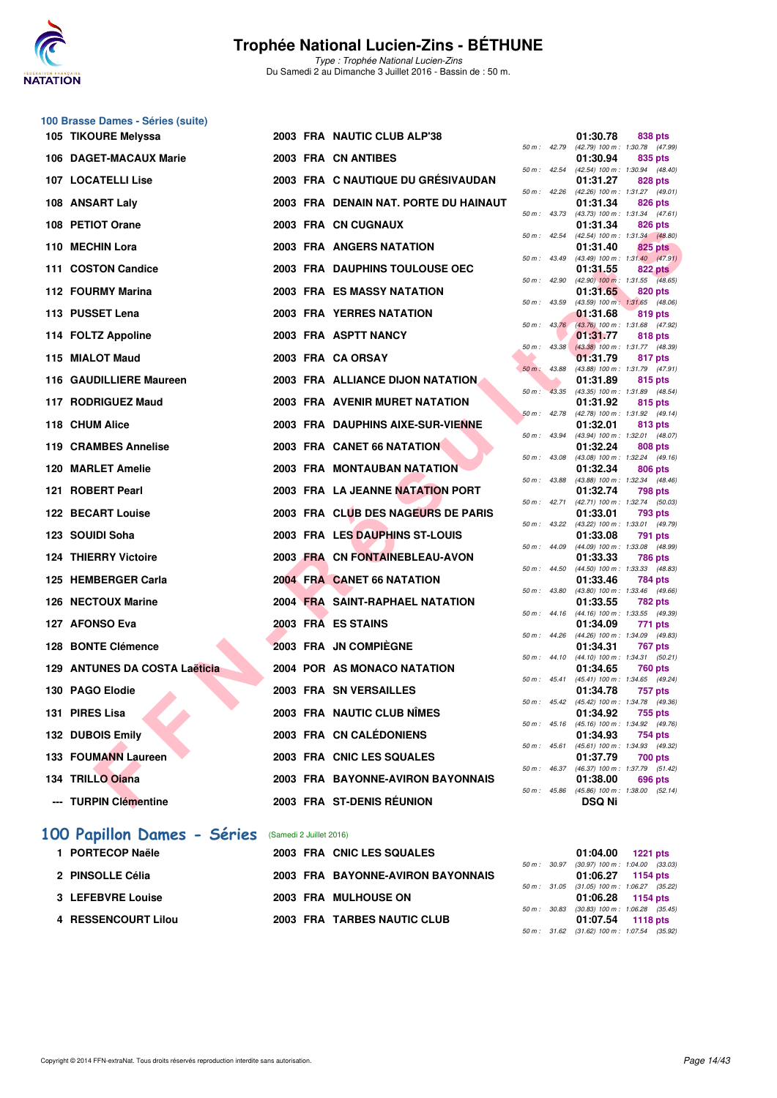

Type : Trophée National Lucien-Zins Du Samedi 2 au Dimanche 3 Juillet 2016 - Bassin de : 50 m.

| 100 Brasse Dames - Séries (suite) |  |                                       |              |                |                                                                     |
|-----------------------------------|--|---------------------------------------|--------------|----------------|---------------------------------------------------------------------|
| 105 TIKOURE Melyssa               |  | 2003 FRA NAUTIC CLUB ALP'38           |              |                | 01:30.78<br>838 pts                                                 |
| 106 DAGET-MACAUX Marie            |  | 2003 FRA CN ANTIBES                   |              | 50 m : 42.79   | (42.79) 100 m: 1:30.78 (47.99)<br>01:30.94<br>835 pts               |
| 107 LOCATELLI Lise                |  | 2003 FRA C NAUTIQUE DU GRÉSIVAUDAN    |              | 50 m : 42.54   | (42.54) 100 m: 1:30.94 (48.40)<br>01:31.27<br>828 pts               |
| 108 ANSART Laly                   |  | 2003 FRA DENAIN NAT. PORTE DU HAINAUT | 50 m: 42.26  |                | (42.26) 100 m: 1:31.27 (49.01)<br>01:31.34<br>826 pts               |
|                                   |  |                                       | 50 m : 43.73 |                | (43.73) 100 m: 1:31.34 (47.61)                                      |
| 108 PETIOT Orane                  |  | 2003 FRA CN CUGNAUX                   | 50 m : 42.54 |                | 01:31.34<br>826 pts<br>(42.54) 100 m: 1:31.34 (48.80)               |
| 110 MECHIN Lora                   |  | 2003 FRA ANGERS NATATION              |              |                | 01:31.40<br>825 pts                                                 |
| 111 COSTON Candice                |  | 2003 FRA DAUPHINS TOULOUSE OEC        |              | 50 m : 43.49   | $(43.49)$ 100 m : 1:31.40 $(47.91)$<br>01:31.55<br><b>822 pts</b>   |
| 112 FOURMY Marina                 |  | <b>2003 FRA ES MASSY NATATION</b>     |              | 50 m : 42.90   | $(42.90)$ 100 m : 1:31.55 $(48.65)$<br>01:31.65<br>820 pts          |
| 113 PUSSET Lena                   |  | 2003 FRA YERRES NATATION              | 50 m: 43.59  |                | (43.59) 100 m: 1:31.65 (48.06)<br>01:31.68<br>819 pts               |
|                                   |  |                                       |              | 50 m: 43.76    | (43.76) 100 m : 1:31.68 (47.92)                                     |
| 114 FOLTZ Appoline                |  | 2003 FRA ASPTT NANCY                  |              | $50 m$ : 43.38 | 01:31.77<br>818 pts<br>(43.38) 100 m: 1:31.77 (48.39)               |
| 115 MIALOT Maud                   |  | 2003 FRA CA ORSAY                     |              |                | 01:31.79<br>817 pts                                                 |
| 116 GAUDILLIERE Maureen           |  | 2003 FRA ALLIANCE DIJON NATATION.     | 50 m: 43.88  |                | (43.88) 100 m: 1:31.79 (47.91)<br>01:31.89<br>815 pts               |
|                                   |  |                                       |              | 50 m: 43.35    | (43.35) 100 m: 1:31.89 (48.54)                                      |
| 117 RODRIGUEZ Maud                |  | 2003 FRA AVENIR MURET NATATION        |              | 50 m: 42.78    | 01:31.92<br>815 pts<br>(42.78) 100 m: 1:31.92 (49.14)               |
| 118 CHUM Alice                    |  | 2003 FRA DAUPHINS AIXE-SUR-VIENNE     |              | $50 m$ : 43.94 | 01:32.01<br>813 pts<br>(43.94) 100 m: 1:32.01 (48.07)               |
| 119 CRAMBES Annelise              |  | 2003 FRA CANET 66 NATATION            |              |                | 01:32.24<br>808 pts                                                 |
| 120 MARLET Amelie                 |  | <b>2003 FRA MONTAUBAN NATATION</b>    | 50 m: 43.08  |                | (43.08) 100 m: 1:32.24 (49.16)<br>01:32.34<br>806 pts               |
| 121 ROBERT Pearl                  |  | 2003 FRA LA JEANNE NATATION PORT      | 50 m : 43.88 |                | (43.88) 100 m: 1:32.34 (48.46)<br>01:32.74<br><b>798 pts</b>        |
| 122 BECART Louise                 |  | 2003 FRA CLUB DES NAGEURS DE PARIS    | 50 m : 42.71 |                | (42.71) 100 m : 1:32.74 (50.03)<br>01:33.01<br>793 pts              |
| 123 SOUIDI Soha                   |  | 2003 FRA LES DAUPHINS ST-LOUIS        |              |                | 50 m: 43.22 (43.22) 100 m: 1:33.01 (49.79)<br>01:33.08<br>791 pts   |
| <b>124 THIERRY Victoire</b>       |  | 2003 FRA CN FONTAINEBLEAU-AVON        |              | 50 m : 44.09   | (44.09) 100 m : 1:33.08 (48.99)<br>01:33.33<br><b>786 pts</b>       |
| 125 HEMBERGER Carla               |  | 2004 FRA CANET 66 NATATION            | 50 m: 44.50  |                | (44.50) 100 m: 1:33.33 (48.83)<br>01:33.46<br>784 pts               |
|                                   |  |                                       |              | 50 m : 43.80   | (43.80) 100 m: 1:33.46 (49.66)                                      |
| 126 NECTOUX Marine                |  | 2004 FRA SAINT-RAPHAEL NATATION       | 50 m : 44.16 |                | 01:33.55<br>782 pts<br>(44.16) 100 m: 1:33.55 (49.39)               |
| 127 AFONSO Eva                    |  | 2003 FRA ES STAINS                    |              |                | 01:34.09<br>771 pts                                                 |
| 128 BONTE Clémence                |  | 2003 FRA JN COMPIEGNE                 |              | 50 m : 44.26   | (44.26) 100 m: 1:34.09 (49.83)<br>01:34.31<br>767 pts               |
| 129 ANTUNES DA COSTA Laëticia     |  | 2004 POR AS MONACO NATATION           |              |                | 50 m: 44.10 (44.10) 100 m: 1:34.31 (50.21)<br>01:34.65<br>760 pts   |
| 130 PAGO Elodie                   |  | 2003 FRA SN VERSAILLES                |              | 50 m : 45.41   | (45.41) 100 m: 1:34.65 (49.24)<br>01:34.78<br>757 pts               |
| 131 PIRES Lisa                    |  | 2003 FRA NAUTIC CLUB NÎMES            |              |                | 50 m : 45.42 (45.42) 100 m : 1:34.78 (49.36)<br>01:34.92<br>755 pts |
|                                   |  |                                       |              |                | 50 m: 45.16 (45.16) 100 m: 1:34.92 (49.76)                          |
| 132 DUBOIS Emily                  |  | 2003 FRA CN CALÉDONIENS               | 50 m : 45.61 |                | 01:34.93<br>754 pts<br>(45.61) 100 m: 1:34.93 (49.32)               |
| 133 FOUMANN Laureen               |  | 2003 FRA CNIC LES SQUALES             |              | 50 m : 46.37   | 01:37.79<br>700 pts<br>(46.37) 100 m: 1:37.79 (51.42)               |
| 134 TRILLO Oiana                  |  | 2003 FRA BAYONNE-AVIRON BAYONNAIS     |              |                | 01:38.00<br>696 pts                                                 |
| --- TURPIN Clémentine             |  | 2003 FRA ST-DENIS RÉUNION             |              |                | 50 m: 45.86 (45.86) 100 m: 1:38.00 (52.14)<br><b>DSQ Ni</b>         |
|                                   |  |                                       |              |                |                                                                     |

#### **[100 Papillon Dames - Séries](http://www.ffnatation.fr/webffn/resultats.php?idact=nat&go=epr&idcpt=34121&idepr=32)** (Samedi 2 Juillet 2016)

| 1 PORTECOP Naële    | 2003 FRA CNIC LES SQUALES         | 01:04.00                                            | 1221 pts          |
|---------------------|-----------------------------------|-----------------------------------------------------|-------------------|
| 2 PINSOLLE Célia    | 2003 FRA BAYONNE-AVIRON BAYONNAIS | 50 m: 30.97 (30.97) 100 m: 1:04.00 (33.             | 01:06.27 1154 pts |
| 3 LEFEBVRE Louise   | 2003 FRA MULHOUSE ON              | 50 m: 31.05 (31.05) 100 m: 1:06.27 (35.             | 01:06.28 1154 pts |
| 4 RESSENCOURT Lilou | 2003 FRA TARBES NAUTIC CLUB       | 50 m: 30.83 (30.83) 100 m: 1:06.28 (35.<br>01:07.54 | 1118 pts          |

|          |       | 01:30.78                      | 838 pts                              |
|----------|-------|-------------------------------|--------------------------------------|
| $50 m$ : | 42.79 | $(42.79)$ 100 m :             | 1:30.78<br>(47.99)                   |
|          |       | 01:30.94                      | 835 pts                              |
| $50 m$ : | 42.54 | $(42.54) 100 m$ :             | 1:30.94<br>(48.40)                   |
|          |       | 01:31.27                      | <b>828 pts</b>                       |
| 50 m :   | 42.26 | (42.26) 100 m :               | 1:31.27<br>(49.01)                   |
|          |       | 01:31.34                      | 826 pts                              |
| $50 m$ : | 43.73 | (43.73) 100 m :               | 1:31.34<br>(47.61)                   |
|          |       | 01:31.34                      | <b>826 pts</b>                       |
| $50 m$ : | 42.54 | $(42.54) 100 m$ :             | 1:31.34<br>(48.80)                   |
|          |       | 01:31.40                      | 825<br>pts                           |
| $50 m$ : | 43.49 | $(43.49) 100 m$ :             | 1:31.40<br>(47.91)                   |
|          |       | 01:31.55                      | <b>822 pts</b>                       |
| 50 m :   | 42.90 | $(42.90)$ 100 m :             | 1:31.55<br>(48.65)                   |
|          |       | 01:31.65                      | 820 pts                              |
| $50 m$ : | 43.59 | $(43.59)$ 100 m :             | 1:31.65<br>(48.06)                   |
| $50 m$ : | 43.76 | 01:31.68                      | 819 pts                              |
|          |       | $(43.76) 100 m$ :             | 1:31.68<br>(47.92)                   |
| 50 m :   | 43.38 | 01:31.77<br>$(43.38) 100 m$ : | <b>818 pts</b><br>1:31.77<br>(48.39) |
|          |       | 01:31.79                      | 817 pts                              |
| $50 m$ : | 43.88 | (43.88) 100 m :               | 1:31.79<br>(47.91)                   |
|          |       | 01:31.89                      | 815 pts                              |
| 50 m :   | 43.35 | (43.35) 100 m :               | 1:31.89<br>(48.54)                   |
|          |       | 01:31.92                      | 815 pts                              |
| 50 m :   | 42.78 | $(42.78) 100 m$ :             | 1:31.92<br>(49.14)                   |
|          |       | 01:32.01                      | 813 pts                              |
| $50 m$ : | 43.94 | (43.94) 100 m :               | 1:32.01<br>(48.07)                   |
|          |       | 01:32.24                      | <b>808 pts</b>                       |
| $50 m$ : | 43.08 | $(43.08) 100 m$ :             | 1:32.24<br>(49.16)                   |
|          |       | 01:32.34                      | 806 pts                              |
| $50 m$ : | 43.88 | $(43.88) 100 m$ :             | 1:32.34<br>(48.46)                   |
|          |       | 01:32.74                      | 798 pts                              |
| 50 m :   | 42.71 | $(42.71)$ 100 m :             | 1:32.74<br>(50.03)                   |
| $50 m$ : | 43.22 | 01:33.01<br>(43.22) 100 m :   | 793 pts<br>1:33.01<br>(49.79)        |
|          |       | 01:33.08                      | 791 pts                              |
| $50 m$ : | 44.09 | (44.09) 100 m :               | 1:33.08<br>(48.99)                   |
|          |       | 01:33.33                      | <b>786 pts</b>                       |
| $50 m$ : | 44.50 | $(44.50) 100 m$ :             | 1:33.33<br>(48.83)                   |
|          |       | 01:33.46                      | <b>784 pts</b>                       |
| 50 m :   | 43.80 | (43.80) 100 m :               | 1:33.46<br>(49.66)                   |
|          |       | 01:33.55                      | 782 pts                              |
| $50 m$ : | 44.16 | $(44.16) 100 m$ :             | 1:33.55<br>(49.39)                   |
|          |       | 01:34.09                      | 771 pts                              |
| $50 m$ : | 44.26 | $(44.26) 100 m$ :             | 1:34.09<br>(49.83)                   |
|          |       | 01:34.31                      | <b>767 pts</b>                       |
| $50 m$ : | 44.10 | $(44.10) 100 m$ :             | 1:34.31<br>(50.21)                   |
| $50 m$ : | 45.41 | 01:34.65                      | <b>760 pts</b><br>(49.24)            |
|          |       | $(45.41)$ 100 m :<br>01:34.78 | 1:34.65<br>757 pts                   |
| 50 m :   | 45.42 | $(45.42) 100 m$ :             | 1:34.78<br>(49.36)                   |
|          |       | 01:34.92                      | 755 pts                              |
| $50 m$ : | 45.16 | $(45.16) 100 m$ :             | 1:34.92<br>(49.76)                   |
|          |       | 01:34.93                      | <b>754 pts</b>                       |
| $50 m$ : | 45.61 | $(45.61) 100 m$ :             | 1:34.93<br>(49.32)                   |
|          |       | 01:37.79                      | 700 pts                              |
| $50 m$ : | 46.37 | (46.37) 100 m :               | 1:37.79<br>(51.42)                   |
|          |       | 01:38.00                      | 696 pts                              |
| $50 m$ : | 45.86 | $(45.86) 100 m$ :             | 1:38.00<br>(52.14)                   |
|          |       | DSQ Ni                        |                                      |

|  | 01:04.00 1221 pts                          |  |
|--|--------------------------------------------|--|
|  | 50 m: 30.97 (30.97) 100 m: 1:04.00 (33.03) |  |
|  | 01:06.27 1154 pts                          |  |
|  | 50 m: 31.05 (31.05) 100 m: 1:06.27 (35.22) |  |
|  | 01:06.28 1154 pts                          |  |
|  | 50 m: 30.83 (30.83) 100 m: 1:06.28 (35.45) |  |
|  | 01:07.54 1118 pts                          |  |
|  | 50 m: 31.62 (31.62) 100 m: 1:07.54 (35.92) |  |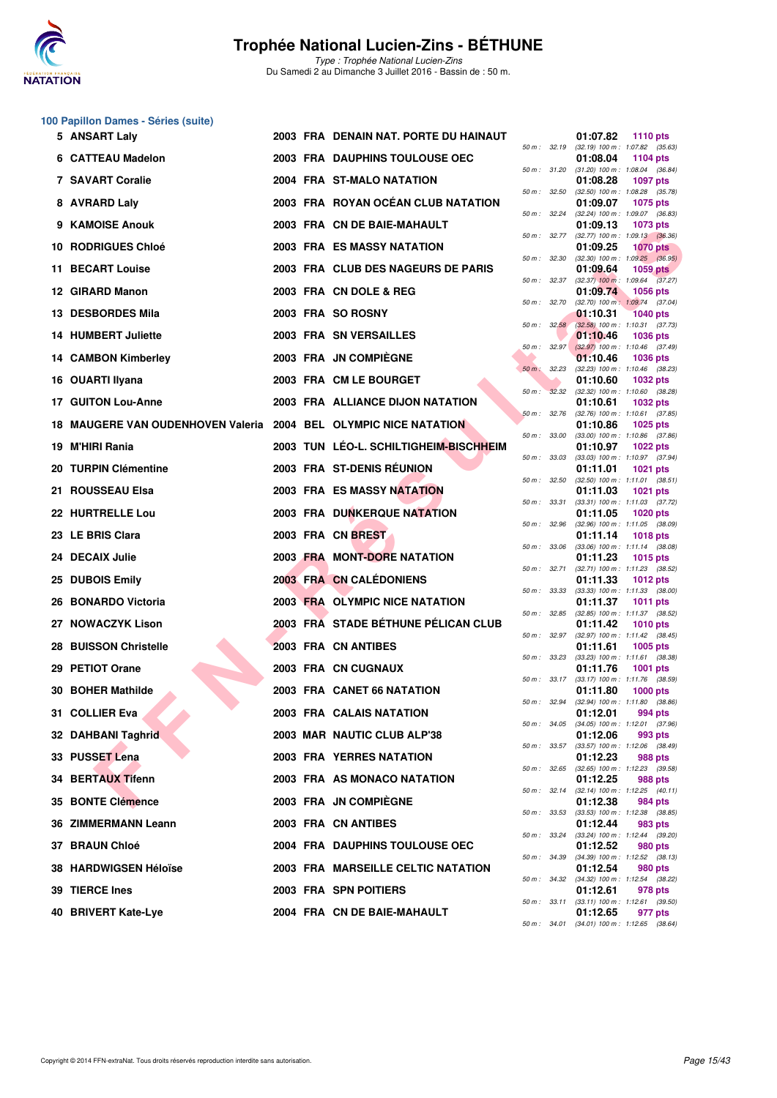

|  |  |  | 100 Papillon Dames - Séries (suite) |  |  |
|--|--|--|-------------------------------------|--|--|
|--|--|--|-------------------------------------|--|--|

|     | 5 ANSART Laly                                                 |  | 2003 FRA DENAIN NAT. PORTE DU HAINAUT  |                              |              | 01:07.82 | <b>1110 pts</b>                                                                               |
|-----|---------------------------------------------------------------|--|----------------------------------------|------------------------------|--------------|----------|-----------------------------------------------------------------------------------------------|
|     | 6 CATTEAU Madelon                                             |  | 2003 FRA DAUPHINS TOULOUSE OEC         |                              | 50 m : 32.19 | 01:08.04 | (32.19) 100 m: 1:07.82 (35.63)<br>1104 pts                                                    |
|     | 7 SAVART Coralie                                              |  | 2004 FRA ST-MALO NATATION              | 50 m: 32.50                  | 50 m : 31.20 | 01:08.28 | $(31.20)$ 100 m : 1:08.04 $(36.84)$<br><b>1097 pts</b>                                        |
|     | 8 AVRARD Laly                                                 |  | 2003 FRA ROYAN OCEAN CLUB NATATION     |                              |              | 01:09.07 | $(32.50)$ 100 m : 1:08.28 $(35.78)$<br><b>1075 pts</b>                                        |
|     | 9 KAMOISE Anouk                                               |  | 2003 FRA CN DE BAIE-MAHAULT            | 50 m: 32.24                  |              | 01:09.13 | (32.24) 100 m: 1:09.07 (36.83)<br><b>1073 pts</b>                                             |
|     | <b>10 RODRIGUES Chloé</b>                                     |  | 2003 FRA ES MASSY NATATION             | 50 m: 32.77                  |              | 01:09.25 | $(32.77)$ 100 m : 1:09.13 $(36.36)$<br><b>1070 pts</b>                                        |
| 11. | <b>BECART Louise</b>                                          |  | 2003 FRA CLUB DES NAGEURS DE PARIS     | 50 m: 32.30                  |              | 01:09.64 | $(32.30)$ 100 m : 1:09.25 $(36.95)$<br>1059 $pts$                                             |
|     | 12 GIRARD Manon                                               |  | 2003 FRA CN DOLE & REG                 | 50 m: 32.37                  |              | 01:09.74 | $(32.37)$ 100 m : 1:09.64 $(37.27)$<br><b>1056 pts</b>                                        |
|     | 13 DESBORDES Mila                                             |  | 2003 FRA SO ROSNY                      | 50 m : 32.70                 | 50 m: 32.58  | 01:10.31 | $(32.70)$ 100 m : 1:09.74 $(37.04)$<br><b>1040 pts</b>                                        |
|     | <b>14 HUMBERT Juliette</b>                                    |  | 2003 FRA SN VERSAILLES                 |                              |              | 01:10.46 | $(32.58)$ 100 m : 1:10.31 $(37.73)$<br><b>1036 pts</b>                                        |
|     | 14 CAMBON Kimberley                                           |  | 2003 FRA JN COMPIEGNE                  | 50 m : 32.97                 |              | 01:10.46 | $(32.97)$ 100 m : 1:10.46 $(37.49)$<br><b>1036 pts</b><br>$(32.23)$ 100 m : 1:10.46 $(38.23)$ |
|     | 16 OUARTI Ilyana                                              |  | 2003 FRA CM LE BOURGET                 | 50 m : 32.23<br>50 m : 32.32 |              | 01:10.60 | <b>1032 pts</b><br>$(32.32)$ 100 m : 1:10.60 $(38.28)$                                        |
|     | <b>17 GUITON Lou-Anne</b>                                     |  | 2003 FRA ALLIANCE DIJON NATATION       | 50 m: 32.76                  |              | 01:10.61 | 1032 pts<br>$(32.76)$ 100 m : 1:10.61 $(37.85)$                                               |
| 18. | MAUGERE VAN OUDENHOVEN Valeria 2004 BEL OLYMPIC NICE NATATION |  |                                        | 50 m : 33.00                 |              | 01:10.86 | 1025 pts<br>$(33.00)$ 100 m : 1:10.86 $(37.86)$                                               |
|     | 19 M'HIRI Rania                                               |  | 2003 TUN LÉO-L. SCHILTIGHEIM-BISCHHEIM | 50 m : 33.03                 |              | 01:10.97 | <b>1022 pts</b><br>$(33.03)$ 100 m : 1:10.97 $(37.94)$                                        |
|     | 20 TURPIN Clémentine                                          |  | 2003 FRA ST-DENIS RÉUNION              | 50 m: 32.50                  |              | 01:11.01 | <b>1021 pts</b><br>$(32.50)$ 100 m : 1:11.01 $(38.51)$                                        |
| 21. | <b>ROUSSEAU Elsa</b>                                          |  | <b>2003 FRA ES MASSY NATATION</b>      | 50 m: 33.31                  |              | 01:11.03 | 1021 pts<br>$(33.31)$ 100 m : 1:11.03 $(37.72)$                                               |
|     | 22 HURTRELLE Lou                                              |  | <b>2003 FRA DUNKERQUE NATATION</b>     | 50 m: 32.96                  |              | 01:11.05 | <b>1020 pts</b><br>$(32.96)$ 100 m : 1:11.05 $(38.09)$                                        |
|     | 23 LE BRIS Clara                                              |  | 2003 FRA CN BREST                      | 50 m : 33.06                 |              | 01:11.14 | <b>1018 pts</b><br>$(33.06)$ 100 m : 1:11.14 $(38.08)$                                        |
|     | 24 DECAIX Julie                                               |  | 2003 FRA MONT-DORE NATATION            | 50 m : 32.71                 |              | 01:11.23 | <b>1015 pts</b><br>(32.71) 100 m: 1:11.23 (38.52)                                             |
|     | 25 DUBOIS Emily                                               |  | 2003 FRA CN CALEDONIENS                | 50 m: 33.33                  |              | 01:11.33 | <b>1012 pts</b><br>$(33.33)$ 100 m : 1:11.33 $(38.00)$                                        |
|     | 26 BONARDO Victoria                                           |  | 2003 FRA OLYMPIC NICE NATATION         | 50 m : 32.85                 |              | 01:11.37 | <b>1011 pts</b><br>$(32.85)$ 100 m : 1:11.37 $(38.52)$                                        |
|     | 27 NOWACZYK Lison                                             |  | 2003 FRA STADE BÉTHUNE PÉLICAN CLUB    |                              | 50 m : 32.97 | 01:11.42 | <b>1010 pts</b><br>$(32.97)$ 100 m : 1:11.42 $(38.45)$                                        |
|     | <b>28 BUISSON Christelle</b>                                  |  | <b>2003 FRA CN ANTIBES</b>             | 50 m: 33.23                  |              | 01:11.61 | 1005 pts<br>$(33.23)$ 100 m : 1:11.61 $(38.38)$                                               |
|     | 29 PETIOT Orane                                               |  | 2003 FRA CN CUGNAUX                    |                              | 50 m : 33.17 | 01:11.76 | 1001 pts<br>$(33.17)$ 100 m : 1:11.76 $(38.59)$                                               |
|     | 30 BOHER Mathilde                                             |  | 2003 FRA CANET 66 NATATION             | 50 m: 32.94                  |              | 01:11.80 | $1000$ pts<br>$(32.94)$ 100 m : 1:11.80 $(38.86)$                                             |
|     | 31 COLLIER Eva                                                |  | 2003 FRA CALAIS NATATION               |                              |              |          | 01:12.01 994 pts<br>50 m: 34.05 (34.05) 100 m: 1:12.01 (37.96)                                |
|     | 32 DAHBANI Taghrid                                            |  | 2003 MAR NAUTIC CLUB ALP'38            |                              |              | 01:12.06 | 993 pts<br>50 m: 33.57 (33.57) 100 m: 1:12.06 (38.49)                                         |
|     | 33 PUSSET Lena                                                |  | <b>2003 FRA YERRES NATATION</b>        |                              |              | 01:12.23 | 988 pts<br>50 m: 32.65 (32.65) 100 m: 1:12.23 (39.58)                                         |
|     | 34 BERTAUX Tifenn                                             |  | 2003 FRA AS MONACO NATATION            |                              | 50 m : 32.14 | 01:12.25 | 988 pts<br>$(32.14)$ 100 m : 1:12.25 $(40.11)$                                                |
|     | 35 BONTE Clémence                                             |  | 2003 FRA JN COMPIEGNE                  |                              | 50 m : 33.53 | 01:12.38 | 984 pts<br>$(33.53)$ 100 m : 1:12.38 $(38.85)$                                                |
|     | 36 ZIMMERMANN Leann                                           |  | 2003 FRA CN ANTIBES                    |                              | 50 m : 33.24 | 01:12.44 | 983 pts<br>$(33.24)$ 100 m : 1:12.44 $(39.20)$                                                |
|     | 37 BRAUN Chloé                                                |  | 2004 FRA DAUPHINS TOULOUSE OEC         |                              | 50 m : 34.39 | 01:12.52 | 980 pts<br>$(34.39)$ 100 m : 1:12.52 $(38.13)$                                                |
|     | <b>38 HARDWIGSEN Héloïse</b>                                  |  | 2003 FRA MARSEILLE CELTIC NATATION     |                              |              | 01:12.54 | 980 pts<br>50 m: 34.32 (34.32) 100 m: 1:12.54 (38.22)                                         |
|     | 39 TIERCE Ines                                                |  | 2003 FRA SPN POITIERS                  |                              |              | 01:12.61 | 978 pts<br>50 m: 33.11 (33.11) 100 m: 1:12.61 (39.50)                                         |
|     | 40 BRIVERT Kate-Lye                                           |  | 2004 FRA CN DE BAIE-MAHAULT            |                              |              | 01:12.65 | 977 pts<br>50 m: 34.01 (34.01) 100 m: 1:12.65 (38.64)                                         |
|     |                                                               |  |                                        |                              |              |          |                                                                                               |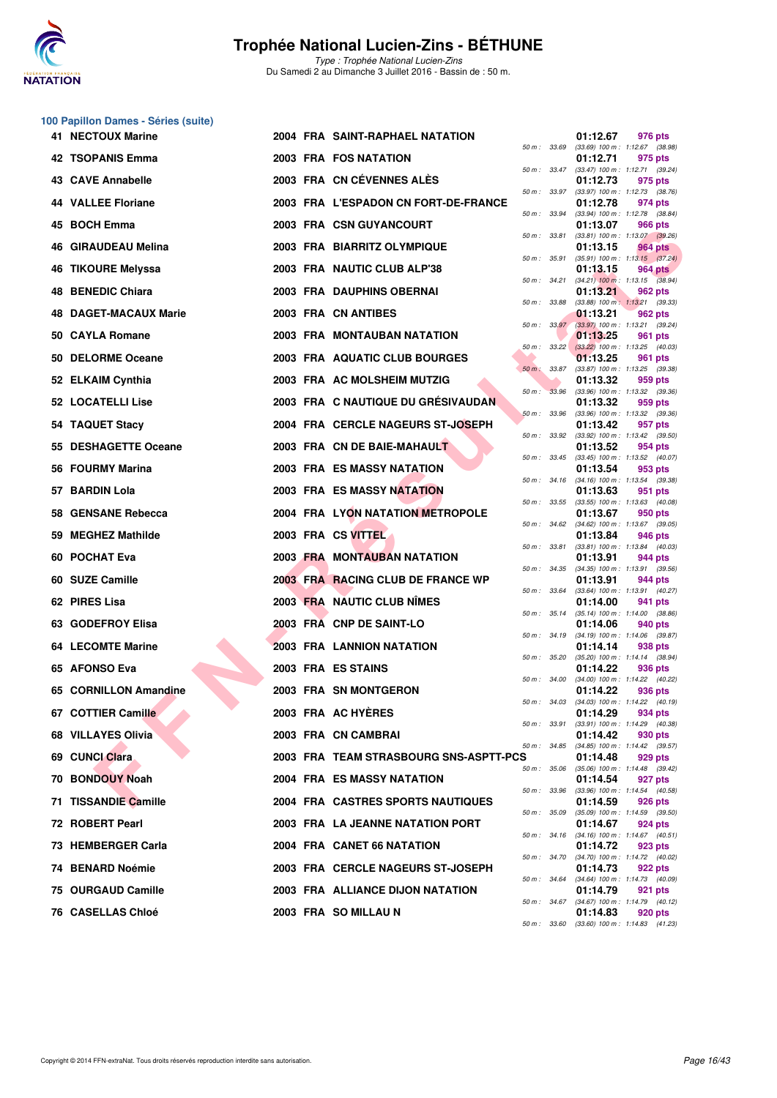

**100 Papillon Dames - Séries (suite)**

#### **Trophée National Lucien-Zins - BÉTHUNE**

| 41 NECTOUX Marine            | 2004 FRA SAINT-RAPHAEL NATATION          |                   | 01:12.67<br>976 pts                                                 |
|------------------------------|------------------------------------------|-------------------|---------------------------------------------------------------------|
| 42 TSOPANIS Emma             | 2003 FRA FOS NATATION                    | 50 m : 33.69      | $(33.69)$ 100 m : 1:12.67 $(38.98)$<br>01:12.71<br>975 pts          |
| 43 CAVE Annabelle            | 2003 FRA CN CÉVENNES ALÉS                |                   | 50 m: 33.47 (33.47) 100 m: 1:12.71 (39.24)<br>01:12.73<br>975 pts   |
| 44 VALLEE Floriane           | 2003 FRA L'ESPADON CN FORT-DE-FRANCE     | 50 m : 33.97      | $(33.97)$ 100 m : 1:12.73 $(38.76)$<br>01:12.78<br>974 pts          |
| 45 BOCH Emma                 | 2003 FRA CSN GUYANCOURT                  | 50 m : 33.94      | $(33.94)$ 100 m : 1:12.78 $(38.84)$<br>01:13.07<br>966 pts          |
| 46 GIRAUDEAU Melina          | 2003 FRA BIARRITZ OLYMPIQUE              | 50 m : 33.81      | $(33.81)$ 100 m : 1:13.07 $(39.26)$<br>01:13.15<br>964 pts          |
| <b>TIKOURE Melyssa</b><br>46 | 2003 FRA NAUTIC CLUB ALP'38              | 50 m : 35.91      | $(35.91)$ 100 m : 1:13.15 $(37.24)$<br>01:13.15<br>964 pts          |
| <b>48 BENEDIC Chiara</b>     | 2003 FRA DAUPHINS OBERNAI                | 50 m : 34.21      | $(34.21)$ 100 m : 1:13.15 $(38.94)$<br>01:13.21<br>962 pts          |
| <b>48 DAGET-MACAUX Marie</b> | 2003 FRA CN ANTIBES                      | 50 m : 33.88      | $(33.88)$ 100 m : 1:13.21 $(39.33)$<br>01:13.21<br>962 pts          |
| 50 CAYLA Romane              | 2003 FRA MONTAUBAN NATATION              |                   | 50 m: 33.97 (33.97) 100 m: 1:13.21 (39.24)<br>01:13.25<br>961 pts   |
| 50 DELORME Oceane            | 2003 FRA AQUATIC CLUB BOURGES            | 50 m: 33.22       | $(33.22)$ 100 m : 1:13.25 (40.03)<br>01:13.25<br>961 pts            |
| 52 ELKAIM Cynthia            | 2003 FRA AC MOLSHEIM MUTZIG              | 50 m : 33.87      | (33.87) 100 m: 1:13.25 (39.38)<br>01:13.32<br>959 pts               |
| 52 LOCATELLI Lise            | 2003 FRA C NAUTIQUE DU GRÉSIVAUDAN       | 33.96<br>$50 m$ : | (33.96) 100 m: 1:13.32 (39.36)<br>01:13.32<br>959 pts               |
| 54 TAQUET Stacy              | 2004 FRA CERCLE NAGEURS ST-JOSEPH        | 50 m : 33.96      | (33.96) 100 m: 1:13.32 (39.36)<br>01:13.42<br>957 pts               |
| 55 DESHAGETTE Oceane         | 2003 FRA CN DE BAIE-MAHAULT              | 50 m : 33.92      | $(33.92)$ 100 m : 1:13.42 $(39.50)$<br>01:13.52<br>954 pts          |
| 56 FOURMY Marina             | 2003 FRA ES MASSY NATATION               | 50 m : 33.45      | $(33.45)$ 100 m : 1:13.52 $(40.07)$<br>01:13.54<br>953 pts          |
| 57 BARDIN Lola               | <b>2003 FRA ES MASSY NATATION</b>        |                   | 50 m: 34.16 (34.16) 100 m: 1:13.54 (39.38)<br>01:13.63<br>951 pts   |
| 58 GENSANE Rebecca           | 2004 FRA LYON NATATION METROPOLE         | 50 m : 33.55      | $(33.55)$ 100 m : 1:13.63 $(40.08)$<br>01:13.67<br>950 pts          |
| <b>MEGHEZ Mathilde</b><br>59 | 2003 FRA CS VITTEL                       | 50 m : 34.62      | $(34.62)$ 100 m : 1:13.67 $(39.05)$<br>01:13.84<br>946 pts          |
| 60 POCHAT Eva                | 2003 FRA MONTAUBAN NATATION              | 50 m : 33.81      | (33.81) 100 m: 1:13.84 (40.03)<br>01:13.91<br>944 pts               |
| 60 SUZE Camille              | 2003 FRA RACING CLUB DE FRANCE WP        | 50 m : 34.35      | $(34.35)$ 100 m : 1:13.91 $(39.56)$<br>01:13.91<br>944 pts          |
| 62 PIRES Lisa                | 2003 FRA NAUTIC CLUB NÎMES               | 50 m : 33.64      | (33.64) 100 m: 1:13.91 (40.27)<br>01:14.00<br>941 pts               |
| 63 GODEFROY Elisa            | 2003 FRA CNP DE SAINT-LO                 | 50 m : 35.14      | $(35.14)$ 100 m : 1:14.00 $(38.86)$<br>01:14.06<br>940 pts          |
| <b>64 LECOMTE Marine</b>     | <b>2003 FRA LANNION NATATION</b>         |                   | 50 m: 34.19 (34.19) 100 m: 1:14.06 (39.87)<br>01:14.14<br>938 pts   |
| 65 AFONSO Eva                | 2003 FRA ES STAINS                       | 50 m : 35.20      | (35.20) 100 m: 1:14.14 (38.94)<br>01:14.22<br>936 pts               |
| 65 CORNILLON Amandine        | 2003 FRA SN MONTGERON                    | 50 m : 34.00      | (34.00) 100 m: 1:14.22 (40.22)<br>01:14.22<br>936 pts               |
| 67 COTTIER Camille           | 2003 FRA AC HYÈRES                       |                   | 50 m: 34.03 (34.03) 100 m: 1:14.22 (40.19)<br>01:14.29<br>934 pts   |
| 68 VILLAYES Olivia           | 2003 FRA CN CAMBRAI                      |                   | 50 m : 33.91 (33.91) 100 m : 1:14.29 (40.38)<br>01:14.42<br>930 pts |
| 69 CUNCI Clara               | 2003 FRA TEAM STRASBOURG SNS-ASPTT-PCS   |                   | 50 m: 34.85 (34.85) 100 m: 1:14.42 (39.57)<br>01:14.48<br>929 pts   |
| 70 BONDOUY Noah              | 2004 FRA ES MASSY NATATION               | 50 m : 35.06      | $(35.06)$ 100 m : 1:14.48 $(39.42)$<br>01:14.54<br>927 pts          |
| 71 TISSANDIE Camille         | <b>2004 FRA CASTRES SPORTS NAUTIQUES</b> | 50 m : 33.96      | $(33.96)$ 100 m : 1:14.54 $(40.58)$<br>01:14.59<br>926 pts          |
| 72 ROBERT Pearl              | 2003 FRA LA JEANNE NATATION PORT         | 50 m : 35.09      | (35.09) 100 m: 1:14.59 (39.50)<br>01:14.67<br>924 pts               |
|                              | 2004 FRA CANET 66 NATATION               |                   | 50 m: 34.16 (34.16) 100 m: 1:14.67 (40.51)                          |
| 73 HEMBERGER Carla           |                                          |                   | 01:14.72<br>923 pts<br>50 m : 34.70 (34.70) 100 m : 1:14.72 (40.02) |
| 74 BENARD Noémie             | 2003 FRA CERCLE NAGEURS ST-JOSEPH        |                   | 01:14.73<br>922 pts<br>50 m: 34.64 (34.64) 100 m: 1:14.73 (40.09)   |
| 75 OURGAUD Camille           | 2003 FRA ALLIANCE DIJON NATATION         |                   | 01:14.79<br>921 pts<br>50 m : 34.67 (34.67) 100 m : 1:14.79 (40.12) |
| <b>76 CASELLAS Chloé</b>     | 2003 FRA SO MILLAU N                     |                   | 01:14.83<br>920 pts<br>50 m: 33.60 (33.60) 100 m: 1:14.83 (41.23)   |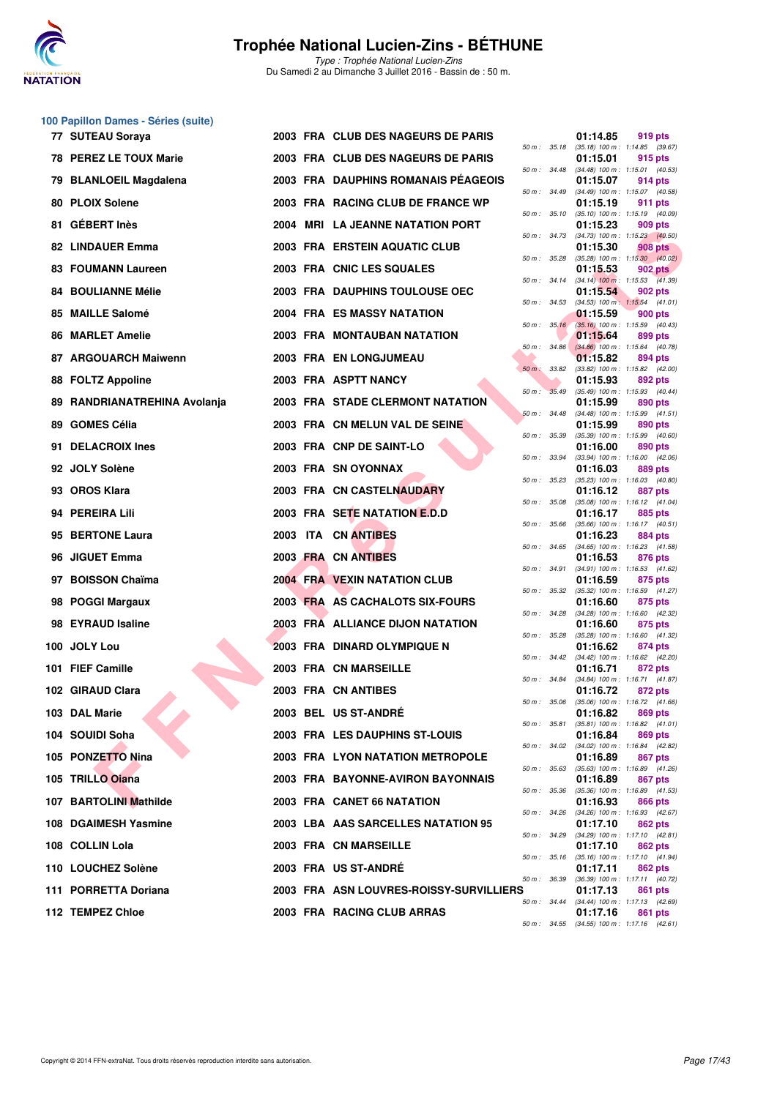

Type : Trophée National Lucien-Zins Du Samedi 2 au Dimanche 3 Juillet 2016 - Bassin de : 50 m.

# **100 Papillon Dames - Séries (suite)**

|     | 77 SUTEAU Soraya             |  | 2003 FRA CLUB DES NAGEURS DE PARIS      |                  |              | 01:14.85 | 919 pts                                                 |
|-----|------------------------------|--|-----------------------------------------|------------------|--------------|----------|---------------------------------------------------------|
|     | 78 PEREZ LE TOUX Marie       |  | 2003 FRA CLUB DES NAGEURS DE PARIS      |                  | 50 m : 35.18 | 01:15.01 | $(35.18)$ 100 m : 1:14.85 $(39.67)$<br>915 pts          |
|     | 79 BLANLOEIL Magdalena       |  | 2003 FRA DAUPHINS ROMANAIS PEAGEOIS     | 50 m : 34.48     |              | 01:15.07 | $(34.48)$ 100 m : 1:15.01 $(40.53)$<br>914 pts          |
|     | 80 PLOIX Solene              |  | 2003 FRA RACING CLUB DE FRANCE WP       | 50 m : 34.49     |              | 01:15.19 | (34.49) 100 m: 1:15.07 (40.58)<br>911 pts               |
|     | 81 GÉBERT Inès               |  | 2004 MRI LA JEANNE NATATION PORT        | 50 m: 35.10      |              | 01:15.23 | $(35.10)$ 100 m : 1:15.19 $(40.09)$<br>909 pts          |
|     | 82 LINDAUER Emma             |  | 2003 FRA ERSTEIN AQUATIC CLUB           | 50 m : 34.73     |              | 01:15.30 | $(34.73)$ 100 m : 1:15.23 $(40.50)$<br><b>908 pts</b>   |
|     | <b>83 FOUMANN Laureen</b>    |  | 2003 FRA CNIC LES SQUALES               | $50 m$ : $35.28$ |              | 01:15.53 | $(35.28)$ 100 m : 1:15.30 $(40.02)$<br>902 pts          |
|     | <b>84 BOULIANNE Mélie</b>    |  | 2003 FRA DAUPHINS TOULOUSE OEC          |                  | 50 m : 34.14 | 01:15.54 | $(34.14)$ 100 m : 1:15.53 $(41.39)$<br>902 pts          |
|     | 85 MAILLE Salomé             |  | <b>2004 FRA ES MASSY NATATION</b>       | 50 m: 34.53      |              | 01:15.59 | $(34.53)$ 100 m : 1:15.54 $(41.01)$<br>900 pts          |
|     | <b>86 MARLET Amelie</b>      |  | 2003 FRA MONTAUBAN NATATION             |                  | 50 m: 35.16  | 01:15.64 | $(35.16)$ 100 m : 1:15.59 $(40.43)$<br>899 pts          |
|     | 87 ARGOUARCH Maiwenn         |  | <b>2003 FRA EN LONGJUMEAU</b>           | 50 m: 34.86      |              | 01:15.82 | $(34.86)$ 100 m : 1:15.64 $(40.78)$<br>894 pts          |
|     | 88 FOLTZ Appoline            |  | 2003 FRA ASPTT NANCY                    | 50 m : 33.82     |              | 01:15.93 | (33.82) 100 m: 1:15.82 (42.00)<br>892 pts               |
|     |                              |  |                                         | $50 m$ :         | 35.49        |          | (35.49) 100 m: 1:15.93 (40.44)                          |
|     | 89 RANDRIANATREHINA Avolanja |  | 2003 FRA STADE CLERMONT NATATION        | 50 m: 34.48      |              | 01:15.99 | 890 pts<br>$(34.48)$ 100 m : 1:15.99 $(41.51)$          |
|     | 89 GOMES Célia               |  | 2003 FRA CN MELUN VAL DE SEINE          | 50 m : 35.39     |              | 01:15.99 | 890 pts<br>$(35.39)$ 100 m : 1:15.99 $(40.60)$          |
| 91. | <b>DELACROIX Ines</b>        |  | 2003 FRA CNP DE SAINT-LO                | 50 m : 33.94     |              | 01:16.00 | 890 pts<br>(33.94) 100 m: 1:16.00 (42.06)               |
|     | 92 JOLY Solène               |  | 2003 FRA SN OYONNAX                     | 50 m: 35.23      |              | 01:16.03 | 889 pts<br>$(35.23)$ 100 m : 1:16.03 $(40.80)$          |
|     | 93 OROS Klara                |  | <b>2003 FRA CN CASTELNAUDARY</b>        | 50 m: 35.08      |              | 01:16.12 | <b>887 pts</b><br>(35.08) 100 m: 1:16.12 (41.04)        |
|     | 94 PEREIRA Lili              |  | 2003 FRA SETE NATATION E.D.D            | 50 m: 35.66      |              | 01:16.17 | 885 pts<br>$(35.66)$ 100 m : 1:16.17 $(40.51)$          |
|     | 95 BERTONE Laura             |  | 2003 ITA CN ANTIBES                     |                  |              | 01:16.23 | 884 pts                                                 |
|     | 96 JIGUET Emma               |  | 2003 FRA CN ANTIBES                     |                  | 50 m : 34.65 | 01:16.53 | $(34.65)$ 100 m : 1:16.23 $(41.58)$<br>876 pts          |
|     | 97 BOISSON Chaïma            |  | <b>2004 FRA VEXIN NATATION CLUB</b>     |                  | 50 m : 34.91 | 01:16.59 | (34.91) 100 m: 1:16.53 (41.62)<br>875 pts               |
|     | 98 POGGI Margaux             |  | 2003 FRA AS CACHALOTS SIX-FOURS         |                  |              | 01:16.60 | 50 m: 35.32 (35.32) 100 m: 1:16.59 (41.27)<br>875 pts   |
|     | 98 EYRAUD Isaline            |  | 2003 FRA ALLIANCE DIJON NATATION        | 50 m: 34.28      |              | 01:16.60 | (34.28) 100 m: 1:16.60 (42.32)<br>875 pts               |
|     | 100 JOLY Lou                 |  | 2003 FRA DINARD OLYMPIQUE N             | $50 m$ : $35.28$ |              | 01:16.62 | $(35.28)$ 100 m : 1:16.60 $(41.32)$<br>874 pts          |
|     | 101 FIEF Camille             |  | 2003 FRA CN MARSEILLE                   |                  |              | 01:16.71 | 50 m: 34.42 (34.42) 100 m: 1:16.62 (42.20)<br>872 pts   |
|     | 102 GIRAUD Clara             |  | 2003 FRA CN ANTIBES                     |                  | 50 m : 34.84 | 01:16.72 | (34.84) 100 m: 1:16.71 (41.87)<br>872 pts               |
|     | 103 DAL Marie                |  | 2003 BEL US ST-ANDRÉ                    | 50 m : 35.06     |              |          | $(35.06)$ 100 m : 1:16.72 $(41.66)$<br>01:16.82 869 pts |
|     | 104   SOUIDI Soha            |  | 2003 FRA LES DAUPHINS ST-LOUIS          |                  |              | 01:16.84 | 50 m: 35.81 (35.81) 100 m: 1:16.82 (41.01)<br>869 pts   |
|     | 105 PONZETTO Nina            |  | <b>2003 FRA LYON NATATION METROPOLE</b> |                  |              | 01:16.89 | 50 m: 34.02 (34.02) 100 m: 1:16.84 (42.82)<br>867 pts   |
|     | 105 TRILLO Ojana             |  |                                         |                  |              |          | 50 m: 35.63 (35.63) 100 m: 1:16.89 (41.26)              |
|     |                              |  | 2003 FRA BAYONNE-AVIRON BAYONNAIS       |                  |              | 01:16.89 | 867 pts<br>50 m: 35.36 (35.36) 100 m: 1:16.89 (41.53)   |
|     | 107 BARTOLINI Mathilde       |  | 2003 FRA CANET 66 NATATION              |                  |              | 01:16.93 | 866 pts<br>50 m: 34.26 (34.26) 100 m: 1:16.93 (42.67)   |
|     | 108 DGAIMESH Yasmine         |  | 2003 LBA AAS SARCELLES NATATION 95      |                  |              | 01:17.10 | 862 pts<br>50 m: 34.29 (34.29) 100 m: 1:17.10 (42.81)   |
|     | 108 COLLIN Lola              |  | 2003 FRA CN MARSEILLE                   |                  |              | 01:17.10 | 862 pts<br>50 m: 35.16 (35.16) 100 m: 1:17.10 (41.94)   |
|     | 110 LOUCHEZ Solène           |  | 2003 FRA US ST-ANDRÉ                    |                  |              | 01:17.11 | 862 pts<br>50 m: 36.39 (36.39) 100 m: 1:17.11 (40.72)   |
|     | 111 PORRETTA Doriana         |  | 2003 FRA ASN LOUVRES-ROISSY-SURVILLIERS |                  |              | 01:17.13 | 861 pts<br>50 m: 34.44 (34.44) 100 m: 1:17.13 (42.69)   |
|     | 112 TEMPEZ Chloe             |  | 2003 FRA RACING CLUB ARRAS              |                  |              | 01:17.16 | 861 pts                                                 |

|          |       | 01:14.85                      | 919 pts                              |
|----------|-------|-------------------------------|--------------------------------------|
| $50 m$ : | 35.18 | (35.18) 100 m :<br>01:15.01   | 1:14.85<br>(39.67)<br>915 pts        |
| $50 m$ : | 34.48 | (34.48) 100 m :               | 1:15.01<br>(40.53)                   |
|          |       | 01:15.07                      | 914 pts                              |
| $50 m$ : | 34.49 | $(34.49) 100 m$ :             | 1:15.07<br>(40.58)                   |
| $50 m$ : | 35.10 | 01:15.19<br>$(35.10) 100 m$ : | 911<br>pts<br>1:15.19<br>(40.09)     |
|          |       | 01:15.23                      | 909 pts                              |
| $50 m$ : | 34.73 | (34.73) 100 m :               | 1:15.23<br>(40.50)                   |
| 50 m :   | 35.28 | 01:15.30<br>$(35.28) 100 m$ : | <b>908 pts</b><br>1:15.30<br>(40.02) |
|          |       | 01:15.53                      | <b>902 pts</b>                       |
| $50 m$ : | 34.14 | $(34.14)$ 100 m :             | 1:15.53<br>(41.39)                   |
| $50 m$ : | 34.53 | 01:15.54<br>$(34.53)$ 100 m : | 902 pts<br>1:15.54<br>(41.01)        |
|          |       | 01:15.59                      | <b>900 pts</b>                       |
| 50 m :   | 35.16 | $(35.16) 100 m$ :             | 1:15.59<br>(40.43)                   |
| $50 m$ : | 34.86 | 01:15.64<br>$(34.86)$ 100 m : | 899 pts<br>1:15.64<br>(40.78)        |
|          |       | 01:15.82                      | 894 pts                              |
| $50 m$ : | 33.82 | $(33.82)$ 100 m :             | 1:15.82<br>(42.00)                   |
|          |       | 01:15.93                      | 892 pts                              |
| $50 m$ : | 35.49 | $(35.49) 100 m$ :<br>01:15.99 | (40.44)<br>1:15.93<br>890 pts        |
| $50 m$ : | 34.48 | (34.48) 100 m :               | 1:15.99<br>(41.51)                   |
|          |       | 01:15.99                      | 890 pts                              |
| $50 m$ : | 35.39 | (35.39) 100 m :<br>01:16.00   | 1:15.99<br>(40.60)<br>890 pts        |
| $50 m$ : | 33.94 | $(33.94)$ 100 m :             | 1:16.00<br>(42.06)                   |
|          |       | 01:16.03                      | 889 pts                              |
| $50 m$ : | 35.23 | $(35.23) 100 m$ :<br>01:16.12 | 1:16.03<br>(40.80)<br>887            |
| $50 m$ : | 35.08 | (35.08) 100 m :               | pts<br>1:16.12<br>(41.04)            |
|          |       | 01:16.17                      | 885 pts                              |
| 50 m :   | 35.66 | $(35.66) 100 m$ :             | 1:16.17<br>(40.51)                   |
| $50 m$ : | 34.65 | 01:16.23<br>$(34.65)$ 100 m : | 884 pts<br>(41.58)<br>1:16.23        |
|          |       | 01:16.53                      | 876 pts                              |
| $50 m$ : | 34.91 | $(34.91)$ 100 m :             | 1:16.53<br>(41.62)                   |
| 50 m :   | 35.32 | 01:16.59<br>$(35.32)$ 100 m : | 875 pts<br>1:16.59<br>(41.27)        |
|          |       | 01:16.60                      | 875 pts                              |
| $50 m$ : | 34.28 | (34.28) 100 m :               | 1:16.60<br>(42.32)                   |
| $50 m$ : | 35.28 | 01:16.60<br>$(35.28) 100 m$ : | 875 pts<br>(41.32)<br>1:16.60        |
|          |       | 01:16.62                      | 874 pts                              |
| 50 m :   | 34.42 | $(34.42)$ 100 m :             | (42.20)<br>1:16.62                   |
| $50 m$ : | 34.84 | 01:16.71<br>$(34.84) 100 m$ : | 872 pts<br>1:16.71<br>(41.87)        |
|          |       | 01:16.72                      | 872 pts                              |
| 50 m :   | 35.06 | (35.06) 100 m :               | 1:16.72<br>(41.66)                   |
| $50 m$ : | 35.81 | 01:16.82<br>$(35.81) 100 m$ : | 869 pts<br>1:16.82<br>(41.01)        |
|          |       | 01:16.84                      | 869 pts                              |
| $50 m$ : | 34.02 | $(34.02)$ 100 m :             | 1:16.84<br>(42.82)                   |
|          | 35.63 | 01:16.89<br>$(35.63) 100 m$ : | 867<br>pts<br>1:16.89<br>(41.26)     |
| $50 m$ : |       | 01:16.89                      | 867<br>pts                           |
| $50 m$ : | 35.36 | $(35.36) 100 m$ :             | 1:16.89<br>(41.53)                   |
|          |       | 01:16.93                      | <b>866 pts</b>                       |
| $50 m$ : | 34.26 | $(34.26)$ 100 m :<br>01:17.10 | 1:16.93<br>(42.67)<br><b>862 pts</b> |
| $50 m$ : | 34.29 | (34.29) 100 m :               | 1:17.10<br>(42.81)                   |
|          |       | 01:17.10                      | <b>862 pts</b>                       |
| $50 m$ : | 35.16 | (35.16) 100 m :<br>01:17.11   | 1:17.10<br>(41.94)<br>862 pts        |
| $50 m$ : | 36.39 | (36.39) 100 m :               | 1:17.11<br>(40.72)                   |
|          |       | 01:17.13                      | 861<br>pts                           |
| $50 m$ : | 34.44 | $(34.44) 100 m$ :<br>01:17.16 | 1:17.13<br>(42.69)<br>861<br>pts     |
| $50 m$ : | 34.55 | $(34.55)$ 100 m :             | 1:17.16<br>(42.61)                   |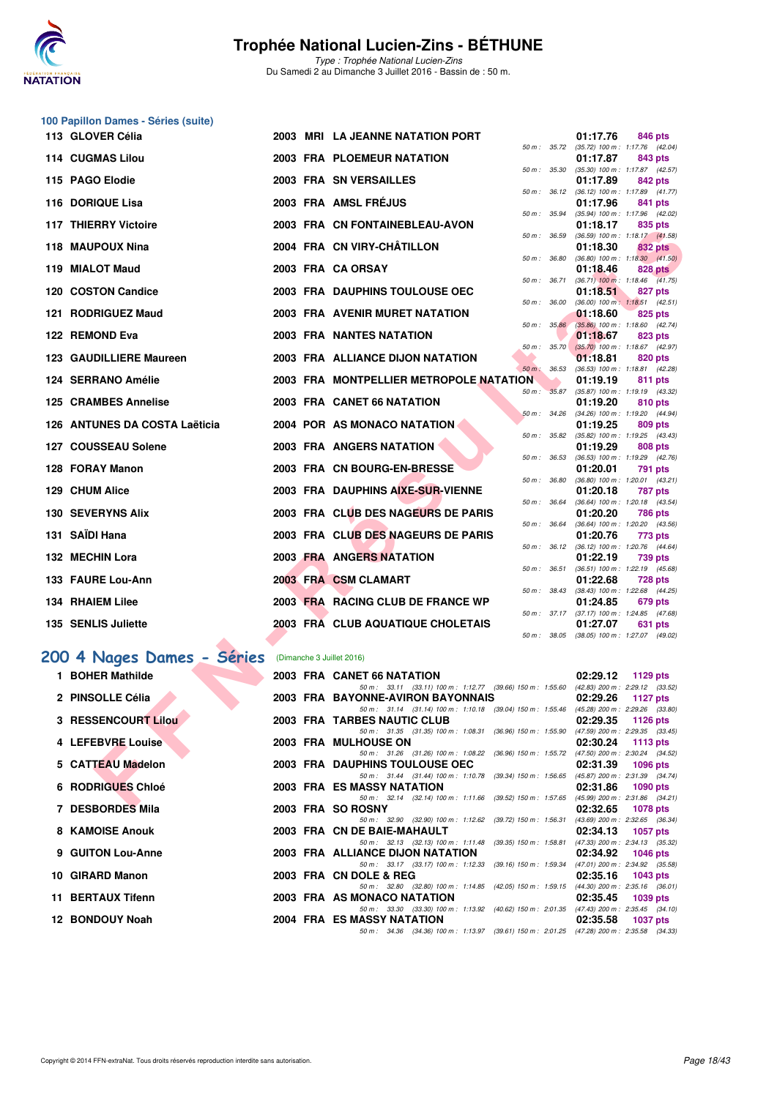

Type : Trophée National Lucien-Zins Du Samedi 2 au Dimanche 3 Juillet 2016 - Bassin de : 50 m.

| 100 Papillon Dames - Séries (suite) |  |                                                                                                                            |                                                                   |
|-------------------------------------|--|----------------------------------------------------------------------------------------------------------------------------|-------------------------------------------------------------------|
| 113 GLOVER Célia                    |  | 2003 MRI LA JEANNE NATATION PORT                                                                                           | 01:17.76<br>846 pts                                               |
| 114 CUGMAS Lilou                    |  | <b>2003 FRA PLOEMEUR NATATION</b>                                                                                          | 50 m: 35.72 (35.72) 100 m: 1:17.76 (42.04)<br>01:17.87<br>843 pts |
| 115 PAGO Elodie                     |  | 50 m : 35.30<br>2003 FRA SN VERSAILLES                                                                                     | $(35.30)$ 100 m : 1:17.87 $(42.57)$<br>01:17.89<br>842 pts        |
| 116 DORIQUE Lisa                    |  | 50 m: 36.12<br>2003 FRA AMSL FRÉJUS                                                                                        | (36.12) 100 m: 1:17.89 (41.77)<br>01:17.96<br>841 pts             |
|                                     |  | 50 m : 35.94                                                                                                               | (35.94) 100 m: 1:17.96 (42.02)                                    |
| <b>117 THIERRY Victoire</b>         |  | 2003 FRA CN FONTAINEBLEAU-AVON<br>50 m : 36.59                                                                             | 01:18.17<br>835 pts<br>$(36.59)$ 100 m : 1:18.17 $(41.58)$        |
| 118 MAUPOUX Nina                    |  | 2004 FRA CN VIRY-CHÂTILLON<br>50 m : 36.80                                                                                 | 01:18.30<br>832 pts<br>$(36.80)$ 100 m : 1:18.30 $(41.50)$        |
| 119 MIALOT Maud                     |  | 2003 FRA CA ORSAY                                                                                                          | 01:18.46<br>828 pts                                               |
| 120 COSTON Candice                  |  | 50 m : 36.71<br>2003 FRA DAUPHINS TOULOUSE OEC                                                                             | $(36.71)$ 100 m : 1:18.46 $(41.75)$<br>01:18.51<br>827 pts        |
| 121 RODRIGUEZ Maud                  |  | 50 m : 36.00<br>2003 FRA AVENIR MURET NATATION                                                                             | $(36.00)$ 100 m : 1:18.51 $(42.51)$<br>01:18.60<br>825 pts        |
| 122 REMOND Eva                      |  | 50 m: 35.86<br><b>2003 FRA NANTES NATATION</b>                                                                             | $(35.86)$ 100 m : 1:18.60 $(42.74)$<br>01:18.67<br>823 pts        |
|                                     |  | 50 m : 35.70                                                                                                               | $(35.70)$ 100 m : 1:18.67 $(42.97)$                               |
| 123 GAUDILLIERE Maureen             |  | 2003 FRA ALLIANCE DIJON NATATION<br>$50 m$ : $36.53$                                                                       | 01:18.81<br>820 pts<br>(36.53) 100 m: 1:18.81 (42.28)             |
| 124 SERRANO Amélie                  |  | 2003 FRA MONTPELLIER METROPOLE NATATION                                                                                    | 01:19.19<br>811 pts                                               |
| <b>125 CRAMBES Annelise</b>         |  | 50 m: 35.87<br>2003 FRA CANET 66 NATATION                                                                                  | (35.87) 100 m: 1:19.19 (43.32)<br>01:19.20<br>810 pts             |
|                                     |  | 50 m: 34.26                                                                                                                | (34.26) 100 m: 1:19.20 (44.94)                                    |
| 126 ANTUNES DA COSTA Laëticia       |  | 2004 POR AS MONACO NATATION<br>50 m : 35.82                                                                                | 01:19.25<br>809 pts<br>$(35.82)$ 100 m : 1:19.25 $(43.43)$        |
| 127 COUSSEAU Solene                 |  | 2003 FRA ANGERS NATATION<br>50 m: 36.53                                                                                    | 01:19.29<br>808 pts                                               |
| 128 FORAY Manon                     |  | 2003 FRA CN BOURG-EN-BRESSE                                                                                                | (36.53) 100 m: 1:19.29 (42.76)<br>01:20.01<br>791 pts             |
| 129 CHUM Alice                      |  | 50 m : 36.80<br>2003 FRA DAUPHINS AIXE-SUR-VIENNE                                                                          | $(36.80)$ 100 m : 1:20.01 $(43.21)$<br>01:20.18<br><b>787 pts</b> |
| <b>130 SEVERYNS Alix</b>            |  | 50 m : 36.64<br>2003 FRA CLUB DES NAGEURS DE PARIS                                                                         | (36.64) 100 m: 1:20.18 (43.54)<br>01:20.20<br>786 pts             |
|                                     |  | 50 m : 36.64                                                                                                               | (36.64) 100 m: 1:20.20 (43.56)                                    |
| 131 SAÏDI Hana                      |  | 2003 FRA CLUB DES NAGEURS DE PARIS<br>50 m : 36.12                                                                         | 01:20.76<br>773 pts<br>$(36.12)$ 100 m : 1:20.76 $(44.64)$        |
| 132 MECHIN Lora                     |  | <b>2003 FRA ANGERS NATATION</b>                                                                                            | 01:22.19<br>739 pts                                               |
| 133 FAURE Lou-Ann                   |  | 50 m : 36.51<br>2003 FRA CSM CLAMART                                                                                       | $(36.51)$ 100 m : 1:22.19 $(45.68)$<br>01:22.68<br><b>728 pts</b> |
| <b>134 RHAIEM Lilee</b>             |  | 50 m : 38.43<br>2003 FRA RACING CLUB DE FRANCE WP                                                                          | $(38.43)$ 100 m : 1:22.68 $(44.25)$<br>01:24.85<br>679 pts        |
|                                     |  | 50 m : 37.17                                                                                                               | $(37.17)$ 100 m : 1:24.85 $(47.68)$                               |
| 135 SENLIS Juliette                 |  | 2003 FRA CLUB AQUATIQUE CHOLETAIS<br>50 m : 38.05                                                                          | 01:27.07<br>631 pts<br>$(38.05)$ 100 m : 1:27.07 $(49.02)$        |
|                                     |  | (Dimanche 3 Juillet 2016)                                                                                                  |                                                                   |
| 200 4 Nages Dames - Séries          |  |                                                                                                                            |                                                                   |
| 1 BOHER Mathilde                    |  | 2003 FRA CANET 66 NATATION<br>50 m: 33.11 (33.11) 100 m: 1:12.77 (39.66) 150 m: 1:55.60 (42.83) 200 m: 2:29.12 (33.52)     | 02:29.12<br>1129 pts                                              |
| 2 PINSOLLE Célia<br><b>Allen</b>    |  | 2003 FRA BAYONNE-AVIRON BAYONNAIS                                                                                          | 02:29.26 1127 pts                                                 |
| 3 RESSENCOURT Lilou                 |  | 50 m: 31.14 (31.14) 100 m: 1:10.18 (39.04) 150 m: 1:55.46 (45.28) 200 m: 2:29.26 (33.80)<br>2003 FRA TARBES NAUTIC CLUB    | 02:29.35<br><b>1126 pts</b>                                       |
| 4 LEFEBVRE Louise                   |  | 50 m: 31.35 (31.35) 100 m: 1:08.31 (36.96) 150 m: 1:55.90<br>2003 FRA MULHOUSE ON                                          | $(47.59)$ 200 m : 2:29.35 $(33.45)$<br>02:30.24<br>1113 pts       |
| 5 CATTEAU Madelon                   |  | 50 m: 31.26 (31.26) 100 m: 1:08.22 (36.96) 150 m: 1:55.72 (47.50) 200 m: 2:30.24 (34.52)                                   | <b>1096 pts</b>                                                   |
|                                     |  | 2003 FRA DAUPHINS TOULOUSE OEC<br>50 m: 31.44 (31.44) 100 m: 1:10.78 (39.34) 150 m: 1:56.65 (45.87) 200 m: 2:31.39 (34.74) | 02:31.39                                                          |
| <b>6 RODRIGUES Chloé</b>            |  | 2003 FRA ES MASSY NATATION<br>50 m: 32.14 (32.14) 100 m: 1:11.66 (39.52) 150 m: 1:57.65 (45.99) 200 m: 2:31.86 (34.21)     | 02:31.86<br>1090 pts                                              |
| <b>7 DECROPDEC MILA</b>             |  | $0.000$ FBA CO BOOUV                                                                                                       | 00.00 CE<br>4070                                                  |

# **[200 4 Nages Dames - Séries](http://www.ffnatation.fr/webffn/resultats.php?idact=nat&go=epr&idcpt=34121&idepr=41)** (Dimanche 3 Juillet 2016)

| 1 BOHER Mathilde           |  | 2003 FRA CANET 66 NATATION                                                               | 02:29.12 | 1129 $pts$          |
|----------------------------|--|------------------------------------------------------------------------------------------|----------|---------------------|
|                            |  | 50 m: 33.11 (33.11) 100 m: 1:12.77 (39.66) 150 m: 1:55.60 (42.83) 200 m: 2:29.12 (33.52) |          |                     |
| 2 PINSOLLE Célia           |  | 2003 FRA BAYONNE-AVIRON BAYONNAIS                                                        | 02:29.26 | 1127 pts            |
|                            |  | 50 m: 31.14 (31.14) 100 m: 1:10.18 (39.04) 150 m: 1:55.46 (45.28) 200 m: 2:29.26 (33.80) |          |                     |
| <b>3 RESSENCOURT Lilou</b> |  | 2003 FRA TARBES NAUTIC CLUB                                                              | 02:29.35 | 1126 $pts$          |
|                            |  | 50 m: 31.35 (31.35) 100 m: 1:08.31 (36.96) 150 m: 1:55.90 (47.59) 200 m: 2:29.35 (33.45) |          |                     |
| 4 LEFEBVRE Louise          |  | 2003 FRA MULHOUSE ON                                                                     | 02:30.24 | 1113 $pts$          |
|                            |  | 50 m: 31.26 (31.26) 100 m: 1:08.22 (36.96) 150 m: 1:55.72 (47.50) 200 m: 2:30.24 (34.52) |          |                     |
| 5 CATTEAU Madelon          |  | 2003 FRA DAUPHINS TOULOUSE OEC                                                           |          | 02:31.39 1096 pts   |
|                            |  | 50 m: 31.44 (31.44) 100 m: 1:10.78 (39.34) 150 m: 1:56.65 (45.87) 200 m: 2:31.39 (34.74) |          |                     |
| 6 RODRIGUES Chloé          |  | 2003 FRA ES MASSY NATATION                                                               |          | $02:31.86$ 1090 pts |
|                            |  | 50 m: 32.14 (32.14) 100 m: 1:11.66 (39.52) 150 m: 1:57.65 (45.99) 200 m: 2:31.86 (34.21) |          |                     |
| 7 DESBORDES Mila           |  | 2003 FRA SO ROSNY                                                                        |          | $02:32.65$ 1078 pts |
|                            |  | 50 m: 32.90 (32.90) 100 m: 1:12.62 (39.72) 150 m: 1:56.31 (43.69) 200 m: 2:32.65 (36.34) |          |                     |
| 8 KAMOISE Anouk            |  | 2003 FRA CN DE BAIE-MAHAULT                                                              | 02:34.13 | 1057 pts            |
|                            |  | 50 m: 32.13 (32.13) 100 m: 1:11.48 (39.35) 150 m: 1:58.81 (47.33) 200 m: 2:34.13 (35.32) |          |                     |
| 9 GUITON Lou-Anne          |  | 2003 FRA ALLIANCE DIJON NATATION                                                         | 02:34.92 | 1046 pts            |
|                            |  | 50 m: 33.17 (33.17) 100 m: 1:12.33 (39.16) 150 m: 1:59.34 (47.01) 200 m: 2:34.92 (35.58) |          |                     |
| 10 GIRARD Manon            |  | 2003 FRA CN DOLE & REG                                                                   | 02:35.16 | 1043 pts            |
|                            |  | 50 m: 32.80 (32.80) 100 m: 1:14.85 (42.05) 150 m: 1:59.15 (44.30) 200 m: 2:35.16 (36.01) |          |                     |
| 11 BERTAUX Tifenn          |  | 2003 FRA AS MONACO NATATION                                                              | 02:35.45 | 1039 pts            |
|                            |  | 50 m: 33.30 (33.30) 100 m: 1:13.92 (40.62) 150 m: 2:01.35 (47.43) 200 m: 2:35.45 (34.10) |          |                     |
| 12 BONDOUY Noah            |  | 2004 FRA ES MASSY NATATION                                                               | 02:35.58 | 1037 pts            |
|                            |  | 50 m: 34.36 (34.36) 100 m: 1:13.97 (39.61) 150 m: 2:01.25 (47.28) 200 m: 2:35.58 (34.33) |          |                     |
|                            |  |                                                                                          |          |                     |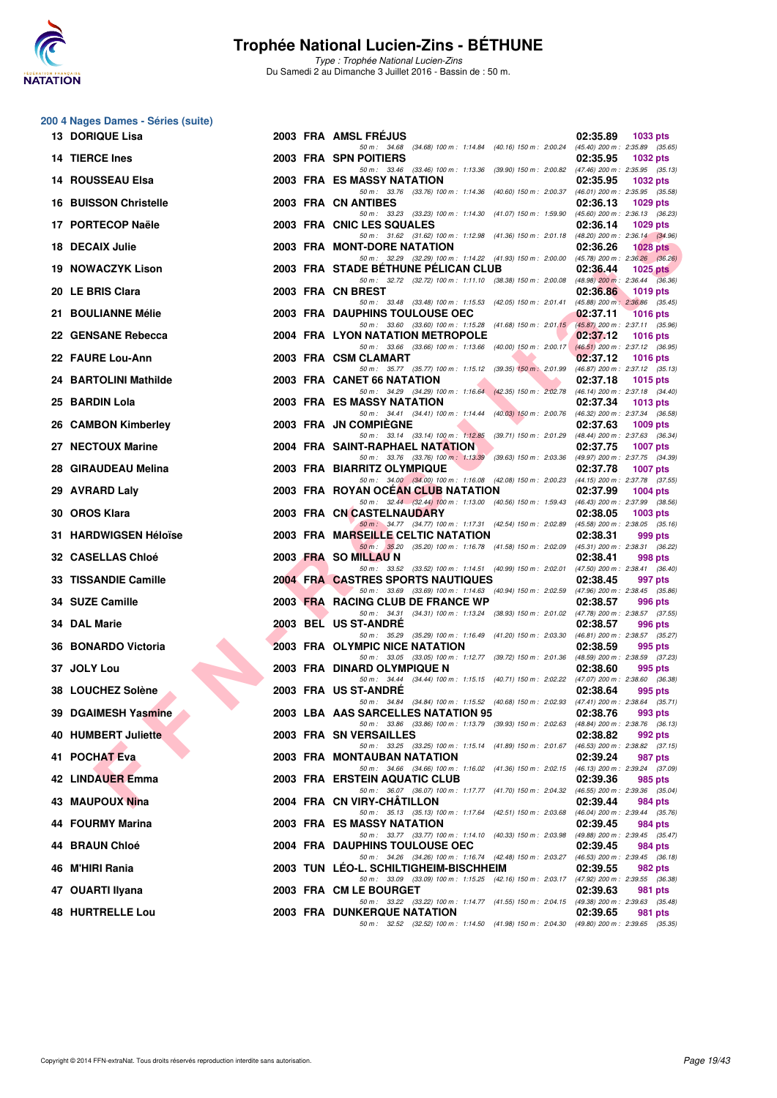

| 13 DORIQUE Lisa              |  | 2003 FRA AMSL FREJUS                                                                                                                 | 02:35.89 | 1033 pts        |
|------------------------------|--|--------------------------------------------------------------------------------------------------------------------------------------|----------|-----------------|
| 14 TIERCE Ines               |  | 50 m: 34.68 (34.68) 100 m: 1:14.84 (40.16) 150 m: 2:00.24 (45.40) 200 m: 2:35.89 (35.65)<br>2003 FRA SPN POITIERS                    | 02:35.95 | <b>1032 pts</b> |
| 14 ROUSSEAU Elsa             |  | 50 m: 33.46 (33.46) 100 m: 1:13.36 (39.90) 150 m: 2:00.82 (47.46) 200 m: 2:35.95 (35.13)<br>2003 FRA ES MASSY NATATION               | 02:35.95 | <b>1032 pts</b> |
| <b>16 BUISSON Christelle</b> |  | 50 m: 33.76 (33.76) 100 m: 1:14.36 (40.60) 150 m: 2:00.37 (46.01) 200 m: 2:35.95 (35.58)<br>2003 FRA CN ANTIBES                      | 02:36.13 | <b>1029 pts</b> |
| 17 PORTECOP Naële            |  | 50 m: 33.23 (33.23) 100 m: 1:14.30 (41.07) 150 m: 1:59.90 (45.60) 200 m: 2:36.13 (36.23)<br>2003 FRA CNIC LES SQUALES                | 02:36.14 | $1029$ pts      |
| 18 DECAIX Julie              |  | 50 m: 31.62 (31.62) 100 m: 1:12.98 (41.36) 150 m: 2:01.18 (48.20) 200 m: 2:36.14 (34.96)<br>2003 FRA MONT-DORE NATATION              | 02:36.26 | 1028 $pts$      |
| <b>19 NOWACZYK Lison</b>     |  | 50 m: 32.29 (32.29) 100 m: 1:14.22 (41.93) 150 m: 2:00.00 (45.78) 200 m: 2:36.26 (36.26)<br>2003 FRA STADE BETHUNE PELICAN CLUB      | 02:36.44 | 1025 $p$ ts     |
|                              |  | 50 m: 32.72 (32.72) 100 m: 1:11.10 (38.38) 150 m: 2:00.08 (48.98) 200 m: 2:36.44 (36.36)                                             |          |                 |
| 20 LE BRIS Clara             |  | 2003 FRA CN BREST<br>50 m: 33.48 (33.48) 100 m: 1:15.53 (42.05) 150 m: 2:01.41 (45.88) 200 m: 2:36.86 (35.45)                        | 02:36.86 | 1019 pts        |
| 21 BOULIANNE Mélie           |  | <b>2003 FRA DAUPHINS TOULOUSE OEC</b><br>50 m: 33.60 (33.60) 100 m: 1:15.28 (41.68) 150 m: 2:01.15 (45.87) 200 m: 2:37.11 (35.96)    | 02:37.11 | <b>1016 pts</b> |
| 22 GENSANE Rebecca           |  | 2004 FRA LYON NATATION METROPOLE<br>50 m: 33.66 (33.66) 100 m: 1:13.66 (40.00) 150 m: 2:00.17 (46.51) 200 m: 2:37.12 (36.95)         | 02:37.12 | <b>1016 pts</b> |
| 22 FAURE Lou-Ann             |  | 2003 FRA CSM CLAMART<br>50 m: 35.77 (35.77) 100 m: 1:15.12 (39.35) 150 m: 2:01.99 (46.87) 200 m: 2:37.12 (35.13)                     | 02:37.12 | <b>1016 pts</b> |
| 24 BARTOLINI Mathilde        |  | 2003 FRA CANET 66 NATATION<br>50 m: 34.29 (34.29) 100 m: 1:16.64 (42.35) 150 m: 2:02.78 (46.14) 200 m: 2:37.18 (34.40)               | 02:37.18 | $1015$ pts      |
| 25 BARDIN Lola               |  | 2003 FRA ES MASSY NATATION<br>50 m: 34.41 (34.41) 100 m: 1:14.44 (40.03) 150 m: 2:00.76 (46.32) 200 m: 2:37.34 (36.58)               | 02:37.34 | $1013$ pts      |
| 26 CAMBON Kimberley          |  | 2003 FRA JN COMPIEGNE                                                                                                                | 02:37.63 | $1009$ pts      |
| 27 NECTOUX Marine            |  | 50 m: 33.14 (33.14) 100 m: 1:12.85 (39.71) 150 m: 2:01.29 (48.44) 200 m: 2:37.63 (36.34)<br><b>2004 FRA SAINT-RAPHAEL NATATION</b>   | 02:37.75 | <b>1007 pts</b> |
| 28 GIRAUDEAU Melina          |  | 50 m: 33.76 (33.76) 100 m: 1:13.39 (39.63) 150 m: 2:03.36 (49.97) 200 m: 2:37.75 (34.39)<br>2003 FRA BIARRITZ OLYMPIQUE              | 02:37.78 | <b>1007 pts</b> |
| 29 AVRARD Laly               |  | 50 m: 34.00 (34.00) 100 m: 1:16.08 (42.08) 150 m: 2:00.23 (44.15) 200 m: 2:37.78 (37.55)<br>2003 FRA ROYAN OCEAN CLUB NATATION       | 02:37.99 | $1004$ pts      |
| 30 OROS Klara                |  | 50 m: 32.44 (32.44) 100 m: 1:13.00 (40.56) 150 m: 1:59.43 (46.43) 200 m: 2:37.99 (38.56)<br>2003 FRA CN CASTELNAUDARY                | 02:38.05 | <b>1003 pts</b> |
| 31 HARDWIGSEN Héloïse        |  | 50 m: 34.77 (34.77) 100 m: 1:17.31 (42.54) 150 m: 2:02.89 (45.58) 200 m: 2:38.05 (35.16)<br>2003 FRA MARSEILLE CELTIC NATATION       | 02:38.31 | 999 pts         |
| 32 CASELLAS Chloé            |  | 50 m: 35.20 (35.20) 100 m: 1:16.78 (41.58) 150 m: 2:02.09 (45.31) 200 m: 2:38.31 (36.22)<br>2003 FRA SO MILLAU N                     | 02:38.41 | 998 pts         |
| 33 TISSANDIE Camille         |  | 50 m: 33.52 (33.52) 100 m: 1:14.51 (40.99) 150 m: 2:02.01 (47.50) 200 m: 2:38.41 (36.40)<br><b>2004 FRA CASTRES SPORTS NAUTIQUES</b> | 02:38.45 | 997 pts         |
|                              |  | 50 m: 33.69 (33.69) 100 m: 1:14.63 (40.94) 150 m: 2:02.59 (47.96) 200 m: 2:38.45 (35.86)                                             |          |                 |
| 34 SUZE Camille              |  | 2003 FRA RACING CLUB DE FRANCE WP<br>50 m: 34.31 (34.31) 100 m: 1:13.24 (38.93) 150 m: 2:01.02 (47.78) 200 m: 2:38.57 (37.55)        | 02:38.57 | 996 pts         |
| 34 DAL Marie                 |  | 2003 BEL US ST-ANDRE<br>50 m: 35.29 (35.29) 100 m: 1:16.49 (41.20) 150 m: 2:03.30 (46.81) 200 m: 2:38.57 (35.27)                     | 02:38.57 | 996 pts         |
| 36 BONARDO Victoria          |  | 2003 FRA OLYMPIC NICE NATATION<br>50 m: 33.05 (33.05) 100 m: 1:12.77 (39.72) 150 m: 2:01.36 (48.59) 200 m: 2:38.59 (37.23)           | 02:38.59 | 995 pts         |
| 37 JOLY Lou                  |  | 2003 FRA DINARD OLYMPIQUE N<br>50 m: 34.44 (34.44) 100 m: 1:15.15 (40.71) 150 m: 2:02.22 (47.07) 200 m: 2:38.60 (36.38)              | 02:38.60 | 995 pts         |
| 38 LOUCHEZ Solène            |  | 2003 FRA US ST-ANDRE                                                                                                                 | 02:38.64 | 995 pts         |
| 39 DGAIMESH Yasmine          |  | 50 m: 34.84 (34.84) 100 m: 1:15.52 (40.68) 150 m: 2:02.93 (47.41) 200 m: 2:38.64 (35.71)<br>2003 LBA AAS SARCELLES NATATION 95       | 02:38.76 | 993 pts         |
| 40 HUMBERT Juliette          |  | 50 m: 33.86 (33.86) 100 m: 1:13.79 (39.93) 150 m: 2:02.63 (48.84) 200 m: 2:38.76 (36.13)<br>2003 FRA SN VERSAILLES                   | 02:38.82 | 992 pts         |
| 41 POCHAT Eva                |  | 50 m: 33.25 (33.25) 100 m: 1:15.14 (41.89) 150 m: 2:01.67 (46.53) 200 m: 2:38.82 (37.15)<br>2003 FRA MONTAUBAN NATATION              | 02:39.24 | 987 pts         |
| 42 LINDAUER Emma             |  | 50 m: 34.66 (34.66) 100 m: 1:16.02 (41.36) 150 m: 2:02.15 (46.13) 200 m: 2:39.24 (37.09)<br>2003 FRA ERSTEIN AQUATIC CLUB            | 02:39.36 | 985 pts         |
| 43 MAUPOUX Nina              |  | 50 m: 36.07 (36.07) 100 m: 1:17.77 (41.70) 150 m: 2:04.32 (46.55) 200 m: 2:39.36 (35.04)<br>2004 FRA CN VIRY-CHATILLON               | 02:39.44 | 984 pts         |
| 44 FOURMY Marina             |  | 50 m: 35.13 (35.13) 100 m: 1:17.64 (42.51) 150 m: 2:03.68 (46.04) 200 m: 2:39.44 (35.76)<br><b>2003 FRA ES MASSY NATATION</b>        | 02:39.45 | 984 pts         |
| 44 BRAUN Chloé               |  | 50 m: 33.77 (33.77) 100 m: 1:14.10 (40.33) 150 m: 2:03.98 (49.88) 200 m: 2:39.45 (35.47)<br>2004 FRA DAUPHINS TOULOUSE OEC           | 02:39.45 | 984 pts         |
|                              |  | 50 m: 34.26 (34.26) 100 m: 1:16.74 (42.48) 150 m: 2:03.27 (46.53) 200 m: 2:39.45 (36.18)                                             |          |                 |
| 46 M'HIRI Rania              |  | 2003 TUN LEO-L. SCHILTIGHEIM-BISCHHEIM<br>50 m: 33.09 (33.09) 100 m: 1:15.25 (42.16) 150 m: 2:03.17 (47.92) 200 m: 2:39.55 (36.38)   | 02:39.55 | 982 pts         |
| 47 OUARTI Ilyana             |  | 2003 FRA CM LE BOURGET<br>50 m: 33.22 (33.22) 100 m: 1:14.77 (41.55) 150 m: 2:04.15 (49.38) 200 m: 2:39.63 (35.48)                   | 02:39.63 | 981 pts         |
| 48 HURTRELLE Lou             |  | <b>2003 FRA DUNKERQUE NATATION</b><br>50 m: 32.52 (32.52) 100 m: 1:14.50 (41.98) 150 m: 2:04.30 (49.80) 200 m: 2:39.65 (35.35)       | 02:39.65 | 981 pts         |
|                              |  |                                                                                                                                      |          |                 |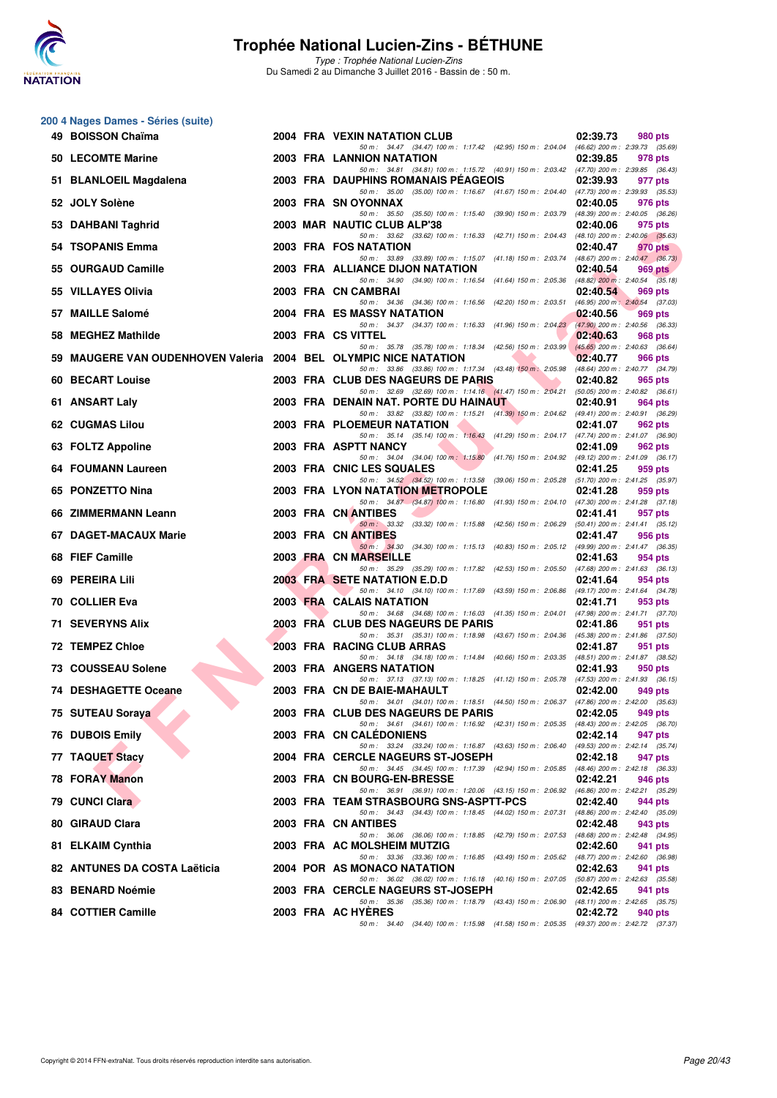

**200 4 Nages Dames - Séries (suite)**

### **Trophée National Lucien-Zins - BÉTHUNE**

| 49 BOISSON Chaïma                                                |  | 2004 FRA VEXIN NATATION CLUB                                                                                                           | 02:39.73 | 980 pts                                        |
|------------------------------------------------------------------|--|----------------------------------------------------------------------------------------------------------------------------------------|----------|------------------------------------------------|
| 50 LECOMTE Marine                                                |  | 50 m: 34.47 (34.47) 100 m: 1:17.42 (42.95) 150 m: 2:04.04 (46.62) 200 m: 2:39.73 (35.69)<br>2003 FRA LANNION NATATION                  | 02:39.85 | 978 pts                                        |
| 51 BLANLOEIL Magdalena                                           |  | 50 m: 34.81 (34.81) 100 m: 1:15.72 (40.91) 150 m: 2:03.42 (47.70) 200 m: 2:39.85 (36.43)<br>2003 FRA DAUPHINS ROMANAIS PEAGEOIS        | 02:39.93 | 977 pts                                        |
| 52 JOLY Solène                                                   |  | 50 m: 35.00 (35.00) 100 m: 1:16.67 (41.67) 150 m: 2:04.40 (47.73) 200 m: 2:39.93 (35.53)<br>2003 FRA SN OYONNAX                        | 02:40.05 | 976 pts                                        |
| 53 DAHBANI Taghrid                                               |  | 50 m: 35.50 (35.50) 100 m: 1:15.40 (39.90) 150 m: 2:03.79 (48.39) 200 m: 2:40.05 (36.26)<br>2003 MAR NAUTIC CLUB ALP'38                | 02:40.06 | 975 pts                                        |
| 54 TSOPANIS Emma                                                 |  | 50 m: 33.62 (33.62) 100 m: 1:16.33 (42.71) 150 m: 2:04.43 (48.10) 200 m: 2:40.06 (35.63)<br>2003 FRA FOS NATATION                      | 02:40.47 | 970 pts                                        |
| 55 OURGAUD Camille                                               |  | 50 m: 33.89 (33.89) 100 m: 1:15.07 (41.18) 150 m: 2:03.74 (48.67) 200 m: 2:40.47 (36.73)<br>2003 FRA ALLIANCE DIJON NATATION           | 02:40.54 | 969 pts                                        |
| 55 VILLAYES Olivia                                               |  | 50 m: 34.90 (34.90) 100 m: 1:16.54 (41.64) 150 m: 2:05.36 (48.82) 200 m: 2:40.54 (35.18)<br>2003 FRA CN CAMBRAI                        | 02:40.54 | 969 pts                                        |
| 57 MAILLE Salomé                                                 |  | 50 m: 34.36 (34.36) 100 m: 1:16.56 (42.20) 150 m: 2:03.51<br>2004 FRA ES MASSY NATATION                                                | 02:40.56 | $(46.95)$ 200 m : 2:40.54 $(37.03)$<br>969 pts |
| 58 MEGHEZ Mathilde                                               |  | 50 m: 34.37 (34.37) 100 m: 1:16.33 (41.96) 150 m: 2:04.23 (47.90) 200 m: 2:40.56 (36.33)<br>2003 FRA CS VITTEL                         | 02:40.63 | 968 pts                                        |
| 59 MAUGERE VAN OUDENHOVEN Valeria 2004 BEL OLYMPIC NICE NATATION |  | 50 m: 35.78 (35.78) 100 m: 1:18.34 (42.56) 150 m: 2:03.99                                                                              | 02:40.77 | $(45.65)$ 200 m : 2:40.63 (36.64)<br>966 pts   |
| 60 BECART Louise                                                 |  | 50 m: 33.86 (33.86) 100 m: 1:17.34 (43.48) 150 m: 2:05.98 (48.64) 200 m: 2:40.77 (34.79)<br>2003 FRA CLUB DES NAGEURS DE PARIS         | 02:40.82 | 965 pts                                        |
| 61 ANSART Laly                                                   |  | 50 m: 32.69 (32.69) 100 m: 1:14.16 (41.47) 150 m: 2:04.21 (50.05) 200 m: 2:40.82 (36.61)<br>2003 FRA DENAIN NAT. PORTE DU HAINAUT      | 02:40.91 | 964 pts                                        |
| <b>62 CUGMAS Lilou</b>                                           |  | 50 m: 33.82 (33.82) 100 m: 1:15.21 (41.39) 150 m: 2:04.62 (49.41) 200 m: 2:40.91 (36.29)<br>2003 FRA PLOEMEUR NATATION                 | 02:41.07 | 962 pts                                        |
| 63 FOLTZ Appoline                                                |  | 50 m: 35.14 (35.14) 100 m: 1:16.43 (41.29) 150 m: 2:04.17 (47.74) 200 m: 2:41.07 (36.90)<br>2003 FRA ASPTT NANCY                       | 02:41.09 | 962 pts                                        |
| 64 FOUMANN Laureen                                               |  | 50 m: 34.04 (34.04) 100 m: 1:15.80 (41.76) 150 m: 2:04.92<br>2003 FRA CNIC LES SQUALES                                                 | 02:41.25 | $(49.12)$ 200 m : 2:41.09 $(36.17)$<br>959 pts |
| 65 PONZETTO Nina                                                 |  | 50 m: 34.52 (34.52) 100 m: 1:13.58 (39.06) 150 m: 2:05.28 (51.70) 200 m: 2:41.25 (35.97)<br><b>2003 FRA LYON NATATION METROPOLE</b>    | 02:41.28 | 959 pts                                        |
| 66 ZIMMERMANN Leann                                              |  | 50 m: 34.87 (34.87) 100 m: 1:16.80 (41.93) 150 m: 2:04.10 (47.30) 200 m: 2:41.28 (37.18)<br>2003 FRA CN ANTIBES                        | 02:41.41 | 957 pts                                        |
| 67 DAGET-MACAUX Marie                                            |  | 50 m : 33.32 (33.32) 100 m : 1:15.88 (42.56) 150 m : 2:06.29<br>2003 FRA CN ANTIBES                                                    | 02:41.47 | $(50.41)$ 200 m : 2:41.41 $(35.12)$<br>956 pts |
| 68 FIEF Camille                                                  |  | 50 m: 34.30 (34.30) 100 m: 1:15.13 (40.83) 150 m: 2:05.12 (49.99) 200 m: 2:41.47 (36.35)<br>2003 FRA CN MARSEILLE                      | 02:41.63 | 954 pts                                        |
| 69 PEREIRA Lili                                                  |  | 50 m: 35.29 (35.29) 100 m: 1:17.82 (42.53) 150 m: 2:05.50 (47.68) 200 m: 2:41.63 (36.13)<br>2003 FRA SETE NATATION E.D.D               | 02:41.64 | 954 pts                                        |
| 70 COLLIER Eva                                                   |  | 50 m: 34.10 (34.10) 100 m: 1:17.69 (43.59) 150 m: 2:06.86<br>2003 FRA CALAIS NATATION                                                  | 02:41.71 | (49.17) 200 m : 2:41.64 (34.78)<br>953 pts     |
| <b>71 SEVERYNS Alix</b>                                          |  | 50 m: 34.68 (34.68) 100 m: 1:16.03 (41.35) 150 m: 2:04.01 (47.98) 200 m: 2:41.71 (37.70)<br>2003 FRA CLUB DES NAGEURS DE PARIS         | 02:41.86 | 951 pts                                        |
| 72 TEMPEZ Chloe                                                  |  | 50 m: 35.31 (35.31) 100 m: 1:18.98 (43.67) 150 m: 2:04.36 (45.38) 200 m: 2:41.86 (37.50)<br>2003 FRA RACING CLUB ARRAS                 | 02:41.87 | 951 pts                                        |
| <b>73 COUSSEAU Solene</b>                                        |  | 50 m: 34.18 (34.18) 100 m: 1:14.84 (40.66) 150 m: 2:03.35 (48.51) 200 m: 2:41.87 (38.52)<br>2003 FRA ANGERS NATATION                   | 02:41.93 | 950 pts                                        |
| 74 DESHAGETTE Oceane                                             |  | 50 m: 37.13 (37.13) 100 m: 1:18.25 (41.12) 150 m: 2:05.78 (47.53) 200 m: 2:41.93 (36.15)<br>2003 FRA CN DE BAIE-MAHAULT                | 02:42.00 | 949 pts                                        |
| 75 SUTEAU Soraya                                                 |  | 50 m: 34.01 (34.01) 100 m: 1:18.51 (44.50) 150 m: 2:06.37 (47.86) 200 m: 2:42.00 (35.63)<br>2003 FRA CLUB DES NAGEURS DE PARIS         | 02:42.05 | 949 pts                                        |
| 76 DUBOIS Emily                                                  |  | 50 m: 34.61 (34.61) 100 m: 1:16.92 (42.31) 150 m: 2:05.35 (48.43) 200 m: 2:42.05 (36.70)<br>2003 FRA CN CALEDONIENS                    | 02:42.14 | 947 pts                                        |
| 77 TAQUET Stacy                                                  |  | 50 m: 33.24 (33.24) 100 m: 1:16.87 (43.63) 150 m: 2:06.40 (49.53) 200 m: 2:42.14 (35.74)<br>2004 FRA CERCLE NAGEURS ST-JOSEPH          | 02:42.18 | 947 pts                                        |
| <b>78 FORAY Manon</b>                                            |  | 50 m: 34.45 (34.45) 100 m: 1:17.39 (42.94) 150 m: 2:05.85 (48.46) 200 m: 2:42.18 (36.33)<br>2003 FRA CN BOURG-EN-BRESSE                | 02:42.21 | 946 pts                                        |
| 79 CUNCI Clara                                                   |  | 50 m : 36.91 (36.91) 100 m : 1:20.06 (43.15) 150 m : 2:06.92 (46.86) 200 m : 2:42.21 (35.29)<br>2003 FRA TEAM STRASBOURG SNS-ASPTT-PCS | 02:42.40 | 944 pts                                        |
| 80 GIRAUD Clara                                                  |  | 50 m: 34.43 (34.43) 100 m: 1:18.45 (44.02) 150 m: 2:07.31 (48.86) 200 m: 2:42.40 (35.09)<br>2003 FRA CN ANTIBES                        | 02:42.48 | 943 pts                                        |
| 81 ELKAIM Cynthia                                                |  | 50 m: 36.06 (36.06) 100 m: 1:18.85 (42.79) 150 m: 2:07.53 (48.68) 200 m: 2:42.48 (34.95)<br>2003 FRA AC MOLSHEIM MUTZIG                | 02:42.60 | 941 pts                                        |
| 82 ANTUNES DA COSTA Laëticia                                     |  | 50 m: 33.36 (33.36) 100 m: 1:16.85 (43.49) 150 m: 2:05.62 (48.77) 200 m: 2:42.60 (36.98)<br>2004 POR AS MONACO NATATION                | 02:42.63 | 941 pts                                        |
| 83 BENARD Noémie                                                 |  | 50 m: 36.02 (36.02) 100 m: 1:16.18 (40.16) 150 m: 2:07.05 (50.87) 200 m: 2:42.63 (35.58)<br>2003 FRA CERCLE NAGEURS ST-JOSEPH          | 02:42.65 | 941 pts                                        |
| 84 COTTIER Camille                                               |  | 50 m: 35.36 (35.36) 100 m: 1:18.79 (43.43) 150 m: 2:06.90 (48.11) 200 m: 2:42.65 (35.75)<br>2003 FRA AC HYERES                         | 02:42.72 | 940 pts                                        |
|                                                                  |  | 50 m: 34.40 (34.40) 100 m: 1:15.98 (41.58) 150 m: 2:05.35 (49.37) 200 m: 2:42.72 (37.37)                                               |          |                                                |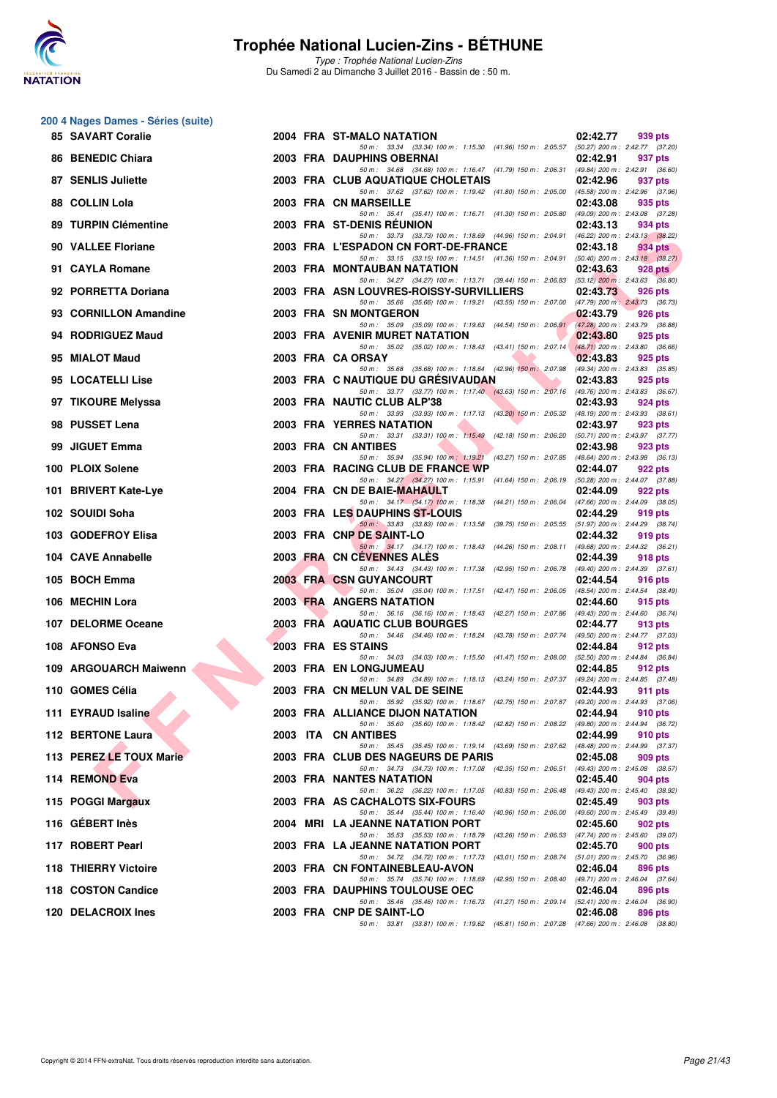

| 200 4 Nages Dames - Séries (suite) |  |                                                                                                                                       |                                                            |
|------------------------------------|--|---------------------------------------------------------------------------------------------------------------------------------------|------------------------------------------------------------|
| <b>85 SAVART Coralie</b>           |  | 2004 FRA ST-MALO NATATION<br>50 m: 33.34 (33.34) 100 m: 1:15.30 (41.96) 150 m: 2:05.57 (50.27) 200 m: 2:42.77 (37.20)                 | 02:42.77<br>939 pts                                        |
| 86 BENEDIC Chiara                  |  | 2003 FRA DAUPHINS OBERNAI                                                                                                             | 02:42.91<br>937 pts                                        |
| 87 SENLIS Juliette                 |  | 50 m: 34.68 (34.68) 100 m: 1:16.47 (41.79) 150 m: 2:06.31 (49.84) 200 m: 2:42.91 (36.60)<br>2003 FRA CLUB AQUATIQUE CHOLETAIS         | 02:42.96<br>937 pts                                        |
| 88 COLLIN Lola                     |  | 50 m: 37.62 (37.62) 100 m: 1:19.42 (41.80) 150 m: 2:05.00 (45.58) 200 m: 2:42.96 (37.96)<br>2003 FRA CN MARSEILLE                     | 02:43.08<br>935 pts                                        |
| 89 TURPIN Clémentine               |  | 50 m: 35.41 (35.41) 100 m: 1:16.71 (41.30) 150 m: 2:05.80<br>2003 FRA ST-DENIS REUNION                                                | (49.09) 200 m : 2:43.08 (37.28)<br>02:43.13<br>934 pts     |
| 90 VALLEE Floriane                 |  | 50 m: 33.73 (33.73) 100 m: 1:18.69 (44.96) 150 m: 2:04.91 (46.22) 200 m: 2:43.13 (38.22)<br>2003 FRA L'ESPADON CN FORT-DE-FRANCE      | 02:43.18<br>934 pts                                        |
| 91 CAYLA Romane                    |  | 50 m: 33.15 (33.15) 100 m: 1:14.51 (41.36) 150 m: 2:04.91 (50.40) 200 m: 2:43.18 (38.27)<br>2003 FRA MONTAUBAN NATATION               | 02:43.63<br>928 pts                                        |
| 92 PORRETTA Doriana                |  | 50 m: 34.27 (34.27) 100 m: 1:13.71 (39.44) 150 m: 2:06.83 (53.12) 200 m: 2:43.63 (36.80)<br>2003 FRA ASN LOUVRES-ROISSY-SURVILLIERS   | 02:43.73<br>926 pts                                        |
|                                    |  | 50 m: 35.66 (35.66) 100 m: 1:19.21 (43.55) 150 m: 2:07.00 (47.79) 200 m: 2:43.73 (36.73)                                              |                                                            |
| 93 CORNILLON Amandine              |  | 2003 FRA SN MONTGERON<br>50 m: 35.09 (35.09) 100 m: 1:19.63 (44.54) 150 m: 2:06.91                                                    | 02:43.79<br>926 pts<br>(47.28) 200 m : 2:43.79 (36.88)     |
| 94 RODRIGUEZ Maud                  |  | 2003 FRA AVENIR MURET NATATION<br>50 m: 35.02 (35.02) 100 m: 1:18.43 (43.41) 150 m: 2:07.14                                           | 02:43.80<br>925 pts<br>$(48.71)$ 200 m : 2:43.80 $(36.66)$ |
| 95 MIALOT Maud                     |  | 2003 FRA CA ORSAY<br>50 m: 35.68 (35.68) 100 m: 1:18.64 (42.96) 150 m: 2:07.98 (49.34) 200 m: 2:43.83 (35.85)                         | 02:43.83<br>925 pts                                        |
| 95 LOCATELLI Lise                  |  | <b>2003 FRA C NAUTIQUE DU GRESIVAUDAN</b><br>50 m: 33.77 (33.77) 100 m: 1:17.40 (43.63) 150 m: 2:07.16 (49.76) 200 m: 2:43.83 (36.67) | 02:43.83<br>925 pts                                        |
| 97 TIKOURE Melyssa                 |  | 2003 FRA NAUTIC CLUB ALP'38<br>50 m: 33.93 (33.93) 100 m: 1:17.13 (43.20) 150 m: 2:05.32 (48.19) 200 m: 2:43.93 (38.61)               | 02:43.93<br>924 pts                                        |
| 98 PUSSET Lena                     |  | 2003 FRA YERRES NATATION                                                                                                              | 02:43.97<br>923 pts                                        |
| 99 JIGUET Emma                     |  | 50 m: 33.31 (33.31) 100 m: 1:15.49 (42.18) 150 m: 2:06.20 (50.71) 200 m: 2:43.97 (37.77)<br>2003 FRA CN ANTIBES                       | 02:43.98<br>923 pts                                        |
| 100 PLOIX Solene                   |  | 50 m: 35.94 (35.94) 100 m: 1:19.21 (43.27) 150 m: 2:07.85 (48.64) 200 m: 2:43.98 (36.13)<br>2003 FRA RACING CLUB DE FRANCE WP         | 02:44.07<br>922 pts                                        |
| 101 BRIVERT Kate-Lye               |  | 50 m: 34.27 (34.27) 100 m: 1:15.91 (41.64) 150 m: 2:06.19 (50.28) 200 m: 2:44.07 (37.88)<br>2004 FRA CN DE BAIE-MAHAULT               | 02:44.09<br>922 pts                                        |
| 102 SOUIDI Soha                    |  | 50 m: 34.17 (34.17) 100 m: 1:18.38 (44.21) 150 m: 2:06.04 (47.66) 200 m: 2:44.09 (38.05)<br>2003 FRA LES DAUPHINS ST-LOUIS            | 02:44.29<br>919 pts                                        |
| 103 GODEFROY Elisa                 |  | 50 m: 33.83 (33.83) 100 m: 1:13.58 (39.75) 150 m: 2:05.55 (51.97) 200 m: 2:44.29 (38.74)<br>2003 FRA CNP DE SAINT-LO                  | 02:44.32<br>919 pts                                        |
| 104 CAVE Annabelle                 |  | 50 m: 34.17 (34.17) 100 m: 1:18.43 (44.26) 150 m: 2:08.11 (49.68) 200 m: 2:44.32 (36.21)<br>2003 FRA CN CEVENNES ALES                 | 02:44.39<br>918 pts                                        |
| 105 BOCH Emma                      |  | 50 m: 34.43 (34.43) 100 m: 1:17.38 (42.95) 150 m: 2:06.78 (49.40) 200 m: 2:44.39 (37.61)<br><b>2003 FRA CSN GUYANCOURT</b>            | 02:44.54<br>916 pts                                        |
| 106 MECHIN Lora                    |  | 50 m: 35.04 (35.04) 100 m: 1:17.51 (42.47) 150 m: 2:06.05 (48.54) 200 m: 2:44.54 (38.49)<br><b>2003 FRA ANGERS NATATION</b>           | 02:44.60<br>915 pts                                        |
| 107 DELORME Oceane                 |  | 50 m: 36.16 (36.16) 100 m: 1:18.43 (42.27) 150 m: 2:07.86<br>2003 FRA AQUATIC CLUB BOURGES                                            | (49.43) 200 m : 2:44.60 (36.74)<br>02:44.77                |
|                                    |  | 50 m: 34.46 (34.46) 100 m: 1:18.24 (43.78) 150 m: 2:07.74 (49.50) 200 m: 2:44.77 (37.03)                                              | 913 pts                                                    |
| 108 AFONSO Eva                     |  | 2003 FRA ES STAINS<br>50 m: 34.03 (34.03) 100 m: 1:15.50 (41.47) 150 m: 2:08.00 (52.50) 200 m: 2:44.84 (36.84)                        | 02:44.84<br>912 pts                                        |
| 109 ARGOUARCH Maiwenn              |  | 2003 FRA EN LONGJUMEAU<br>50 m: 34.89 (34.89) 100 m: 1:18.13 (43.24) 150 m: 2:07.37 (49.24) 200 m: 2:44.85 (37.48)                    | 02:44.85<br>912 pts                                        |
| 110 GOMES Célia                    |  | 2003 FRA CN MELUN VAL DE SEINE<br>50 m : 35.92 (35.92) 100 m : 1:18.67 (42.75) 150 m : 2:07.87 (49.20) 200 m : 2:44.93 (37.06)        | 02:44.93<br>911 pts                                        |
| 111 EYRAUD Isaline                 |  | 2003 FRA ALLIANCE DIJON NATATION<br>50 m: 35.60 (35.60) 100 m: 1:18.42 (42.82) 150 m: 2:08.22 (49.80) 200 m: 2:44.94 (36.72)          | 02:44.94<br>910 pts                                        |
| 112 BERTONE Laura                  |  | 2003 ITA CN ANTIBES<br>50 m : 35.45 (35.45) 100 m : 1:19.14 (43.69) 150 m : 2:07.62                                                   | 02:44.99<br>910 pts<br>(48.48) 200 m : 2:44.99 (37.37)     |
| 113 PEREZ LE TOUX Marie            |  | 2003 FRA CLUB DES NAGEURS DE PARIS                                                                                                    | 02:45.08<br>909 pts                                        |
| 114 REMOND Eva                     |  | 50 m: 34.73 (34.73) 100 m: 1:17.08 (42.35) 150 m: 2:06.51<br>2003 FRA NANTES NATATION                                                 | (49.43) 200 m : 2:45.08 (38.57)<br>02:45.40<br>904 pts     |
| 115 POGGI Margaux                  |  | 50 m: 36.22 (36.22) 100 m: 1:17.05 (40.83) 150 m: 2:06.48 (49.43) 200 m: 2:45.40 (38.92)<br>2003 FRA AS CACHALOTS SIX-FOURS           | 02:45.49<br>903 pts                                        |
| 116 GÉBERT Inès                    |  | 50 m : 35.44 (35.44) 100 m : 1:16.40 (40.96) 150 m : 2:06.00<br>2004 MRI LA JEANNE NATATION PORT                                      | (49.60) 200 m : 2:45.49 (39.49)<br>02:45.60<br>902 pts     |
| 117 ROBERT Pearl                   |  | 50 m: 35.53 (35.53) 100 m: 1:18.79 (43.26) 150 m: 2:06.53 (47.74) 200 m: 2:45.60 (39.07)<br>2003 FRA LA JEANNE NATATION PORT          | 02:45.70<br><b>900 pts</b>                                 |
| 118 THIERRY Victoire               |  | 50 m: 34.72 (34.72) 100 m: 1:17.73 (43.01) 150 m: 2:08.74<br>2003 FRA CN FONTAINEBLEAU-AVON                                           | $(51.01)$ 200 m : 2:45.70 (36.96)<br>02:46.04<br>896 pts   |
| 118 COSTON Candice                 |  | 50 m : 35.74 (35.74) 100 m : 1:18.69 (42.95) 150 m : 2:08.40<br>2003 FRA DAUPHINS TOULOUSE OEC                                        | (49.71) 200 m : 2:46.04 (37.64)<br>02:46.04<br>896 pts     |
| 120 DELACROIX Ines                 |  | 50 m: 35.46 (35.46) 100 m: 1:16.73 (41.27) 150 m: 2:09.14<br>2003 FRA CNP DE SAINT-LO                                                 | (52.41) 200 m : 2:46.04 (36.90)                            |
|                                    |  | 50 m: 33.81 (33.81) 100 m: 1:19.62 (45.81) 150 m: 2:07.28 (47.66) 200 m: 2:46.08 (38.80)                                              | 02:46.08<br>896 pts                                        |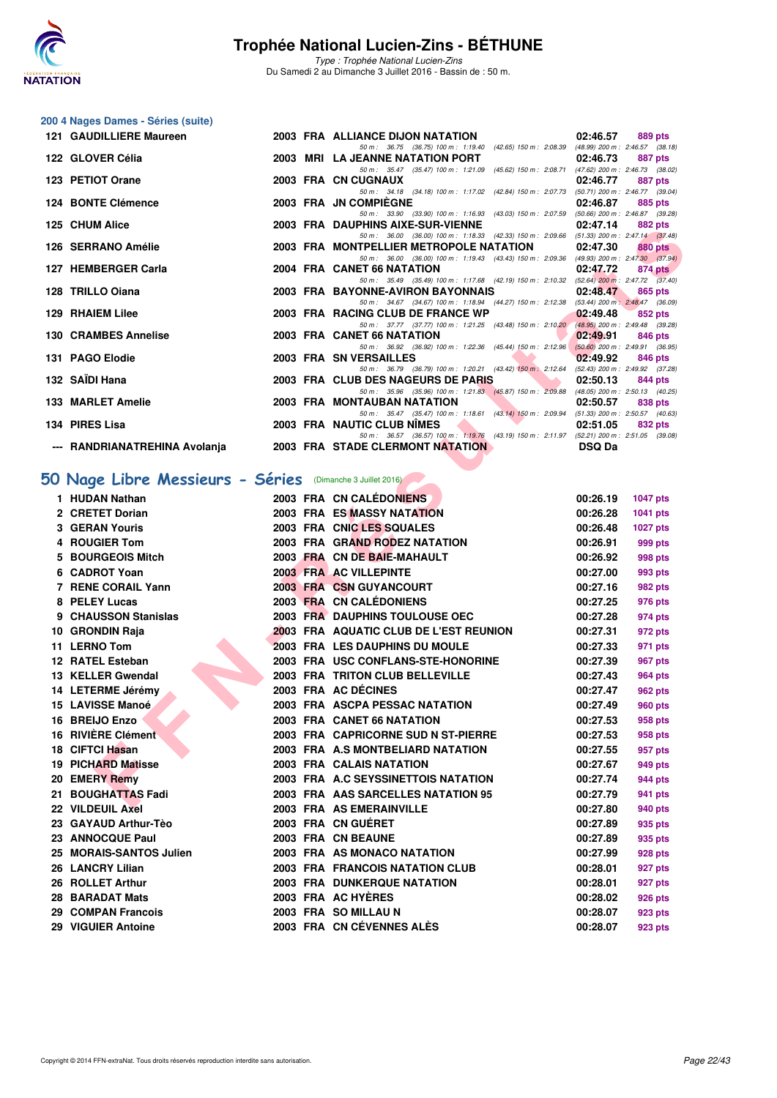

Type : Trophée National Lucien-Zins Du Samedi 2 au Dimanche 3 Juillet 2016 - Bassin de : 50 m.

## **200 4 Nages Dames - Séries (suite)**

| 121 GAUDILLIERE Maureen |  | 2003 FRA ALLIANCE DIJON NATATION                                                                                                                                                                                                                                     | 02:46.57 |         | 889 pts |
|-------------------------|--|----------------------------------------------------------------------------------------------------------------------------------------------------------------------------------------------------------------------------------------------------------------------|----------|---------|---------|
|                         |  | 50 m: 36.75 (36.75) 100 m: 1:19.40 (42.65) 150 m: 2:08.39 (48.99) 200 m: 2:46.57 (38.18)                                                                                                                                                                             |          |         |         |
| 122 GLOVER Célia        |  | 2003 MRI LA JEANNE NATATION PORT                                                                                                                                                                                                                                     | 02:46.73 |         | 887 pts |
|                         |  | 50 m: 35.47 (35.47) 100 m: 1:21.09 (45.62) 150 m: 2:08.71 (47.62) 200 m: 2:46.73 (38.02)                                                                                                                                                                             |          |         |         |
| 123 PETIOT Orane        |  | 2003 FRA CN CUGNAUX                                                                                                                                                                                                                                                  | 02:46.77 |         | 887 pts |
|                         |  | 50 m: 34.18 (34.18) 100 m: 1:17.02 (42.84) 150 m: 2:07.73 (50.71) 200 m: 2:46.77 (39.04)                                                                                                                                                                             |          |         |         |
| 124 BONTE Clémence      |  | 2003 FRA JN COMPIEGNE                                                                                                                                                                                                                                                | 02:46.87 | 885 pts |         |
|                         |  | 50 m: 33.90 (33.90) 100 m: 1:16.93 (43.03) 150 m: 2:07.59 (50.66) 200 m: 2:46.87 (39.28)                                                                                                                                                                             |          |         |         |
| 125 CHUM Alice          |  | 2003 FRA DAUPHINS AIXE-SUR-VIENNE                                                                                                                                                                                                                                    | 02:47.14 |         | 882 pts |
|                         |  | 50 m: 36.00 (36.00) 100 m: 1:18.33 (42.33) 150 m: 2:09.66 (51.33) 200 m: 2:47.14 (37.48)                                                                                                                                                                             |          |         |         |
| 126 SERRANO Amélie      |  | 2003 FRA MONTPELLIER METROPOLE NATATION 02:47.30                                                                                                                                                                                                                     |          |         | 880 pts |
|                         |  | 50 m: 36.00 (36.00) 100 m: 1:19.43 (43.43) 150 m: 2:09.36 (49.93) 200 m: 2:47.30 (37.94)                                                                                                                                                                             |          |         |         |
| 127 HEMBERGER Carla     |  | 2004 FRA CANET 66 NATATION                                                                                                                                                                                                                                           | 02:47.72 |         | 874 pts |
|                         |  | 50 m: 35.49 (35.49) 100 m: 1:17.68 (42.19) 150 m: 2:10.32 (52.64) 200 m: 2:47.72 (37.40)                                                                                                                                                                             |          |         |         |
| 128 TRILLO Ojana        |  | 2003 FRA BAYONNE-AVIRON BAYONNAIS                                                                                                                                                                                                                                    | 02:48.47 |         | 865 pts |
|                         |  | 50 m: 34.67 (34.67) 100 m: 1:18.94 (44.27) 150 m: 2:12.38 (53.44) 200 m: 2:48.47 (36.09)                                                                                                                                                                             |          |         |         |
| 129 RHAIEM Lilee        |  | 2003 FRA RACING CLUB DE FRANCE WP 02:49.48 $\degree$ 852 pts                                                                                                                                                                                                         |          |         |         |
|                         |  | 50 m: 37.77 (37.77) 100 m: 1:21.25 (43.48) 150 m: 2:10.20 (48.95) 200 m: 2:49.48 (39.28)                                                                                                                                                                             |          |         |         |
| 130 CRAMBES Annelise    |  | 2003 FRA CANET 66 NATATION                                                                                                                                                                                                                                           | 02:49.91 |         | 846 pts |
|                         |  | 50 m: 36.92 (36.92) 100 m: 1:22.36 (45.44) 150 m: 2:12.96 (50.60) 200 m: 2:49.91 (36.95)                                                                                                                                                                             |          |         |         |
| 131 PAGO Elodie         |  | <b><i>Contract Contract Contract Contract Contract Contract Contract Contract Contract Contract Contract Contract Contract Contract Contract Contract Contract Contract Contract Contract Contract Contract Contract Contract Cont</i></b><br>2003 FRA SN VERSAILLES | 02:49.92 |         | 846 pts |
|                         |  | 50 m: 36.79 (36.79) 100 m: 1:20.21 (43.42) 150 m: 2:12.64 (52.43) 200 m: 2:49.92 (37.28)                                                                                                                                                                             |          |         |         |
| 132 SAÏDI Hana          |  | <b>The Contract of Street</b><br>2003 FRA CLUB DES NAGEURS DE PARIS                                                                                                                                                                                                  | 02:50.13 |         | 844 pts |
|                         |  | 50 m: 35.96 (35.96) 100 m: 1:21.83 (45.87) 150 m: 2:09.88 (48.05) 200 m: 2:50.13 (40.25)                                                                                                                                                                             |          |         |         |
| 133 MARLET Amelie       |  | <b>2003 FRA MONTAUBAN NATATION</b>                                                                                                                                                                                                                                   | 02:50.57 |         | 838 pts |
|                         |  | 50 m: 35.47 (35.47) 100 m: 1:18.61 (43.14) 150 m: 2:09.94 (51.33) 200 m: 2:50.57 (40.63)                                                                                                                                                                             |          |         |         |
| 134 PIRES Lisa          |  | 2003 FRA NAUTIC CLUB NIMES                                                                                                                                                                                                                                           | 02:51.05 |         | 832 pts |
|                         |  | 50 m: 36.57 (36.57) 100 m: 1:19.76 (43.19) 150 m: 2:11.97 (52.21) 200 m: 2:51.05 (39.08)                                                                                                                                                                             |          |         |         |
|                         |  | --- RANDRIANATREHINA Avolanja 2003 FRA STADE CLERMONT NATATION NATA AND DSQ Da                                                                                                                                                                                       |          |         |         |
|                         |  |                                                                                                                                                                                                                                                                      |          |         |         |

### [50 Nage Libre Messieurs - Séries](http://www.ffnatation.fr/webffn/resultats.php?idact=nat&go=epr&idcpt=34121&idepr=51) (Dimanche 3 Juillet 2016)

| <b>IZJ UIUM AIICE</b>                                      |  | ZUUJ FRA DAUFIIINJAIAE-JUR-VIENNE                                                                                                   | <u></u>       | <b>OOZ PIS</b>  |
|------------------------------------------------------------|--|-------------------------------------------------------------------------------------------------------------------------------------|---------------|-----------------|
| 126 SERRANO Amélie                                         |  | 50 m: 36.00 (36.00) 100 m: 1:18.33 (42.33) 150 m: 2:09.66 (51.33) 200 m: 2:47.14 (37.48)<br>2003 FRA MONTPELLIER METROPOLE NATATION | 02:47.30      | <b>880 pts</b>  |
| 127 HEMBERGER Carla                                        |  | 50 m: 36.00 (36.00) 100 m: 1:19.43 (43.43) 150 m: 2:09.36 (49.93) 200 m: 2:47.30 (37.94)<br>2004 FRA CANET 66 NATATION              | 02:47.72      | 874 pts         |
|                                                            |  | 50 m: 35.49 (35.49) 100 m: 1:17.68 (42.19) 150 m: 2:10.32 (52.64) 200 m: 2:47.72 (37.40)                                            |               |                 |
| 128 TRILLO Oiana                                           |  | 2003 FRA BAYONNE-AVIRON BAYONNAIS<br>50 m: 34.67 (34.67) 100 m: 1:18.94 (44.27) 150 m: 2:12.38 (53.44) 200 m: 2:48.47 (36.09)       | 02:48.47      | 865 pts         |
| 129 RHAIEM Lilee                                           |  | 2003 FRA RACING CLUB DE FRANCE WP                                                                                                   | 02:49.48      | 852 pts         |
| 130 CRAMBES Annelise                                       |  | 50 m: 37.77 (37.77) 100 m: 1:21.25 (43.48) 150 m: 2:10.20 (48.95) 200 m: 2:49.48 (39.28)<br>2003 FRA CANET 66 NATATION              | 02:49.91      | 846 pts         |
|                                                            |  | 50 m: 36.92 (36.92) 100 m: 1:22.36 (45.44) 150 m: 2:12.96 (50.60) 200 m: 2:49.91 (36.95)                                            |               |                 |
| 131 PAGO Elodie                                            |  | 2003 FRA SN VERSAILLES<br>50 m: 36.79 (36.79) 100 m: 1:20.21 (43.42) 150 m: 2:12.64 (52.43) 200 m: 2:49.92 (37.28)                  | 02:49.92      | 846 pts         |
| 132   SAÏDI Hana                                           |  | 2003 FRA CLUB DES NAGEURS DE PARIS                                                                                                  | 02:50.13      | 844 pts         |
| 133 MARLET Amelie                                          |  | 50 m: 35.96 (35.96) 100 m: 1:21.83 (45.87) 150 m: 2:09.88 (48.05) 200 m: 2:50.13 (40.25)<br>2003 FRA MONTAUBAN NATATION             | 02:50.57      | 838 pts         |
| 134 PIRES Lisa                                             |  | 50 m: 35.47 (35.47) 100 m: 1:18.61 (43.14) 150 m: 2:09.94 (51.33) 200 m: 2:50.57 (40.63)<br>2003 FRA NAUTIC CLUB NIMES              | 02:51.05      | 832 pts         |
| --- RANDRIANATREHINA Avolanja                              |  | 50 m: 36.57 (36.57) 100 m: 1:19.76 (43.19) 150 m: 2:11.97 (52.21) 200 m: 2:51.05 (39.08)<br><b>2003 FRA STADE CLERMONT NATATION</b> | <b>DSQ Da</b> |                 |
|                                                            |  |                                                                                                                                     |               |                 |
| 50 Nage Libre Messieurs - Séries (Dimanche 3 Juillet 2016) |  |                                                                                                                                     |               |                 |
| 1 HUDAN Nathan                                             |  | 2003 FRA CN CALÉDONIENS                                                                                                             | 00:26.19      | <b>1047 pts</b> |
| 2 CRETET Dorian                                            |  | 2003 FRA ES MASSY NATATION                                                                                                          | 00:26.28      | 1041 pts        |
| <b>3 GERAN Youris</b>                                      |  | 2003 FRA CNIC LES SQUALES                                                                                                           | 00:26.48      | <b>1027 pts</b> |
| 4 ROUGIER Tom                                              |  | 2003 FRA GRAND RODEZ NATATION                                                                                                       | 00:26.91      | 999 pts         |
| 5 BOURGEOIS Mitch                                          |  | 2003 FRA CN DE BAIE-MAHAULT                                                                                                         | 00:26.92      | 998 pts         |
| 6 CADROT Yoan                                              |  | 2003 FRA AC VILLEPINTE                                                                                                              | 00:27.00      | 993 pts         |
| 7 RENE CORAIL Yann                                         |  | 2003 FRA CSN GUYANCOURT                                                                                                             | 00:27.16      | 982 pts         |
| 8 PELEY Lucas                                              |  | 2003 FRA CN CALÉDONIENS                                                                                                             | 00:27.25      | 976 pts         |
| 9 CHAUSSON Stanislas                                       |  | 2003 FRA DAUPHINS TOULOUSE OEC                                                                                                      | 00:27.28      | 974 pts         |
| 10 GRONDIN Raja                                            |  | <b>2003 FRA AQUATIC CLUB DE L'EST REUNION</b>                                                                                       | 00:27.31      | 972 pts         |
| 11 LERNO Tom                                               |  | 2003 FRA LES DAUPHINS DU MOULE                                                                                                      | 00:27.33      | 971 pts         |
| 12 RATEL Esteban                                           |  | 2003 FRA USC CONFLANS-STE-HONORINE                                                                                                  | 00:27.39      | 967 pts         |
| 13 KELLER Gwendal                                          |  | 2003 FRA TRITON CLUB BELLEVILLE                                                                                                     | 00:27.43      | 964 pts         |
| 14 LETERME Jérémy                                          |  | 2003 FRA AC DÉCINES                                                                                                                 | 00:27.47      | 962 pts         |
| 15 LAVISSE Manoé                                           |  | 2003 FRA ASCPA PESSAC NATATION                                                                                                      | 00:27.49      | <b>960 pts</b>  |
| 16 BREIJO Enzo                                             |  | 2003 FRA CANET 66 NATATION                                                                                                          | 00:27.53      | 958 pts         |
| 16 RIVIÈRE Clément                                         |  | 2003 FRA CAPRICORNE SUD N ST-PIERRE                                                                                                 | 00:27.53      | 958 pts         |
| 18 CIFTCI Hasan                                            |  | 2003 FRA A.S MONTBELIARD NATATION                                                                                                   | 00:27.55      | 957 pts         |
| 19 PICHARD Matisse                                         |  | 2003 FRA CALAIS NATATION                                                                                                            | 00:27.67      | 949 pts         |
| 20 EMERY Remy                                              |  | 2003 FRA A.C SEYSSINETTOIS NATATION                                                                                                 | 00:27.74      | 944 pts         |
| 21 BOUGHATTAS Fadi                                         |  | 2003 FRA AAS SARCELLES NATATION 95                                                                                                  | 00:27.79      | 941 pts         |
| 22 VILDEUIL Axel                                           |  | 2003 FRA AS EMERAINVILLE                                                                                                            | 00:27.80      | 940 pts         |
| 23 GAYAUD Arthur-Tèo                                       |  | 2003 FRA CN GUERET                                                                                                                  | 00:27.89      | 935 pts         |
| 23 ANNOCQUE Paul                                           |  | 2003 FRA CN BEAUNE                                                                                                                  | 00:27.89      | 935 pts         |
| 25 MORAIS-SANTOS Julien                                    |  | 2003 FRA AS MONACO NATATION                                                                                                         | 00:27.99      | 928 pts         |
| 26 LANCRY Lilian                                           |  | 2003 FRA FRANCOIS NATATION CLUB                                                                                                     | 00:28.01      | 927 pts         |
| 26 ROLLET Arthur                                           |  | <b>2003 FRA DUNKERQUE NATATION</b>                                                                                                  | 00:28.01      | 927 pts         |
| 28 BARADAT Mats                                            |  | 2003 FRA AC HYÈRES                                                                                                                  | 00:28.02      | 926 pts         |
| 29 COMPAN Francois                                         |  | 2003 FRA SO MILLAU N                                                                                                                | 00:28.07      | 923 pts         |
| 29 VIGUIER Antoine                                         |  | 2003 FRA CN CÉVENNES ALÈS                                                                                                           | 00:28.07      | 923 pts         |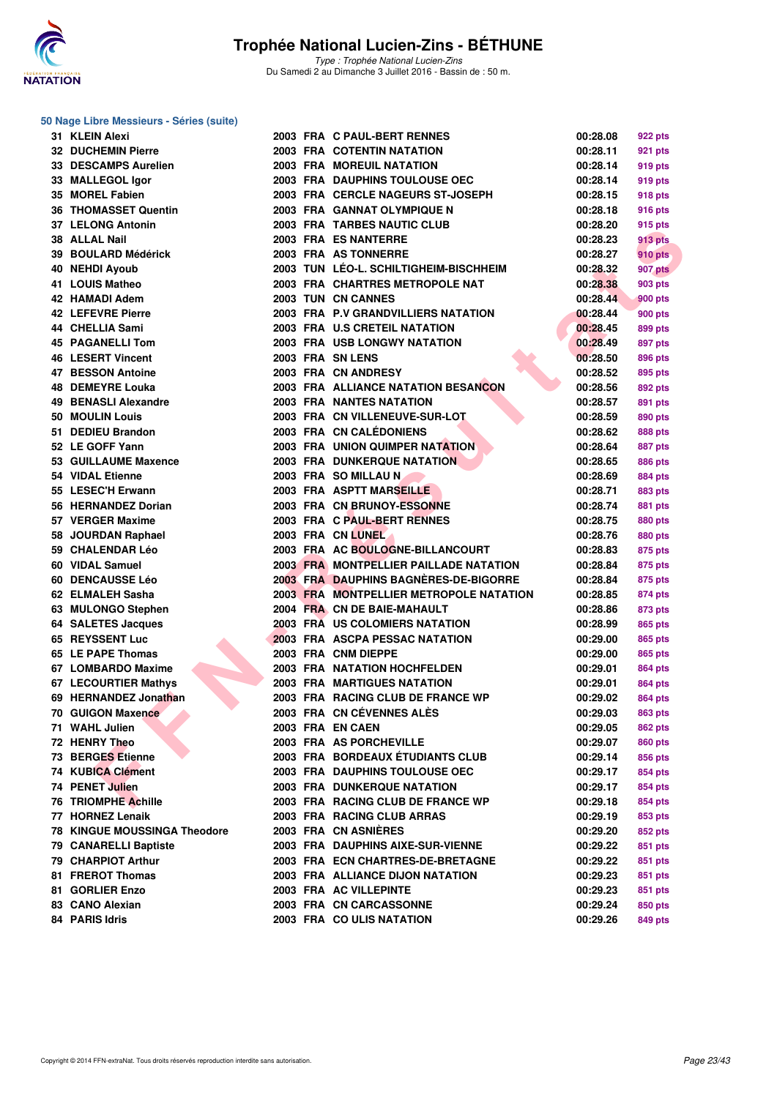

Type : Trophée National Lucien-Zins Du Samedi 2 au Dimanche 3 Juillet 2016 - Bassin de : 50 m.

| 31 KLEIN Alexi                         |  | 2003 FRA C PAUL-BERT RENNES                                                | 00:28.08             | 922 pts        |
|----------------------------------------|--|----------------------------------------------------------------------------|----------------------|----------------|
| 32 DUCHEMIN Pierre                     |  | 2003 FRA COTENTIN NATATION                                                 | 00:28.11             | 921 pts        |
| 33 DESCAMPS Aurelien                   |  | <b>2003 FRA MOREUIL NATATION</b>                                           | 00:28.14             | 919 pts        |
| 33 MALLEGOL Igor                       |  | 2003 FRA DAUPHINS TOULOUSE OEC                                             | 00:28.14             | 919 pts        |
| 35 MOREL Fabien                        |  | 2003 FRA CERCLE NAGEURS ST-JOSEPH                                          | 00:28.15             | 918 pts        |
| <b>36 THOMASSET Quentin</b>            |  | 2003 FRA GANNAT OLYMPIQUE N                                                | 00:28.18             | 916 pts        |
| 37 LELONG Antonin                      |  | 2003 FRA TARBES NAUTIC CLUB                                                | 00:28.20             | 915 pts        |
| 38 ALLAL Nail                          |  | 2003 FRA ES NANTERRE                                                       | 00:28.23             | <b>913 pts</b> |
| 39 BOULARD Médérick                    |  | 2003 FRA AS TONNERRE                                                       | 00:28.27             | <b>910 pts</b> |
| 40 NEHDI Ayoub                         |  | 2003 TUN LÉO-L. SCHILTIGHEIM-BISCHHEIM                                     | 00:28.32             | <b>907 pts</b> |
| 41 LOUIS Matheo                        |  | 2003 FRA CHARTRES METROPOLE NAT                                            | 00:28.38             | 903 pts        |
| 42 HAMADI Adem                         |  | 2003 TUN CN CANNES                                                         | 00:28.44             | <b>900 pts</b> |
| 42 LEFEVRE Pierre                      |  | 2003 FRA P.V GRANDVILLIERS NATATION                                        | 00:28.44             | 900 pts        |
| 44   CHELLIA Sami                      |  | 2003 FRA U.S CRETEIL NATATION                                              | 00:28.45             | 899 pts        |
| <b>45 PAGANELLI Tom</b>                |  | <b>2003 FRA USB LONGWY NATATION</b>                                        | 00:28.49             | 897 pts        |
| 46 LESERT Vincent                      |  | 2003 FRA SN LENS                                                           | 00:28.50             | 896 pts        |
| 47 BESSON Antoine                      |  | 2003 FRA CN ANDRESY                                                        | 00:28.52             | 895 pts        |
| 48 DEMEYRE Louka                       |  | 2003 FRA ALLIANCE NATATION BESANCON                                        | 00:28.56             | 892 pts        |
| 49 BENASLI Alexandre                   |  | <b>2003 FRA NANTES NATATION</b>                                            | 00:28.57             | 891 pts        |
| 50 MOULIN Louis                        |  | 2003 FRA CN VILLENEUVE-SUR-LOT                                             | 00:28.59             | 890 pts        |
| 51 DEDIEU Brandon                      |  | 2003 FRA CN CALÉDONIENS                                                    | 00:28.62             | 888 pts        |
| 52 LE GOFF Yann                        |  | <b>2003 FRA UNION QUIMPER NATATION</b>                                     | 00:28.64             | 887 pts        |
| 53 GUILLAUME Maxence                   |  | 2003 FRA DUNKERQUE NATATION                                                | 00:28.65             | 886 pts        |
| 54 VIDAL Etienne                       |  | 2003 FRA SO MILLAU N                                                       | 00:28.69             | <b>884 pts</b> |
| 55 LESEC'H Erwann                      |  | 2003 FRA ASPTT MARSEILLE                                                   | 00:28.71             | 883 pts        |
| 56 HERNANDEZ Dorian                    |  | 2003 FRA CN BRUNOY-ESSONNE                                                 | 00:28.74             |                |
| 57 VERGER Maxime                       |  | 2003 FRA C PAUL-BERT RENNES                                                |                      | 881 pts        |
|                                        |  | 2003 FRA CN LUNEL                                                          | 00:28.75<br>00:28.76 | 880 pts        |
| 58 JOURDAN Raphael<br>59 CHALENDAR Léo |  |                                                                            |                      | 880 pts        |
| 60 VIDAL Samuel                        |  | 2003 FRA AC BOULOGNE-BILLANCOURT<br>2003 FRA MONTPELLIER PAILLADE NATATION | 00:28.83             | 875 pts        |
|                                        |  |                                                                            | 00:28.84             | 875 pts        |
| <b>60 DENCAUSSE Léo</b>                |  | 2003 FRA DAUPHINS BAGNERES-DE-BIGORRE                                      | 00:28.84             | 875 pts        |
| 62   ELMALEH Sasha                     |  | 2003 FRA MONTPELLIER METROPOLE NATATION                                    | 00:28.85             | 874 pts        |
| 63 MULONGO Stephen                     |  | 2004 FRA CN DE BAIE-MAHAULT                                                | 00:28.86             | 873 pts        |
| 64 SALETES Jacques                     |  | 2003 FRA US COLOMIERS NATATION                                             | 00:28.99             | 865 pts        |
| 65 REYSSENT Luc                        |  | 2003 FRA ASCPA PESSAC NATATION                                             | 00:29.00             | 865 pts        |
| 65 LE PAPE Thomas                      |  | 2003 FRA CNM DIEPPE                                                        | 00:29.00             | 865 pts        |
| 67 LOMBARDO Maxime                     |  | 2003 FRA NATATION HOCHFELDEN                                               | 00:29.01             | 864 pts        |
| 67 LECOURTIER Mathys                   |  | <b>2003 FRA MARTIGUES NATATION</b>                                         | 00:29.01             | <b>864 pts</b> |
| 69 HERNANDEZ Jonathan                  |  | 2003 FRA RACING CLUB DE FRANCE WP                                          | 00:29.02             | 864 pts        |
| 70 GUIGON Maxence                      |  | 2003 FRA CN CEVENNES ALES                                                  | 00:29.03             | 863 pts        |
| 71 WAHL Julien                         |  | 2003 FRA EN CAEN                                                           | 00:29.05             | <b>862 pts</b> |
| 72 HENRY Theo                          |  | 2003 FRA AS PORCHEVILLE                                                    | 00:29.07             | 860 pts        |
| 73 BERGES Etienne                      |  | 2003 FRA BORDEAUX ÉTUDIANTS CLUB                                           | 00:29.14             | 856 pts        |
| 74 KUBICA Clément                      |  | 2003 FRA DAUPHINS TOULOUSE OEC                                             | 00:29.17             | 854 pts        |
| 74 PENET Julien                        |  | <b>2003 FRA DUNKERQUE NATATION</b>                                         | 00:29.17             | 854 pts        |
| 76 TRIOMPHE Achille                    |  | 2003 FRA RACING CLUB DE FRANCE WP                                          | 00:29.18             | 854 pts        |
| 77 HORNEZ Lenaik                       |  | 2003 FRA RACING CLUB ARRAS                                                 | 00:29.19             | 853 pts        |
| <b>78 KINGUE MOUSSINGA Theodore</b>    |  | 2003 FRA CN ASNIÈRES                                                       | 00:29.20             | 852 pts        |
| 79 CANARELLI Baptiste                  |  | 2003 FRA DAUPHINS AIXE-SUR-VIENNE                                          | 00:29.22             | 851 pts        |
| 79 CHARPIOT Arthur                     |  | 2003 FRA ECN CHARTRES-DE-BRETAGNE                                          | 00:29.22             | 851 pts        |
| 81 FREROT Thomas                       |  | 2003 FRA ALLIANCE DIJON NATATION                                           | 00:29.23             | 851 pts        |
| 81 GORLIER Enzo                        |  | 2003 FRA AC VILLEPINTE                                                     | 00:29.23             | 851 pts        |
| 83 CANO Alexian                        |  | 2003 FRA CN CARCASSONNE                                                    | 00:29.24             | 850 pts        |
| 84 PARIS Idris                         |  | 2003 FRA COULIS NATATION                                                   | 00:29.26             | 849 pts        |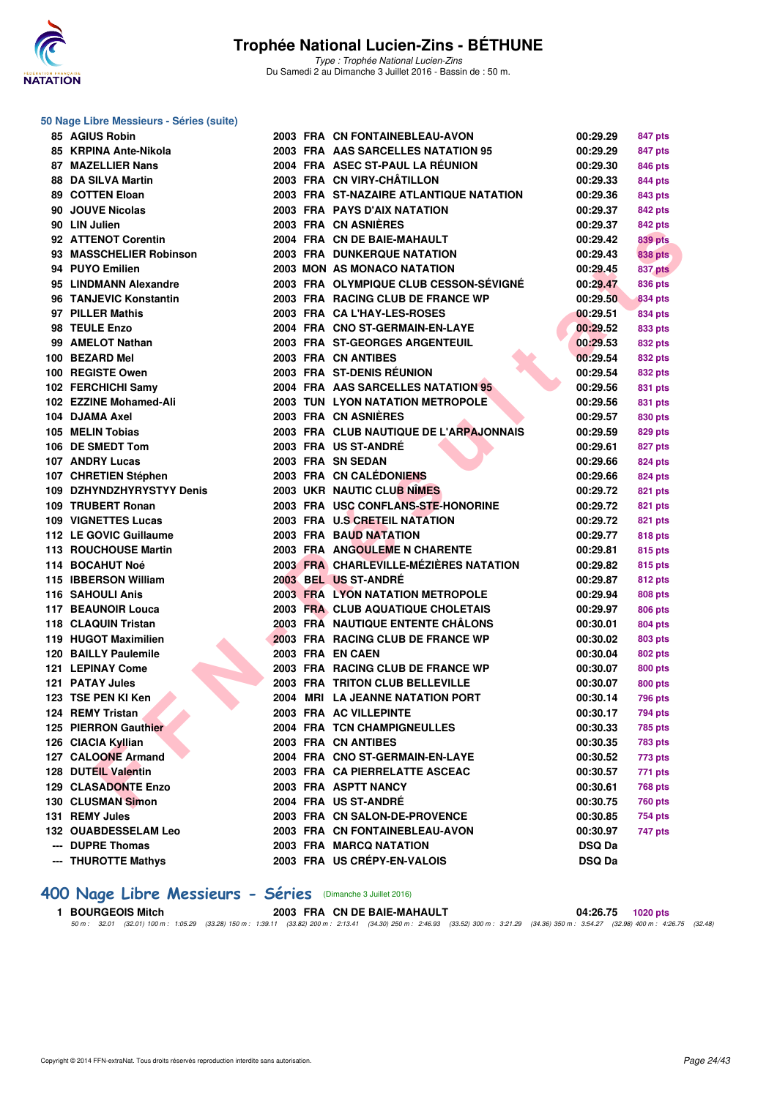

Type : Trophée National Lucien-Zins Du Samedi 2 au Dimanche 3 Juillet 2016 - Bassin de : 50 m.

#### **50 Nage Libre Messieurs - Séries (suite)**

| 85 AGIUS Robin              |  | 2003 FRA CN FONTAINEBLEAU-AVON          | 00:29.29      | 847 pts        |
|-----------------------------|--|-----------------------------------------|---------------|----------------|
| 85 KRPINA Ante-Nikola       |  | 2003 FRA AAS SARCELLES NATATION 95      | 00:29.29      | 847 pts        |
| <b>87 MAZELLIER Nans</b>    |  | 2004 FRA ASEC ST-PAUL LA RÉUNION        | 00:29.30      | 846 pts        |
| 88 DA SILVA Martin          |  | 2003 FRA CN VIRY-CHÂTILLON              | 00:29.33      | 844 pts        |
| 89 COTTEN Eloan             |  | 2003 FRA ST-NAZAIRE ATLANTIQUE NATATION | 00:29.36      | 843 pts        |
| 90 JOUVE Nicolas            |  | <b>2003 FRA PAYS D'AIX NATATION</b>     | 00:29.37      | 842 pts        |
| 90 LIN Julien               |  | 2003 FRA CN ASNIERES                    | 00:29.37      | 842 pts        |
| 92 ATTENOT Corentin         |  | 2004 FRA CN DE BAIE-MAHAULT             | 00:29.42      | <b>839 pts</b> |
| 93 MASSCHELIER Robinson     |  | <b>2003 FRA DUNKERQUE NATATION</b>      | 00:29.43      | 838 pts        |
| 94 PUYO Emilien             |  | 2003 MON AS MONACO NATATION             | 00:29.45      | <b>837 pts</b> |
| 95 LINDMANN Alexandre       |  | 2003 FRA OLYMPIQUE CLUB CESSON-SÉVIGNÉ  | 00:29.47      | 836 pts        |
| 96 TANJEVIC Konstantin      |  | 2003 FRA RACING CLUB DE FRANCE WP       | 00:29.50      | 834 pts        |
| 97 PILLER Mathis            |  | 2003 FRA CAL'HAY-LES-ROSES              | 00:29.51      | 834 pts        |
| 98 TEULE Enzo               |  | 2004 FRA CNO ST-GERMAIN-EN-LAYE         | 00:29.52      | 833 pts        |
| 99 AMELOT Nathan            |  | 2003 FRA ST-GEORGES ARGENTEUIL          | 00:29.53      | 832 pts        |
| 100 BEZARD Mel              |  | 2003 FRA CN ANTIBES                     | 00:29.54      | 832 pts        |
| 100 REGISTE Owen            |  | 2003 FRA ST-DENIS RÉUNION               | 00:29.54      | 832 pts        |
| 102 FERCHICHI Samy          |  | 2004 FRA AAS SARCELLES NATATION 95      | 00:29.56      | 831 pts        |
| 102 EZZINE Mohamed-Ali      |  | 2003 TUN LYON NATATION METROPOLE        | 00:29.56      | 831 pts        |
| 104 DJAMA Axel              |  | 2003 FRA CN ASNIERES                    | 00:29.57      | 830 pts        |
| 105 MELIN Tobias            |  | 2003 FRA CLUB NAUTIQUE DE L'ARPAJONNAIS | 00:29.59      | 829 pts        |
| 106 DE SMEDT Tom            |  | 2003 FRA US ST-ANDRÉ                    | 00:29.61      | 827 pts        |
| 107 ANDRY Lucas             |  | 2003 FRA SN SEDAN                       | 00:29.66      | <b>824 pts</b> |
| 107 CHRETIEN Stéphen        |  | 2003 FRA CN CALÉDONIENS                 | 00:29.66      | 824 pts        |
| 109 DZHYNDZHYRYSTYY Denis   |  | <b>2003 UKR NAUTIC CLUB NIMES</b>       | 00:29.72      | 821 pts        |
| 109 TRUBERT Ronan           |  | 2003 FRA USC CONFLANS-STE-HONORINE      | 00:29.72      | 821 pts        |
| 109 VIGNETTES Lucas         |  | 2003 FRA U.S CRETEIL NATATION           | 00:29.72      | 821 pts        |
| 112 LE GOVIC Guillaume      |  | 2003 FRA BAUD NATATION                  | 00:29.77      | 818 pts        |
| 113 ROUCHOUSE Martin        |  | 2003 FRA ANGOULEME N CHARENTE           | 00:29.81      | 815 pts        |
| 114 BOCAHUT Noé             |  | 2003 FRA CHARLEVILLE-MÉZIÈRES NATATION  | 00:29.82      | 815 pts        |
| 115 IBBERSON William        |  | 2003 BEL US ST-ANDRE                    | 00:29.87      | 812 pts        |
| 116 SAHOULI Anis            |  | <b>2003 FRA LYON NATATION METROPOLE</b> | 00:29.94      | 808 pts        |
| 117 BEAUNOIR Louca          |  | 2003 FRA CLUB AQUATIQUE CHOLETAIS       | 00:29.97      | 806 pts        |
| 118 CLAQUIN Tristan         |  | 2003 FRA NAUTIQUE ENTENTE CHALONS       | 00:30.01      | 804 pts        |
| 119 HUGOT Maximilien        |  | 2003 FRA RACING CLUB DE FRANCE WP       | 00:30.02      | 803 pts        |
| 120 BAILLY Paulemile        |  | 2003 FRA EN CAEN                        | 00:30.04      | 802 pts        |
| 121 LEPINAY Come            |  | 2003 FRA RACING CLUB DE FRANCE WP       | 00:30.07      | 800 pts        |
| 121 PATAY Jules             |  | 2003 FRA TRITON CLUB BELLEVILLE         | 00:30.07      | 800 pts        |
| 123 TSE PEN KI Ken          |  | 2004 MRI LA JEANNE NATATION PORT        | 00:30.14      | 796 pts        |
| 124 REMY Tristan            |  | 2003 FRA AC VILLEPINTE                  | 00:30.17      | 794 pts        |
| 125 PIERRON Gauthier        |  | 2004 FRA TCN CHAMPIGNEULLES             | 00:30.33      | 785 pts        |
| 126 CIACIA Kyllian          |  | 2003 FRA CN ANTIBES                     |               |                |
|                             |  |                                         | 00:30.35      | 783 pts        |
| 127 CALOONE Armand          |  | 2004 FRA CNO ST-GERMAIN-EN-LAYE         | 00:30.52      | 773 pts        |
| 128 DUTEIL Valentin         |  | 2003 FRA CA PIERRELATTE ASCEAC          | 00:30.57      | 771 pts        |
| 129 CLASADONTE Enzo         |  | 2003 FRA ASPTT NANCY                    | 00:30.61      | 768 pts        |
| 130 CLUSMAN Simon           |  | 2004 FRA US ST-ANDRÉ                    | 00:30.75      | 760 pts        |
| 131 REMY Jules              |  | 2003 FRA CN SALON-DE-PROVENCE           | 00:30.85      | 754 pts        |
| <b>132 OUABDESSELAM Leo</b> |  | 2003 FRA CN FONTAINEBLEAU-AVON          | 00:30.97      | 747 pts        |
| --- DUPRE Thomas            |  | 2003 FRA MARCQ NATATION                 | <b>DSQ Da</b> |                |
| --- THUROTTE Mathys         |  | 2003 FRA US CRÉPY-EN-VALOIS             | <b>DSQ Da</b> |                |

# **400 Nage Libre Messieurs - Séries** (Dimanche 3 Juillet 2016)<br>1 BOURGEOIS Mitch 2003 FRA CN DE BAIE-MAI

**1 BOURGEOIS Mitch 2003 FRA CN DE BAIE-MAHAULT 04:26.75 1020 pts** 50 m : 32.01 (32.01) 100 m : 1:05.29 (33.28) 150 m : 1:39.11 (33.82) 200 m : 2:13.41 (34.30) 250 m : 2:46.93 (33.52) 300 m : 3:21.29 (34.36) 350 m : 3:54.27 (32.98) 400 m : 4:26.75 (32.48)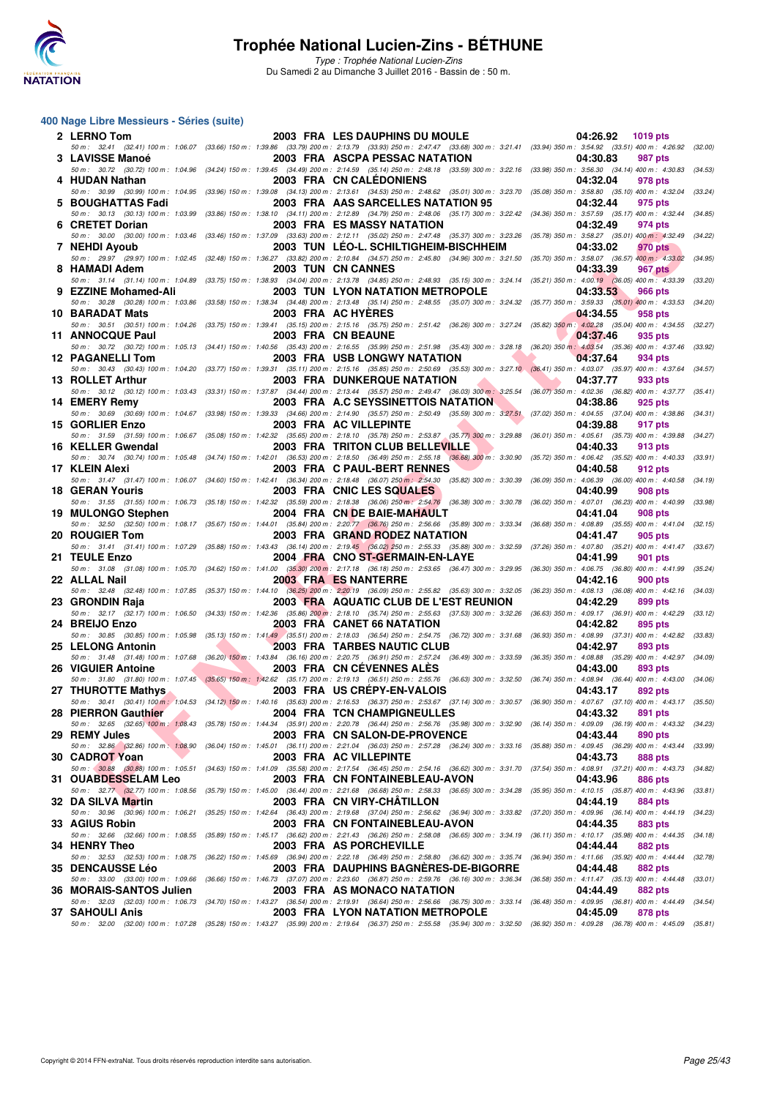

Type : Trophée National Lucien-Zins Du Samedi 2 au Dimanche 3 Juillet 2016 - Bassin de : 50 m.

| 2 LERNO Tom                                         |  | 2003 FRA LES DAUPHINS DU MOULE                                                                                                                                                                                                   | 04:26.92<br>1019 pts                                                           |         |
|-----------------------------------------------------|--|----------------------------------------------------------------------------------------------------------------------------------------------------------------------------------------------------------------------------------|--------------------------------------------------------------------------------|---------|
| 3 LAVISSE Manoé                                     |  | 50 m : 32.41 (32.41) 100 m : 1:06.07 (33.66) 150 m : 1:39.86 (33.79) 200 m : 2:13.79 (33.93) 250 m : 2:47.47 (33.68) 300 m : 3:21.41 (33.94) 350 m : 3:54.92 (33.51) 400 m : 4:26.92 (32.00)<br>2003 FRA ASCPA PESSAC NATATION   | 04:30.83<br>987 pts                                                            |         |
| 4 HUDAN Nathan                                      |  | 50 m : 30.72 (30.72) 100 m : 1:04.96 (34.24) 150 m : 1:39.45 (34.49) 200 m : 2:14.59 (35.14) 250 m : 2:48.18 (33.59) 300 m : 3:22.16 (33.98) 350 m : 3:56.30 (34.14) 400 m : 4:30.83 (34.53)<br><b>2003 FRA CN CALEDONIENS</b>   | 04:32.04<br>978 pts                                                            |         |
|                                                     |  | 50 m : 30.99 (30.99) 100 m : 1:04.95 (33.96) 150 m : 1:39.08 (34.13) 200 m : 2:13.61 (34.53) 250 m : 2:48.62 (35.01) 300 m : 3:23.70 (35.08) 350 m : 3:58.80 (35.10) 400 m : 4:32.04                                             |                                                                                | (33.24) |
| 5 BOUGHATTAS Fadi                                   |  | 2003 FRA AAS SARCELLES NATATION 95<br>50 m: 30.13 (30.13) 100 m: 1:03.99 (33.86) 150 m: 1:38.10 (34.11) 200 m: 2:12.89 (34.79) 250 m: 2:48.06 (35.17) 300 m: 3:22.42 (34.36) 350 m: 3:57.59 (35.17) 400 m: 4:32.44               | 04:32.44<br>975 pts                                                            | (34.85) |
| 6 CRETET Dorian                                     |  | 2003 FRA ES MASSY NATATION<br>50 m : 30.00 (30.00) 100 m : 1:03.46 (33.46) 150 m : 1:37.09 (33.63) 200 m : 2:12.11 (35.02) 250 m : 2:47.48 (35.37) 300 m : 3:23.26 (35.78) 350 m : 3:58.27 (35.01) 400 m : 4:32.49 (34.22)       | 04:32.49<br>974 pts                                                            |         |
| 7 NEHDI Ayoub                                       |  | 2003 TUN LEO-L. SCHILTIGHEIM-BISCHHEIM                                                                                                                                                                                           | 04:33.02<br>970 pts                                                            |         |
| 8 HAMADI Adem                                       |  | 50 m: 29.97 (29.97) 100 m: 1:02.45 (32.48) 150 m: 1:36.27 (33.82) 200 m: 2:10.84 (34.57) 250 m: 2:45.80 (34.96) 300 m: 3:21.50 (35.70) 350 m: 3:58.07 (36.57) 400 m: 4:33.02<br>2003 TUN CN CANNES                               | 04:33.39<br><b>967 pts</b>                                                     | (34.95) |
|                                                     |  | 50 m : 31.14 (31.14) 100 m : 1:04.89 (33.75) 150 m : 1:38.93 (34.04) 200 m : 2:13.78 (34.85) 250 m : 2:48.93 (35.15) 300 m : 3:24.14 (35.21) 350 m : 4:00.19 (36.05) 400 m : 4:33.39 (33.20)                                     |                                                                                |         |
| 9 EZZINE Mohamed-Ali                                |  | <b>2003 TUN LYON NATATION METROPOLE</b><br>50 m: 30.28 (30.28) 100 m: 1:03.86 (33.58) 150 m: 1:38.34 (34.48) 200 m: 2:13.48 (35.14) 250 m: 2:48.55 (35.07) 300 m: 3:24.32 (35.77) 350 m: 3:59.33 (35.01) 400 m: 4:33.53          | 04:33.53<br>966 pts                                                            | (34.20) |
| 10 BARADAT Mats                                     |  | 2003 FRA AC HYERES<br>50 m: 30.51 (30.51) 100 m: 1:04.26 (33.75) 150 m: 1:39.41 (35.15) 200 m: 2:15.16 (35.75) 250 m: 2:51.42 (36.26) 300 m: 3:27.24 (35.82) 350 m: 4:02.28 (35.04) 400 m: 4:34.55                               | 04:34.55<br>958 pts                                                            | (32.27) |
| 11 ANNOCQUE Paul                                    |  | <b>2003 FRA CN BEAUNE</b>                                                                                                                                                                                                        | 04:37.46<br>935 pts                                                            |         |
| 12 PAGANELLI Tom                                    |  | 50 m: 30.72 (30.72) 100 m: 1:05.13 (34.41) 150 m: 1:40.56 (35.43) 200 m: 2:16.55 (35.99) 250 m: 2:51.98 (35.43) 300 m: 3:28.18 (36.20) 350 m: 4:03.54 (35.36) 400 m: 4:37.46<br>2003 FRA USB LONGWY NATATION                     | 04:37.64<br>934 pts                                                            | (33.92) |
|                                                     |  | 50 m: 30.43 (30.43) 100 m: 1:04.20 (33.77) 150 m: 1:39.31 (35.11) 200 m: 2:15.16 (35.85) 250 m: 2:50.69 (35.53) 300 m: 3:27.10 (36.41) 350 m: 4:03.07 (35.97) 400 m: 4:37.64                                                     |                                                                                | (34.57) |
| 13 ROLLET Arthur                                    |  | <b>2003 FRA DUNKERQUE NATATION</b><br>50 m: 30.12 (30.12) 100 m: 1:03.43 (33.31) 150 m: 1:37.87 (34.44) 200 m: 2:13.44 (35.57) 250 m: 2:49.47 (36.03) 300 m: 3:25.54 (36.07) 350 m: 4:02.36 (36.82) 400 m: 4:37.77 (35.41)       | 04:37.77<br>933 pts                                                            |         |
| 14 EMERY Remy                                       |  | 2003 FRA A.C SEYSSINETTOIS NATATION<br>50 m: 30.69 (30.69) 100 m: 1:04.67 (33.98) 150 m: 1:39.33 (34.66) 200 m: 2:14.90 (35.57) 250 m: 2:50.49 (35.59) 300 m: 3:27.51 (37.02) 350 m: 4:04.55 (37.04) 400 m: 4:38.86              | 04:38.86<br>925 pts                                                            | (34.31) |
| 15 GORLIER Enzo                                     |  | 2003 FRA AC VILLEPINTE                                                                                                                                                                                                           | 04:39.88<br>917 pts                                                            |         |
| 16 KELLER Gwendal                                   |  | 50 m: 31.59 (31.59) 100 m: 1:06.67 (35.08) 150 m: 1:42.32 (35.65) 200 m: 2:18.10 (35.78) 250 m: 2:53.87 (35.77) 300 m: 3:29.88 (36.01) 350 m: 4:05.61 (35.73) 400 m: 4:39.88 (34.27)<br><b>2003 FRA TRITON CLUB BELLEVILLE</b>   | 04:40.33<br>913 pts                                                            |         |
|                                                     |  | 50 m : 30.74 (30.74) 100 m : 1:05.48 (34.74) 150 m : 1:42.01 (36.53) 200 m : 2:18.50 (36.49) 250 m : 2:55.18 (36.68) 300 m : 3:30.90                                                                                             | (35.72) 350 m : 4:06.42 (35.52) 400 m : 4:40.33                                | (33.91) |
| 17 KLEIN Alexi                                      |  | 2003 FRA C PAUL-BERT RENNES<br>50 m : 31.47 (31.47) 100 m : 1:06.07 (34.60) 150 m : 1:42.41 (36.34) 200 m : 2:18.48 (36.07) 250 m : 2:54.30 (35.82) 300 m : 3:30.39 (36.09) 350 m : 4:06.39 (36.00) 400 m : 4:40.58              | 04:40.58<br>912 pts                                                            | (34.19) |
| <b>18 GERAN Youris</b>                              |  | 2003 FRA CNIC LES SQUALES<br>50 m : 31.55 (31.55) 100 m : 1:06.73 (35.18) 150 m : 1:42.32 (35.59) 200 m : 2:18.38 (36.06) 250 m : 2:54.76 (36.38) 300 m : 3:30.78                                                                | 04:40.99<br>908 pts<br>(36.02) 350 m: 4:07.01 (36.23) 400 m: 4:40.99 (33.98)   |         |
| 19 MULONGO Stephen                                  |  | 2004 FRA CN DE BAIE-MAHAULT                                                                                                                                                                                                      | 04:41.04<br><b>908 pts</b>                                                     |         |
| 20 ROUGIER Tom                                      |  | 50 m : 32.50 (32.50) 100 m : 1:08.17 (35.67) 150 m : 1:44.01 (35.84) 200 m : 2:20.77 (36.76) 250 m : 2:56.66 (35.89) 300 m : 3:33.34<br>2003 FRA GRAND RODEZ NATATION                                                            | (36.68) 350 m : 4:08.89 (35.55) 400 m : 4:41.04 (32.15)<br>04:41.47<br>905 pts |         |
|                                                     |  | 50 m: 31.41 (31.41) 100 m: 1:07.29 (35.88) 150 m: 1:43.43 (36.14) 200 m: 2:19.45 (36.02) 250 m: 2:55.33 (35.88) 300 m: 3:32.59                                                                                                   | (37.26) 350 m : 4:07.80 (35.21) 400 m : 4:41.47 (33.67)                        |         |
| 21 TEULE Enzo<br>50 m: 31.08 (31.08) 100 m: 1:05.70 |  | 2004 FRA CNO ST-GERMAIN-EN-LAYE<br>(34.62) 150 m : 1:41.00 (35.30) 200 m : 2:17.18 (36.18) 250 m : 2:53.65 (36.47) 300 m : 3:29.95                                                                                               | 04:41.99<br>901 pts<br>$(36.30)$ 350 m : 4:06.75 $(36.80)$ 400 m : 4:41.99     | (35.24) |
| 22 ALLAL Nail                                       |  | <b>2003 FRA ES NANTERRE</b><br>50 m : 32.48 (32.48) 100 m : 1:07.85 (35.37) 150 m : 1:44.10 (36.25) 200 m : 2:20.19 (36.09) 250 m : 2:55.82 (35.63) 300 m : 3:32.05 (36.23) 350 m : 4:08.13 (36.08) 400 m : 4:42.16 (34.03)      | 04:42.16<br>900 pts                                                            |         |
| 23 GRONDIN Raja                                     |  | 2003 FRA AQUATIC CLUB DE L'EST REUNION                                                                                                                                                                                           | 04:42.29<br>899 pts                                                            |         |
| 24 BREIJO Enzo                                      |  | 50 m: 32.17 (32.17) 100 m: 1:06.50 (34.33) 150 m: 1:42.36 (35.86) 200 m: 2:18.10 (35.74) 250 m: 2:55.63 (37.53) 300 m: 3:32.26 (36.63) 350 m: 4:09.17 (36.91) 400 m: 4:42.29<br><b>2003 FRA CANET 66 NATATION</b>                | 04:42.82<br>895 pts                                                            | (33.12) |
|                                                     |  | 50 m: 30.85 (30.85) 100 m: 1:05.98 (35.13) 150 m: 1:41.49 (35.51) 200 m: 2:18.03 (36.54) 250 m: 2:54.75 (36.72) 300 m: 3:31.68 (36.93) 350 m: 4:08.99 (37.31) 400 m: 4:42.82                                                     |                                                                                | (33.83) |
| 25 LELONG Antonin                                   |  | <b>2003 FRA TARBES NAUTIC CLUB</b><br>50 m: 31.48 (31.48) 100 m: 1:07.68 (36.20) 150 m: 1:43.84 (36.16) 200 m: 2:20.75 (36.91) 250 m: 2:57.24 (36.49) 300 m: 3:33.59 (36.35) 350 m: 4:08.88 (35.29) 400 m: 4:42.97 (34.09)       | 04:42.97<br>893 pts                                                            |         |
| 26 VIGUIER Antoine                                  |  | 2003 FRA CN CEVENNES ALES<br>50 m: 31.80 (31.80) 100 m: 1:07.45 (35.65) 150 m: 1:42.62 (35.17) 200 m: 2:19.13 (36.51) 250 m: 2:55.76 (36.63) 300 m: 3:32.50 (36.74) 350 m: 4:08.94 (36.44) 400 m: 4:43.00 (34.06)                | 04:43.00<br>893 pts                                                            |         |
| 27 THUROTTE Mathys                                  |  | 2003 FRA US CREPY-EN-VALOIS                                                                                                                                                                                                      | 04:43.17<br>892 pts                                                            |         |
| 28 PIERRON Gauthier                                 |  | 50 m: 30.41 (30.41) 100 m: 1:04.53 (34.12) 150 m: 1:40.16 (35.63) 200 m: 2:16.53 (36.37) 250 m: 2:53.67 (37.14) 300 m: 3:30.57 (36.90) 350 m: 4:07.67 (37.10) 400 m: 4:43.17 (35.50)<br><b>2004 FRA TCN CHAMPIGNEULLES</b>       | 04:43.32<br>891 pts                                                            |         |
|                                                     |  | 50 m : 32.65 (32.65) 100 m : 1:08.43 (35.78) 150 m : 1:44.34 (35.91) 200 m : 2:20.78 (36.44) 250 m : 2:56.76 (35.98) 300 m : 3:32.90 (36.14) 350 m : 4:09.09 (36.19) 400 m : 4:43.32 (34.23)                                     |                                                                                |         |
| 29 REMY Jules                                       |  | 2003 FRA CN SALON-DE-PROVENCE<br>50 m: 32.86 (32.86) 100 m: 1:08.90 (36.04) 150 m: 1:45.01 (36.11) 200 m: 2:21.04 (36.03) 250 m: 2:57.28 (36.24) 300 m: 3:33.16 (35.88) 350 m: 4:09.45 (36.29) 400 m: 4:43.44                    | 04:43.44<br>890 pts                                                            | (33.99) |
| 30 CADROT Yoan                                      |  | 2003 FRA AC VILLEPINTE<br>50 m: 30.88 (30.88) 100 m: 1:05.51 (34.63) 150 m: 1:41.09 (35.58) 200 m: 2:17.54 (36.45) 250 m: 2:54.16 (36.62) 300 m: 3:31.70 (37.54) 350 m: 4:08.91 (37.21) 400 m: 4:43.73                           | 04:43.73<br><b>888 pts</b>                                                     |         |
| <b>31 OUABDESSELAM Leo</b>                          |  | 2003 FRA CN FONTAINEBLEAU-AVON                                                                                                                                                                                                   | 04:43.96<br>886 pts                                                            | (34.82) |
| 32 DA SILVA Martin                                  |  | 50 m: 32.77 (32.77) 100 m: 1:08.56 (35.79) 150 m: 1:45.00 (36.44) 200 m: 2:21.68 (36.68) 250 m: 2:58.33 (36.65) 300 m: 3:34.28 (35.95) 350 m: 4:10.15 (35.87) 400 m: 4:43.96 (33.81)<br>2003 FRA CN VIRY-CHATILLON               | 04:44.19<br>884 pts                                                            |         |
|                                                     |  | 50 m : 30.96 (30.96) 100 m : 1:06.21 (35.25) 150 m : 1:42.64 (36.43) 200 m : 2:19.68 (37.04) 250 m : 2:56.62 (36.94) 300 m : 3:33.82 (37.20) 350 m : 4:09.96 (36.14) 400 m : 4:44.19 (34.23)                                     |                                                                                |         |
| 33 AGIUS Robin                                      |  | 2003 FRA CN FONTAINEBLEAU-AVON<br>50 m: 32.66 (32.66) 100 m: 1:08.55 (35.89) 150 m: 1:45.17 (36.62) 200 m: 2:21.43 (36.26) 250 m: 2:58.08 (36.65) 300 m: 3:34.19 (36.11) 350 m: 4:10.17 (35.98) 400 m: 4:44.35                   | 04:44.35<br>883 pts                                                            | (34.18) |
| 34 HENRY Theo                                       |  | 2003 FRA AS PORCHEVILLE                                                                                                                                                                                                          | 04:44.44<br>882 pts                                                            |         |
| <b>35 DENCAUSSE Léo</b>                             |  | 50 m : 32.53 (32.53) 100 m : 1:08.75 (36.22) 150 m : 1:45.69 (36.94) 200 m : 2:22.18 (36.49) 250 m : 2:58.80 (36.62) 300 m : 3:35.74 (36.94) 350 m : 4:11.66 (35.92) 400 m : 4:44.44<br>2003 FRA DAUPHINS BAGNERES-DE-BIGORRE    | 04:44.48<br>882 pts                                                            | (32.78) |
| 36 MORAIS-SANTOS Julien                             |  | 50 m: 33.00 (33.00) 100 m: 1:09.66 (36.66) 150 m: 1:46.73 (37.07) 200 m: 2:23.60 (36.87) 250 m: 2:59.76 (36.16) 300 m: 3:36.34 (36.58) 350 m: 4:11.47 (35.13) 400 m: 4:44.48<br>2003 FRA AS MONACO NATATION                      | 04:44.49<br>882 pts                                                            | (33.01) |
|                                                     |  | 50 m : 32.03 (32.03) 100 m : 1:06.73 (34.70) 150 m : 1:43.27 (36.54) 200 m : 2:19.91 (36.64) 250 m : 2:56.66 (36.75) 300 m : 3:33.14 (36.48) 350 m : 4:09.95 (36.81) 400 m : 4:44.49 (34.54)                                     |                                                                                |         |
| <b>37 SAHOULI Anis</b>                              |  | 2003 FRA LYON NATATION METROPOLE<br>50 m : 32.00 (32.00) 100 m : 1:07.28 (35.28) 150 m : 1:43.27 (35.99) 200 m : 2:19.64 (36.37) 250 m : 2:55.58 (35.94) 300 m : 3:32.50 (36.92) 350 m : 4:09.28 (36.78) 400 m : 4:45.09 (35.81) | 04:45.09<br>878 pts                                                            |         |
|                                                     |  |                                                                                                                                                                                                                                  |                                                                                |         |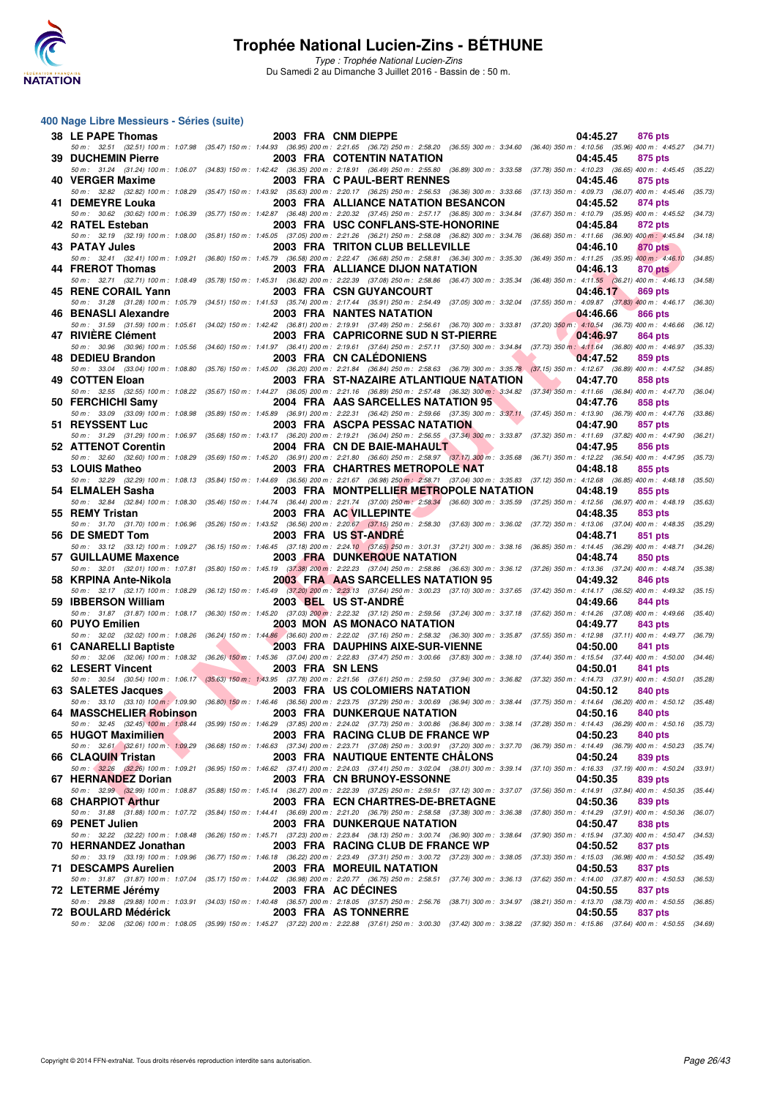

Type : Trophée National Lucien-Zins Du Samedi 2 au Dimanche 3 Juillet 2016 - Bassin de : 50 m.

| 38 LE PAPE Thomas                                          | 2003 FRA CNM DIEPPE                                                                                                                                                                                                              | 04:45.27<br>876 pts                                                               |         |
|------------------------------------------------------------|----------------------------------------------------------------------------------------------------------------------------------------------------------------------------------------------------------------------------------|-----------------------------------------------------------------------------------|---------|
| <b>39 DUCHEMIN Pierre</b>                                  | 50 m: 32.51 (32.51) 100 m: 1:07.98 (35.47) 150 m: 1:44.93 (36.95) 200 m: 2:21.65 (36.72) 250 m: 2:58.20 (36.55) 300 m: 3:34.60 (36.40) 350 m: 4:10.56 (35.96) 400 m: 4:45.27<br><b>2003 FRA COTENTIN NATATION</b>                | 04:45.45<br>875 pts                                                               | (34.71) |
| 40 VERGER Maxime                                           | 50 m : 31.24 (31.24) 100 m : 1:06.07 (34.83) 150 m : 1:42.42 (36.35) 200 m : 2:18.91 (36.49) 250 m : 2:55.80 (36.89) 300 m : 3:33.58<br>2003 FRA C PAUL-BERT RENNES                                                              | $(37.78)$ 350 m : 4:10.23 $(36.65)$ 400 m : 4:45.45<br><b>875 pts</b><br>04:45.46 | (35.22) |
| 41 DEMEYRE Louka                                           | 50 m: 32.82 (32.82) 100 m: 1:08.29 (35.47) 150 m: 1:43.92 (35.63) 200 m: 2:20.17 (36.25) 250 m: 2:56.53 (36.36) 300 m: 3:33.66 (37.13) 350 m: 4:09.73 (36.07) 400 m: 4:45.46<br>2003 FRA ALLIANCE NATATION BESANCON              | 04:45.52<br>874 pts                                                               | (35.73) |
| 42 RATEL Esteban                                           | 50 m: 30.62 (30.62) 100 m: 1:06.39 (35.77) 150 m: 1:42.87 (36.48) 200 m: 2:20.32 (37.45) 250 m: 2:57.17 (36.85) 300 m: 3:34.84<br>2003 FRA USC CONFLANS-STE-HONORINE                                                             | (37.67) 350 m : 4:10.79 (35.95) 400 m : 4:45.52<br>04:45.84<br>872 pts            | (34.73) |
| 50 m: 32.19 (32.19) 100 m: 1:08.00<br>43 PATAY Jules       | (35.81) 150 m : 1:45.05 (37.05) 200 m : 2:21.26 (36.21) 250 m : 2:58.08 (36.82) 300 m : 3:34.76 (36.68) 350 m : 4:11.66 (36.90) 400 m : 4:45.84<br>2003 FRA TRITON CLUB BELLEVILLE                                               | 04:46.10<br>870 pts                                                               | (34.18) |
| 50 m : 32.41 (32.41) 100 m : 1:09.21<br>44 FREROT Thomas   | (36.80) 150 m : 1:45.79 (36.58) 200 m : 2:22.47 (36.68) 250 m : 2:58.81 (36.34) 300 m : 3:35.30 (36.49) 350 m : 4:11.25 (35.95) 400 m : 4:46.10<br>2003 FRA ALLIANCE DIJON NATATION                                              | 04:46.13<br>870 pts                                                               | (34.85) |
| 45 RENE CORAIL Yann                                        | 50 m: 32.71 (32.71) 100 m: 1:08.49 (35.78) 150 m: 1:45.31 (36.82) 200 m: 2:22.39 (37.08) 250 m: 2:58.86 (36.47) 300 m: 3:35.34 (36.48) 350 m: 4:11.55 (36.21) 400 m: 4:46.13 (34.58)<br><b>2003 FRA CSN GUYANCOURT</b>           | 04:46.17<br><b>869 pts</b>                                                        |         |
| 50 m: 31.28 (31.28) 100 m: 1:05.79<br>46 BENASLI Alexandre | (34.51) 150 m: 1:41.53 (35.74) 200 m: 2:17.44 (35.91) 250 m: 2:54.49 (37.05) 300 m: 3:32.04 (37.55) 350 m: 4:09.87 (37.83) 400 m: 4:46.17<br><b>2003 FRA NANTES NATATION</b>                                                     | 04:46.66<br>866 pts                                                               | (36.30) |
| 47 RIVIERE Clément                                         | 50 m: 31.59 (31.59) 100 m: 1:05.61 (34.02) 150 m: 1:42.42 (36.81) 200 m: 2:19.91 (37.49) 250 m: 2:56.61 (36.70) 300 m: 3:33.81 (37.20) 350 m: 4:10.54 (36.73) 400 m: 4:46.66<br>2003 FRA CAPRICORNE SUD N ST-PIERRE              | 04:46.97<br>864 pts                                                               | (36.12) |
| 48 DEDIEU Brandon                                          | 50 m : 30.96 (30.96) 100 m : 1:05.56 (34.60) 150 m : 1:41.97 (36.41) 200 m : 2:19.61 (37.64) 250 m : 2:57.11 (37.50) 300 m : 3:34.84 (37.73) 350 m : 4:11.64 (36.80) 400 m : 4:46.97<br>2003 FRA CN CALEDONIENS                  | 04:47.52<br>859 pts                                                               | (35.33) |
| 49 COTTEN Eloan                                            | 50 m: 33.04 (33.04) 100 m: 1:08.80 (35.76) 150 m: 1:45.00 (36.20) 200 m: 2:21.84 (36.84) 250 m: 2:58.63 (36.79) 300 m: 3:35.78 (37.15) 350 m: 4:12.67 (36.89) 400 m: 4:47.52<br>2003 FRA ST-NAZAIRE ATLANTIQUE NATATION          | 04:47.70<br>858 pts                                                               | (34.85) |
| 50 FERCHICHI Samv                                          | 50 m: 32.55 (32.55) 100 m: 1:08.22 (35.67) 150 m: 1:44.27 (36.05) 200 m: 2:21.16 (36.89) 250 m: 2:57.48 (36.32) 300 m: 3:34.82 (37.34) 350 m: 4:11.66 (36.84) 400 m: 4:47.70 (36.04)<br>2004 FRA AAS SARCELLES NATATION 95       | 04:47.76<br>858 pts                                                               |         |
| 51 REYSSENT Luc                                            | 50 m: 33.09 (33.09) 100 m: 1:08.98 (35.89) 150 m: 1:45.89 (36.91) 200 m: 2:22.31 (36.42) 250 m: 2:59.66 (37.35) 300 m: 3:37.11 (37.45) 350 m: 4:13.90 (36.79) 400 m: 4:47.76<br><b>2003 FRA ASCPA PESSAC NATATION</b>            | 04:47.90<br>857 pts                                                               | (33.86) |
| 50 m: 31.29 (31.29) 100 m: 1:06.97                         | (35.68) 150 m: 1:43.17 (36.20) 200 m: 2:19.21 (36.04) 250 m: 2:56.55 (37.34) 300 m: 3:33.87 (37.32) 350 m: 4:11.69 (37.82) 400 m: 4:47.90<br>2004 FRA CN DE BAIE-MAHAULT                                                         |                                                                                   | (36.21) |
| 52 ATTENOT Corentin                                        | 50 m: 32.60 (32.60) 100 m: 1:08.29 (35.69) 150 m: 1:45.20 (36.91) 200 m: 2:21.80 (36.60) 250 m: 2:58.97 (37.17) 300 m: 3:35.68 (36.71) 350 m: 4:12.22 (36.54) 400 m: 4:47.95                                                     | 04:47.95<br>856 pts                                                               | (35.73) |
| 53 LOUIS Matheo                                            | <b>2003 FRA CHARTRES METROPOLE NAT</b><br>50 m : 32.29 (32.29) 100 m : 1:08.13 (35.84) 150 m : 1:44.69 (36.56) 200 m : 2:21.67 (36.98) 250 m : 2:58.71 (37.04) 300 m : 3:35.83 (37.12) 350 m : 4:12.68 (36.85) 400 m : 4:48.18   | 04:48.18<br>855 pts                                                               | (35.50) |
| 54 ELMALEH Sasha                                           | 2003 FRA MONTPELLIER METROPOLE NATATION<br>50 m : 32.84 (32.84) 100 m : 1:08.30 (35.46) 150 m : 1:44.74 (36.44) 200 m : 2:21.74 (37.00) 250 m : 2:58.34 (36.60) 300 m : 3:35.59 (37.25) 350 m : 4:12.56 (36.97) 400 m : 4:48.19  | 04:48.19<br>855 pts                                                               | (35.63) |
| 55 REMY Tristan<br>50 m: 31.70 (31.70) 100 m: 1:06.96      | 2003 FRA AC VILLEPINTE<br>(35.26) 150 m : 1:43.52 (36.56) 200 m : 2:20.67 (37.15) 250 m : 2:58.30 (37.63) 300 m : 3:36.02 (37.72) 350 m : 4:13.06 (37.04) 400 m : 4:48.35                                                        | 04:48.35<br>853 pts                                                               | (35.29) |
| 56 DE SMEDT Tom                                            | 2003 FRA US ST-ANDRE<br>50 m: 33.12 (33.12) 100 m: 1:09.27 (36.15) 150 m: 1:46.45 (37.18) 200 m: 2:24.10 (37.65) 250 m: 3:01.31 (37.21) 300 m: 3:38.16 (36.85) 350 m: 4:14.45 (36.29) 400 m: 4:48.71 (34.26)                     | 04:48.71<br>851 pts                                                               |         |
| 57 GUILLAUME Maxence                                       | <b>2003 FRA DUNKERQUE NATATION</b><br>50 m: 32.01 (32.01) 100 m: 1:07.81 (35.80) 150 m: 1:45.19 (37.38) 200 m: 2:22.23 (37.04) 250 m: 2:58.86 (36.63) 300 m: 3:36.12 (37.26) 350 m: 4:13.36 (37.24) 400 m: 4:48.74               | 04:48.74<br>850 pts                                                               | (35.38) |
| 58 KRPINA Ante-Nikola                                      | 2003 FRA AAS SARCELLES NATATION 95<br>50 m: 32.17 (32.17) 100 m: 1:08.29 (36.12) 150 m: 1:45.49 (37.20) 200 m: 2:23.13 (37.64) 250 m: 3:00.23 (37.10) 300 m: 3:37.65 (37.42) 350 m: 4:14.17 (36.52) 400 m: 4:49.32               | 04:49.32<br><b>846 pts</b>                                                        | (35.15) |
| 59 IBBERSON William                                        | 2003 BEL US ST-ANDRE<br>50 m: 31.87 (31.87) 100 m: 1:08.17 (36.30) 150 m: 1:45.20 (37.03) 200 m: 2:22.32 (37.12) 250 m: 2:59.56 (37.24) 300 m: 3:37.18 (37.62) 350 m: 4:14.26 (37.08) 400 m: 4:49.66                             | 04:49.66<br>844 pts                                                               | (35.40) |
| 60 PUYO Emilien                                            | 2003 MON AS MONACO NATATION<br>50 m : 32.02 (32.02) 100 m : 1:08.26 (36.24) 150 m : 1:44.86 (36.60) 200 m : 2:22.02 (37.16) 250 m : 2:58.32 (36.30) 300 m : 3:35.87 (37.55) 350 m : 4:12.98 (37.11) 400 m : 4:49.77 (36.79)      | 04:49.77<br>843 pts                                                               |         |
| 61 CANARELLI Baptiste                                      | 2003 FRA DAUPHINS AIXE-SUR-VIENNE<br>50 m: 32.06 (32.06) 100 m: 1:08.32 (36.26) 150 m: 1:45.36 (37.04) 200 m: 2:22.83 (37.47) 250 m: 3:00.66 (37.83) 300 m: 3:38.10 (37.44) 350 m: 4:15.54 (37.44) 400 m: 4:50.00 (34.46)        | 04:50.00<br>841 pts                                                               |         |
| 62 LESERT Vincent                                          | 2003 FRA SN LENS<br>50 m: 30.54 (30.54) 100 m: 1:06.17 (35.63) 150 m: 1:43.95 (37.78) 200 m: 2:21.56 (37.61) 250 m: 2:59.50 (37.94) 300 m: 3:36.82 (37.32) 350 m: 4:14.73 (37.91) 400 m: 4:50.01                                 | 04:50.01<br>841 pts                                                               | (35.28) |
| 63 SALETES Jacques                                         | <b>2003 FRA US COLOMIERS NATATION</b><br>50 m: 33.10 (33.10) 100 m: 1:09.90 (36.80) 150 m: 1:46.46 (36.56) 200 m: 2:23.75 (37.29) 250 m: 3:00.69 (36.94) 300 m: 3:38.44 (37.75) 350 m: 4:14.64 (36.20) 400 m: 4:50.12 (35.48)    | 04:50.12<br>840 pts                                                               |         |
| 64 MASSCHELIER Robinson                                    | 2003 FRA DUNKERQUE NATATION<br>50 m: 32.45 (32.45) 100 m: 1:08.44 (35.99) 150 m: 1:46.29 (37.85) 200 m: 2:24.02 (37.73) 250 m: 3:00.86 (36.84) 300 m: 3:38.14 (37.28) 350 m: 4:14.43 (36.29) 400 m: 4:50.16                      | 04:50.16<br>840 pts                                                               | (35.73) |
| 65 HUGOT Maximilien<br>50 m: 32.61 (32.61) 100 m: 1:09.29  | 2003 FRA RACING CLUB DE FRANCE WP<br>(36.68) 150 m : 1:46.63 (37.34) 200 m : 2:23.71 (37.08) 250 m : 3:00.91 (37.20) 300 m : 3:37.70 (36.79) 350 m : 4:14.49 (36.79) 400 m : 4:50.23                                             | 04:50.23<br>840 pts                                                               | (35.74) |
| 66 CLAQUIN Tristan                                         | <b>2003 FRA NAUTIQUE ENTENTE CHALONS</b><br>50 m : 32.26 (32.26) 100 m : 1:09.21 (36.95) 150 m : 1:46.62 (37.41) 200 m : 2:24.03 (37.41) 250 m : 3:02.04 (38.01) 300 m : 3:39.14 (37.10) 350 m : 4:16.33 (37.19) 400 m : 4:50.24 | 04:50.24<br>839 pts                                                               | (33.91) |
| 67 HERNANDEZ Dorian                                        | 2003 FRA CN BRUNOY-ESSONNE                                                                                                                                                                                                       | 04:50.35<br>839 pts                                                               |         |
| 68 CHARPIOT Arthur                                         | 50 m: 32.99 (32.99) 100 m: 1:08.87 (35.88) 150 m: 1:45.14 (36.27) 200 m: 2:22.39 (37.25) 250 m: 2:55.51 (37.12) 300 m: 3:37.07 (37.56) 350 m: 4:14.91 (37.84) 400 m: 4:50.35 (35.44)<br>2003 FRA ECN CHARTRES-DE-BRETAGNE        | 04:50.36<br>839 pts                                                               |         |
| 69 PENET Julien                                            | 50 m : 31.88 (31.88) 100 m : 1:07.72 (35.84) 150 m : 1:44.41 (36.69) 200 m : 2:21.20 (36.79) 250 m : 2:58.58 (37.38) 300 m : 3:36.38<br><b>2003 FRA DUNKERQUE NATATION</b>                                                       | (37.80) 350 m : 4:14.29 (37.91) 400 m : 4:50.36<br>04:50.47<br>838 pts            | (36.07) |
| 70 HERNANDEZ Jonathan                                      | 50 m : 32.22 (32.22) 100 m : 1:08.48 (36.26) 150 m : 1:45.71 (37.23) 200 m : 2:23.84 (38.13) 250 m : 3:00.74 (36.90) 300 m : 3:38.64<br>2003 FRA RACING CLUB DE FRANCE WP                                                        | $(37.90)$ 350 m : 4:15.94 $(37.30)$ 400 m : 4:50.47<br>04:50.52<br>837 pts        | (34.53) |
| 71 DESCAMPS Aurelien                                       | 50 m : 33.19 (33.19) 100 m : 1:09.96 (36.77) 150 m : 1:46.18 (36.22) 200 m : 2:23.49 (37.31) 250 m : 3:00.72 (37.23) 300 m : 3:38.05<br><b>2003 FRA MOREUIL NATATION</b>                                                         | (37.33) 350 m : 4:15.03 (36.98) 400 m : 4:50.52<br>04:50.53<br>837 pts            | (35.49) |
| 50 m : 31.87 (31.87) 100 m : 1:07.04<br>72 LETERME Jérémy  | (35.17) 150 m: 1:44.02 (36.98) 200 m: 2:20.77 (36.75) 250 m: 2:58.51 (37.74) 300 m: 3:36.13 (37.62) 350 m: 4:14.00 (37.87) 400 m: 4:50.53<br>2003 FRA AC DECINES                                                                 | 04:50.55<br>837 pts                                                               | (36.53) |
| 72 BOULARD Médérick                                        | 50 m: 29.88 (29.88) 100 m: 1:03.91 (34.03) 150 m: 1:40.48 (36.57) 200 m: 2:18.05 (37.57) 250 m: 2:56.76 (38.71) 300 m: 3:34.97 (38.21) 350 m: 4:13.70 (38.73) 400 m: 4:50.55 (36.85)<br>2003 FRA AS TONNERRE                     | 04:50.55<br>837 pts                                                               |         |
|                                                            | 50 m: 32.06 (32.06) 100 m: 1:08.05 (35.99) 150 m: 1:45.27 (37.22) 200 m: 2:22.88 (37.61) 250 m: 3:00.30 (37.42) 300 m: 3:38.22 (37.92) 350 m: 4:15.86 (37.64) 400 m: 4:50.55 (34.69)                                             |                                                                                   |         |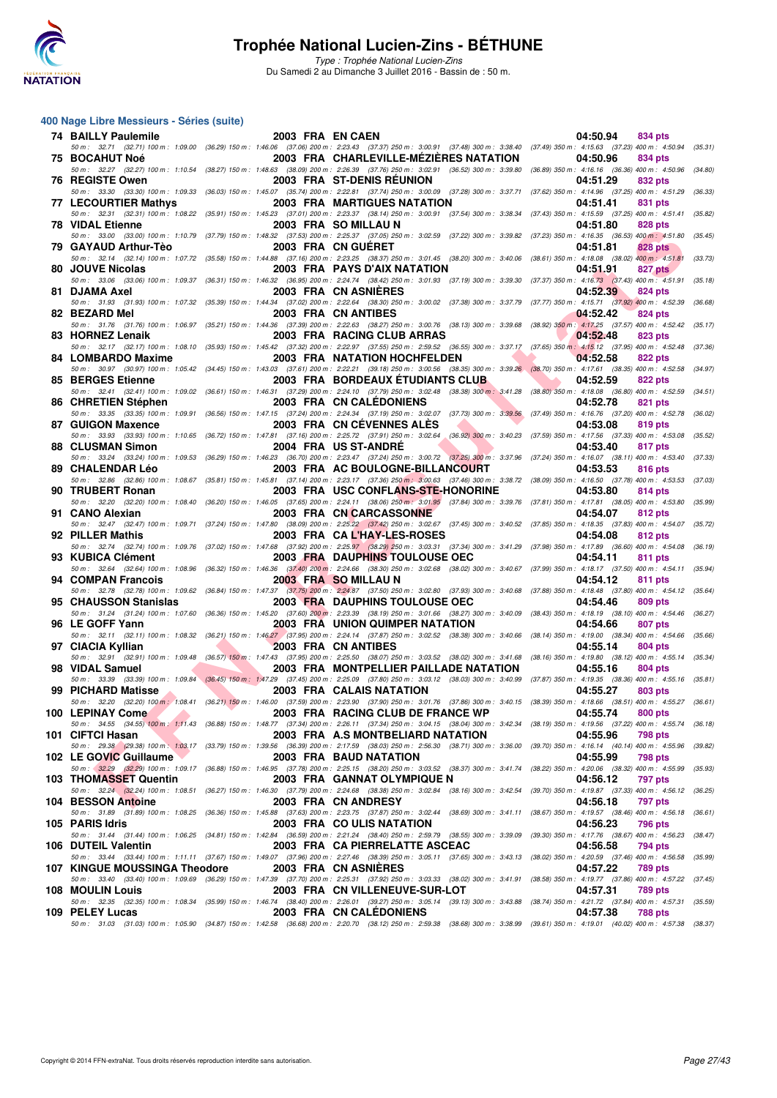

Type : Trophée National Lucien-Zins Du Samedi 2 au Dimanche 3 Juillet 2016 - Bassin de : 50 m.

| <b>74 BAILLY Paulemile</b>      | 2003 FRA EN CAEN |                                                                                                                                                                                                                                     | 04:50.94<br>834 pts                                      |
|---------------------------------|------------------|-------------------------------------------------------------------------------------------------------------------------------------------------------------------------------------------------------------------------------------|----------------------------------------------------------|
| 75 BOCAHUT Noé                  |                  | 50 m: 32.71 (32.71) 100 m: 1:09.00 (36.29) 150 m: 1:46.06 (37.06) 200 m: 2:23.43 (37.37) 250 m: 3:00.91 (37.48) 300 m: 3:38.40 (37.49) 350 m: 4:15.63 (37.23) 400 m: 4:50.94<br>2003 FRA CHARLEVILLE-MEZIERES NATATION              | (35.31)<br>04:50.96<br>834 pts                           |
|                                 |                  | 50 m : 32.27 (32.27) 100 m : 1:10.54 (38.27) 150 m : 1:48.63 (38.09) 200 m : 2:26.39 (37.76) 250 m : 3:02.91 (36.52) 300 m : 3:39.80 (36.89) 350 m : 4:16.16 (36.36) 400 m : 4:50.96                                                | (34.80)                                                  |
| 76 REGISTE Owen                 |                  | 2003 FRA ST-DENIS REUNION<br>50 m: 33.30 (33.30) 100 m: 1:09.33 (36.03) 150 m: 1:45.07 (35.74) 200 m: 2:22.81 (37.74) 250 m: 3:00.09 (37.28) 300 m: 3:37.71 (37.62) 350 m: 4:14.96 (37.25) 400 m: 4:51.29                           | 04:51.29<br>832 pts<br>(36.33)                           |
| 77 LECOURTIER Mathys            |                  | <b>2003 FRA MARTIGUES NATATION</b>                                                                                                                                                                                                  | 04:51.41<br>831 pts                                      |
| <b>78 VIDAL Etienne</b>         |                  | 50 m: 32.31 (32.31) 100 m: 1:08.22 (35.91) 150 m: 1:45.23 (37.01) 200 m: 2:23.37 (38.14) 250 m: 3:00.91 (37.54) 300 m: 3:38.34 (37.43) 350 m: 4:15.59 (37.25) 400 m: 4:51.41<br>2003 FRA SO MILLAU N                                | (35.82)<br>04:51.80<br>828 pts                           |
|                                 |                  | 50 m: 33.00 (33.00) 100 m: 1:10.79 (37.79) 150 m: 1:48.32 (37.53) 200 m: 2:25.37 (37.05) 250 m: 3:02.59 (37.22) 300 m: 3:39.82 (37.23) 350 m: 4:16.35 (36.53) 400 m: 4:51.80 (35.45)                                                |                                                          |
| 79 GAYAUD Arthur-Tèo            |                  | 2003 FRA CN GUERET<br>50 m: 32.14 (32.14) 100 m: 1:07.72 (35.58) 150 m: 1:44.88 (37.16) 200 m: 2:23.25 (38.37) 250 m: 3:01.45 (38.20) 300 m: 3:40.06 (38.61) 350 m: 4:18.08 (38.02) 400 m: 4:51.81                                  | 04:51.81<br>828 pts<br>(33.73)                           |
| 80 JOUVE Nicolas                |                  | <b>2003 FRA PAYS D'AIX NATATION</b>                                                                                                                                                                                                 | 04:51.91<br>827 pts                                      |
| 81 DJAMA Axel                   |                  | 50 m : 33.06 (33.06) 100 m : 1:09.37 (36.31) 150 m : 1:46.32 (36.95) 200 m : 2:24.74 (38.42) 250 m : 3:01.93 (37.19) 300 m : 3:39.30 (37.37) 350 m : 4:16.73 (37.43) 400 m : 4:51.91 (35.18)<br>2003 FRA CN ASNIERES                | 04:52.39<br>824 pts                                      |
|                                 |                  | 50 m: 31.93 (31.93) 100 m: 1:07.32 (35.39) 150 m: 1:44.34 (37.02) 200 m: 2:22.64 (38.30) 250 m: 3:00.02 (37.38) 300 m: 3:37.79 (37.77) 350 m: 4:15.71 (37.92) 400 m: 4:52.39                                                        | (36.68)                                                  |
| 82 BEZARD Mel                   |                  | <b>2003 FRA CN ANTIBES</b><br>50 m: 31.76 (31.76) 100 m: 1:06.97 (35.21) 150 m: 1:44.36 (37.39) 200 m: 2:22.63 (38.27) 250 m: 3:00.76 (38.13) 300 m: 3:39.68 (38.92) 350 m: 4:17.25 (37.57) 400 m: 4:52.42                          | 04:52.42<br>824 pts<br>(35.17)                           |
| 83 HORNEZ Lenaik                |                  | 2003 FRA RACING CLUB ARRAS                                                                                                                                                                                                          | 04:52.48<br>823 pts                                      |
| 84 LOMBARDO Maxime              |                  | 50 m : 32.17 (32.17) 100 m : 1:08.10 (35.93) 150 m : 1:45.42 (37.32) 200 m : 2:22.97 (37.55) 250 m : 2:59.52 (36.55) 300 m : 3:37.17 (37.65) 350 m : 4:15.12 (37.95) 400 m : 4:52.48 (37.36)<br><b>2003 FRA NATATION HOCHFELDEN</b> | 04:52.58<br>822 pts                                      |
| 85 BERGES Etienne               |                  | 50 m: 30.97 (30.97) 100 m: 1:05.42 (34.45) 150 m: 1:43.03 (37.61) 200 m: 2:22.21 (39.18) 250 m: 3:00.56 (38.35) 300 m: 3:39.26 (38.70) 350 m: 4:17.61 (38.35) 400 m: 4:52.58<br><b>2003 FRA BORDEAUX ETUDIANTS CLUB</b>             | (34.97)<br>04:52.59<br><b>822 pts</b>                    |
|                                 |                  | 50 m: 32.41 (32.41) 100 m: 1:09.02 (36.61) 150 m: 1:46.31 (37.29) 200 m: 2:24.10 (37.79) 250 m: 3:02.48 (38.38) 300 m: 3:41.28 (38.80) 350 m: 4:18.08 (36.80) 400 m: 4:52.59 (34.51)                                                |                                                          |
| 86 CHRETIEN Stéphen             |                  | 2003 FRA CN CALEDONIENS<br>50 m: 33.35 (33.35) 100 m: 1:09.91 (36.56) 150 m: 1:47.15 (37.24) 200 m: 2:24.34 (37.19) 250 m: 3:02.07 (37.73) 300 m: 3:39.56 (37.49) 350 m: 4:16.76 (37.20) 400 m: 4:52.78                             | 04:52.78<br>821 pts<br>(36.02)                           |
| 87 GUIGON Maxence               |                  | 2003 FRA CN CEVENNES ALES                                                                                                                                                                                                           | 04:53.08<br>819 pts                                      |
| 88 CLUSMAN Simon                |                  | 50 m: 33.93 (33.93) 100 m: 1:10.65 (36.72) 150 m: 1:47.81 (37.16) 200 m: 2:25.72 (37.91) 250 m: 3:02.64 (36.92) 300 m: 3:40.23 (37.59) 350 m: 4:17.56 (37.33) 400 m: 4:53.08<br>2004 FRA US ST-ANDRE                                | (35.52)<br>04:53.40<br>817 pts                           |
|                                 |                  | 50 m: 33.24 (33.24) 100 m: 1:09.53 (36.29) 150 m: 1:46.23 (36.70) 200 m: 2:23.47 (37.24) 250 m: 3:00.72 (37.25) 300 m: 3:37.96 (37.24) 350 m: 4:16.07 (38.11) 400 m: 4:53.40                                                        | (37.33)                                                  |
| 89 CHALENDAR Léo                |                  | 2003 FRA AC BOULOGNE-BILLANCOURT<br>50 m: 32.86 (32.86) 100 m: 1:08.67 (35.81) 150 m: 1:45.81 (37.14) 200 m: 2:23.17 (37.36) 250 m: 3:00.63 (37.46) 300 m: 3:38.72 (38.09) 350 m: 4:16.50 (37.78) 400 m: 4:53.53 (37.03)            | 04:53.53<br>816 pts                                      |
| 90 TRUBERT Ronan                |                  | 2003 FRA USC CONFLANS-STE-HONORINE                                                                                                                                                                                                  | 04:53.80<br>814 pts                                      |
| 91 CANO Alexian                 |                  | 50 m: 32.20 (32.20) 100 m: 1:08.40 (36.20) 150 m: 1:46.05 (37.65) 200 m: 2:24.11 (38.06) 250 m: 3:01.95 (37.84) 300 m: 3:39.76 (37.81) 350 m: 4:17.81 (38.05) 400 m: 4:53.80 (35.99)<br>2003 FRA CN CARCASSONNE                     | 04:54.07<br>812 pts                                      |
|                                 |                  | 50 m: 32.47 (32.47) 100 m: 1:09.71 (37.24) 150 m: 1:47.80 (38.09) 200 m: 2:25.22 (37.42) 250 m: 3:02.67 (37.45) 300 m: 3:40.52 (37.85) 350 m: 4:18.35 (37.83) 400 m: 4:54.07 (35.72)                                                |                                                          |
| 92 PILLER Mathis                |                  | 2003 FRA CAL'HAY-LES-ROSES<br>50 m: 32.74 (32.74) 100 m: 1:09.76 (37.02) 150 m: 1:47.68 (37.92) 200 m: 2:25.97 (38.29) 250 m: 3:03.31 (37.34) 300 m: 3:41.29 (37.98) 350 m: 4:17.89 (36.60) 400 m: 4:54.08 (36.19)                  | 04:54.08<br>812 pts                                      |
| 93 KUBICA Clément               |                  | 2003 FRA DAUPHINS TOULOUSE OEC<br>50 m: 32.64 (32.64) 100 m: 1:08.96 (36.32) 150 m: 1:46.36 (37.40) 200 m: 2:24.66 (38.30) 250 m: 3:02.68 (38.02) 300 m: 3:40.67 (37.99) 350 m: 4:18.17 (37.50) 400 m: 4:54.11                      | 04:54.11<br>811 pts<br>(35.94)                           |
| 94 COMPAN Francois              |                  | 2003 FRA SO MILLAU N                                                                                                                                                                                                                | 04:54.12<br>811 pts                                      |
| 95 CHAUSSON Stanislas           |                  | 50 m: 32.78 (32.78) 100 m: 1:09.62 (36.84) 150 m: 1:47.37 (37.75) 200 m: 2:24.87 (37.50) 250 m: 3:02.80 (37.93) 300 m: 3:40.68 (37.88) 350 m: 4:18.48 (37.80) 400 m: 4:54.12 (35.64)<br>2003 FRA DAUPHINS TOULOUSE OEC              | 04:54.46<br>809 pts                                      |
|                                 |                  | 50 m: 31.24 (31.24) 100 m: 1:07.60 (36.36) 150 m: 1:45.20 (37.60) 200 m: 2:23.39 (38.19) 250 m: 3:01.66 (38.27) 300 m: 3:40.09 (38.43) 350 m: 4:18.19 (38.10) 400 m: 4:54.46 (36.27)                                                |                                                          |
| 96 LE GOFF Yann                 |                  | <b>2003 FRA UNION QUIMPER NATATION</b><br>50 m: 32.11 (32.11) 100 m: 1:08.32 (36.21) 150 m: 1:46.27 (37.95) 200 m: 2:24.14 (37.87) 250 m: 3:02.52 (38.38) 300 m: 3:40.66 (38.14) 350 m: 4:19.00 (38.34) 400 m: 4:54.66 (35.66)      | 04:54.66<br>807 pts                                      |
| 97 CIACIA Kyllian               |                  | 2003 FRA CN ANTIBES                                                                                                                                                                                                                 | 04:55.14<br><b>804 pts</b>                               |
| 98 VIDAL Samuel                 |                  | 50 m: 32.91 (32.91) 100 m: 1:09.48 (36.57) 150 m: 1:47.43 (37.95) 200 m: 2:25.50 (38.07) 250 m: 3:03.52 (38.02) 300 m: 3:41.68 (38.16) 350 m: 4:19.80 (38.12) 400 m: 4:55.14 (35.34)<br>2003 FRA MONTPELLIER PAILLADE NATATION      | 04:55.16<br>804 pts                                      |
|                                 |                  | 50 m: 33.39 (33.39) 100 m: 1:09.84 (36.45) 150 m: 1:47.29 (37.45) 200 m: 2:25.09 (37.80) 250 m: 3:03.12 (38.03) 300 m: 3:40.99 (37.87) 350 m: 4:19.35 (38.36) 400 m: 4:55.16 (35.81)                                                |                                                          |
| 99 PICHARD Matisse              |                  | 2003 FRA CALAIS NATATION<br>50 m: 32.20 (32.20) 100 m: 1:08.41 (36.21) 150 m: 1:46.00 (37.59) 200 m: 2:23.90 (37.90) 250 m: 3:01.76 (37.86) 300 m: 3:40.15 (38.39) 350 m: 4:18.66 (38.51) 400 m: 4:55.27 (36.61)                    | 04:55.27<br>803 pts                                      |
| 100 LEPINAY Come                |                  | 2003 FRA RACING CLUB DE FRANCE WP<br>50 m: 34.55 (34.55) 100 m: 1:11.43 (36.88) 150 m: 1:48.77 (37.34) 200 m: 2:26.11 (37.34) 250 m: 3:04.15 (38.04) 300 m: 3:42.34 (38.19) 350 m: 4:19.56 (37.22) 400 m: 4:55.74 (36.18)           | 04:55.74<br><b>800 pts</b>                               |
| 101 CIFTCI Hasan                |                  | 2003 FRA A.S MONTBELIARD NATATION                                                                                                                                                                                                   | 04:55.96<br>798 pts                                      |
| 102 LE GOVIC Guillaume          |                  | 50 m: 29.38 (29.38) 100 m: 1:03.17 (33.79) 150 m: 1:39.56 (36.39) 200 m: 2:17.59 (38.03) 250 m: 2:56.30 (38.71) 300 m: 3:36.00 (39.70) 350 m: 4:16.14 (40.14) 400 m: 4:55.96<br>2003 FRA BAUD NATATION                              | (39.82)<br>04:55.99<br>798 pts                           |
|                                 |                  | 50 m: 32.29 (32.29) 100 m: 1:09.17 (36.88) 150 m: 1:46.95 (37.78) 200 m: 2:25.15 (38.20) 250 m: 3:03.52 (38.37) 300 m: 3:41.74 (38.22) 350 m: 4:20.06 (38.32) 400 m: 4:55.99 (35.33)                                                |                                                          |
| 103 THOMASSET Quentin           |                  | 2003 FRA GANNAT OLYMPIQUE N<br>50 m: 32.24 (32.24) 100 m: 1:08.51 (36.27) 150 m: 1:46.30 (37.79) 200 m: 2:24.68 (38.38) 250 m: 3:02.84 (38.16) 300 m: 3:42.54 (39.70) 350 m: 4:19.87 (37.33) 400 m: 4:56.12 (36.25)                 | 04:56.12<br>797 pts                                      |
| 104 BESSON Antoine              |                  | 2003 FRA CN ANDRESY                                                                                                                                                                                                                 | 04:56.18<br>797 pts                                      |
| 105 PARIS Idris                 |                  | 50 m: 31.89 (31.89) 100 m: 1:08.25 (36.36) 150 m: 1:45.88 (37.63) 200 m: 2:23.75 (37.87) 250 m: 3:02.44 (38.69) 300 m: 3:41.11 (38.67) 350 m: 4:19.57 (38.46) 400 m: 4:56.18<br>2003 FRA COULIS NATATION                            | (36.61)<br>04:56.23<br>796 pts                           |
|                                 |                  | 50 m : 31.44 (31.44) 100 m : 1:06.25 (34.81) 150 m : 1:42.84 (36.59) 200 m : 2:21.24 (38.40) 250 m : 2:59.79 (38.55) 300 m : 3:39.09<br>2003 FRA CA PIERRELATTE ASCEAC                                                              | (39.30) 350 m: 4:17.76 (38.67) 400 m: 4:56.23<br>(38.47) |
| 106 DUTEIL Valentin             |                  | 50 m: 33.44 (33.44) 100 m: 1:11.11 (37.67) 150 m: 1:49.07 (37.96) 200 m: 2:27.46 (38.39) 250 m: 3:05.11 (37.65) 300 m: 3:43.13 (38.02) 350 m: 4:20.59 (37.46) 400 m: 4:56.58                                                        | 04:56.58<br>794 pts<br>(35.99)                           |
| 107   KINGUE MOUSSINGA Theodore |                  | 2003 FRA CN ASNIERES<br>50 m : 33.40 (33.40) 100 m : 1:09.69 (36.29) 150 m : 1:47.39 (37.70) 200 m : 2:25.31 (37.92) 250 m : 3:03.33 (38.02) 300 m : 3:41.91 (38.58) 350 m : 4:19.77 (37.86) 400 m : 4:57.22                        | 04:57.22<br>789 pts<br>(37.45)                           |
| 108 MOULIN Louis                |                  | 2003 FRA CN VILLENEUVE-SUR-LOT                                                                                                                                                                                                      | 04:57.31<br>789 pts                                      |
| 109 PELEY Lucas                 |                  | 50 m: 32.35 (32.35) 100 m: 1:08.34 (35.99) 150 m: 1:46.74 (38.40) 200 m: 2:26.01 (39.27) 250 m: 3:05.14 (39.13) 300 m: 3:43.88 (38.74) 350 m: 4:21.72 (37.84) 400 m: 4:57.31 (35.59)<br>2003 FRA CN CALEDONIENS                     | 04:57.38<br><b>788 pts</b>                               |
|                                 |                  | 50 m: 31.03 (31.03) 100 m: 1:05.90 (34.87) 150 m: 1:42.58 (36.68) 200 m: 2:20.70 (38.12) 250 m: 2:59.38 (38.68) 300 m: 3:38.99 (39.61) 350 m: 4:19.01 (40.02) 400 m: 4:57.38 (38.37)                                                |                                                          |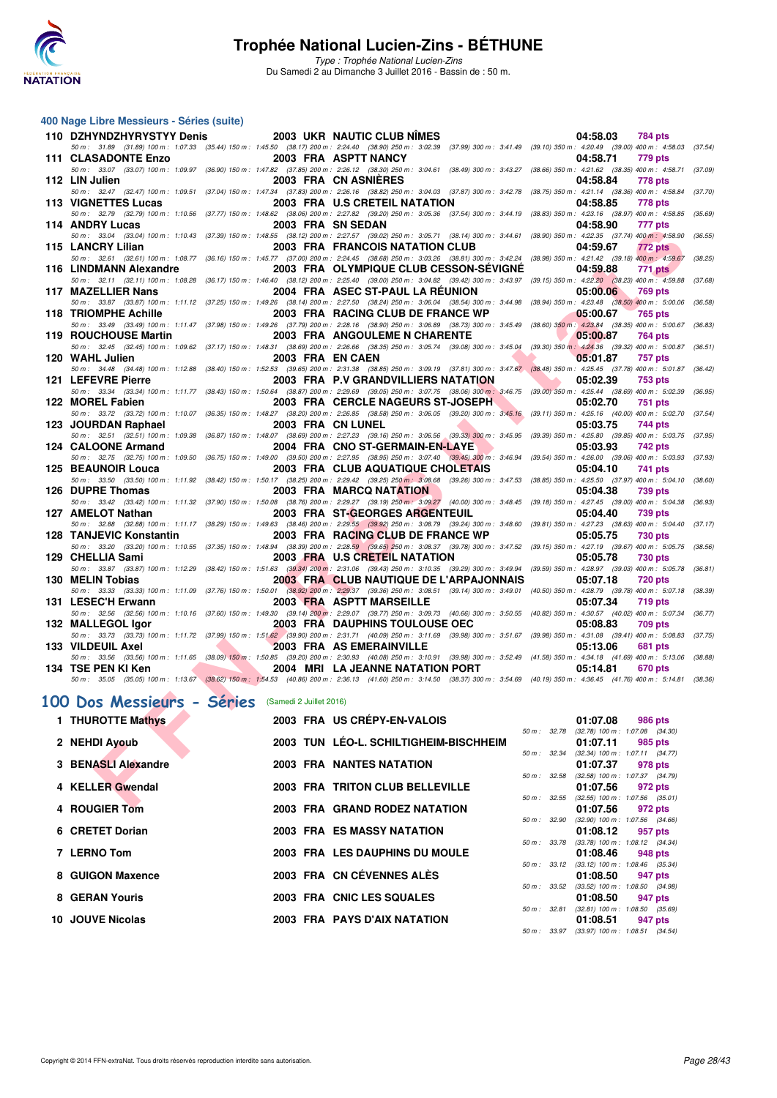

Type : Trophée National Lucien-Zins Du Samedi 2 au Dimanche 3 Juillet 2016 - Bassin de : 50 m.

#### **400 Nage Libre Messieurs - Séries (suite)**

| 110 DZHYNDZHYRYSTYY Denis                                                                                                                                                                                           |                                            | 2003 UKR NAUTIC CLUB NIMES              |                          |                               | 04:58.03<br>784 pts                                               |         |
|---------------------------------------------------------------------------------------------------------------------------------------------------------------------------------------------------------------------|--------------------------------------------|-----------------------------------------|--------------------------|-------------------------------|-------------------------------------------------------------------|---------|
| 50 m: 31.89 (31.89) 100 m: 1:07.33 (35.44) 150 m: 1:45.50 (38.17) 200 m: 2:24.40 (38.90) 250 m: 3:02.39 (37.99) 300 m: 3:41.49 (39.10) 350 m: 4:20.49 (39.00) 400 m: 4:58.03 (37.54)<br><b>111 CLASADONTE Enzo</b>  |                                            | 2003 FRA ASPTT NANCY                    |                          |                               | 04:58.71<br>779 pts                                               |         |
| 50 m: 33.07 (33.07) 100 m: 1:09.97 (36.90) 150 m: 1:47.82 (37.85) 200 m: 2:26.12 (38.30) 250 m: 3:04.61 (38.49) 300 m: 3:43.27 (38.66) 350 m: 4:21.62 (38.35) 400 m: 4:58.71 (37.09)<br>112 LIN Julien              |                                            | 2003 FRA CN ASNIERES                    |                          |                               | <b>778 pts</b><br>04:58.84                                        |         |
| 50 m: 32.47 (32.47) 100 m: 1:09.51 (37.04) 150 m: 1:47.34 (37.83) 200 m: 2:26.16 (38.82) 250 m: 3:04.03 (37.87) 300 m: 3:42.78 (38.75) 350 m: 4:21.14 (38.36) 400 m: 4:58.84 (37.70)                                |                                            |                                         |                          |                               |                                                                   |         |
| 113 VIGNETTES Lucas<br>50 m: 32.79 (32.79) 100 m: 1:10.56 (37.77) 150 m: 1:48.62 (38.06) 200 m: 2:27.82 (39.20) 250 m: 3:05.36 (37.54) 300 m: 3:44.19 (38.83) 350 m: 4:23.16 (38.97) 400 m: 4:58.85 (35.69)         |                                            | 2003 FRA U.S CRETEIL NATATION           |                          |                               | 04:58.85<br>778 pts                                               |         |
| 114 ANDRY Lucas<br>50 m: 33.04 (33.04) 100 m: 1:10.43 (37.39) 150 m: 1:48.55 (38.12) 200 m: 2:27.57 (39.02) 250 m: 3:05.71 (38.14) 300 m: 3:44.61 (38.90) 350 m: 4:22.35 (37.74) 400 m: 4:58.90 (36.55)             |                                            | 2003 FRA SN SEDAN                       |                          |                               | 04:58.90<br>777 pts                                               |         |
| 115 LANCRY Lilian                                                                                                                                                                                                   |                                            | 2003 FRA FRANCOIS NATATION CLUB         |                          |                               | 04:59.67<br><b>772 pts</b>                                        |         |
| 50 m: 32.61 (32.61) 100 m: 1:08.77 (36.16) 150 m: 1:45.77 (37.00) 200 m: 2:24.45 (38.68) 250 m: 3:03.26 (38.81) 300 m: 3:42.24 (38.98) 350 m: 4:21.42 (39.18) 400 m: 4:59.67<br>116 LINDMANN Alexandre              |                                            | 2003 FRA OLYMPIQUE CLUB CESSON-SEVIGNE  |                          |                               | 04:59.88<br>771 pts                                               | (38.25) |
| 50 m: 32.11 (32.11) 100 m: 1:08.28 (36.17) 150 m: 1:46.40 (38.12) 200 m: 2:25.40 (39.00) 250 m: 3:04.82 (39.42) 300 m: 3:43.97 (39.15) 350 m: 4:22.20 (38.23) 400 m: 4:59.88<br>117 MAZELLIER Nans                  |                                            | 2004 FRA ASEC ST-PAUL LA RÉUNION        |                          |                               | 05:00.06<br><b>769 pts</b>                                        | (37.68) |
| 50 m: 33.87 (33.87) 100 m: 1:11.12 (37.25) 150 m: 1:49.26 (38.14) 200 m: 2:27.50 (38.24) 250 m: 3:06.04 (38.54) 300 m: 3:44.98 (38.94) 350 m: 4:23.48 (38.50) 400 m: 5:00.06                                        |                                            |                                         |                          |                               |                                                                   | (36.58) |
| 118 TRIOMPHE Achille<br>50 m: 33.49 (33.49) 100 m: 1:11.47 (37.98) 150 m: 1:49.26 (37.79) 200 m: 2:28.16 (38.90) 250 m: 3:06.89 (38.73) 300 m: 3:45.49 (38.60) 350 m: 4:23.84 (38.35) 400 m: 5:00.67 (36.83)        |                                            | 2003 FRA RACING CLUB DE FRANCE WP       |                          |                               | 05:00.67<br>765 pts                                               |         |
| 119 ROUCHOUSE Martin<br>50 m : 32.45 (32.45) 100 m : 1:09.62 (37.17) 150 m : 1:48.31 (38.69) 200 m : 2:26.66 (38.35) 250 m : 3:05.74 (39.08) 300 m : 3:45.04 (39.30) 350 m : 4:24.36 (39.32) 400 m : 5:00.87        |                                            | 2003 FRA ANGOULEME N CHARENTE           |                          |                               | 05:00.87<br>764 pts                                               |         |
| 120 WAHL Julien                                                                                                                                                                                                     | 2003 FRA EN CAEN                           |                                         | <b>Contract Contract</b> | . .                           | 05:01.87<br>757 pts                                               | (36.51) |
| 50 m: 34.48 (34.48) 100 m: 1:12.88 (38.40) 150 m: 1:52.53 (39.65) 200 m: 2:31.38 (38.85) 250 m: 3:09.19 (37.81) 300 m: 3:47.67 (38.48) 350 m: 4:25.45 (37.78) 400 m: 5:01.87 (36.42)<br>121 LEFEVRE Pierre          |                                            | 2003 FRA P.V GRANDVILLIERS NATATION     |                          | <b>The Contract of Street</b> | 05:02.39<br>753 pts                                               |         |
| 50 m: 33.34 (33.34) 100 m: 1:11.77 (38.43) 150 m: 1:50.64 (38.87) 200 m: 2:29.69 (39.05) 250 m: 3:07.75 (38.06) 300 m: 3:46.75 (39.00) 350 m: 4:25.44 (38.69) 400 m: 5:02.39 (36.95)                                |                                            |                                         |                          |                               |                                                                   |         |
| 122 MOREL Fabien<br>50 m: 33.72 (33.72) 100 m: 1:10.07 (36.35) 150 m: 1:48.27 (38.20) 200 m: 2:26.85 (38.58) 250 m: 3:06.05 (39.20) 300 m: 3:45.16 (39.11) 350 m: 4:25.16 (40.00) 400 m: 5:02.70 (37.54)            |                                            | 2003 FRA CERCLE NAGEURS ST-JOSEPH       |                          |                               | 05:02.70<br>751 pts                                               |         |
| 123 JOURDAN Raphael<br>50 m : 32.51 (32.51) 100 m : 1:09.38 (36.87) 150 m : 1:48.07 (38.69) 200 m : 2:27.23 (39.16) 250 m : 3:06.56 (39.33) 300 m : 3:45.95 (39.39) 350 m : 4:25.80 (39.85) 400 m : 5:03.75 (37.95) |                                            | 2003 FRA CN LUNEL                       |                          |                               | 05:03.75<br>744 pts                                               |         |
| 124 CALOONE Armand                                                                                                                                                                                                  |                                            | 2004 FRA CNO ST-GERMAIN-EN-LAYE         |                          |                               | 05:03.93<br>742 pts                                               |         |
| 50 m : 32.75 (32.75) 100 m : 1:09.50 (36.75) 150 m : 1:49.00 (39.50) 200 m : 2:27.95 (38.95) 250 m : 3:07.40 (39.45) 300 m : 3:46.94 (39.54) 350 m : 4:26.00 (39.06) 400 m : 5:03.93 (37.93)<br>125 BEAUNOIR Louca  |                                            | 2003 FRA CLUB AQUATIQUE CHOLETAIS       |                          |                               | 05:04.10<br>741 pts                                               |         |
| 50 m: 33.50 (33.50) 100 m: 1:11.92 (38.42) 150 m: 1:50.17 (38.25) 200 m: 2:29.42 (39.25) 250 m: 3:08.68 (39.26) 300 m: 3:47.53 (38.85) 350 m: 4:25.50 (37.97) 400 m: 5:04.10 (38.60)<br>126 DUPRE Thomas            |                                            |                                         |                          |                               |                                                                   |         |
| 50 m: 33.42 (33.42) 100 m: 1:11.32 (37.90) 150 m: 1:50.08 (38.76) 200 m: 2:29.27 (39.19) 250 m: 3:09.27 (40.00) 300 m: 3:48.45 (39.18) 350 m: 4:27.45 (39.00) 400 m: 5:04.38 (36.93)                                |                                            | 2003 FRA MARCQ NATATION                 |                          |                               | 05:04.38<br>739 pts                                               |         |
| 127 AMELOT Nathan<br>50 m: 32.88 (32.88) 100 m: 1:11.17 (38.29) 150 m: 1:49.63 (38.46) 200 m: 2:29.55 (39.92) 250 m: 3:08.79 (39.24) 300 m: 3:48.60 (39.81) 350 m: 4:27.23 (38.63) 400 m: 5:04.40 (37.17)           |                                            | 2003 FRA ST-GEORGES ARGENTEUIL          |                          |                               | 05:04.40<br><b>739 pts</b>                                        |         |
| 128 TANJEVIC Konstantin                                                                                                                                                                                             |                                            | 2003 FRA RACING CLUB DE FRANCE WP       |                          |                               | 05:05.75<br><b>730 pts</b>                                        |         |
| 50 m: 33.20 (33.20) 100 m: 1:10.55 (37.35) 150 m: 1:48.94 (38.39) 200 m: 2:28.59 (39.65) 250 m: 3:08.37 (39.78) 300 m: 3:47.52 (39.15) 350 m: 4:27.19 (39.67) 400 m: 5:05.75<br>129 CHELLIA Sami                    |                                            | 2003 FRA U.S CRETEIL NATATION           |                          |                               | 05:05.78<br><b>730 pts</b>                                        | (38.56) |
| 50 m: 33.87 (33.87) 100 m: 1:12.29 (38.42) 150 m: 1:51.63 (39.34) 200 m: 2:31.06 (39.43) 250 m: 3:10.35 (39.29) 300 m: 3:49.94 (39.59) 350 m: 4:28.97 (39.03) 400 m: 5:05.78 (36.81)<br>130 MELIN Tobias            |                                            | 2003 FRA CLUB NAUTIQUE DE L'ARPAJONNAIS |                          |                               | 05:07.18<br>720 pts                                               |         |
| 50 m: 33.33 (33.33) 100 m: 1:11.09 (37.76) 150 m: 1:50.01 (38.92) 200 m: 2:29.37 (39.36) 250 m: 3:08.51 (39.14) 300 m: 3:49.01 (40.50) 350 m: 4:28.79 (39.78) 400 m: 5:07.18 (38.39)                                |                                            |                                         |                          |                               |                                                                   |         |
| 131 LESEC'H Erwann<br>50 m: 32.56 (32.56) 100 m: 1:10.16 (37.60) 150 m: 1:49.30 (39.14) 200 m: 2:29.07 (39.77) 250 m: 3:09.73 (40.66) 300 m: 3:50.55 (40.82) 350 m: 4:30.57 (40.02) 400 m: 5:07.34 (36.77)          |                                            | 2003 FRA ASPTT MARSEILLE                |                          |                               | 05:07.34<br>719 pts                                               |         |
| 132 MALLEGOL Igor<br>50 m: 33.73 (33.73) 100 m: 1:11.72 (37.99) 150 m: 1:51.62 (39.90) 200 m: 2:31.71 (40.09) 250 m: 3:11.69 (39.98) 300 m: 3:51.67 (39.98) 350 m: 4:31.08 (39.41) 400 m: 5:08.83 (37.75)           |                                            | <b>2003 FRA DAUPHINS TOULOUSE OEC</b>   |                          |                               | 05:08.83<br><b>709 pts</b>                                        |         |
| 133 VILDEUIL Axel                                                                                                                                                                                                   | <b>Contract Contract Contract Contract</b> | 2003 FRA AS EMERAINVILLE                |                          |                               | 05:13.06<br>681 pts                                               |         |
| 50 m: 33.56 (33.56) 100 m: 1:11.65 (38.09) 150 m: 1:50.85 (39.20) 200 m: 2:30.93 (40.08) 250 m: 3:10.91 (39.98) 300 m: 3:52.49 (41.58) 350 m: 4:34.18 (41.69) 400 m: 5:13.06 (38.88)<br>134 TSE PEN KI Ken          |                                            | 2004 MRI LA JEANNE NATATION PORT        |                          |                               | 05:14.81<br><b>670 pts</b>                                        |         |
| 50 m: 35.05 (35.05) 100 m: 1:13.67 (38.62) 150 m: 1:54.53 (40.86) 200 m: 2:36.13 (41.60) 250 m: 3:14.50 (38.37) 300 m: 3:54.69 (40.19) 350 m: 4:36.45 (41.76) 400 m: 5:14.81 (38.36)                                |                                            |                                         |                          |                               |                                                                   |         |
| 100 Dos Messieurs - Séries (Samedi 2 Juillet 2016)                                                                                                                                                                  |                                            |                                         |                          |                               |                                                                   |         |
| 1 THUROTTE Mathys                                                                                                                                                                                                   |                                            | 2003 FRA US CRÉPY-EN-VALOIS             |                          |                               | 01:07.08<br>986 pts                                               |         |
| 2 NEHDI Ayoub                                                                                                                                                                                                       |                                            | 2003 TUN LÉO-L. SCHILTIGHEIM-BISCHHEIM  |                          |                               | 50 m: 32.78 (32.78) 100 m: 1:07.08 (34.30)<br>01:07.11<br>985 pts |         |
| 3 BENASLI Alexandre                                                                                                                                                                                                 |                                            | <b>2003 FRA NANTES NATATION</b>         |                          |                               | 50 m: 32.34 (32.34) 100 m: 1:07.11 (34.77)<br>01:07.37<br>978 pts |         |
| 4 KELLER Gwendal                                                                                                                                                                                                    |                                            | 2003 FRA TRITON CLUB BELLEVILLE         |                          |                               | 50 m: 32.58 (32.58) 100 m: 1:07.37 (34.79)<br>01:07.56<br>972 pts |         |
| $\overline{A}$ DOUGIED T.                                                                                                                                                                                           |                                            | 0000 FBA CRAND BOBEZ NATATION           |                          |                               | 50 m: 32.55 (32.55) 100 m: 1:07.56 (35.01)                        |         |
|                                                                                                                                                                                                                     |                                            |                                         |                          |                               | $0.4.075C - 0.70A + 1$                                            |         |

#### **[100 Dos Messieurs - Séries](http://www.ffnatation.fr/webffn/resultats.php?idact=nat&go=epr&idcpt=34121&idepr=62)** (Samedi 2 Juillet 2016)

| 1 THUROTTE Mathys   |  | 2003 FRA US CRÉPY-EN-VALOIS            |                  | 01:07.08                                                         | 986 pts |  |
|---------------------|--|----------------------------------------|------------------|------------------------------------------------------------------|---------|--|
|                     |  |                                        | 50 m: 32.78      | $(32.78)$ 100 m : 1:07.08 $(34.30)$                              |         |  |
| 2 NEHDI Ayoub       |  | 2003 TUN LÉO-L. SCHILTIGHEIM-BISCHHEIM |                  | 01:07.11                                                         | 985 pts |  |
| 3 BENASLI Alexandre |  | <b>2003 FRA NANTES NATATION</b>        |                  | 50 m: 32.34 (32.34) 100 m: 1:07.11 (34.77)<br>01:07.37 978 pts   |         |  |
|                     |  |                                        | 50 m: 32.58      | $(32.58)$ 100 m : 1:07.37 $(34.79)$                              |         |  |
| 4 KELLER Gwendal    |  | 2003 FRA TRITON CLUB BELLEVILLE        |                  | 01:07.56 972 pts                                                 |         |  |
|                     |  |                                        | 50 m: 32.55      | $(32.55)$ 100 m : 1:07.56 $(35.01)$                              |         |  |
| 4 ROUGIER Tom       |  | 2003 FRA GRAND RODEZ NATATION          |                  | 01:07.56 972 pts                                                 |         |  |
|                     |  |                                        |                  | 50 m: 32.90 (32.90) 100 m: 1:07.56 (34.66)                       |         |  |
| 6 CRETET Dorian     |  | <b>2003 FRA ES MASSY NATATION</b>      |                  | $01:08.12$ 957 pts                                               |         |  |
| 7 LERNO Tom         |  | 2003 FRA LES DAUPHINS DU MOULE         |                  | 50 m: 33.78 (33.78) 100 m: 1:08.12 (34.34)<br>$01:08.46$ 948 pts |         |  |
|                     |  |                                        |                  | 50 m: 33.12 (33.12) 100 m: 1:08.46 (35.34)                       |         |  |
| 8 GUIGON Maxence    |  | 2003 FRA CN CÉVENNES ALÈS              |                  | 01:08.50                                                         | 947 pts |  |
|                     |  |                                        | $50 m$ : $33.52$ | $(33.52)$ 100 m : 1:08.50 $(34.98)$                              |         |  |
| 8 GERAN Youris      |  | 2003 FRA CNIC LES SQUALES              |                  | 01:08.50                                                         | 947 pts |  |
|                     |  |                                        | 50 m: 32.81      | $(32.81)$ 100 m : 1:08.50 $(35.69)$                              |         |  |
| 10 JOUVE Nicolas    |  | 2003 FRA PAYS D'AIX NATATION           |                  | $01:08.51$ 947 pts                                               |         |  |
|                     |  |                                        |                  | 50 m: 33.97 (33.97) 100 m: 1:08.51 (34.54)                       |         |  |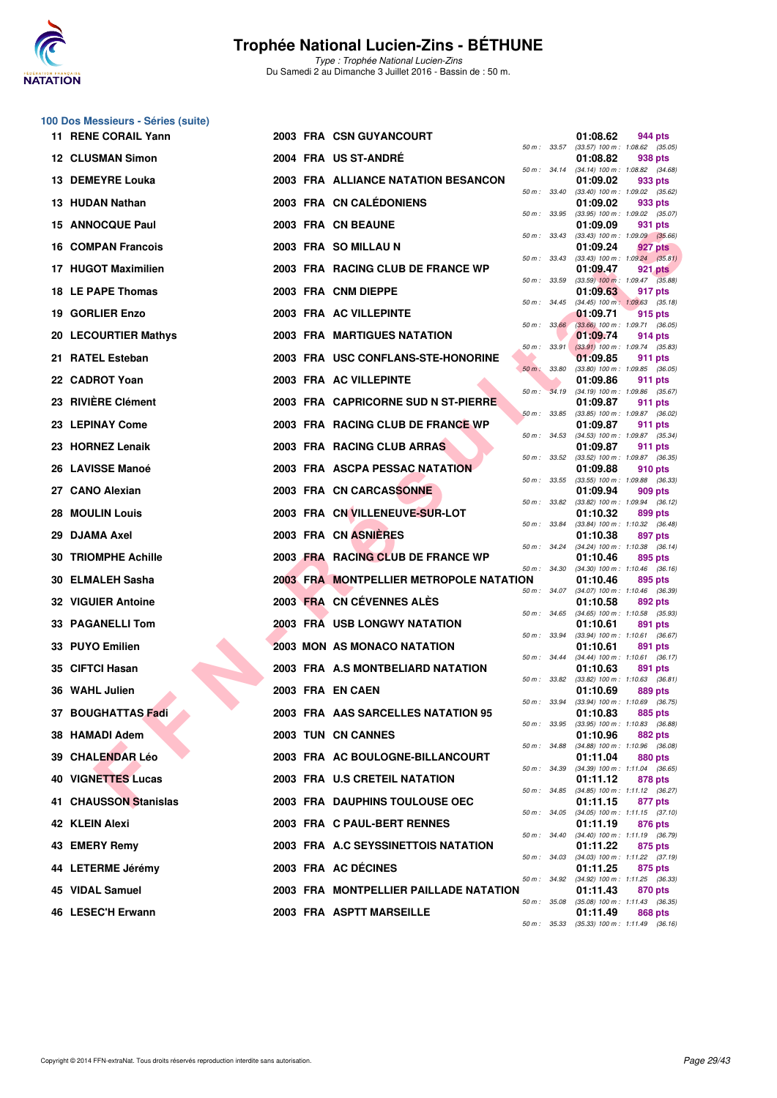

**100 Dos Messieurs - Séries (suite)**

#### **Trophée National Lucien-Zins - BÉTHUNE**

Type : Trophée National Lucien-Zins Du Samedi 2 au Dimanche 3 Juillet 2016 - Bassin de : 50 m.

| 11 RENE CORAIL Yann        |  | <b>2003 FRA CSN GUYANCOURT</b>          |                  |                  | 01:08.62                                        | 944 pts |  |
|----------------------------|--|-----------------------------------------|------------------|------------------|-------------------------------------------------|---------|--|
| <b>12 CLUSMAN Simon</b>    |  | 2004 FRA US ST-ANDRE                    | 50 m: 33.57      |                  | $(33.57)$ 100 m : 1:08.62 $(35.05)$<br>01:08.82 | 938 pts |  |
| 13 DEMEYRE Louka           |  | 2003 FRA ALLIANCE NATATION BESANCON     |                  | 50 m: 34.14      | $(34.14)$ 100 m : 1:08.82 $(34.68)$<br>01:09.02 | 933 pts |  |
| 13 HUDAN Nathan            |  | 2003 FRA CN CALÉDONIENS                 | 50 m: 33.40      |                  | (33.40) 100 m: 1:09.02 (35.62)<br>01:09.02      | 933 pts |  |
| <b>15 ANNOCQUE Paul</b>    |  | 2003 FRA CN BEAUNE                      |                  | 50 m: 33.95      | (33.95) 100 m: 1:09.02 (35.07)<br>01:09.09      | 931 pts |  |
|                            |  |                                         |                  | 50 m: 33.43      | $(33.43)$ 100 m : 1:09.09 $(35.66)$             |         |  |
| <b>16 COMPAN Francois</b>  |  | 2003 FRA SO MILLAU N                    |                  | 50 m: 33.43      | 01:09.24<br>$(33.43)$ 100 m : 1:09.24 $(35.81)$ | 927 pts |  |
| 17 HUGOT Maximilien        |  | 2003 FRA RACING CLUB DE FRANCE WP       | 50 m: 33.59      |                  | 01:09.47<br>$(33.59)$ 100 m : 1:09.47 $(35.88)$ | 921 pts |  |
| 18 LE PAPE Thomas          |  | 2003 FRA CNM DIEPPE                     |                  |                  | 01:09.63                                        | 917 pts |  |
| 19 GORLIER Enzo            |  | 2003 FRA AC VILLEPINTE                  | 50 m: 34.45      |                  | $(34.45)$ 100 m : 1:09.63 $(35.18)$<br>01:09.71 | 915 pts |  |
| 20 LECOURTIER Mathys       |  | <b>2003 FRA MARTIGUES NATATION</b>      |                  | 50 m: 33.66      | $(33.66)$ 100 m : 1:09.71 $(36.05)$<br>01:09.74 | 914 pts |  |
|                            |  |                                         | 50 m: 33.91      |                  | $(33.91)$ 100 m : 1:09.74 $(35.83)$             |         |  |
| 21 RATEL Esteban           |  | 2003 FRA USC CONFLANS-STE-HONORINE      | $50 m$ :         | 33.80            | 01:09.85<br>$(33.80)$ 100 m : 1:09.85 $(36.05)$ | 911 pts |  |
| 22 CADROT Yoan             |  | 2003 FRA AC VILLEPINTE                  |                  |                  | 01:09.86                                        | 911 pts |  |
| 23 RIVIERE Clément         |  | 2003 FRA CAPRICORNE SUD N ST-PIERRE     | $50 m$ :         | 34.19            | (34.19) 100 m: 1:09.86 (35.67)<br>01:09.87      | 911 pts |  |
| 23 LEPINAY Come            |  | 2003 FRA RACING CLUB DE FRANCE WP       |                  | 50 m: 33.85      | (33.85) 100 m: 1:09.87 (36.02)                  |         |  |
|                            |  |                                         |                  | 50 m: 34.53      | 01:09.87<br>$(34.53)$ 100 m : 1:09.87 $(35.34)$ | 911 pts |  |
| 23 HORNEZ Lenaik           |  | 2003 FRA RACING CLUB ARRAS              | $50 m$ : $33.52$ |                  | 01:09.87<br>(33.52) 100 m: 1:09.87 (36.35)      | 911 pts |  |
| 26 LAVISSE Manoé           |  | 2003 FRA ASCPA PESSAC NATATION          |                  |                  | 01:09.88                                        | 910 pts |  |
| 27 CANO Alexian            |  | 2003 FRA CN CARCASSONNE                 |                  | 50 m: 33.55      | (33.55) 100 m: 1:09.88 (36.33)<br>01:09.94      | 909 pts |  |
|                            |  |                                         | 50 m : 33.82     |                  | $(33.82)$ 100 m : 1:09.94 $(36.12)$             |         |  |
| <b>28 MOULIN Louis</b>     |  | 2003 FRA CN VILLENEUVE-SUR-LOT          |                  | 50 m : 33.84     | 01:10.32<br>$(33.84)$ 100 m : 1:10.32 $(36.48)$ | 899 pts |  |
| 29 DJAMA Axel              |  | 2003 FRA CN ASNIERES                    | 50 m: 34.24      |                  | 01:10.38<br>(34.24) 100 m: 1:10.38 (36.14)      | 897 pts |  |
| <b>30 TRIOMPHE Achille</b> |  | 2003 FRA RACING CLUB DE FRANCE WP       |                  |                  | 01:10.46                                        | 895 pts |  |
| 30 ELMALEH Sasha           |  | 2003 FRA MONTPELLIER METROPOLE NATATION |                  | $50 m$ : $34.30$ | $(34.30)$ 100 m : 1:10.46 $(36.16)$<br>01:10.46 | 895 pts |  |
| <b>32 VIGUIER Antoine</b>  |  | 2003 FRA CN CEVENNES ALES               |                  | 50 m: 34.07      | (34.07) 100 m: 1:10.46 (36.39)<br>01:10.58      | 892 pts |  |
|                            |  |                                         | 50 m: 34.65      |                  | $(34.65)$ 100 m : 1:10.58 $(35.93)$             |         |  |
| 33 PAGANELLI Tom           |  | 2003 FRA USB LONGWY NATATION            |                  | $50 m$ : $33.94$ | 01:10.61<br>$(33.94)$ 100 m : 1:10.61 $(36.67)$ | 891 pts |  |
| 33 PUYO Emilien            |  | <b>2003 MON AS MONACO NATATION</b>      |                  |                  | 01:10.61                                        | 891 pts |  |
| 35 CIFTCI Hasan            |  | 2003 FRA A.S MONTBELIARD NATATION       |                  | 50 m: 34.44      | (34.44) 100 m: 1:10.61 (36.17)<br>01:10.63      | 891 pts |  |
| 36 WAHL Julien             |  | 2003 FRA EN CAEN                        |                  | 50 m : 33.82     | $(33.82)$ 100 m : 1:10.63 $(36.81)$<br>01:10.69 | 889 pts |  |
|                            |  |                                         | 50 m : 33.94     |                  | $(33.94)$ 100 m : 1:10.69 $(36.75)$             |         |  |
| 37 BOUGHATTAS Fadi         |  | 2003 FRA AAS SARCELLES NATATION 95      |                  | 50 m : 33.95     | 01:10.83<br>(33.95) 100 m: 1:10.83 (36.88)      | 885 pts |  |
| 38 HAMADI Adem             |  | 2003 TUN CN CANNES                      |                  |                  | 01:10.96                                        | 882 pts |  |
| 39 CHALENDAR Léo           |  | 2003 FRA AC BOULOGNE-BILLANCOURT        | 50 m: 34.88      |                  | (34.88) 100 m: 1:10.96 (36.08)<br>01:11.04      | 880 pts |  |
| <b>40 VIGNETTES Lucas</b>  |  | 2003 FRA U.S CRETEIL NATATION           |                  | 50 m: 34.39      | $(34.39)$ 100 m : 1:11.04 $(36.65)$<br>01:11.12 | 878 pts |  |
|                            |  |                                         |                  | 50 m : 34.85     | (34.85) 100 m: 1:11.12 (36.27)                  |         |  |
| 41 CHAUSSON Stanislas      |  | 2003 FRA DAUPHINS TOULOUSE OEC          |                  |                  | 01:11.15                                        | 877 pts |  |

34.53 (34.53) 100 m : 1:09.87 (35.34)<br>**01:09.87 911 pts**  $33.52$   $(33.52)$   $100 \text{ m}$ :  $1.09.87$   $(36.35)$ <br>**01:09.88** 910 pts  $33.55$   $(33.55)$  100 m : 1:09.88  $(36.33)$ <br>**01:09.94** 909 pts 50 m : 33.82 (33.82) 100 m : 1:09.94 (36.12) 33.84 (33.84) 100 m : 1:10.32 (36.48)<br>**01:10.38** 897 pts 34.24 (34.24) 100 m : 1:10.38 (36.14)<br>**01:10.46** 895 pts 34.30 (34.30) 100 m : 1:10.46 (36.16)<br>**01:10.46** 895 pts 50 m : 34.07 (34.07) 100 m : 1:10.46 (36.39) 34.65 (34.65) 100 m : 1:10.58 (35.93)<br>**01:10.61 891 pts** 50 m : 33.94 (33.94) 100 m : 1:10.61 (36.67) 34.44 (34.44) 100 m : 1:10.61 (36.17) 50 m : 33.82 (33.82) 100 m : 1:10.63 (36.81) 50 m : 33.94 (33.94) 100 m : 1:10.69 (36.75) 50 m : 33.95 (33.95) 100 m : 1:10.83 (36.88) 50 m : 34.88 (34.88) 100 m : 1:10.96 (36.08)  $34.39$   $(34.39)$   $100 \text{ m}$ :  $1:11.04$   $(36.65)$ <br>**01:11.12** 878 pts 34.85 (34.85) 100 m : 1:11.12 (36.27) 50 m : 34.05 (34.05) 100 m : 1:11.15 (37.10)<br>**01:11.19 876 pts 42 KLEIN Alexi 2003 FRA C PAUL-BERT RENNES 1:11.19 876 pts 2003 FRA C PAUL-BERT RENNES 1440 876 pts**  $(34.40)$  100 m : 1:11.19  $(36.79)$ <br>**01:11.22** 875 pts **43 EMERY Remy 2003 FRA A.C SEYSSINETTOIS NATATION 01:11.22 876 pts 874.03 84.03 84.03 89m: 84.03 84.03 89m: 84.03 89m: 84.03 89m: 84.03 89m: 84.03 89m: 84.03 89m: 84.03 89m: 84.**  $(34.03)$  100 m : 1:11.22  $(37.19)$ **44 LETERME Jérémy 2003 FRA AC DÉCINES 01:11.25 875 pts** (34.92) 100 m : 1:11.25 (36.33)<br>01:11.43 870 pts **45 VIDAL Samuel 2003 FRA MONTPELLIER PAILLADE NATATION 01:11.43 870 pts** 50 m : 35.08 (35.08) 100 m : 1:11.43 (36.35)<br>**01:11.49** 868 pts **46 LESEC'H Erwann 2003 FRA ASPTT MARSEILLE 01:11.49 868 pts**

50 m : 35.33 (35.33) 100 m : 1:11.49 (36.16)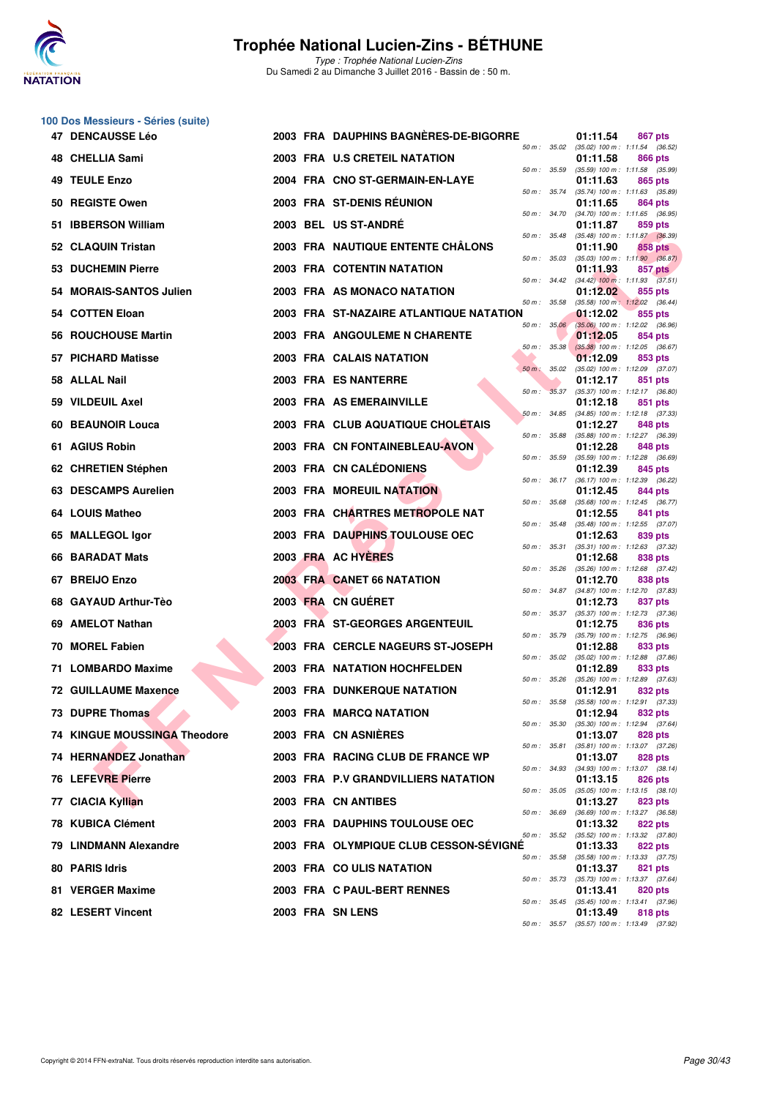

**100 Dos Messieurs - Séries (suite)**

### **Trophée National Lucien-Zins - BÉTHUNE**

| <b>47 DENCAUSSE Léo</b>             | 2003 FRA DAUPHINS BAGNERES-DE-BIGORRE   |                              | 01:11.54 | 867 pts                                                                               |
|-------------------------------------|-----------------------------------------|------------------------------|----------|---------------------------------------------------------------------------------------|
| 48 CHELLIA Sami                     | 2003 FRA U.S CRETEIL NATATION           | 50 m : 35.02                 | 01:11.58 | $(35.02)$ 100 m : 1:11.54 $(36.52)$<br>866 pts                                        |
| <b>49 TEULE Enzo</b>                | 2004 FRA CNO ST-GERMAIN-EN-LAYE         | 50 m : 35.59                 | 01:11.63 | $(35.59)$ 100 m : 1:11.58 $(35.99)$<br>865 pts                                        |
| 50 REGISTE Owen                     | 2003 FRA ST-DENIS RÉUNION               | 50 m: 35.74                  | 01:11.65 | (35.74) 100 m: 1:11.63 (35.89)<br>864 pts                                             |
| <b>IBBERSON William</b><br>51.      | 2003 BEL US ST-ANDRÉ                    | 50 m : 34.70                 | 01:11.87 | (34.70) 100 m: 1:11.65 (36.95)<br>859 pts                                             |
| 52 CLAQUIN Tristan                  | 2003 FRA NAUTIQUE ENTENTE CHALONS       | 50 m : 35.48                 | 01:11.90 | $(35.48)$ 100 m : 1:11.87 $(36.39)$<br>858 pts                                        |
| 53 DUCHEMIN Pierre                  | <b>2003 FRA COTENTIN NATATION</b>       | 50 m: 35.03                  | 01:11.93 | $(35.03)$ 100 m : 1:11.90 $(36.87)$<br>857 pts                                        |
| 54 MORAIS-SANTOS Julien             | 2003 FRA AS MONACO NATATION             |                              | 01:12.02 | 50 m: 34.42 (34.42) 100 m: 1:11.93 (37.51)<br>855 pts                                 |
| 54 COTTEN Eloan                     | 2003 FRA ST-NAZAIRE ATLANTIQUE NATATION | 50 m : 35.58                 | 01:12.02 | $(35.58)$ 100 m : 1:12.02 $(36.44)$<br>855 pts                                        |
| 56 ROUCHOUSE Martin                 | 2003 FRA ANGOULEME N CHARENTE           | 50 m : 35.06                 | 01:12.05 | $(35.06)$ 100 m : 1:12.02 $(36.96)$<br>854 pts                                        |
| 57 PICHARD Matisse                  | 2003 FRA CALAIS NATATION                | 50 m: 35.38                  | 01:12.09 | $(35.38)$ 100 m : 1:12.05 $(36.67)$<br>853 pts                                        |
| 58 ALLAL Nail                       | 2003 FRA ES NANTERRE                    | 50 m : 35.02                 | 01:12.17 | $(35.02)$ 100 m : 1:12.09 $(37.07)$<br>851 pts                                        |
| 59 VILDEUIL Axel                    | 2003 FRA AS EMERAINVILLE                | 50 m : 35.37                 | 01:12.18 | $(35.37)$ 100 m : 1:12.17 $(36.80)$<br>851 pts                                        |
| <b>60 BEAUNOIR Louca</b>            | 2003 FRA CLUB AQUATIQUE CHOLETAIS       | 50 m: 34.85                  | 01:12.27 | $(34.85)$ 100 m : 1:12.18 $(37.33)$<br>848 pts                                        |
| 61 AGIUS Robin                      | 2003 FRA CN FONTAINEBLEAU-AVON          | 50 m : 35.88                 | 01:12.28 | (35.88) 100 m: 1:12.27 (36.39)<br>848 pts                                             |
| 62 CHRETIEN Stéphen                 | 2003 FRA CN CALÉDONIENS                 | 50 m : 35.59                 | 01:12.39 | $(35.59)$ 100 m : 1:12.28 $(36.69)$<br>845 pts<br>(36.17) 100 m: 1:12.39 (36.22)      |
| 63 DESCAMPS Aurelien                | <b>2003 FRA MOREUIL NATATION</b>        | 50 m : 36.17                 | 01:12.45 | 844 pts                                                                               |
| 64 LOUIS Matheo                     | 2003 FRA CHARTRES METROPOLE NAT         | 50 m: 35.68<br>50 m: 35.48   | 01:12.55 | (35.68) 100 m: 1:12.45 (36.77)<br>841 pts                                             |
| 65 MALLEGOL Igor                    | 2003 FRA DAUPHINS TOULOUSE OEC          | 50 m : 35.31                 | 01:12.63 | $(35.48)$ 100 m : 1:12.55 $(37.07)$<br>839 pts                                        |
| 66 BARADAT Mats                     | 2003 FRA AC HYERES                      |                              | 01:12.68 | $(35.31)$ 100 m : 1:12.63 $(37.32)$<br>838 pts                                        |
| 67 BREIJO Enzo                      | 2003 FRA CANET 66 NATATION              | 50 m: 35.26                  | 01:12.70 | $(35.26)$ 100 m : 1:12.68 $(37.42)$<br>838 pts                                        |
| 68 GAYAUD Arthur-Tèo                | 2003 FRA CN GUERET                      | 50 m : 34.87<br>50 m: 35.37  | 01:12.73 | $(34.87)$ 100 m : 1:12.70 $(37.83)$<br>837 pts                                        |
| 69 AMELOT Nathan                    | 2003 FRA ST-GEORGES ARGENTEUIL          |                              | 01:12.75 | (35.37) 100 m: 1:12.73 (37.36)<br>836 pts                                             |
| <b>MOREL Fabien</b><br>70           | 2003 FRA CERCLE NAGEURS ST-JOSEPH       | 50 m : 35.79<br>50 m : 35.02 | 01:12.88 | (35.79) 100 m : 1:12.75 (36.96)<br>833 pts                                            |
| 71 LOMBARDO Maxime                  | <b>2003 FRA NATATION HOCHFELDEN</b>     | 50 m: 35.26                  | 01:12.89 | $(35.02)$ 100 m : 1:12.88 $(37.86)$<br>833 pts<br>(35.26) 100 m: 1:12.89 (37.63)      |
| <b>72 GUILLAUME Maxence</b>         | <b>2003 FRA DUNKERQUE NATATION</b>      | 50 m : 35.58                 | 01:12.91 | 832 pts<br>$(35.58)$ 100 m : 1:12.91 $(37.33)$                                        |
| 73 DUPRE Thomas                     | 2003 FRA MARCQ NATATION                 |                              | 01:12.94 | 832 pts<br>50 m : 35.30 (35.30) 100 m : 1:12.94 (37.64)                               |
| <b>74 KINGUE MOUSSINGA Theodore</b> | 2003 FRA CN ASNIERES                    | 50 m : 35.81                 | 01:13.07 | 828 pts<br>(35.81) 100 m: 1:13.07 (37.26)                                             |
| 74 HERNANDEZ Jonathan               | 2003 FRA RACING CLUB DE FRANCE WP       | 50 m : 34.93                 | 01:13.07 | 828 pts<br>(34.93) 100 m: 1:13.07 (38.14)                                             |
| 76 LEFEVRE Pierre                   | 2003 FRA P.V GRANDVILLIERS NATATION     | 50 m : 35.05                 | 01:13.15 | 826 pts<br>$(35.05)$ 100 m : 1:13.15 $(38.10)$                                        |
| 77 CIACIA Kyllian                   | 2003 FRA CN ANTIBES                     | 50 m : 36.69                 | 01:13.27 | 823 pts<br>(36.69) 100 m: 1:13.27 (36.58)                                             |
| <b>78 KUBICA Clément</b>            | 2003 FRA DAUPHINS TOULOUSE OEC          | 50 m : 35.52                 | 01:13.32 | 822 pts                                                                               |
| 79 LINDMANN Alexandre               | 2003 FRA OLYMPIQUE CLUB CESSON-SEVIGNE  | 50 m : 35.58                 | 01:13.33 | $(35.52)$ 100 m : 1:13.32 $(37.80)$<br>822 pts<br>$(35.58)$ 100 m : 1:13.33 $(37.75)$ |
| 80 PARIS Idris                      | 2003 FRA COULIS NATATION                | 50 m : 35.73                 | 01:13.37 | 821 pts<br>(35.73) 100 m: 1:13.37 (37.64)                                             |
| 81 VERGER Maxime                    | 2003 FRA C PAUL-BERT RENNES             | 50 m : 35.45                 | 01:13.41 | 820 pts<br>$(35.45)$ 100 m : 1:13.41 $(37.96)$                                        |
| 82 LESERT Vincent                   | 2003 FRA SN LENS                        |                              | 01:13.49 | 818 pts<br>50 m: 35.57 (35.57) 100 m: 1:13.49 (37.92)                                 |
|                                     |                                         |                              |          |                                                                                       |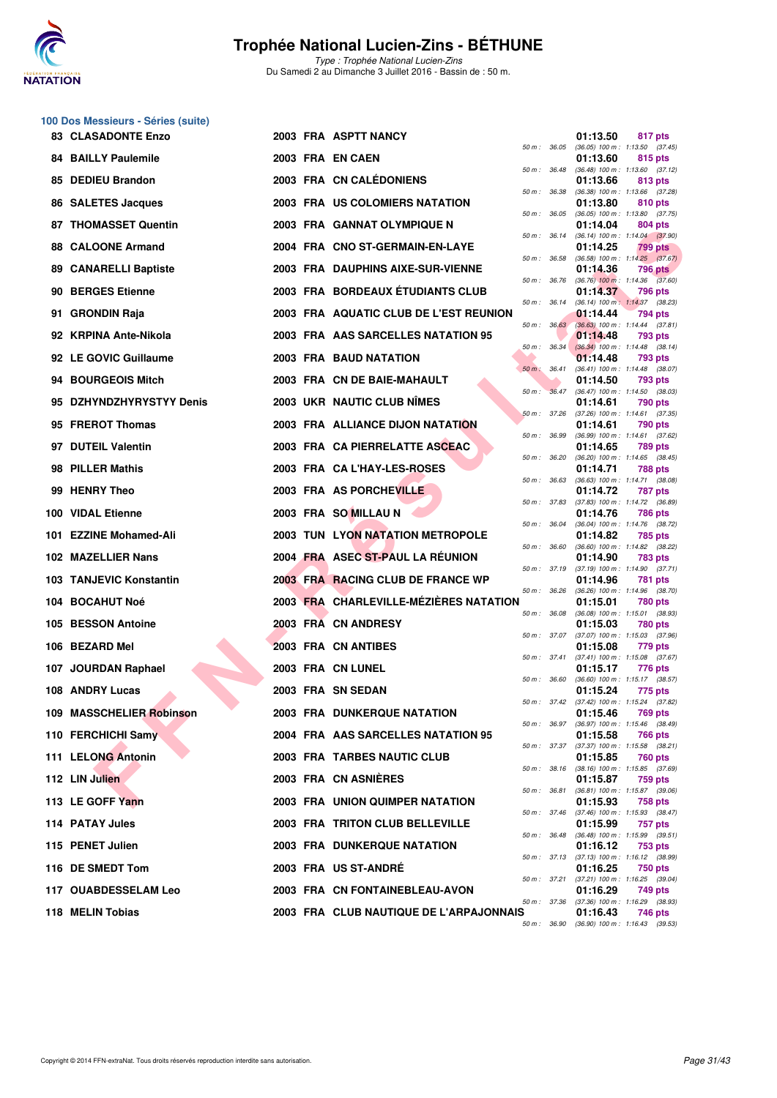

Type : Trophée National Lucien-Zins Du Samedi 2 au Dimanche 3 Juillet 2016 - Bassin de : 50 m.

#### **100 Dos Messieurs - Séries (suite)**

| <b>83 CLASADONTE Enzo</b>    |  | 2003 FRA ASPTT NANCY                    |                  |              | 01:13.50 | 817 pts                                                 |
|------------------------------|--|-----------------------------------------|------------------|--------------|----------|---------------------------------------------------------|
| <b>84 BAILLY Paulemile</b>   |  | 2003 FRA EN CAEN                        |                  | 50 m : 36.05 | 01:13.60 | $(36.05)$ 100 m : 1:13.50 $(37.45)$<br>815 pts          |
| 85 DEDIEU Brandon            |  | 2003 FRA CN CALÉDONIENS                 | 50 m : 36.48     |              | 01:13.66 | $(36.48)$ 100 m : 1:13.60 $(37.12)$<br>813 pts          |
| 86 SALETES Jacques           |  | 2003 FRA US COLOMIERS NATATION          | 50 m : 36.38     |              | 01:13.80 | (36.38) 100 m: 1:13.66 (37.28)<br>810 pts               |
| <b>87 THOMASSET Quentin</b>  |  | 2003 FRA GANNAT OLYMPIQUE N             | $50 m$ : $36.05$ |              | 01:14.04 | $(36.05)$ 100 m : 1:13.80 $(37.75)$<br><b>804 pts</b>   |
| 88 CALOONE Armand            |  | 2004 FRA CNO ST-GERMAIN-EN-LAYE         | 50 m : 36.14     |              | 01:14.25 | $(36.14)$ 100 m : 1:14.04 $(37.90)$<br>799 pts          |
| <b>89 CANARELLI Baptiste</b> |  | 2003 FRA DAUPHINS AIXE-SUR-VIENNE       | 50 m : 36.58     |              | 01:14.36 | $(36.58)$ 100 m : 1:14.25 $(37.67)$<br>796 pts          |
| 90 BERGES Etienne            |  | 2003 FRA BORDEAUX ETUDIANTS CLUB        | 50 m : 36.76     |              | 01:14.37 | $(36.76)$ 100 m : 1:14.36 $(37.60)$<br>796 pts          |
| 91 GRONDIN Raja              |  | 2003 FRA AQUATIC CLUB DE L'EST REUNION  |                  | 50 m : 36.14 | 01:14.44 | (36.14) 100 m: 1:14.37 (38.23)<br>794 pts               |
| 92 KRPINA Ante-Nikola        |  | 2003 FRA AAS SARCELLES NATATION 95      |                  | 50 m: 36.63  | 01:14.48 | $(36.63)$ 100 m : 1:14.44 $(37.81)$<br>793 pts          |
| 92 LE GOVIC Guillaume        |  | 2003 FRA BAUD NATATION                  |                  | 50 m: 36.34  | 01:14.48 | $(36.34)$ 100 m : 1:14.48 $(38.14)$<br>793 pts          |
| 94 BOURGEOIS Mitch           |  | 2003 FRA CN DE BAIE-MAHAULT             | $50 m$ : $36.41$ |              | 01:14.50 | (36.41) 100 m: 1:14.48 (38.07)<br>793 pts               |
| 95 DZHYNDZHYRYSTYY Denis     |  | 2003 UKR NAUTIC CLUB NÎMES              | 50 m: 36.47      |              | 01:14.61 | $(36.47)$ 100 m : 1:14.50 $(38.03)$<br>790 pts          |
| 95 FREROT Thomas             |  | 2003 FRA ALLIANCE DIJON NATATION        | $50 m$ : 37.26   |              | 01:14.61 | (37.26) 100 m: 1:14.61 (37.35)<br><b>790 pts</b>        |
| 97 DUTEIL Valentin           |  | 2003 FRA CA PIERRELATTE ASCEAC          | 50 m : 36.99     |              | 01:14.65 | $(36.99)$ 100 m : 1:14.61 $(37.62)$<br>789 pts          |
| 98 PILLER Mathis             |  | 2003 FRA CA L'HAY-LES-ROSES             | 50 m: 36.20      |              | 01:14.71 | (36.20) 100 m: 1:14.65 (38.45)<br><b>788 pts</b>        |
| 99 HENRY Theo                |  | 2003 FRA AS PORCHEVILLE                 | 50 m : 36.63     |              | 01:14.72 | $(36.63)$ 100 m : 1:14.71 $(38.08)$<br>787 pts          |
| 100 VIDAL Etienne            |  | 2003 FRA SO MILLAU N                    | 50 m : 37.83     |              | 01:14.76 | (37.83) 100 m : 1:14.72 (36.89)<br><b>786 pts</b>       |
| 101 EZZINE Mohamed-Ali       |  | <b>2003 TUN LYON NATATION METROPOLE</b> | 50 m : 36.04     |              | 01:14.82 | (36.04) 100 m: 1:14.76 (38.72)<br>785 pts               |
| 102 MAZELLIER Nans           |  | 2004 FRA ASEC ST-PAUL LA REUNION        | 50 m : 36.60     |              | 01:14.90 | (36.60) 100 m: 1:14.82 (38.22)<br>783 pts               |
| 103 TANJEVIC Konstantin      |  | 2003 FRA RACING CLUB DE FRANCE WP       | 50 m: 37.19      |              | 01:14.96 | $(37.19)$ 100 m : 1:14.90 $(37.71)$<br>781 pts          |
| 104 BOCAHUT Noé              |  | 2003 FRA CHARLEVILLE-MÉZIÈRES NATATION  | 50 m : 36.26     |              | 01:15.01 | (36.26) 100 m: 1:14.96 (38.70)<br>780 pts               |
| 105 BESSON Antoine           |  | 2003 FRA CN ANDRESY                     | 50 m : 36.08     |              | 01:15.03 | (36.08) 100 m: 1:15.01 (38.93)<br>780 pts               |
| 106 BEZARD Mel               |  | 2003 FRA CN ANTIBES                     |                  |              | 01:15.08 | 50 m: 37.07 (37.07) 100 m: 1:15.03 (37.96)<br>779 pts   |
| 107 JOURDAN Raphael          |  | 2003 FRA CN LUNEL                       |                  | 50 m : 37.41 | 01:15.17 | $(37.41)$ 100 m : 1:15.08 $(37.67)$<br>776 pts          |
| 108 ANDRY Lucas              |  | 2003 FRA SN SEDAN                       | 50 m : 36.60     |              | 01:15.24 | $(36.60)$ 100 m : 1:15.17 $(38.57)$<br>775 pts          |
| 109 MASSCHELIER Robinson     |  | 2003 FRA DUNKERQUE NATATION             |                  |              | 01:15.46 | 50 m: 37.42 (37.42) 100 m: 1:15.24 (37.82)<br>769 pts   |
| 110 FERCHICHI Samy           |  | 2004 FRA AAS SARCELLES NATATION 95      |                  |              | 01:15.58 | 50 m : 36.97 (36.97) 100 m : 1:15.46 (38.49)<br>766 pts |
| 111 LELONG Antonin           |  | 2003 FRA TARBES NAUTIC CLUB             |                  |              | 01:15.85 | 50 m: 37.37 (37.37) 100 m: 1:15.58 (38.21)<br>760 pts   |
| 112 LIN Julien               |  | 2003 FRA CN ASNIERES                    |                  |              | 01:15.87 | 50 m: 38.16 (38.16) 100 m: 1:15.85 (37.69)<br>759 pts   |
| 113 LE GOFF Yann             |  | <b>2003 FRA UNION QUIMPER NATATION</b>  |                  |              | 01:15.93 | 50 m: 36.81 (36.81) 100 m: 1:15.87 (39.06)<br>758 pts   |
| 114 PATAY Jules              |  | 2003 FRA TRITON CLUB BELLEVILLE         |                  |              | 01:15.99 | 50 m: 37.46 (37.46) 100 m: 1:15.93 (38.47)<br>757 pts   |
| 115 PENET Julien             |  | <b>2003 FRA DUNKERQUE NATATION</b>      |                  |              | 01:16.12 | 50 m: 36.48 (36.48) 100 m: 1:15.99 (39.51)<br>753 pts   |
| 116 DE SMEDT Tom             |  | 2003 FRA US ST-ANDRE                    |                  |              | 01:16.25 | 50 m: 37.13 (37.13) 100 m: 1:16.12 (38.99)<br>750 pts   |
| 117   OUABDESSELAM Leo       |  | 2003 FRA CN FONTAINEBLEAU-AVON          |                  |              | 01:16.29 | 50 m: 37.21 (37.21) 100 m: 1:16.25 (39.04)<br>749 pts   |
| 118 MELIN Tobias             |  | 2003 FRA CLUB NAUTIQUE DE L'ARPAJONNAIS |                  |              | 01:16.43 | 50 m: 37.36 (37.36) 100 m: 1:16.29 (38.93)<br>746 pts   |
|                              |  |                                         |                  |              |          | 50 m: 36.90 (36.90) 100 m: 1:16.43 (39.53)              |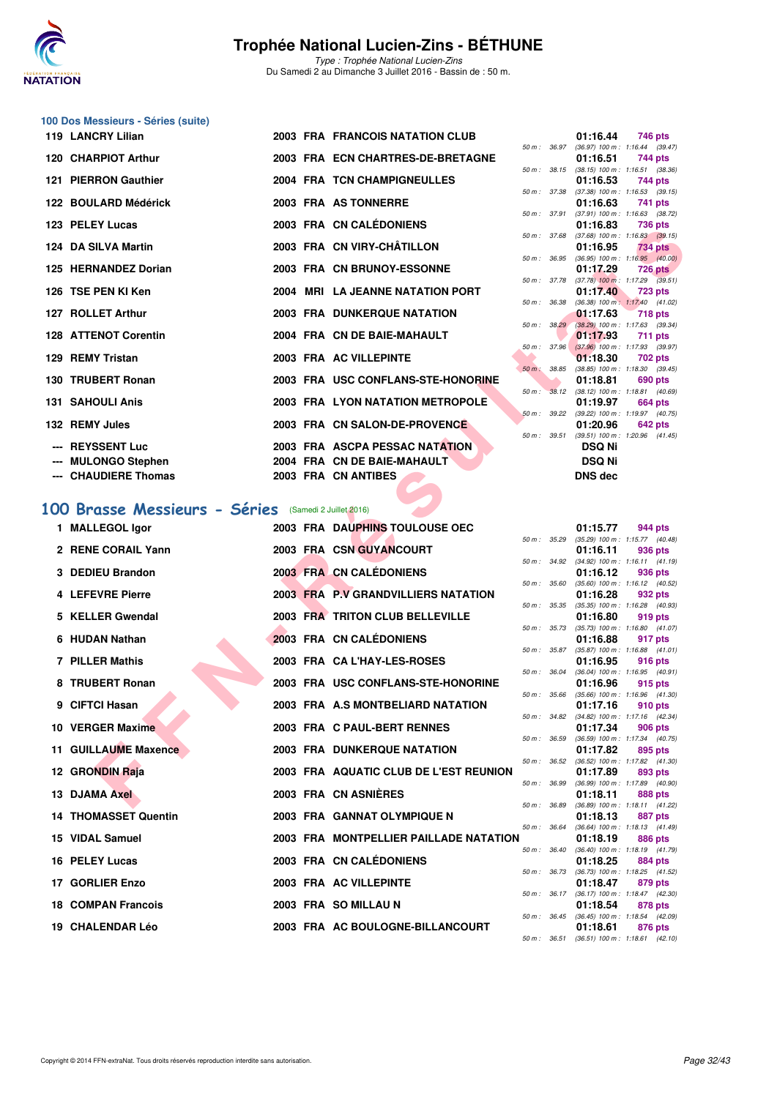

Type : Trophée National Lucien-Zins Du Samedi 2 au Dimanche 3 Juillet 2016 - Bassin de : 50 m.

## **100 Dos Messieurs - Séries (suite)**

| 119 LANCRY Lilian           |  | 2003 FRA FRANCOIS NATATION CLUB    |              |                      | 01:16.44                                            |                | 746 pts        |
|-----------------------------|--|------------------------------------|--------------|----------------------|-----------------------------------------------------|----------------|----------------|
|                             |  |                                    |              |                      | 50 m: 36.97 (36.97) 100 m: 1:16.44 (39.             |                |                |
| 120 CHARPIOT Arthur         |  | 2003 FRA ECN CHARTRES-DE-BRETAGNE  |              |                      | 01:16.51 744 pts                                    |                |                |
|                             |  |                                    |              |                      | 50 m: 38.15 (38.15) 100 m: 1:16.51 (38.             |                |                |
| 121 PIERRON Gauthier        |  | 2004 FRA TCN CHAMPIGNEULLES        |              |                      | 01:16.53                                            | 744 pts        |                |
|                             |  |                                    |              |                      | 50 m: 37.38 (37.38) 100 m: 1:16.53 (39.             |                |                |
| 122 BOULARD Médérick        |  | 2003 FRA AS TONNERRE               |              |                      | 01:16.63<br>50 m: 37.91 (37.91) 100 m: 1:16.63 (38. | 741 pts        |                |
| 123 PELEY Lucas             |  | 2003 FRA CN CALÉDONIENS            |              |                      | 01:16.83 736 pts                                    |                |                |
|                             |  |                                    |              |                      | 50 m: 37.68 (37.68) 100 m: 1:16.83 (39.             |                |                |
| 124 DA SILVA Martin         |  | 2003 FRA CN VIRY-CHÂTILLON         |              |                      | 01:16.95                                            | <b>734 pts</b> |                |
|                             |  |                                    |              |                      | 50 m : 36.95 (36.95) 100 m : 1:16.95 (40.           |                |                |
| 125 HERNANDEZ Dorian        |  | 2003 FRA CN BRUNOY-ESSONNE         |              |                      | 01:17.29                                            | <b>726 pts</b> |                |
|                             |  |                                    |              |                      | 50 m: 37.78 (37.78) 100 m: 1:17.29 (39.             |                |                |
| 126 TSE PEN KI Ken          |  | 2004 MRI LA JEANNE NATATION PORT   |              |                      | 01:17.40                                            | <b>723 pts</b> |                |
|                             |  |                                    |              |                      | 50 m: 36.38 (36.38) 100 m: 1:17.40 (41.             |                |                |
| 127 ROLLET Arthur           |  | 2003 FRA DUNKERQUE NATATION        |              |                      | 01:17.63 718 pts                                    |                |                |
|                             |  |                                    |              |                      | 50 m: 38.29 (38.29) 100 m: 1:17.63 (39.             |                |                |
| <b>128 ATTENOT Corentin</b> |  | 2004 FRA CN DE BAIE-MAHAULT        |              |                      | 01:17.93                                            | 711 pts        |                |
|                             |  |                                    |              |                      | 50 m: 37.96 (37.96) 100 m: 1:17.93 (39.             |                |                |
| 129 REMY Tristan            |  | 2003 FRA AC VILLEPINTE             |              |                      | 01:18.30                                            |                | 702 pts        |
|                             |  |                                    | 50 m : 38.85 |                      | $(38.85)$ 100 m : 1:18.30 $(39.$                    |                |                |
| 130 TRUBERT Ronan           |  | 2003 FRA USC CONFLANS-STE-HONORINE |              | <b>START CONTROL</b> | 01:18.81                                            | 690 pts        |                |
|                             |  |                                    |              |                      | 50 m: 38.12 (38.12) 100 m: 1:18.81 (40.             |                |                |
| <b>131 SAHOULI Anis</b>     |  | 2003 FRA LYON NATATION METROPOLE   |              |                      | 01:19.97                                            |                | <b>664 pts</b> |
|                             |  |                                    |              |                      | 50 m : 39.22 (39.22) 100 m : 1:19.97 (40.           |                |                |
| 132 REMY Jules              |  | 2003 FRA CN SALON-DE-PROVENCE      |              |                      | 01:20.96 642 pts                                    |                |                |
|                             |  |                                    | 50 m : 39.51 |                      | $(39.51)$ 100 m : 1:20.96 (41.                      |                |                |
| --- REYSSENT Luc            |  | 2003 FRA ASCPA PESSAC NATATION     |              |                      | <b>DSQ Ni</b>                                       |                |                |
| --- MULONGO Stephen         |  | 2004 FRA CN DE BAIE-MAHAULT        |              |                      | <b>DSQ Ni</b>                                       |                |                |
| --- CHAUDIERE Thomas        |  | 2003 FRA CN ANTIBES                |              |                      | <b>DNS</b> dec                                      |                |                |
|                             |  |                                    |              |                      |                                                     |                |                |

### **[100 Brasse Messieurs - Séries](http://www.ffnatation.fr/webffn/resultats.php?idact=nat&go=epr&idcpt=34121&idepr=72)** (Samedi 2 Juillet 2016)

| ZJ FELEI LUÇAS                                       |  | <b>UN UALEDUNIENJ</b>                              |                  |              | 01.IO.OJ                        | <b>TOU DIS</b>                                                 |
|------------------------------------------------------|--|----------------------------------------------------|------------------|--------------|---------------------------------|----------------------------------------------------------------|
| 24 DA SILVA Martin                                   |  | 2003 FRA CN VIRY-CHÂTILLON                         |                  |              | 01:16.95                        | 50 m: 37.68 (37.68) 100 m: 1:16.83 (39.15)<br>734 pts          |
| 25 HERNANDEZ Dorian                                  |  | 2003 FRA CN BRUNOY-ESSONNE                         |                  | 50 m : 36.95 | 01:17.29                        | $(36.95)$ 100 m : 1:16.95 $(40.00)$<br>726 pts                 |
| 26   TSE PEN KI Ken                                  |  | 2004 MRI LA JEANNE NATATION PORT                   |                  |              | 01:17.40                        | 50 m : 37.78 (37.78) 100 m : 1:17.29 (39.51)<br><b>723 pts</b> |
|                                                      |  |                                                    | 50 m : 36.38     |              |                                 | $(36.38)$ 100 m : 1:17.40 $(41.02)$                            |
| 27 ROLLET Arthur                                     |  | <b>2003 FRA DUNKERQUE NATATION</b>                 |                  | 50 m: 38.29  | 01:17.63                        | <b>718 pts</b><br>$(38.29)$ 100 m : 1:17.63 (39.34)            |
| 28 ATTENOT Corentin                                  |  | 2004 FRA CN DE BAIE-MAHAULT                        |                  | 50 m: 37.96  | 01:17.93                        | 711 pts<br>$(37.96)$ 100 m : 1:17.93 (39.97)                   |
| 29 REMY Tristan                                      |  | 2003 FRA AC VILLEPINTE                             |                  |              | 01:18.30                        | 702 pts                                                        |
| 30 TRUBERT Ronan                                     |  | 2003 FRA USC CONFLANS-STE-HONORINE                 | 50 m: 38.85      |              | 01:18.81                        | $(38.85)$ 100 m : 1:18.30 $(39.45)$<br>690 pts                 |
| <b>31 SAHOULI Anis</b>                               |  | 2003 FRA LYON NATATION METROPOLE                   |                  |              | 01:19.97                        | 50 m : 38.12 (38.12) 100 m : 1:18.81 (40.69)<br>664 pts        |
|                                                      |  |                                                    |                  |              |                                 | 50 m: 39.22 (39.22) 100 m: 1:19.97 (40.75)                     |
| <b>32 REMY Jules</b>                                 |  | 2003 FRA CN SALON-DE-PROVENCE                      |                  |              | 01:20.96                        | 642 pts<br>50 m: 39.51 (39.51) 100 m: 1:20.96 (41.45)          |
| --- REYSSENT Luc                                     |  | 2003 FRA ASCPA PESSAC NATATION                     |                  |              | <b>DSQ Ni</b>                   |                                                                |
| --- MULONGO Stephen<br>--- CHAUDIERE Thomas          |  | 2004 FRA CN DE BAIE-MAHAULT<br>2003 FRA CN ANTIBES |                  |              | <b>DSQ Ni</b><br><b>DNS dec</b> |                                                                |
|                                                      |  |                                                    |                  |              |                                 |                                                                |
| 00 Brasse Messieurs - Séries (Samedi 2 Juillet 2016) |  |                                                    |                  |              |                                 |                                                                |
| 1 MALLEGOL Igor                                      |  | 2003 FRA DAUPHINS TOULOUSE OEC                     |                  |              | 01:15.77                        | 944 pts                                                        |
| 2 RENE CORAIL Yann                                   |  | 2003 FRA CSN GUYANCOURT                            |                  |              | 01:16.11                        | 50 m: 35.29 (35.29) 100 m: 1:15.77 (40.48)<br>936 pts          |
|                                                      |  |                                                    |                  |              |                                 | 50 m: 34.92 (34.92) 100 m: 1:16.11 (41.19)                     |
| 3 DEDIEU Brandon                                     |  | 2003 FRA CN CALÉDONIENS                            | 50 m: 35.60      |              | 01:16.12                        | 936 pts<br>$(35.60)$ 100 m : 1:16.12 $(40.52)$                 |
| 4 LEFEVRE Pierre                                     |  | 2003 FRA P.V GRANDVILLIERS NATATION                |                  | 50 m : 35.35 | 01:16.28                        | 932 pts<br>$(35.35)$ 100 m : 1:16.28 $(40.93)$                 |
| 5 KELLER Gwendal                                     |  | 2003 FRA TRITON CLUB BELLEVILLE                    |                  |              | 01:16.80                        | 919 pts                                                        |
| 6 HUDAN Nathan                                       |  | 2003 FRA CN CALÉDONIENS                            |                  | 50 m : 35.73 | 01:16.88                        | $(35.73)$ 100 m : 1:16.80 $(41.07)$<br>917 pts                 |
| <b>7 PILLER Mathis</b>                               |  | 2003 FRA CA L'HAY-LES-ROSES                        |                  |              | 01:16.95                        | 50 m: 35.87 (35.87) 100 m: 1:16.88 (41.01)<br>916 pts          |
|                                                      |  |                                                    | 50 m : 36.04     |              |                                 | $(36.04)$ 100 m : 1:16.95 $(40.91)$                            |
| 8 TRUBERT Ronan                                      |  | 2003 FRA USC CONFLANS-STE-HONORINE                 | 50 m: 35.66      |              | 01:16.96                        | 915 pts<br>$(35.66)$ 100 m : 1:16.96 $(41.30)$                 |
| 9 CIFTCI Hasan                                       |  | 2003 FRA A.S MONTBELIARD NATATION                  |                  |              | 01:17.16                        | 910 pts<br>50 m: 34.82 (34.82) 100 m: 1:17.16 (42.34)          |
| 10 VERGER Maxime                                     |  | 2003 FRA C PAUL-BERT RENNES                        |                  | 50 m: 36.59  | 01:17.34                        | 906 pts                                                        |
| 11 GUILLAUME Maxence                                 |  | <b>2003 FRA DUNKERQUE NATATION</b>                 |                  |              | 01:17.82                        | $(36.59)$ 100 m : 1:17.34 $(40.75)$<br>895 pts                 |
| 12 GRONDIN Raja                                      |  | 2003 FRA AQUATIC CLUB DE L'EST REUNION             |                  | 50 m : 36.52 | 01:17.89                        | $(36.52)$ 100 m : 1:17.82 $(41.30)$<br>893 pts                 |
| 13 DJAMA Axel                                        |  | 2003 FRA CN ASNIERES                               |                  | 50 m : 36.99 |                                 | $(36.99)$ 100 m : 1:17.89 $(40.90)$                            |
|                                                      |  |                                                    |                  |              | 01:18.11                        | 888 pts<br>50 m: 36.89 (36.89) 100 m: 1:18.11 (41.22)          |
| <b>14 THOMASSET Quentin</b>                          |  | 2003 FRA GANNAT OLYMPIQUE N                        | $50 m$ : $36.64$ |              | 01:18.13                        | 887 pts<br>$(36.64)$ 100 m : 1:18.13 $(41.49)$                 |
| 15 VIDAL Samuel                                      |  | 2003 FRA MONTPELLIER PAILLADE NATATION             |                  |              | 01:18.19                        | 886 pts                                                        |
| 16 PELEY Lucas                                       |  | 2003 FRA CN CALÉDONIENS                            |                  |              | 01:18.25                        | 50 m: 36.40 (36.40) 100 m: 1:18.19 (41.79)<br>884 pts          |
| 17 GORLIER Enzo                                      |  | 2003 FRA AC VILLEPINTE                             |                  |              | 01:18.47                        | 50 m: 36.73 (36.73) 100 m: 1:18.25 (41.52)<br>879 pts          |
| 18 COMPAN Francois                                   |  | 2003 FRA SO MILLAU N                               |                  |              |                                 | 50 m: 36.17 (36.17) 100 m: 1:18.47 (42.30)<br>878 pts          |
|                                                      |  |                                                    |                  |              | 01:18.54                        | 50 m: 36.45 (36.45) 100 m: 1:18.54 (42.09)                     |
| <b>19 CHALENDAR Léo</b>                              |  | 2003 FRA AC BOULOGNE-BILLANCOURT                   | $E \cap m$ .     | 0CE1         | 01:18.61                        | 876 pts<br>$(96.51)$ 100 m $(110.61)$ $(10.10)$                |

|                  |       | 01:16.44          | 746 pts             |  |
|------------------|-------|-------------------|---------------------|--|
| $50 m$ : $36.97$ |       | $(36.97)$ 100 m : | $1:16.44$ (39.47)   |  |
|                  |       | 01:16.51          | 744 pts             |  |
| $50 m$ : 38.15   |       | $(38.15)$ 100 m : | $1:16.51$ (38.36)   |  |
|                  |       | 01:16.53          | 744 pts             |  |
| $50 m$ :         | 37.38 | $(37.38) 100 m$ : | $1:16.53$ (39.15)   |  |
|                  |       | 01:16.63          | 741 pts             |  |
| $50 m$ :         | 37.91 | $(37.91)$ 100 m : | $1:16.63$ $(38.72)$ |  |
|                  |       | 01:16.83          | <b>736 pts</b>      |  |
| $50 m$ :         | 37.68 | $(37.68) 100 m$ : | $1:16.83$ $(39.15)$ |  |
|                  |       | 01:16.95          | <b>734 pts</b>      |  |
| 50 m :           | 36.95 | $(36.95)$ 100 m : | 1:16.95(40.00)      |  |
|                  |       | 01:17.29          | 726 pts             |  |
| $50 m$ :         | 37.78 | $(37.78)$ 100 m : | $1:17.29$ $(39.51)$ |  |
|                  |       | 01:17.40          | <b>723 pts</b>      |  |
| 50 m : 36.38     |       | $(36.38) 100 m$ : | $1:17.40$ $(41.02)$ |  |
|                  |       | 01:17.63          | $-718$ pts          |  |
| 50 m :           | 38.29 | $(38.29)$ 100 m : | $1:17.63$ (39.34)   |  |
|                  |       | 01:17.93          | 711 pts             |  |
| $50 m$ :         | 37.96 | $(37.96)$ 100 m : | 1:17.93 (39.97)     |  |
|                  |       | 01:18.30          | <b>702 pts</b>      |  |
| $50 m$ :         | 38.85 | $(38.85)$ 100 m : | $1:18.30$ $(39.45)$ |  |
|                  |       | 01:18.81          | 690 pts             |  |
| 50 m :           | 38.12 | $(38.12)$ 100 m : | $1:18.81$ $(40.69)$ |  |
|                  |       | 01:19.97          | <b>664 pts</b>      |  |
| $50 m$ :         | 39.22 | $(39.22)$ 100 m : | 1:19.97 (40.75)     |  |
|                  |       | 01:20.96          | <b>642 pts</b>      |  |
| $50 m$ : 39.51   |       | $(39.51)$ 100 m : | $1:20.96$ $(41.45)$ |  |
|                  |       | <b>DSQ Ni</b>     |                     |  |
|                  |       | DSQ Ni            |                     |  |
|                  |       |                   |                     |  |
|                  |       | DNS dec           |                     |  |

|   |          |       | 01:15.77          | 944 pts        |         |
|---|----------|-------|-------------------|----------------|---------|
|   | $50 m$ : | 35.29 | $(35.29)$ 100 m : | 1:15.77        | (40.48) |
|   |          |       | 01:16.11          | 936 pts        |         |
|   | $50 m$ : | 34.92 | $(34.92)$ 100 m : | 1:16.11        | (41.19) |
|   |          |       | 01:16.12          | 936 pts        |         |
|   | $50 m$ : | 35.60 | $(35.60)$ 100 m : | 1:16.12        | (40.52) |
|   |          |       | 01:16.28          | 932 pts        |         |
|   | $50 m$ : | 35.35 | $(35.35) 100 m$ : | 1:16.28        | (40.93) |
|   |          |       | 01:16.80          | 919 pts        |         |
|   | $50 m$ : | 35.73 | $(35.73) 100 m$ : | 1:16.80        | (41.07) |
|   |          |       | 01:16.88          | 917 pts        |         |
|   | $50 m$ : | 35.87 | $(35.87) 100 m$ : | 1:16.88        | (41.01) |
|   |          |       | 01:16.95          | 916 pts        |         |
|   | $50 m$ : | 36.04 | $(36.04) 100 m$ : | 1:16.95        | (40.91) |
|   |          |       | 01:16.96          | 915 pts        |         |
|   | $50 m$ : | 35.66 | $(35.66) 100 m$ : | 1:16.96        | (41.30) |
|   |          |       | 01:17.16          | 910 pts        |         |
|   | $50 m$ : | 34.82 | $(34.82)$ 100 m : | 1:17.16        | (42.34) |
|   |          |       | 01:17.34          | 906 pts        |         |
|   | $50 m$ : | 36.59 | $(36.59) 100 m$ : | 1:17.34        | (40.75) |
|   |          |       | 01:17.82          | 895            | pts     |
|   | $50 m$ : | 36.52 | $(36.52)$ 100 m : | 1:17.82        | (41.30) |
|   |          |       | 01:17.89          | 893 pts        |         |
|   | $50 m$ : | 36.99 | $(36.99)$ 100 m : | 1:17.89        | (40.90) |
|   |          |       | 01:18.11          | <b>888 pts</b> |         |
|   | $50 m$ : | 36.89 | $(36.89) 100 m$ : | 1:18.11        | (41.22) |
|   |          |       | 01:18.13          | 887            | pts     |
|   | $50 m$ : | 36.64 | $(36.64) 100 m$ : | 1:18.13        | (41.49) |
| J |          |       | 01:18.19          | <b>886 pts</b> |         |
|   | $50 m$ : | 36.40 | $(36.40)$ 100 m : | 1:18.19        | (41.79) |
|   |          |       | 01:18.25          | <b>884 pts</b> |         |
|   | $50 m$ : | 36.73 | $(36.73) 100 m$ : | 1:18.25        | (41.52) |
|   |          |       | 01:18.47          | 879 pts        |         |
|   | $50 m$ : | 36.17 | $(36.17) 100 m$ : | 1:18.47        | (42.30) |
|   |          |       | 01:18.54          | 878 pts        |         |
|   | $50 m$ : | 36.45 | $(36.45) 100 m$ : | 1:18.54        | (42.09) |
|   |          |       | 01:18.61          | <b>876 pts</b> |         |
|   | 50 m:    | 36.51 | $(36.51)$ 100 m : | 1:18.61        | (42.10) |
|   |          |       |                   |                |         |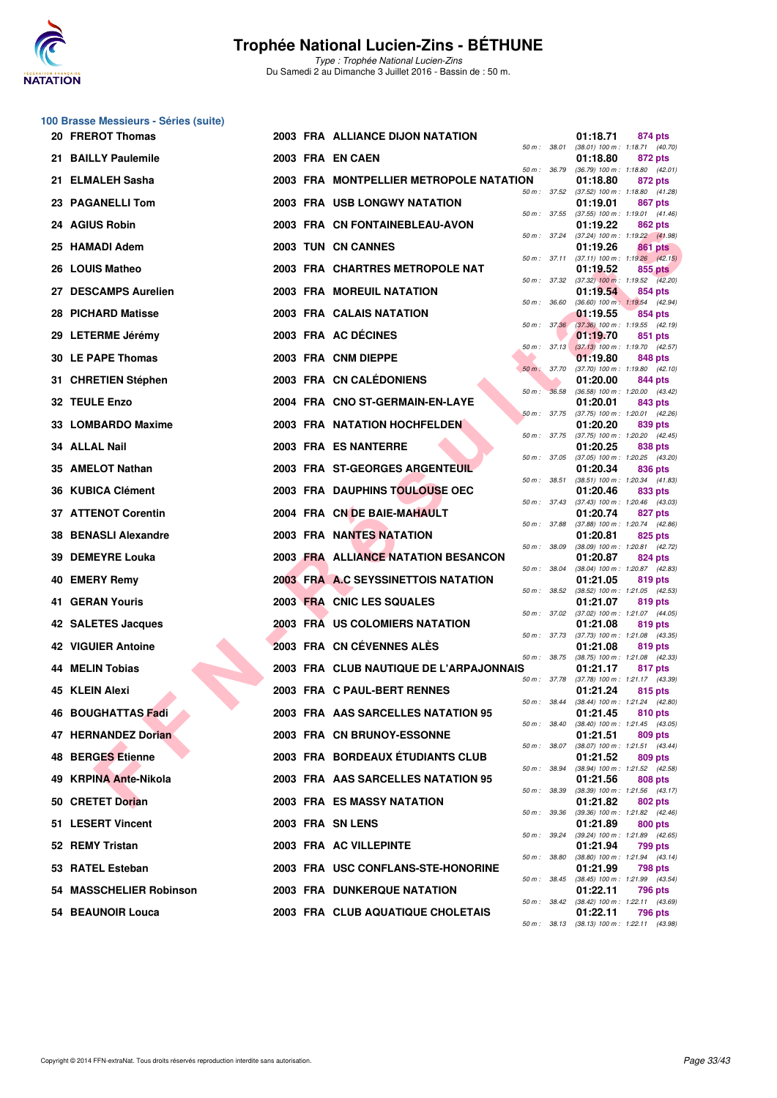

**100 Brasse Messieurs - Séries (suite)**

### **Trophée National Lucien-Zins - BÉTHUNE**

| 20 FREROT Thomas              |                  | <b>2003 FRA ALLIANCE DIJON NATATION</b> |                | 01:18.71<br>874 pts                                                                           |
|-------------------------------|------------------|-----------------------------------------|----------------|-----------------------------------------------------------------------------------------------|
| 21 BAILLY Paulemile           | 2003 FRA EN CAEN |                                         | 50 m : 38.01   | $(38.01)$ 100 m : 1:18.71 $(40.70)$<br>01:18.80<br>872 pts                                    |
| 21 ELMALEH Sasha              |                  | 2003 FRA MONTPELLIER METROPOLE NATATION | 50 m : 36.79   | $(36.79)$ 100 m : 1:18.80 $(42.01)$<br>01:18.80<br>872 pts                                    |
| 23 PAGANELLI Tom              |                  | 2003 FRA USB LONGWY NATATION            |                | 50 m: 37.52 (37.52) 100 m: 1:18.80 (41.28)<br>01:19.01<br>867 pts                             |
| 24 AGIUS Robin                |                  | 2003 FRA CN FONTAINEBLEAU-AVON          | 50 m : 37.55   | $(37.55)$ 100 m : 1:19.01 $(41.46)$<br>01:19.22<br>862 pts                                    |
| 25 HAMADI Adem                |                  | <b>2003 TUN CN CANNES</b>               | 50 m : 37.24   | (37.24) 100 m : 1:19.22 (41.98)<br>01:19.26<br>861 pts                                        |
| 26 LOUIS Matheo               |                  | 2003 FRA CHARTRES METROPOLE NAT         |                | 50 m: 37.11 (37.11) 100 m: 1:19.26 (42.15)<br>01:19.52<br>855 pts                             |
| 27 DESCAMPS Aurelien          |                  | 2003 FRA MOREUIL NATATION               |                | 50 m : 37.32 (37.32) 100 m : 1:19.52 (42.20)<br>01:19.54<br>854 pts                           |
| 28 PICHARD Matisse            |                  | 2003 FRA CALAIS NATATION                | 50 m : 36.60   | (36.60) 100 m: 1:19.54 (42.94)<br>01:19.55<br>854 pts                                         |
| 29 LETERME Jérémy             |                  | 2003 FRA AC DÉCINES                     | 50 m: 37.36    | $(37.36)$ 100 m : 1:19.55 $(42.19)$<br>01:19.70<br>851 pts                                    |
| 30 LE PAPE Thomas             |                  | 2003 FRA CNM DIEPPE                     | 50 m: 37.13    | $(37.13)$ 100 m : 1:19.70 $(42.57)$<br>01:19.80<br>848 pts                                    |
| <b>CHRETIEN Stéphen</b><br>31 |                  | 2003 FRA CN CALEDONIENS                 | 50 m : 37.70   | (37.70) 100 m: 1:19.80 (42.10)<br>01:20.00<br>844 pts                                         |
| 32 TEULE Enzo                 |                  | 2004 FRA CNO ST-GERMAIN-EN-LAYE         | 50 m : 36.58   | $(36.58)$ 100 m : 1:20.00 $(43.42)$<br>01:20.01<br>843 pts                                    |
| 33 LOMBARDO Maxime            |                  | <b>2003 FRA NATATION HOCHFELDEN</b>     | $50 m$ : 37.75 | (37.75) 100 m: 1:20.01 (42.26)<br>01:20.20<br>839 pts                                         |
| 34 ALLAL Nail                 |                  | 2003 FRA ES NANTERRE                    |                | 50 m: 37.75 (37.75) 100 m: 1:20.20 (42.45)<br>01:20.25<br>838 pts                             |
| 35 AMELOT Nathan              |                  | <b>2003 FRA ST-GEORGES ARGENTEUIL</b>   | 50 m : 37.05   | $(37.05)$ 100 m : 1:20.25 $(43.20)$<br>01:20.34<br>836 pts                                    |
| <b>KUBICA Clément</b><br>36   |                  | 2003 FRA DAUPHINS TOULOUSE OEC          | 50 m : 38.51   | (38.51) 100 m: 1:20.34 (41.83)<br>01:20.46<br>833 pts                                         |
| 37 ATTENOT Corentin           |                  | 2004 FRA CN DE BAIE-MAHAULT             | 50 m: 37.43    | $(37.43)$ 100 m : 1:20.46 $(43.03)$<br>01:20.74<br>827 pts                                    |
| 38 BENASLI Alexandre          |                  | <b>2003 FRA NANTES NATATION</b>         | 50 m : 37.88   | (37.88) 100 m: 1:20.74 (42.86)<br>01:20.81<br>825 pts                                         |
| 39 DEMEYRE Louka              |                  | 2003 FRA ALLIANCE NATATION BESANCON     | 50 m : 38.09   | (38.09) 100 m: 1:20.81 (42.72)<br>01:20.87<br>824 pts                                         |
| 40 EMERY Remy                 |                  | 2003 FRA A.C SEYSSINETTOIS NATATION     | 50 m : 38.04   | (38.04) 100 m: 1:20.87 (42.83)<br>01:21.05<br>819 pts                                         |
| <b>41 GERAN Youris</b>        |                  | 2003 FRA CNIC LES SQUALES               | 50 m : 38.52   | $(38.52)$ 100 m : 1:21.05 $(42.53)$<br>01:21.07<br>819 pts                                    |
| 42 SALETES Jacques            |                  | 2003 FRA US COLOMIERS NATATION          | 50 m : 37.02   | (37.02) 100 m: 1:21.07 (44.05)<br>01:21.08<br>819 pts                                         |
| <b>42 VIGUIER Antoine</b>     |                  | 2003 FRA CN CÉVENNES ALES               | 50 m : 37.73   | (37.73) 100 m: 1:21.08 (43.35)<br>01:21.08<br>819 pts                                         |
| <b>44 MELIN Tobias</b>        |                  | 2003 FRA CLUB NAUTIQUE DE L'ARPAJONNAIS | 50 m : 38.75   | $(38.75)$ 100 m : 1:21.08 $(42.33)$<br>01:21.17<br>817 pts                                    |
| 45 KLEIN Alexi                |                  | 2003 FRA C PAUL-BERT RENNES             | 50 m : 37.78   | (37.78) 100 m : 1:21.17 (43.39)<br>01:21.24<br>815 pts                                        |
| 46 BOUGHATTAS Fadi            |                  | 2003 FRA AAS SARCELLES NATATION 95      | 50 m : 38.44   | (38.44) 100 m: 1:21.24 (42.80)<br>01:21.45<br>810 pts                                         |
| 47 HERNANDEZ Dorian           |                  | 2003 FRA CN BRUNOY-ESSONNE              |                | 50 m : 38.40 (38.40) 100 m : 1:21.45 (43.05)<br>01:21.51<br>809 pts                           |
| 48 BERGES Etienne             |                  | 2003 FRA BORDEAUX ETUDIANTS CLUB        | 50 m : 38.07   | $(38.07)$ 100 m : 1:21.51 $(43.44)$<br>01:21.52<br>809 pts                                    |
| 49 KRPINA Ante-Nikola         |                  | 2003 FRA AAS SARCELLES NATATION 95      | 50 m : 38.94   | (38.94) 100 m : 1:21.52 (42.58)<br>01:21.56<br>808 pts<br>$(38.39)$ 100 m : 1:21.56 $(43.17)$ |
| 50 CRETET Dorian              |                  | 2003 FRA ES MASSY NATATION              | 50 m : 38.39   | 01:21.82<br>802 pts                                                                           |
| 51 LESERT Vincent             | 2003 FRA SN LENS |                                         | 50 m : 39.36   | (39.36) 100 m: 1:21.82 (42.46)<br>01:21.89<br>800 pts                                         |
| 52 REMY Tristan               |                  | 2003 FRA AC VILLEPINTE                  |                | 50 m: 39.24 (39.24) 100 m: 1:21.89 (42.65)<br>01:21.94<br>799 pts                             |
| 53 RATEL Esteban              |                  | 2003 FRA USC CONFLANS-STE-HONORINE      | 50 m : 38.80   | $(38.80)$ 100 m : 1:21.94 $(43.14)$<br>01:21.99<br>798 pts                                    |
| 54 MASSCHELIER Robinson       |                  | <b>2003 FRA DUNKERQUE NATATION</b>      |                | 50 m: 38.45 (38.45) 100 m: 1:21.99 (43.54)<br>01:22.11<br>796 pts                             |
| 54 BEAUNOIR Louca             |                  | 2003 FRA CLUB AQUATIQUE CHOLETAIS       |                | 50 m: 38.42 (38.42) 100 m: 1:22.11 (43.69)<br>01:22.11<br>796 pts                             |
|                               |                  |                                         |                | 50 m : 38.13 (38.13) 100 m : 1:22.11 (43.98)                                                  |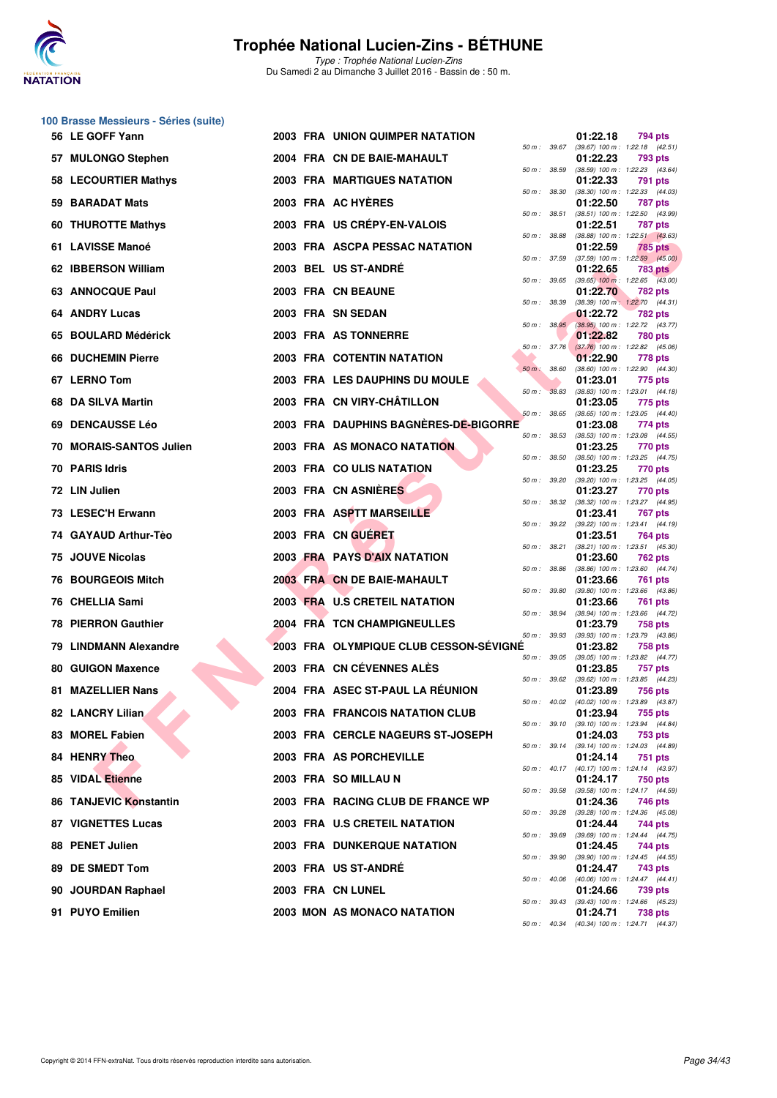

**100 Brasse Messieurs - Séries (suite)**

### **Trophée National Lucien-Zins - BÉTHUNE**

|    | 56 LE GOFF Yann            |  | <b>2003 FRA UNION QUIMPER NATATION</b> |                             |       | 01:22.18 | 794 pts                                                 |
|----|----------------------------|--|----------------------------------------|-----------------------------|-------|----------|---------------------------------------------------------|
|    | 57 MULONGO Stephen         |  | 2004 FRA CN DE BAIE-MAHAULT            | 50 m : 39.67                |       | 01:22.23 | (39.67) 100 m: 1:22.18 (42.51)<br>793 pts               |
|    | 58 LECOURTIER Mathys       |  | 2003 FRA MARTIGUES NATATION            | 50 m : 38.59<br>50 m: 38.30 |       | 01:22.33 | (38.59) 100 m : 1:22.23 (43.64)<br>791 pts              |
|    | 59 BARADAT Mats            |  | 2003 FRA AC HYERES                     |                             |       | 01:22.50 | (38.30) 100 m: 1:22.33 (44.03)<br>787 pts               |
|    | 60 THUROTTE Mathys         |  | 2003 FRA US CRÉPY-EN-VALOIS            | 50 m : 38.51                |       | 01:22.51 | (38.51) 100 m: 1:22.50 (43.99)<br><b>787 pts</b>        |
|    | 61 LAVISSE Manoé           |  | 2003 FRA ASCPA PESSAC NATATION         | 50 m : 38.88                |       | 01:22.59 | $(38.88)$ 100 m : 1:22.51 $(43.63)$<br>785 pts          |
|    | 62 IBBERSON William        |  | 2003 BEL US ST-ANDRE                   | 50 m : 37.59                |       | 01:22.65 | $(37.59)$ 100 m : 1:22.59 $(45.00)$<br><b>783 pts</b>   |
|    | 63 ANNOCQUE Paul           |  | 2003 FRA CN BEAUNE                     | 50 m : 39.65                |       | 01:22.70 | $(39.65)$ 100 m : 1:22.65 $(43.00)$<br><b>782 pts</b>   |
|    | <b>64 ANDRY Lucas</b>      |  | 2003 FRA SN SEDAN                      | 50 m : 38.39                |       | 01:22.72 | $(38.39)$ 100 m : 1:22.70 $(44.31)$<br>782 pts          |
| 65 | <b>BOULARD Médérick</b>    |  | 2003 FRA AS TONNERRE                   | 50 m : 38.95                |       | 01:22.82 | (38.95) 100 m : 1:22.72 (43.77)<br>780 pts              |
| 66 | <b>DUCHEMIN Pierre</b>     |  | 2003 FRA COTENTIN NATATION             | 50 m : 37.76                |       | 01:22.90 | $(37.76)$ 100 m : 1:22.82 $(45.06)$<br>778 pts          |
| 67 | <b>LERNO Tom</b>           |  | 2003 FRA LES DAUPHINS DU MOULE         | $50 m$ : $38.60$            |       | 01:23.01 | (38.60) 100 m: 1:22.90 (44.30)<br>775 pts               |
| 68 | DA SILVA Martin            |  | 2003 FRA CN VIRY-CHÂTILLON             | $50 m$ :                    | 38.83 | 01:23.05 | $(38.83)$ 100 m : 1:23.01 $(44.18)$<br>775 pts          |
| 69 | <b>DENCAUSSE Léo</b>       |  | 2003 FRA DAUPHINS BAGNERES-DE-BIGORRE  | 50 m: 38.65                 |       | 01:23.08 | $(38.65)$ 100 m : 1:23.05 $(44.40)$<br>774 pts          |
|    | 70 MORAIS-SANTOS Julien    |  | 2003 FRA AS MONACO NATATION            | 50 m: 38.53                 |       | 01:23.25 | $(38.53)$ 100 m : 1:23.08 $(44.55)$<br>770 pts          |
|    | 70 PARIS Idris             |  | 2003 FRA COULIS NATATION               | 50 m : 38.50                |       | 01:23.25 | (38.50) 100 m: 1:23.25 (44.75)<br>770 pts               |
|    | 72 LIN Julien              |  | 2003 FRA CN ASNIERES                   | 50 m : 39.20                |       | 01:23.27 | (39.20) 100 m: 1:23.25 (44.05)<br>770 pts               |
|    | 73 LESEC'H Erwann          |  | 2003 FRA ASPTT MARSEILLE               | 50 m: 38.32                 |       | 01:23.41 | (38.32) 100 m : 1:23.27 (44.95)<br>767 pts              |
|    | 74 GAYAUD Arthur-Tèo       |  | 2003 FRA CN GUERET                     | 50 m : 39.22                |       | 01:23.51 | (39.22) 100 m: 1:23.41 (44.19)<br>764 pts               |
|    | 75 JOUVE Nicolas           |  | 2003 FRA PAYS D'AIX NATATION           | 50 m : 38.21                |       | 01:23.60 | $(38.21)$ 100 m : 1:23.51 $(45.30)$<br>762 pts          |
| 76 | <b>BOURGEOIS Mitch</b>     |  | 2003 FRA CN DE BAIE-MAHAULT            | 50 m : 38.86                |       | 01:23.66 | (38.86) 100 m: 1:23.60 (44.74)<br>761 pts               |
|    | 76 CHELLIA Sami            |  | 2003 FRA U.S CRETEIL NATATION          | 50 m : 39.80                |       | 01:23.66 | (39.80) 100 m: 1:23.66 (43.86)<br>761 pts               |
|    | <b>78 PIERRON Gauthier</b> |  | 2004 FRA TCN CHAMPIGNEULLES            | 50 m : 38.94                |       | 01:23.79 | (38.94) 100 m: 1:23.66 (44.72)<br><b>758 pts</b>        |
| 79 | <b>LINDMANN Alexandre</b>  |  | 2003 FRA OLYMPIQUE CLUB CESSON-SÉVIGNÉ | 50 m : 39.93                |       | 01:23.82 | (39.93) 100 m: 1:23.79 (43.86)<br>758 pts               |
| 80 | <b>GUIGON Maxence</b>      |  | 2003 FRA CN CÉVENNES ALES              | 50 m: 39.05                 |       | 01:23.85 | (39.05) 100 m: 1:23.82 (44.77)<br>757 pts               |
| 81 | <b>MAZELLIER Nans</b>      |  | 2004 FRA ASEC ST-PAUL LA RÉUNION       | 50 m: 39.62                 |       | 01:23.89 | (39.62) 100 m: 1:23.85 (44.23)<br>756 pts               |
|    | 82 LANCRY Lilian           |  | 2003 FRA FRANCOIS NATATION CLUB        | 50 m: 40.02                 |       |          | (40.02) 100 m: 1:23.89 (43.87)<br>01:23.94 755 pts      |
|    | 83 MOREL Fabien            |  | 2003 FRA CERCLE NAGEURS ST-JOSEPH      |                             |       | 01:24.03 | 50 m: 39.10 (39.10) 100 m: 1:23.94 (44.84)<br>753 pts   |
|    | 84 HENRY Theo              |  | 2003 FRA AS PORCHEVILLE                |                             |       | 01:24.14 | 50 m: 39.14 (39.14) 100 m: 1:24.03 (44.89)<br>751 pts   |
|    | <b>85 VIDAL Etienne</b>    |  | 2003 FRA SO MILLAU N                   |                             |       | 01:24.17 | 50 m: 40.17 (40.17) 100 m: 1:24.14 (43.97)<br>750 pts   |
|    | 86 TANJEVIC Konstantin     |  | 2003 FRA RACING CLUB DE FRANCE WP      |                             |       | 01:24.36 | 50 m: 39.58 (39.58) 100 m: 1:24.17 (44.59)<br>746 pts   |
|    | <b>87 VIGNETTES Lucas</b>  |  | 2003 FRA U.S CRETEIL NATATION          | 50 m : 39.28                |       | 01:24.44 | (39.28) 100 m: 1:24.36 (45.08)<br>744 pts               |
|    | 88 PENET Julien            |  | <b>2003 FRA DUNKERQUE NATATION</b>     | 50 m : 39.69                |       | 01:24.45 | $(39.69)$ 100 m : 1:24.44 $(44.75)$<br>744 pts          |
|    | 89 DE SMEDT Tom            |  | 2003 FRA US ST-ANDRE                   | 50 m : 39.90                |       | 01:24.47 | $(39.90)$ 100 m : 1:24.45 $(44.55)$<br>743 pts          |
|    | 90 JOURDAN Raphael         |  | 2003 FRA CN LUNEL                      |                             |       | 01:24.66 | 50 m : 40.06 (40.06) 100 m : 1:24.47 (44.41)<br>739 pts |
|    | 91 PUYO Emilien            |  | 2003 MON AS MONACO NATATION            | 50 m : 39.43                |       | 01:24.71 | (39.43) 100 m: 1:24.66 (45.23)<br>738 pts               |
|    |                            |  |                                        |                             |       |          | 50 m: 40.34 (40.34) 100 m: 1:24.71 (44.37)              |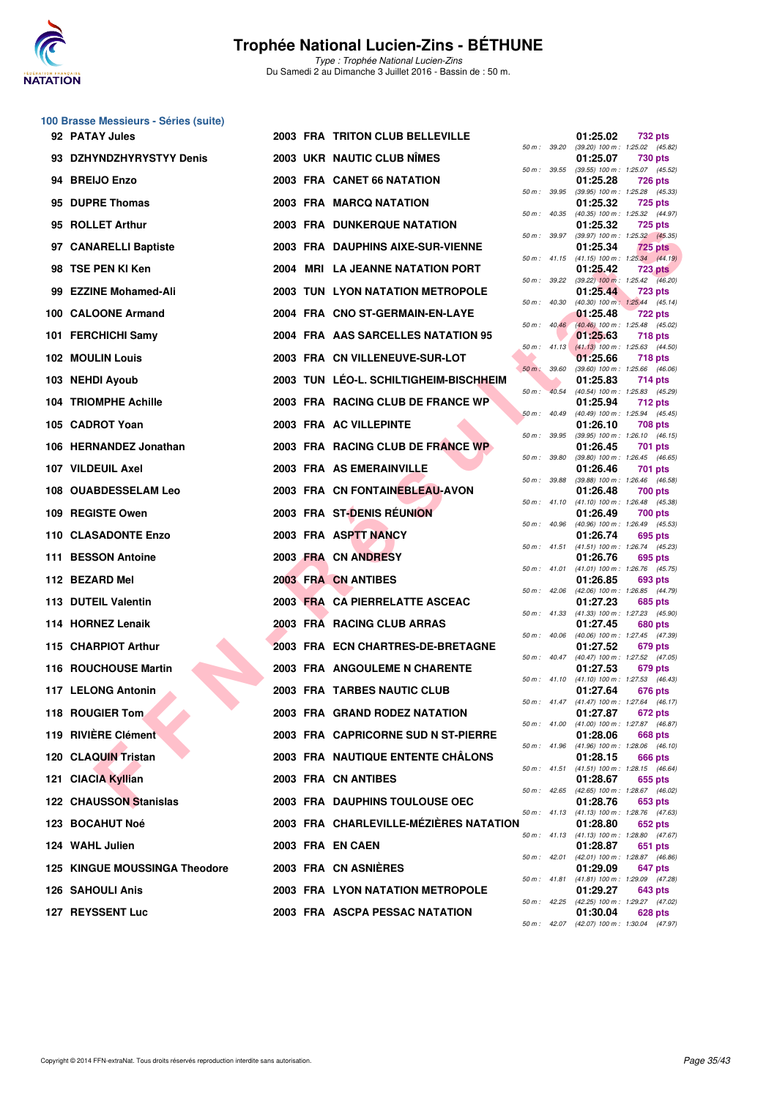

Type : Trophée National Lucien-Zins Du Samedi 2 au Dimanche 3 Juillet 2016 - Bassin de : 50 m.

#### **100 Brasse Messieurs - Séries (suite)**

| 92 PATAY Jules                |  | 2003 FRA TRITON CLUB BELLEVILLE         |                  |              | 01:25.02 | <b>732 pts</b>                                          |
|-------------------------------|--|-----------------------------------------|------------------|--------------|----------|---------------------------------------------------------|
| 93 DZHYNDZHYRYSTYY Denis      |  | 2003 UKR NAUTIC CLUB NIMES              | 50 m : 39.20     |              | 01:25.07 | (39.20) 100 m: 1:25.02 (45.82)<br>730 pts               |
| 94 BREIJO Enzo                |  | 2003 FRA CANET 66 NATATION              |                  | 50 m : 39.55 | 01:25.28 | (39.55) 100 m: 1:25.07 (45.52)<br><b>726 pts</b>        |
| 95 DUPRE Thomas               |  | 2003 FRA MARCQ NATATION                 | 50 m : 39.95     |              | 01:25.32 | (39.95) 100 m: 1:25.28 (45.33)<br><b>725 pts</b>        |
| 95 ROLLET Arthur              |  | <b>2003 FRA DUNKERQUE NATATION</b>      | $50 m$ : $40.35$ |              | 01:25.32 | (40.35) 100 m: 1:25.32 (44.97)<br><b>725 pts</b>        |
| 97 CANARELLI Baptiste         |  | 2003 FRA DAUPHINS AIXE-SUR-VIENNE       | 50 m : 39.97     |              | 01:25.34 | (39.97) 100 m : 1:25.32 (45.35)<br><b>725 pts</b>       |
| 98 TSE PEN KI Ken             |  | 2004 MRI LA JEANNE NATATION PORT        |                  | 50 m : 41.15 | 01:25.42 | $(41.15)$ 100 m : 1:25.34 $(44.19)$<br><b>723 pts</b>   |
| 99 EZZINE Mohamed-Ali         |  | 2003 TUN LYON NATATION METROPOLE        |                  | 50 m : 39.22 | 01:25.44 | $(39.22)$ 100 m : 1:25.42 $(46.20)$<br><b>723 pts</b>   |
| 100 CALOONE Armand            |  | 2004 FRA CNO ST-GERMAIN-EN-LAYE         | 50 m: 40.30      |              | 01:25.48 | (40.30) 100 m: 1:25.44 (45.14)<br><b>722 pts</b>        |
| 101 FERCHICHI Samy            |  | 2004 FRA AAS SARCELLES NATATION 95      | $50 m$ : $40.46$ |              | 01:25.63 | (40.46) 100 m: 1:25.48 (45.02)<br><b>718 pts</b>        |
| <b>102 MOULIN Louis</b>       |  | 2003 FRA CN VILLENEUVE-SUR-LOT          | $50 m$ : $41.13$ |              | 01:25.66 | $(41.13)$ 100 m : 1:25.63 $(44.50)$<br>718 pts          |
| 103 NEHDI Ayoub               |  | 2003 TUN LEO-L. SCHILTIGHEIM-BISCHHEIM  | 50 m : 39.60     |              | 01:25.83 | (39.60) 100 m: 1:25.66 (46.06)<br>714 pts               |
| 104 TRIOMPHE Achille          |  | 2003 FRA RACING CLUB DE FRANCE WP       | $50 m$ :         | 40.54        | 01:25.94 | (40.54) 100 m: 1:25.83 (45.29)<br>712 pts               |
| 105 CADROT Yoan               |  | 2003 FRA AC VILLEPINTE                  | 50 m: 40.49      |              | 01:26.10 | (40.49) 100 m: 1:25.94 (45.45)<br>708 pts               |
| 106 HERNANDEZ Jonathan        |  | 2003 FRA RACING CLUB DE FRANCE WP       | 50 m : 39.95     |              | 01:26.45 | $(39.95)$ 100 m : 1:26.10 $(46.15)$<br>701 pts          |
| 107 VILDEUIL Axel             |  | 2003 FRA AS EMERAINVILLE                | 50 m : 39.80     |              | 01:26.46 | $(39.80)$ 100 m : 1:26.45 $(46.65)$<br>701 pts          |
| 108 OUABDESSELAM Leo          |  | 2003 FRA CN FONTAINEBLEAU-AVON          | 50 m : 39.88     |              | 01:26.48 | $(39.88)$ 100 m : 1:26.46 $(46.58)$<br>700 pts          |
| 109 REGISTE Owen              |  | 2003 FRA ST-DENIS RÉUNION               | 50 m: 41.10      |              | 01:26.49 | $(41.10)$ 100 m : 1:26.48 $(45.38)$<br>700 pts          |
| 110 CLASADONTE Enzo           |  | 2003 FRA ASPTT NANCY                    | 50 m: 40.96      |              | 01:26.74 | (40.96) 100 m: 1:26.49 (45.53)<br>695 pts               |
| 111 BESSON Antoine            |  | 2003 FRA CN ANDRESY                     | $50 m$ : 41.51   |              | 01:26.76 | $(41.51)$ 100 m : 1:26.74 $(45.23)$<br>695 pts          |
| 112 BEZARD Mel                |  | 2003 FRA CN ANTIBES                     |                  | 50 m : 41.01 | 01:26.85 | $(41.01)$ 100 m : 1:26.76 $(45.75)$<br>693 pts          |
| 113 DUTEIL Valentin           |  | 2003 FRA CA PIERRELATTE ASCEAC          |                  |              | 01:27.23 | 50 m: 42.06 (42.06) 100 m: 1:26.85 (44.79)<br>685 pts   |
| 114 HORNEZ Lenaik             |  | 2003 FRA RACING CLUB ARRAS              | 50 m: 41.33      |              | 01:27.45 | $(41.33)$ 100 m : 1:27.23 $(45.90)$<br>680 pts          |
| 115 CHARPIOT Arthur           |  | 2003 FRA ECN CHARTRES-DE-BRETAGNE       | 50 m: 40.06      |              | 01:27.52 | (40.06) 100 m: 1:27.45 (47.39)<br>679 pts               |
| 116 ROUCHOUSE Martin          |  | <b>2003 FRA ANGOULEME N CHARENTE</b>    |                  |              | 01:27.53 | 50 m: 40.47 (40.47) 100 m: 1:27.52 (47.05)<br>679 pts   |
| 117 LELONG Antonin            |  | <b>2003 FRA TARBES NAUTIC CLUB</b>      |                  |              | 01:27.64 | 50 m: 41.10 (41.10) 100 m: 1:27.53 (46.43)<br>676 pts   |
| 118 ROUGIER Tom               |  | 2003 FRA GRAND RODEZ NATATION           |                  |              | 01:27.87 | 50 m: 41.47 (41.47) 100 m: 1:27.64 (46.17)<br>672 pts   |
| 119 RIVIÈRE Clément           |  | 2003 FRA CAPRICORNE SUD N ST-PIERRE     |                  |              | 01:28.06 | 50 m: 41.00 (41.00) 100 m: 1:27.87 (46.87)<br>668 pts   |
| 120 CLAQUIN Tristan           |  | 2003 FRA NAUTIQUE ENTENTE CHALONS       |                  |              | 01:28.15 | 50 m: 41.96 (41.96) 100 m: 1:28.06 (46.10)<br>666 pts   |
| 121 CIACIA Kyllian            |  | 2003 FRA CN ANTIBES                     |                  |              | 01:28.67 | 50 m: 41.51 (41.51) 100 m: 1:28.15 (46.64)<br>655 pts   |
| <b>122 CHAUSSON Stanislas</b> |  | 2003 FRA DAUPHINS TOULOUSE OEC          |                  |              | 01:28.76 | 50 m : 42.65 (42.65) 100 m : 1:28.67 (46.02)<br>653 pts |
| 123 BOCAHUT Noé               |  | 2003 FRA CHARLEVILLE-MÉZIÈRES NATATION  |                  |              | 01:28.80 | 50 m: 41.13 (41.13) 100 m: 1:28.76 (47.63)<br>652 pts   |
| 124 WAHL Julien               |  | 2003 FRA EN CAEN                        |                  |              | 01:28.87 | 50 m: 41.13 (41.13) 100 m: 1:28.80 (47.67)<br>651 pts   |
| 125 KINGUE MOUSSINGA Theodore |  | 2003 FRA CN ASNIERES                    |                  |              | 01:29.09 | 50 m : 42.01 (42.01) 100 m : 1:28.87 (46.86)<br>647 pts |
| <b>126 SAHOULI Anis</b>       |  | <b>2003 FRA LYON NATATION METROPOLE</b> |                  |              | 01:29.27 | 50 m: 41.81 (41.81) 100 m: 1:29.09 (47.28)<br>643 pts   |
| 127 REYSSENT Luc              |  | 2003 FRA ASCPA PESSAC NATATION          |                  |              | 01:30.04 | 50 m: 42.25 (42.25) 100 m: 1:29.27 (47.02)<br>628 pts   |
|                               |  |                                         |                  |              |          | 50 m : 42.07 (42.07) 100 m : 1:30.04 (47.97)            |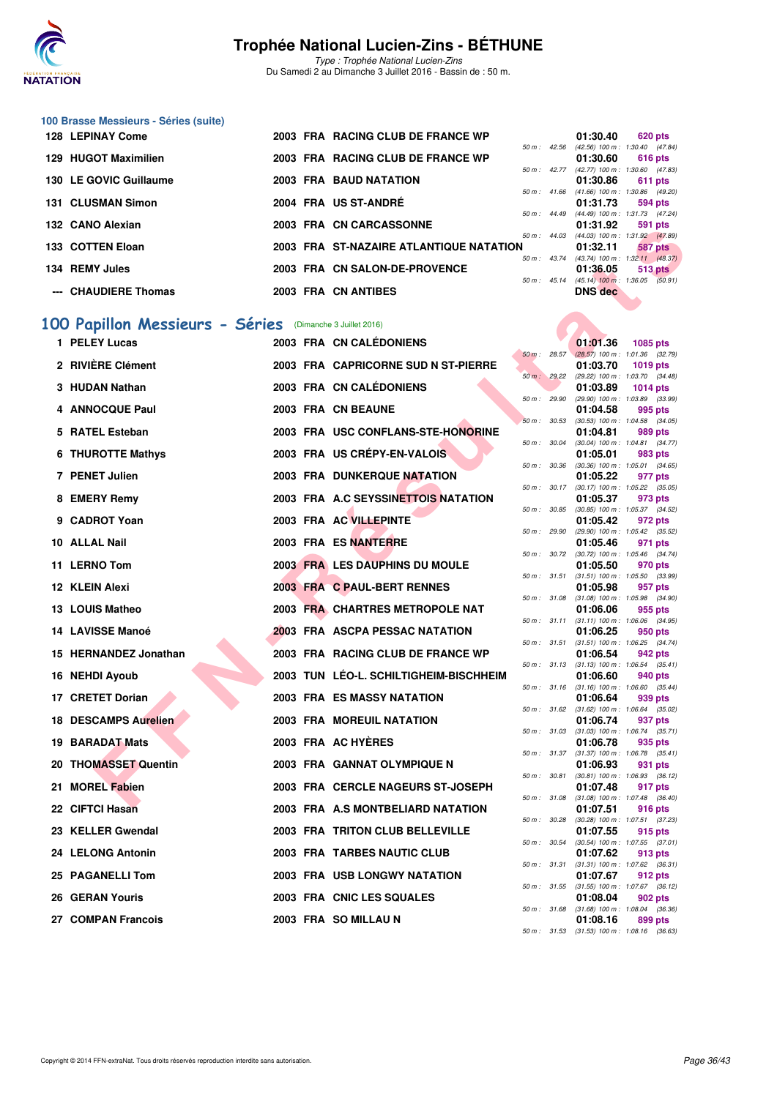

Type : Trophée National Lucien-Zins Du Samedi 2 au Dimanche 3 Juillet 2016 - Bassin de : 50 m.

#### **100 Brasse Messieurs - Séries (suite)**

| <b>128 LEPINAY Come</b> |  | 2003 FRA RACING CLUB DE FRANCE WP       |                        | 01:30.40                            | 620 pts   |         |
|-------------------------|--|-----------------------------------------|------------------------|-------------------------------------|-----------|---------|
|                         |  |                                         | $50 m$ : 42.56         | $(42.56)$ 100 m : 1:30.40 $(47.84)$ |           |         |
| 129 HUGOT Maximilien    |  | 2003 FRA RACING CLUB DE FRANCE WP       |                        | 01:30.60                            | 616 pts   |         |
|                         |  |                                         | $50 \text{ m}$ : 42.77 | $(42.77)$ 100 m : 1:30.60 $(47.83)$ |           |         |
| 130 LE GOVIC Guillaume  |  | <b>2003 FRA BAUD NATATION</b>           |                        | 01:30.86                            | $611$ pts |         |
|                         |  |                                         | 50 m : 41.66           | $(41.66)$ 100 m : 1:30.86 $(49.20)$ |           |         |
| 131 CLUSMAN Simon       |  | 2004 FRA US ST-ANDRÉ                    |                        | 01:31.73                            | 594 pts   |         |
|                         |  |                                         | $50 \text{ m}$ : 44.49 | (44.49) 100 m : 1:31.73 (47.24)     |           |         |
| 132 CANO Alexian        |  | 2003 FRA CN CARCASSONNE                 |                        | 01:31.92                            | 591 pts   |         |
|                         |  |                                         | $50 m$ : $44.03$       | $(44.03)$ 100 m : 1:31.92 $(47.89)$ |           |         |
| 133 COTTEN Eloan        |  | 2003 FRA ST-NAZAIRE ATLANTIQUE NATATION |                        | 01:32.11                            |           | 587 pts |
|                         |  |                                         | $50 m$ : 43.74         | $(43.74)$ 100 m : 1:32.11 $(48.37)$ |           |         |
| 134 REMY Jules          |  | 2003 FRA CN SALON-DE-PROVENCE           |                        | 01:36.05                            |           | 513 pts |
|                         |  |                                         | $50 m$ : 45.14         | $(45.14)$ 100 m : 1:36.05 $(50.91)$ |           |         |
| --- CHAUDIERE Thomas    |  | 2003 FRA CN ANTIBES                     |                        | <b>DNS</b> dec                      |           |         |
|                         |  |                                         |                        |                                     |           |         |

# **[100 Papillon Messieurs - Séries](http://www.ffnatation.fr/webffn/resultats.php?idact=nat&go=epr&idcpt=34121&idepr=82)** (Dimanche 3 Juillet 2016)

| וואסואט אוראט געו                                        |  | <b>ERA UN UARUAJJUNNE</b>               |                |              | <b>UI.JI.JZ</b> | <u>ວອາຍາລ</u>                                                |
|----------------------------------------------------------|--|-----------------------------------------|----------------|--------------|-----------------|--------------------------------------------------------------|
| 133   COTTEN Eloan                                       |  | 2003 FRA ST-NAZAIRE ATLANTIQUE NATATION |                |              | 01:32.11        | 50 m: 44.03 (44.03) 100 m: 1:31.92 (47.89)<br><b>587 pts</b> |
| 134 REMY Jules                                           |  | 2003 FRA CN SALON-DE-PROVENCE           |                |              | 01:36.05        | 50 m: 43.74 (43.74) 100 m: 1:32.11 (48.37)<br>$513$ pts      |
| --- CHAUDIERE Thomas                                     |  | 2003 FRA CN ANTIBES                     |                |              | <b>DNS</b> dec  | 50 m : 45.14 (45.14) 100 m : 1:36.05 (50.91)                 |
|                                                          |  |                                         |                |              |                 |                                                              |
| 00 Papillon Messieurs - Séries (Dimanche 3 Juillet 2016) |  |                                         |                |              |                 |                                                              |
| 1 PELEY Lucas                                            |  | 2003 FRA CN CALÉDONIENS                 |                |              | 01:01.36        | 1085 pts                                                     |
| 2 RIVIÈRE Clément                                        |  | 2003 FRA CAPRICORNE SUD N ST-PIERRE     | $50 m$ : 28.57 |              | 01:03.70        | $(28.57)$ 100 m : 1:01.36 $(32.79)$<br><b>1019 pts</b>       |
|                                                          |  |                                         |                |              |                 | 50 m : 29.22 (29.22) 100 m : 1:03.70 (34.48)                 |
| 3 HUDAN Nathan                                           |  | 2003 FRA CN CALÉDONIENS                 | 50 m : 29.90   |              | 01:03.89        | <b>1014 pts</b><br>(29.90) 100 m : 1:03.89 (33.99)           |
| 4 ANNOCQUE Paul                                          |  | 2003 FRA CN BEAUNE                      | 50 m: 30.53    |              | 01:04.58        | 995 pts<br>$(30.53)$ 100 m : 1:04.58 $(34.05)$               |
| 5 RATEL Esteban                                          |  | 2003 FRA USC CONFLANS-STE-HONORINE      |                |              | 01:04.81        | 989 pts                                                      |
| 6 THUROTTE Mathys                                        |  | 2003 FRA US CRÉPY-EN-VALOIS             | 50 m : 30.04   |              | 01:05.01        | (30.04) 100 m: 1:04.81 (34.77)<br>983 pts                    |
|                                                          |  |                                         | 50 m : 30.36   |              |                 | $(30.36)$ 100 m : 1:05.01 $(34.65)$                          |
| 7 PENET Julien                                           |  | <b>2003 FRA DUNKERQUE NATATION</b>      |                |              | 01:05.22        | 977 pts<br>50 m: 30.17 (30.17) 100 m: 1:05.22 (35.05)        |
| 8 EMERY Remy                                             |  | 2003 FRA A.C SEYSSINETTOIS NATATION     | 50 m : 30.85   |              | 01:05.37        | 973 pts<br>$(30.85)$ 100 m : 1:05.37 $(34.52)$               |
| 9 CADROT Yoan                                            |  | 2003 FRA AC VILLEPINTE                  |                |              | 01:05.42        | 972 pts                                                      |
| 10 ALLAL Nail                                            |  | 2003 FRA ES NANTERRE                    |                |              | 01:05.46        | 50 m: 29.90 (29.90) 100 m: 1:05.42 (35.52)<br>971 pts        |
| 11 LERNO Tom                                             |  | 2003 FRA LES DAUPHINS DU MOULE          | 50 m : 30.72   |              | 01:05.50        | (30.72) 100 m : 1:05.46 (34.74)<br>970 pts                   |
|                                                          |  |                                         |                | 50 m : 31.51 |                 | $(31.51)$ 100 m : 1:05.50 $(33.99)$                          |
| 12 KLEIN Alexi                                           |  | 2003 FRA C PAUL-BERT RENNES             |                |              | 01:05.98        | 957 pts<br>50 m: 31.08 (31.08) 100 m: 1:05.98 (34.90)        |
| 13 LOUIS Matheo                                          |  | 2003 FRA CHARTRES METROPOLE NAT         |                |              | 01:06.06        | 955 pts                                                      |
| 14 LAVISSE Manoé                                         |  | <b>2003 FRA ASCPA PESSAC NATATION</b>   |                | 50 m : 31.11 | 01:06.25        | $(31.11)$ 100 m : 1:06.06 $(34.95)$<br>950 pts               |
| 15 HERNANDEZ Jonathan                                    |  | 2003 FRA RACING CLUB DE FRANCE WP       |                |              | 01:06.54        | 50 m: 31.51 (31.51) 100 m: 1:06.25 (34.74)<br>942 pts        |
|                                                          |  |                                         |                |              |                 | 50 m: 31.13 (31.13) 100 m: 1:06.54 (35.41)                   |
| 16 NEHDI Ayoub                                           |  | 2003 TUN LEO-L. SCHILTIGHEIM-BISCHHEIM  |                |              | 01:06.60        | 940 pts<br>50 m: 31.16 (31.16) 100 m: 1:06.60 (35.44)        |
| 17 CRETET Dorian                                         |  | 2003 FRA ES MASSY NATATION              |                |              | 01:06.64        | 939 pts<br>50 m: 31.62 (31.62) 100 m: 1:06.64 (35.02)        |
| <b>18 DESCAMPS Aurelien</b>                              |  | 2003 FRA MOREUIL NATATION               |                |              | 01:06.74        | 937 pts                                                      |
| 19 BARADAT Mats                                          |  | 2003 FRA AC HYERES                      |                |              | 01:06.78        | 50 m: 31.03 (31.03) 100 m: 1:06.74 (35.71)<br>935 pts        |
| 20 THOMASSET Quentin                                     |  | 2003 FRA GANNAT OLYMPIQUE N             |                |              | 01:06.93        | 50 m: 31.37 (31.37) 100 m: 1:06.78 (35.41)<br>931 pts        |
|                                                          |  |                                         |                | 50 m : 30.81 |                 | $(30.81)$ 100 m : 1:06.93 $(36.12)$                          |
| 21 MOREL Fabien                                          |  | 2003 FRA CERCLE NAGEURS ST-JOSEPH       | 50 m : 31.08   |              | 01:07.48        | 917 pts<br>$(31.08)$ 100 m : 1:07.48 $(36.40)$               |
| 22 CIFTCI Hasan                                          |  | 2003 FRA A.S MONTBELIARD NATATION       |                |              | 01:07.51        | <b>916 pts</b><br>50 m: 30.28 (30.28) 100 m: 1:07.51 (37.23) |
| 23 KELLER Gwendal                                        |  | 2003 FRA TRITON CLUB BELLEVILLE         |                |              | 01:07.55        | 915 pts                                                      |
| 24 LELONG Antonin                                        |  | 2003 FRA TARBES NAUTIC CLUB             |                |              | 01:07.62        | 50 m: 30.54 (30.54) 100 m: 1:07.55 (37.01)<br>913 pts        |
|                                                          |  |                                         |                |              |                 | 50 m: 31.31 (31.31) 100 m: 1:07.62 (36.31)                   |
| 25 PAGANELLI Tom                                         |  | 2003 FRA USB LONGWY NATATION            |                |              | 01:07.67        | 912 pts<br>50 m: 31.55 (31.55) 100 m: 1:07.67 (36.12)        |
| 26 GERAN Youris                                          |  | 2003 FRA CNIC LES SQUALES               |                |              | 01:08.04        | 902 pts<br>50 m: 31.68 (31.68) 100 m: 1:08.04 (36.36)        |
| 27 COMPAN Francois                                       |  | 2003 FRA SO MILLAU N                    |                |              | 01:08.16        | 899 pts                                                      |

|          |       | 01:01.36                      |                     |                |
|----------|-------|-------------------------------|---------------------|----------------|
| $50 m$ : | 28.57 | $(28.57)$ 100 m :             | 1085 pts<br>1:01.36 | (32.79)        |
|          |       | 01:03.70                      | 1019 pts            |                |
| $50 m$ : | 29.22 | (29.22) 100 m :               | 1:03.70             | (34.48)        |
|          |       | 01:03.89                      | 1014 pts            |                |
| $50 m$ : | 29.90 | (29.90) 100 m :               | 1:03.89             | (33.99)        |
|          |       | 01:04.58                      | 995 pts             |                |
| $50 m$ : | 30.53 | $(30.53) 100 m$ :             | 1:04.58             | (34.05)        |
|          |       | 01:04.81                      | 989 pts             |                |
| $50 m$ : | 30.04 | $(30.04)$ 100 m :             | 1:04.81             | (34.77)        |
|          |       | 01:05.01                      | 983                 | pts            |
| $50 m$ : | 30.36 | $(30.36)$ 100 m :             | 1:05.01             | (34.65)        |
|          |       | 01:05.22                      | 977                 | pts            |
| $50 m$ : | 30.17 | $(30.17) 100 m$ :             | 1:05.22             | (35.05)        |
|          |       | 01:05.37                      | 973.                | pts            |
| $50 m$ : | 30.85 | $(30.85)$ 100 m :             | 1:05.37             | (34.52)        |
|          |       | 01:05.42                      | 972 pts             |                |
| 50 m :   | 29.90 | (29.90) 100 m :               | 1:05.42             | (35.52)        |
|          |       | 01:05.46                      | 971                 | pts            |
| $50 m$ : | 30.72 | (30.72) 100 m :               | 1:05.46             | (34.74)        |
|          |       | 01:05.50                      | 970 pts             |                |
| $50 m$ : | 31.51 | $(31.51) 100 m$ :             | 1:05.50<br>957      | (33.99)        |
| $50 m$ : | 31.08 | 01:05.98<br>$(31.08) 100 m$ : | 1:05.98             | pts<br>(34.90) |
|          |       | 01:06.06                      | 955                 | pts            |
| $50 m$ : | 31.11 | $(31.11)$ 100 m :             | 1:06.06             | (34.95)        |
|          |       | 01:06.25                      | 950 pts             |                |
| $50 m$ : | 31.51 | $(31.51) 100 m$ :             | 1:06.25             | (34.74)        |
|          |       | 01:06.54                      | 942 pts             |                |
| $50 m$ : | 31.13 | $(31.13) 100 m$ :             | 1:06.54             | (35.41)        |
|          |       | 01:06.60                      | 940 pts             |                |
| $50 m$ : | 31.16 | $(31.16) 100 m$ :             | 1:06.60             | (35.44)        |
|          |       | 01:06.64                      | 939 pts             |                |
| $50 m$ : | 31.62 | $(31.62)$ 100 m :             | 1:06.64             | (35.02)        |
|          |       | 01:06.74                      | 937 pts             |                |
| $50 m$ : | 31.03 | $(31.03) 100 m$ :             | 1:06.74             | (35.71)        |
|          |       | 01:06.78                      | 935                 | pts            |
| 50 m :   | 31.37 | $(31.37) 100 m$ :<br>01:06.93 | 1:06.78<br>931      | (35.41)        |
| $50 m$ : | 30.81 | $(30.81)$ 100 m :             | 1:06.93             | pts<br>(36.12) |
|          |       | 01:07.48                      | 917 pts             |                |
| $50 m$ : | 31.08 | $(31.08) 100 m$ :             | 1:07.48             | (36.40)        |
|          |       | 01:07.51                      | 916                 | pts            |
| $50 m$ : | 30.28 | $(30.28) 100 m$ :             | 1:07.51             | (37.23)        |
|          |       | 01:07.55                      | 915                 | pts            |
| 50 m :   | 30.54 | $(30.54) 100 m$ :             | 1:07.55             | (37.01)        |
|          |       | 01:07.62                      | 913 pts             |                |
| $50 m$ : | 31.31 | $(31.31) 100 m$ :             | 1:07.62             | (36.31)        |
|          |       | 01:07.67                      | 912 pts             |                |
| $50 m$ : | 31.55 | $(31.55) 100 m$ :             | 1:07.67             | (36.12)        |
|          |       | 01:08.04                      | <b>902 pts</b>      |                |
| $50 m$ : | 31.68 | $(31.68) 100 m$ :             | 1:08.04             | (36.36)        |
|          |       | 01:08.16                      | 899 pts             |                |
| $50 m$ : | 31.53 | $(31.53) 100 m$ :             | 1:08.16             | (36.63)        |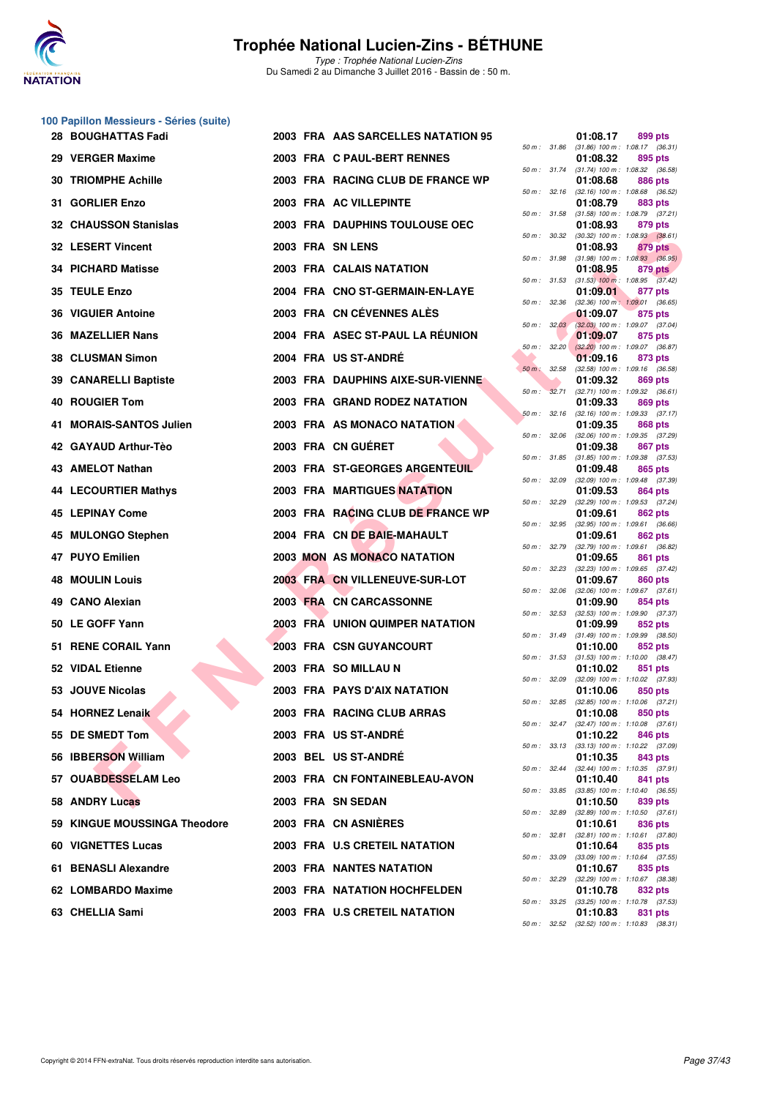

**100 Papillon Messieurs - Séries (suite)**

### **Trophée National Lucien-Zins - BÉTHUNE**

|                                                                                                                                                                                                                                                                                                                                                                                                                                                                                                                                                                                                                                                                                                                                                                                                                                                                  |  |                                                                                                                                                                                                                                                                                                                                                                                                                                                                                                                                                                                                                                                                                                                                                                                                                                                                                                                                                                                                                                                                                                                                                         | 01:08.17                                                                                                                                                                                                                                                                                                                                                   | 899 pts                                                                                                                                                                                                                                                                                                                                                                                                                                                                                                                                                                                                                                                                                                                                                                                                        |
|------------------------------------------------------------------------------------------------------------------------------------------------------------------------------------------------------------------------------------------------------------------------------------------------------------------------------------------------------------------------------------------------------------------------------------------------------------------------------------------------------------------------------------------------------------------------------------------------------------------------------------------------------------------------------------------------------------------------------------------------------------------------------------------------------------------------------------------------------------------|--|---------------------------------------------------------------------------------------------------------------------------------------------------------------------------------------------------------------------------------------------------------------------------------------------------------------------------------------------------------------------------------------------------------------------------------------------------------------------------------------------------------------------------------------------------------------------------------------------------------------------------------------------------------------------------------------------------------------------------------------------------------------------------------------------------------------------------------------------------------------------------------------------------------------------------------------------------------------------------------------------------------------------------------------------------------------------------------------------------------------------------------------------------------|------------------------------------------------------------------------------------------------------------------------------------------------------------------------------------------------------------------------------------------------------------------------------------------------------------------------------------------------------------|----------------------------------------------------------------------------------------------------------------------------------------------------------------------------------------------------------------------------------------------------------------------------------------------------------------------------------------------------------------------------------------------------------------------------------------------------------------------------------------------------------------------------------------------------------------------------------------------------------------------------------------------------------------------------------------------------------------------------------------------------------------------------------------------------------------|
|                                                                                                                                                                                                                                                                                                                                                                                                                                                                                                                                                                                                                                                                                                                                                                                                                                                                  |  |                                                                                                                                                                                                                                                                                                                                                                                                                                                                                                                                                                                                                                                                                                                                                                                                                                                                                                                                                                                                                                                                                                                                                         | 01:08.32                                                                                                                                                                                                                                                                                                                                                   | $(31.86)$ 100 m : 1:08.17 $(36.31)$<br>895 pts                                                                                                                                                                                                                                                                                                                                                                                                                                                                                                                                                                                                                                                                                                                                                                 |
|                                                                                                                                                                                                                                                                                                                                                                                                                                                                                                                                                                                                                                                                                                                                                                                                                                                                  |  |                                                                                                                                                                                                                                                                                                                                                                                                                                                                                                                                                                                                                                                                                                                                                                                                                                                                                                                                                                                                                                                                                                                                                         | 01:08.68                                                                                                                                                                                                                                                                                                                                                   | 886 pts                                                                                                                                                                                                                                                                                                                                                                                                                                                                                                                                                                                                                                                                                                                                                                                                        |
|                                                                                                                                                                                                                                                                                                                                                                                                                                                                                                                                                                                                                                                                                                                                                                                                                                                                  |  |                                                                                                                                                                                                                                                                                                                                                                                                                                                                                                                                                                                                                                                                                                                                                                                                                                                                                                                                                                                                                                                                                                                                                         | 01:08.79                                                                                                                                                                                                                                                                                                                                                   | 883 pts                                                                                                                                                                                                                                                                                                                                                                                                                                                                                                                                                                                                                                                                                                                                                                                                        |
|                                                                                                                                                                                                                                                                                                                                                                                                                                                                                                                                                                                                                                                                                                                                                                                                                                                                  |  |                                                                                                                                                                                                                                                                                                                                                                                                                                                                                                                                                                                                                                                                                                                                                                                                                                                                                                                                                                                                                                                                                                                                                         | 01:08.93                                                                                                                                                                                                                                                                                                                                                   | $(31.58)$ 100 m : 1:08.79 $(37.21)$<br>879 pts                                                                                                                                                                                                                                                                                                                                                                                                                                                                                                                                                                                                                                                                                                                                                                 |
|                                                                                                                                                                                                                                                                                                                                                                                                                                                                                                                                                                                                                                                                                                                                                                                                                                                                  |  |                                                                                                                                                                                                                                                                                                                                                                                                                                                                                                                                                                                                                                                                                                                                                                                                                                                                                                                                                                                                                                                                                                                                                         | 01:08.93                                                                                                                                                                                                                                                                                                                                                   | $(30.32)$ 100 m : 1:08.93 $(38.61)$<br>879 pts                                                                                                                                                                                                                                                                                                                                                                                                                                                                                                                                                                                                                                                                                                                                                                 |
|                                                                                                                                                                                                                                                                                                                                                                                                                                                                                                                                                                                                                                                                                                                                                                                                                                                                  |  |                                                                                                                                                                                                                                                                                                                                                                                                                                                                                                                                                                                                                                                                                                                                                                                                                                                                                                                                                                                                                                                                                                                                                         | 01:08.95                                                                                                                                                                                                                                                                                                                                                   | $(31.98)$ 100 m : 1:08.93 $(36.95)$<br>879 pts                                                                                                                                                                                                                                                                                                                                                                                                                                                                                                                                                                                                                                                                                                                                                                 |
|                                                                                                                                                                                                                                                                                                                                                                                                                                                                                                                                                                                                                                                                                                                                                                                                                                                                  |  |                                                                                                                                                                                                                                                                                                                                                                                                                                                                                                                                                                                                                                                                                                                                                                                                                                                                                                                                                                                                                                                                                                                                                         | 01:09.01                                                                                                                                                                                                                                                                                                                                                   | $(31.53)$ 100 m : 1:08.95 $(37.42)$<br>877 pts                                                                                                                                                                                                                                                                                                                                                                                                                                                                                                                                                                                                                                                                                                                                                                 |
|                                                                                                                                                                                                                                                                                                                                                                                                                                                                                                                                                                                                                                                                                                                                                                                                                                                                  |  |                                                                                                                                                                                                                                                                                                                                                                                                                                                                                                                                                                                                                                                                                                                                                                                                                                                                                                                                                                                                                                                                                                                                                         | 01:09.07                                                                                                                                                                                                                                                                                                                                                   | $(32.36)$ 100 m : 1:09.01 $(36.65)$<br>875 pts                                                                                                                                                                                                                                                                                                                                                                                                                                                                                                                                                                                                                                                                                                                                                                 |
|                                                                                                                                                                                                                                                                                                                                                                                                                                                                                                                                                                                                                                                                                                                                                                                                                                                                  |  |                                                                                                                                                                                                                                                                                                                                                                                                                                                                                                                                                                                                                                                                                                                                                                                                                                                                                                                                                                                                                                                                                                                                                         | 01:09.07                                                                                                                                                                                                                                                                                                                                                   | $(32.03)$ 100 m : 1:09.07 $(37.04)$<br>875 pts                                                                                                                                                                                                                                                                                                                                                                                                                                                                                                                                                                                                                                                                                                                                                                 |
|                                                                                                                                                                                                                                                                                                                                                                                                                                                                                                                                                                                                                                                                                                                                                                                                                                                                  |  |                                                                                                                                                                                                                                                                                                                                                                                                                                                                                                                                                                                                                                                                                                                                                                                                                                                                                                                                                                                                                                                                                                                                                         |                                                                                                                                                                                                                                                                                                                                                            | $(32.20)$ 100 m : 1:09.07 $(36.87)$<br>873 pts                                                                                                                                                                                                                                                                                                                                                                                                                                                                                                                                                                                                                                                                                                                                                                 |
|                                                                                                                                                                                                                                                                                                                                                                                                                                                                                                                                                                                                                                                                                                                                                                                                                                                                  |  |                                                                                                                                                                                                                                                                                                                                                                                                                                                                                                                                                                                                                                                                                                                                                                                                                                                                                                                                                                                                                                                                                                                                                         |                                                                                                                                                                                                                                                                                                                                                            | $(32.58)$ 100 m : 1:09.16 $(36.58)$<br>869 pts                                                                                                                                                                                                                                                                                                                                                                                                                                                                                                                                                                                                                                                                                                                                                                 |
|                                                                                                                                                                                                                                                                                                                                                                                                                                                                                                                                                                                                                                                                                                                                                                                                                                                                  |  |                                                                                                                                                                                                                                                                                                                                                                                                                                                                                                                                                                                                                                                                                                                                                                                                                                                                                                                                                                                                                                                                                                                                                         |                                                                                                                                                                                                                                                                                                                                                            | $(32.71)$ 100 m : 1:09.32 $(36.61)$<br>869 pts                                                                                                                                                                                                                                                                                                                                                                                                                                                                                                                                                                                                                                                                                                                                                                 |
|                                                                                                                                                                                                                                                                                                                                                                                                                                                                                                                                                                                                                                                                                                                                                                                                                                                                  |  |                                                                                                                                                                                                                                                                                                                                                                                                                                                                                                                                                                                                                                                                                                                                                                                                                                                                                                                                                                                                                                                                                                                                                         |                                                                                                                                                                                                                                                                                                                                                            | $(32.16)$ 100 m : 1:09.33 $(37.17)$<br>868 pts                                                                                                                                                                                                                                                                                                                                                                                                                                                                                                                                                                                                                                                                                                                                                                 |
|                                                                                                                                                                                                                                                                                                                                                                                                                                                                                                                                                                                                                                                                                                                                                                                                                                                                  |  |                                                                                                                                                                                                                                                                                                                                                                                                                                                                                                                                                                                                                                                                                                                                                                                                                                                                                                                                                                                                                                                                                                                                                         |                                                                                                                                                                                                                                                                                                                                                            | $(32.06)$ 100 m : 1:09.35 $(37.29)$                                                                                                                                                                                                                                                                                                                                                                                                                                                                                                                                                                                                                                                                                                                                                                            |
|                                                                                                                                                                                                                                                                                                                                                                                                                                                                                                                                                                                                                                                                                                                                                                                                                                                                  |  |                                                                                                                                                                                                                                                                                                                                                                                                                                                                                                                                                                                                                                                                                                                                                                                                                                                                                                                                                                                                                                                                                                                                                         |                                                                                                                                                                                                                                                                                                                                                            | <b>867 pts</b><br>$(31.85)$ 100 m : 1:09.38 $(37.53)$                                                                                                                                                                                                                                                                                                                                                                                                                                                                                                                                                                                                                                                                                                                                                          |
|                                                                                                                                                                                                                                                                                                                                                                                                                                                                                                                                                                                                                                                                                                                                                                                                                                                                  |  |                                                                                                                                                                                                                                                                                                                                                                                                                                                                                                                                                                                                                                                                                                                                                                                                                                                                                                                                                                                                                                                                                                                                                         |                                                                                                                                                                                                                                                                                                                                                            | 865 pts<br>$(32.09)$ 100 m : 1:09.48 $(37.39)$                                                                                                                                                                                                                                                                                                                                                                                                                                                                                                                                                                                                                                                                                                                                                                 |
|                                                                                                                                                                                                                                                                                                                                                                                                                                                                                                                                                                                                                                                                                                                                                                                                                                                                  |  |                                                                                                                                                                                                                                                                                                                                                                                                                                                                                                                                                                                                                                                                                                                                                                                                                                                                                                                                                                                                                                                                                                                                                         |                                                                                                                                                                                                                                                                                                                                                            | 864 pts<br>(32.29) 100 m: 1:09.53 (37.24)                                                                                                                                                                                                                                                                                                                                                                                                                                                                                                                                                                                                                                                                                                                                                                      |
|                                                                                                                                                                                                                                                                                                                                                                                                                                                                                                                                                                                                                                                                                                                                                                                                                                                                  |  |                                                                                                                                                                                                                                                                                                                                                                                                                                                                                                                                                                                                                                                                                                                                                                                                                                                                                                                                                                                                                                                                                                                                                         |                                                                                                                                                                                                                                                                                                                                                            | 862 pts<br>$(32.95)$ 100 m : 1:09.61 $(36.66)$                                                                                                                                                                                                                                                                                                                                                                                                                                                                                                                                                                                                                                                                                                                                                                 |
|                                                                                                                                                                                                                                                                                                                                                                                                                                                                                                                                                                                                                                                                                                                                                                                                                                                                  |  |                                                                                                                                                                                                                                                                                                                                                                                                                                                                                                                                                                                                                                                                                                                                                                                                                                                                                                                                                                                                                                                                                                                                                         |                                                                                                                                                                                                                                                                                                                                                            | 862 pts<br>$(32.79)$ 100 m : 1:09.61 $(36.82)$                                                                                                                                                                                                                                                                                                                                                                                                                                                                                                                                                                                                                                                                                                                                                                 |
|                                                                                                                                                                                                                                                                                                                                                                                                                                                                                                                                                                                                                                                                                                                                                                                                                                                                  |  |                                                                                                                                                                                                                                                                                                                                                                                                                                                                                                                                                                                                                                                                                                                                                                                                                                                                                                                                                                                                                                                                                                                                                         | 01:09.65                                                                                                                                                                                                                                                                                                                                                   | 861 pts<br>$(32.23)$ 100 m : 1:09.65 $(37.42)$                                                                                                                                                                                                                                                                                                                                                                                                                                                                                                                                                                                                                                                                                                                                                                 |
|                                                                                                                                                                                                                                                                                                                                                                                                                                                                                                                                                                                                                                                                                                                                                                                                                                                                  |  |                                                                                                                                                                                                                                                                                                                                                                                                                                                                                                                                                                                                                                                                                                                                                                                                                                                                                                                                                                                                                                                                                                                                                         | 01:09.67                                                                                                                                                                                                                                                                                                                                                   | 860 pts<br>$(32.06)$ 100 m : 1:09.67 $(37.61)$                                                                                                                                                                                                                                                                                                                                                                                                                                                                                                                                                                                                                                                                                                                                                                 |
|                                                                                                                                                                                                                                                                                                                                                                                                                                                                                                                                                                                                                                                                                                                                                                                                                                                                  |  |                                                                                                                                                                                                                                                                                                                                                                                                                                                                                                                                                                                                                                                                                                                                                                                                                                                                                                                                                                                                                                                                                                                                                         | 01:09.90                                                                                                                                                                                                                                                                                                                                                   | 854 pts<br>$(32.53)$ 100 m : 1:09.90 $(37.37)$                                                                                                                                                                                                                                                                                                                                                                                                                                                                                                                                                                                                                                                                                                                                                                 |
|                                                                                                                                                                                                                                                                                                                                                                                                                                                                                                                                                                                                                                                                                                                                                                                                                                                                  |  |                                                                                                                                                                                                                                                                                                                                                                                                                                                                                                                                                                                                                                                                                                                                                                                                                                                                                                                                                                                                                                                                                                                                                         | 01:09.99                                                                                                                                                                                                                                                                                                                                                   | 852 pts                                                                                                                                                                                                                                                                                                                                                                                                                                                                                                                                                                                                                                                                                                                                                                                                        |
|                                                                                                                                                                                                                                                                                                                                                                                                                                                                                                                                                                                                                                                                                                                                                                                                                                                                  |  |                                                                                                                                                                                                                                                                                                                                                                                                                                                                                                                                                                                                                                                                                                                                                                                                                                                                                                                                                                                                                                                                                                                                                         | 01:10.00                                                                                                                                                                                                                                                                                                                                                   | 852 pts                                                                                                                                                                                                                                                                                                                                                                                                                                                                                                                                                                                                                                                                                                                                                                                                        |
|                                                                                                                                                                                                                                                                                                                                                                                                                                                                                                                                                                                                                                                                                                                                                                                                                                                                  |  |                                                                                                                                                                                                                                                                                                                                                                                                                                                                                                                                                                                                                                                                                                                                                                                                                                                                                                                                                                                                                                                                                                                                                         | 01:10.02                                                                                                                                                                                                                                                                                                                                                   | 851 pts                                                                                                                                                                                                                                                                                                                                                                                                                                                                                                                                                                                                                                                                                                                                                                                                        |
|                                                                                                                                                                                                                                                                                                                                                                                                                                                                                                                                                                                                                                                                                                                                                                                                                                                                  |  |                                                                                                                                                                                                                                                                                                                                                                                                                                                                                                                                                                                                                                                                                                                                                                                                                                                                                                                                                                                                                                                                                                                                                         | 01:10.06                                                                                                                                                                                                                                                                                                                                                   | 850 pts                                                                                                                                                                                                                                                                                                                                                                                                                                                                                                                                                                                                                                                                                                                                                                                                        |
|                                                                                                                                                                                                                                                                                                                                                                                                                                                                                                                                                                                                                                                                                                                                                                                                                                                                  |  |                                                                                                                                                                                                                                                                                                                                                                                                                                                                                                                                                                                                                                                                                                                                                                                                                                                                                                                                                                                                                                                                                                                                                         | 01:10.08                                                                                                                                                                                                                                                                                                                                                   | 850 pts                                                                                                                                                                                                                                                                                                                                                                                                                                                                                                                                                                                                                                                                                                                                                                                                        |
|                                                                                                                                                                                                                                                                                                                                                                                                                                                                                                                                                                                                                                                                                                                                                                                                                                                                  |  |                                                                                                                                                                                                                                                                                                                                                                                                                                                                                                                                                                                                                                                                                                                                                                                                                                                                                                                                                                                                                                                                                                                                                         | 01:10.22                                                                                                                                                                                                                                                                                                                                                   | 846 pts                                                                                                                                                                                                                                                                                                                                                                                                                                                                                                                                                                                                                                                                                                                                                                                                        |
|                                                                                                                                                                                                                                                                                                                                                                                                                                                                                                                                                                                                                                                                                                                                                                                                                                                                  |  |                                                                                                                                                                                                                                                                                                                                                                                                                                                                                                                                                                                                                                                                                                                                                                                                                                                                                                                                                                                                                                                                                                                                                         | 01:10.35                                                                                                                                                                                                                                                                                                                                                   | 843 pts                                                                                                                                                                                                                                                                                                                                                                                                                                                                                                                                                                                                                                                                                                                                                                                                        |
|                                                                                                                                                                                                                                                                                                                                                                                                                                                                                                                                                                                                                                                                                                                                                                                                                                                                  |  |                                                                                                                                                                                                                                                                                                                                                                                                                                                                                                                                                                                                                                                                                                                                                                                                                                                                                                                                                                                                                                                                                                                                                         | 01:10.40                                                                                                                                                                                                                                                                                                                                                   | 841 pts                                                                                                                                                                                                                                                                                                                                                                                                                                                                                                                                                                                                                                                                                                                                                                                                        |
|                                                                                                                                                                                                                                                                                                                                                                                                                                                                                                                                                                                                                                                                                                                                                                                                                                                                  |  |                                                                                                                                                                                                                                                                                                                                                                                                                                                                                                                                                                                                                                                                                                                                                                                                                                                                                                                                                                                                                                                                                                                                                         | 01:10.50                                                                                                                                                                                                                                                                                                                                                   | 839 pts                                                                                                                                                                                                                                                                                                                                                                                                                                                                                                                                                                                                                                                                                                                                                                                                        |
|                                                                                                                                                                                                                                                                                                                                                                                                                                                                                                                                                                                                                                                                                                                                                                                                                                                                  |  |                                                                                                                                                                                                                                                                                                                                                                                                                                                                                                                                                                                                                                                                                                                                                                                                                                                                                                                                                                                                                                                                                                                                                         | 01:10.61                                                                                                                                                                                                                                                                                                                                                   | 836 pts                                                                                                                                                                                                                                                                                                                                                                                                                                                                                                                                                                                                                                                                                                                                                                                                        |
|                                                                                                                                                                                                                                                                                                                                                                                                                                                                                                                                                                                                                                                                                                                                                                                                                                                                  |  |                                                                                                                                                                                                                                                                                                                                                                                                                                                                                                                                                                                                                                                                                                                                                                                                                                                                                                                                                                                                                                                                                                                                                         | 01:10.64                                                                                                                                                                                                                                                                                                                                                   | 835 pts                                                                                                                                                                                                                                                                                                                                                                                                                                                                                                                                                                                                                                                                                                                                                                                                        |
|                                                                                                                                                                                                                                                                                                                                                                                                                                                                                                                                                                                                                                                                                                                                                                                                                                                                  |  |                                                                                                                                                                                                                                                                                                                                                                                                                                                                                                                                                                                                                                                                                                                                                                                                                                                                                                                                                                                                                                                                                                                                                         | 01:10.67                                                                                                                                                                                                                                                                                                                                                   | 835 pts                                                                                                                                                                                                                                                                                                                                                                                                                                                                                                                                                                                                                                                                                                                                                                                                        |
|                                                                                                                                                                                                                                                                                                                                                                                                                                                                                                                                                                                                                                                                                                                                                                                                                                                                  |  |                                                                                                                                                                                                                                                                                                                                                                                                                                                                                                                                                                                                                                                                                                                                                                                                                                                                                                                                                                                                                                                                                                                                                         | 01:10.78                                                                                                                                                                                                                                                                                                                                                   | 832 pts                                                                                                                                                                                                                                                                                                                                                                                                                                                                                                                                                                                                                                                                                                                                                                                                        |
|                                                                                                                                                                                                                                                                                                                                                                                                                                                                                                                                                                                                                                                                                                                                                                                                                                                                  |  |                                                                                                                                                                                                                                                                                                                                                                                                                                                                                                                                                                                                                                                                                                                                                                                                                                                                                                                                                                                                                                                                                                                                                         |                                                                                                                                                                                                                                                                                                                                                            | $(33.25)$ 100 m : 1:10.78 $(37.53)$<br>831 pts                                                                                                                                                                                                                                                                                                                                                                                                                                                                                                                                                                                                                                                                                                                                                                 |
| 28 BOUGHATTAS Fadi<br>29 VERGER Maxime<br><b>30 TRIOMPHE Achille</b><br>31 GORLIER Enzo<br><b>32 CHAUSSON Stanislas</b><br><b>32 LESERT Vincent</b><br>34 PICHARD Matisse<br>35 TEULE Enzo<br>36 VIGUIER Antoine<br><b>36 MAZELLIER Nans</b><br><b>38 CLUSMAN Simon</b><br>39 CANARELLI Baptiste<br>40 ROUGIER Tom<br><b>MORAIS-SANTOS Julien</b><br>42 GAYAUD Arthur-Tèo<br>43 AMELOT Nathan<br><b>44 LECOURTIER Mathys</b><br><b>45 LEPINAY Come</b><br>45 MULONGO Stephen<br>47 PUYO Emilien<br><b>MOULIN Louis</b><br>49 CANO Alexian<br>50 LE GOFF Yann<br>51 RENE CORAIL Yann<br>52 VIDAL Etienne<br>53 JOUVE Nicolas<br>54 HORNEZ Lenaik<br>55 DE SMEDT Tom<br>56 IBBERSON William<br>57 OUABDESSELAM Leo<br>58 ANDRY Lucas<br>59 KINGUE MOUSSINGA Theodore<br><b>60 VIGNETTES Lucas</b><br>61 BENASLI Alexandre<br>62 LOMBARDO Maxime<br>63 CHELLIA Sami |  | 2003 FRA AAS SARCELLES NATATION 95<br>2003 FRA C PAUL-BERT RENNES<br>2003 FRA RACING CLUB DE FRANCE WP<br>2003 FRA AC VILLEPINTE<br>2003 FRA DAUPHINS TOULOUSE OEC<br>2003 FRA SN LENS<br>2003 FRA CALAIS NATATION<br>2004 FRA CNO ST-GERMAIN-EN-LAYE<br>2003 FRA CN CÉVENNES ALÈS<br>2004 FRA ASEC ST-PAUL LA REUNION<br>2004 FRA US ST-ANDRE<br>2003 FRA DAUPHINS AIXE-SUR-VIENNE<br>2003 FRA GRAND RODEZ NATATION<br>2003 FRA AS MONACO NATATION<br>2003 FRA CN GUÉRET<br>2003 FRA ST-GEORGES ARGENTEUIL<br><b>2003 FRA MARTIGUES NATATION</b><br>2003 FRA RACING CLUB DE FRANCE WP<br>2004 FRA CN DE BAIE-MAHAULT<br>2003 MON AS MONACO NATATION<br>2003 FRA CN VILLENEUVE-SUR-LOT<br>2003 FRA CN CARCASSONNE<br><b>2003 FRA UNION QUIMPER NATATION</b><br>2003 FRA CSN GUYANCOURT<br>2003 FRA SO MILLAU N<br>2003 FRA PAYS D'AIX NATATION<br>2003 FRA RACING CLUB ARRAS<br>2003 FRA US ST-ANDRE<br>2003 BEL US ST-ANDRE<br>2003 FRA CN FONTAINEBLEAU-AVON<br>2003 FRA SN SEDAN<br>2003 FRA CN ASNIERES<br>2003 FRA U.S CRETEIL NATATION<br><b>2003 FRA NANTES NATATION</b><br><b>2003 FRA NATATION HOCHFELDEN</b><br>2003 FRA U.S CRETEIL NATATION | 50 m: 32.16<br>50 m : 31.58<br>50 m: 30.32<br>50 m : 31.98<br>50 m : 31.53<br>50 m: 32.36<br>50 m: 32.03<br>50 m: 32.20<br>50 m : 32.58<br>50 m : 32.71<br>50 m: 32.16<br>50 m: 32.06<br>50 m: 31.85<br>50 m: 32.09<br>50 m: 32.29<br>50 m: 32.95<br>50 m: 32.79<br>50 m: 32.23<br>50 m: 32.06<br>50 m: 32.53<br>50 m: 31.49<br>50 m: 32.09<br>50 m: 32.85 | 50 m : 31.86<br>$(31.74)$ 100 m : 1:08.32 $(36.58)$<br>50 m : 31.74<br>$(32.16)$ 100 m : 1:08.68 $(36.52)$<br>01:09.16<br>01:09.32<br>01:09.33<br>01:09.35<br>01:09.38<br>01:09.48<br>01:09.53<br>01:09.61<br>01:09.61<br>$(31.49)$ 100 m : 1:09.99 $(38.50)$<br>$(31.53)$ 100 m : 1:10.00 $(38.47)$<br>50 m: 31.53<br>(32.09) 100 m: 1:10.02 (37.93)<br>$(32.85)$ 100 m : 1:10.06 $(37.21)$<br>50 m : 32.47 (32.47) 100 m : 1:10.08 (37.61)<br>50 m: 33.13 (33.13) 100 m: 1:10.22 (37.09)<br>50 m: 32.44 (32.44) 100 m: 1:10.35 (37.91)<br>50 m : 33.85 (33.85) 100 m : 1:10.40 (36.55)<br>50 m: 32.89 (32.89) 100 m: 1:10.50 (37.61)<br>50 m: 32.81 (32.81) 100 m: 1:10.61 (37.80)<br>50 m : 33.09 (33.09) 100 m : 1:10.64 (37.55)<br>50 m: 32.29 (32.29) 100 m: 1:10.67 (38.38)<br>50 m : 33.25<br>01:10.83 |

|          |       | 01:08.17                      | 899 pts                              |
|----------|-------|-------------------------------|--------------------------------------|
| $50 m$ : | 31.86 | $(31.86) 100 m$ :<br>01:08.32 | 1:08.17<br>(36.31)<br>895 pts        |
| $50 m$ : | 31.74 | $(31.74) 100 m$ :             | 1:08.32<br>(36.58)                   |
|          |       | 01:08.68                      | <b>886 pts</b>                       |
| 50 m :   | 32.16 | $(32.16) 100 m$ :             | 1:08.68<br>(36.52)                   |
|          |       | 01:08.79                      | <b>883 pts</b>                       |
| $50 m$ : | 31.58 | $(31.58) 100 m$ :             | 1:08.79<br>(37.21)                   |
| $50 m$ : | 30.32 | 01:08.93<br>$(30.32)$ 100 m : | 879 pts<br>1:08.93<br>(38.61)        |
|          |       | 01:08.93                      | 879 pts                              |
| $50 m$ : | 31.98 | $(31.98) 100 m$ :             | 1:08.93 (36.95)                      |
|          |       | 01:08.95                      | 879 pts                              |
| $50 m$ : | 31.53 | $(31.53)$ 100 m :             | 1:08.95<br>(37.42)                   |
| $50 m$ : | 32.36 | 01:09.01<br>$(32.36)$ 100 m : | 877 pts<br>1:09.01<br>(36.65)        |
|          |       | 01:09.07                      | 875 pts                              |
| 50 m :   | 32.03 | $(32.03)$ 100 m :             | 1:09.07<br>(37.04)                   |
|          |       | 01:09.07                      | 875 pts                              |
| $50 m$ : | 32.20 | $(32.20)$ 100 m :             | 1:09.07<br>(36.87)                   |
|          | 32.58 | 01:09.16                      | 873 pts                              |
| $50 m$ : |       | $(32.58)$ 100 m :<br>01:09.32 | 1:09.16<br>(36.58)<br>869 pts        |
| $50 m$ : | 32.71 | $(32.71)$ 100 m :             | 1:09.32<br>(36.61)                   |
|          |       | 01:09.33                      | 869 pts                              |
| 50 m :   | 32.16 | (32.16) 100 m :               | 1:09.33<br>(37.17)                   |
|          |       | 01:09.35                      | 868 pts                              |
| $50 m$ : | 32.06 | $(32.06)$ 100 m :<br>01:09.38 | 1:09.35<br>(37.29)<br><b>867 pts</b> |
| $50 m$ : | 31.85 | $(31.85) 100 m$ :             | 1:09.38<br>(37.53)                   |
|          |       | 01:09.48                      | 865 pts                              |
| $50 m$ : | 32.09 | $(32.09)$ 100 m :             | 1:09.48<br>(37.39)                   |
|          |       | 01:09.53                      | 864 pts                              |
| $50 m$ : | 32.29 | (32.29) 100 m :               | 1:09.53<br>(37.24)                   |
| $50 m$ : | 32.95 | 01:09.61<br>$(32.95)$ 100 m : | 862 pts<br>1:09.61<br>(36.66)        |
|          |       | 01:09.61                      | <b>862 pts</b>                       |
| $50 m$ : | 32.79 | $(32.79)$ 100 m :             | 1:09.61<br>(36.82)                   |
|          |       | 01:09.65                      | 861<br>pts                           |
| 50 m :   | 32.23 | $(32.23)$ 100 m :             | 1:09.65<br>(37.42)                   |
| 50 m :   | 32.06 | 01:09.67<br>$(32.06)$ 100 m : | <b>860 pts</b><br>1:09.67<br>(37.61) |
|          |       | 01:09.90                      | 854 pts                              |
| $50 m$ : | 32.53 | $(32.53)$ 100 m :             | 1:09.90<br>(37.37)                   |
|          |       | 01:09.99                      | 852 pts                              |
| 50 m :   | 31.49 | $(31.49) 100 m$ :             | 1:09.99<br>(38.50)                   |
| 50 m :   | 31.53 | 01:10.00<br>$(31.53) 100 m$ : | 852 pts<br>1:10.00<br>(38.47)        |
|          |       | 01:10.02                      | 851<br>pts                           |
| $50 m$ : | 32.09 | $(32.09)$ 100 m :             | 1:10.02<br>(37.93)                   |
|          |       | 01:10.06                      | 850 pts                              |
| $50 m$ : | 32.85 | $(32.85)$ 100 m :             | 1:10.06<br>(37.21)                   |
| 50 m :   | 32.47 | 01:10.08<br>$(32.47) 100 m$ : | 850 pts<br>1:10.08<br>(37.61)        |
|          |       | 01:10.22                      | <b>846 pts</b>                       |
| $50 m$ : | 33.13 | $(33.13) 100 m$ :             | 1:10.22<br>(37.09)                   |
|          |       | 01:10.35                      | 843 pts                              |
| $50 m$ : | 32.44 | (32.44) 100 m :               | (37.91)<br>1:10.35                   |
| $50 m$ : | 33.85 | 01:10.40<br>(33.85) 100 m :   | 841 pts<br>1:10.40<br>(36.55)        |
|          |       | 01:10.50                      | 839 pts                              |
| $50 m$ : | 32.89 | $(32.89) 100 m$ :             | 1:10.50<br>(37.61)                   |
|          |       | 01:10.61                      | 836 pts                              |
| $50 m$ : | 32.81 | $(32.81)$ 100 m :             | 1:10.61<br>(37.80)                   |
| $50 m$ : | 33.09 | 01:10.64<br>$(33.09)$ 100 m : | 835 pts<br>1:10.64<br>(37.55)        |
|          |       | 01:10.67                      | 835 pts                              |
| $50 m$ : | 32.29 | $(32.29)$ 100 m :             | 1:10.67<br>(38.38)                   |
|          |       | 01:10.78                      | 832 pts                              |
| $50 m$ : | 33.25 | $(33.25)$ 100 m :             | 1:10.78<br>(37.53)                   |
| $50 m$ : | 32.52 | 01:10.83<br>$(32.52)$ 100 m : | 831 pts<br>1:10.83<br>(38.31)        |
|          |       |                               |                                      |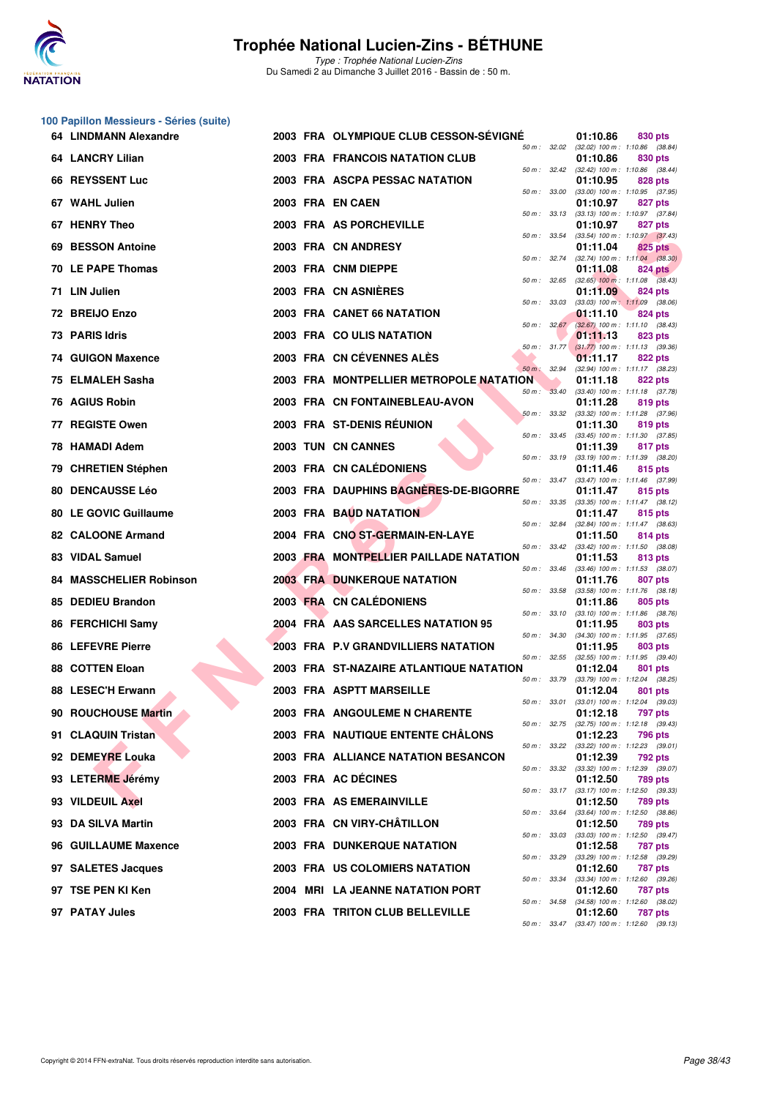

**100 Papillon Messieurs - Séries (suite)**

### **Trophée National Lucien-Zins - BÉTHUNE**

| 64. | <b>LINDMANN Alexandre</b>      |  | 2003 FRA OLYMPIQUE CLUB CESSON-SEVIGNE  |                          | 01:10.86                                        | 830 pts            |  |
|-----|--------------------------------|--|-----------------------------------------|--------------------------|-------------------------------------------------|--------------------|--|
|     | 64 LANCRY Lilian               |  | 2003 FRA FRANCOIS NATATION CLUB         | 50 m: 32.02              | (32.02) 100 m: 1:10.86 (38.84)<br>01:10.86      | 830 pts            |  |
|     | 66 REYSSENT Luc                |  | 2003 FRA ASCPA PESSAC NATATION          | $50 \text{ m}$ : $32.42$ | (32.42) 100 m: 1:10.86 (38.44)<br>01:10.95      | 828 pts            |  |
|     | 67 WAHL Julien                 |  | 2003 FRA EN CAEN                        | 50 m: 33.00              | $(33.00)$ 100 m : 1:10.95 $(37.95)$<br>01:10.97 | 827 pts            |  |
| 67. | <b>HENRY Theo</b>              |  | 2003 FRA AS PORCHEVILLE                 | 50 m: 33.13              | $(33.13)$ 100 m : 1:10.97 $(37.84)$<br>01:10.97 | 827 pts            |  |
| 69. | <b>BESSON Antoine</b>          |  | 2003 FRA CN ANDRESY                     | 50 m : 33.54             | $(33.54)$ 100 m : 1:10.97 $(37.43)$<br>01:11.04 | 825 pts            |  |
|     | 70 LE PAPE Thomas              |  | 2003 FRA CNM DIEPPE                     | 50 m : 32.74             | $(32.74)$ 100 m : 1:11.04 $(38.30)$<br>01:11.08 | 824 pts            |  |
|     | 71 LIN Julien                  |  | 2003 FRA CN ASNIERES                    | 50 m: 32.65              | $(32.65)$ 100 m : 1:11.08 $(38.43)$<br>01:11.09 | 824 pts            |  |
|     | 72 BREIJO Enzo                 |  | 2003 FRA CANET 66 NATATION              | 50 m: 33.03              | $(33.03)$ 100 m : 1:11.09 $(38.06)$<br>01:11.10 | 824 pts            |  |
|     | 73 PARIS Idris                 |  | 2003 FRA COULIS NATATION                | 50 m: 32.67              | $(32.67)$ 100 m : 1:11.10 $(38.43)$<br>01:11.13 | 823 pts            |  |
|     | 74 GUIGON Maxence              |  | 2003 FRA CN CÉVENNES ALÈS               | $50 m$ : $31.77$         | $(31.77)$ 100 m : 1:11.13 $(39.36)$<br>01:11.17 | 822 pts            |  |
| 75. | <b>ELMALEH Sasha</b>           |  | 2003 FRA MONTPELLIER METROPOLE NATATION | 50 m : 32.94             | (32.94) 100 m: 1:11.17 (38.23)<br>01:11.18      | 822 pts            |  |
|     | 76 AGIUS Robin                 |  | 2003 FRA CN FONTAINEBLEAU-AVON          | 50 m: 33.40              | $(33.40)$ 100 m : 1:11.18 $(37.78)$<br>01:11.28 | 819 pts            |  |
|     | 77 REGISTE Owen                |  | 2003 FRA ST-DENIS RÉUNION               | 50 m: 33.32              | $(33.32)$ 100 m : 1:11.28 $(37.96)$<br>01:11.30 | 819 pts            |  |
|     | 78 HAMADI Adem                 |  | 2003 TUN CN CANNES                      | $50 m$ : $33.45$         | $(33.45)$ 100 m : 1:11.30 $(37.85)$<br>01:11.39 | 817 pts            |  |
|     | 79 CHRETIEN Stéphen            |  | 2003 FRA CN CALÉDONIENS                 | $50 m$ : $33.19$         | $(33.19)$ 100 m : 1:11.39 $(38.20)$<br>01:11.46 | 815 pts            |  |
| 80. | <b>DENCAUSSE Léo</b>           |  | 2003 FRA DAUPHINS BAGNERES-DE-BIGORRE   | 50 m : 33.47             | (33.47) 100 m: 1:11.46 (37.99)<br>01:11.47      | 815 pts            |  |
|     | <b>80 LE GOVIC Guillaume</b>   |  | 2003 FRA BAUD NATATION                  | 50 m : 33.35             | $(33.35)$ 100 m : 1:11.47 $(38.12)$<br>01:11.47 | 815 pts            |  |
|     | 82 CALOONE Armand              |  | 2004 FRA CNO ST-GERMAIN-EN-LAYE         | 50 m : 32.84             | (32.84) 100 m: 1:11.47 (38.63)<br>01:11.50      | 814 pts            |  |
|     | 83 VIDAL Samuel                |  | 2003 FRA MONTPELLIER PAILLADE NATATION  | 50 m: 33.42              | $(33.42)$ 100 m : 1:11.50 $(38.08)$<br>01:11.53 | 813 pts            |  |
|     | <b>84 MASSCHELIER Robinson</b> |  | <b>2003 FRA DUNKERQUE NATATION</b>      | 50 m: 33.46              | $(33.46)$ 100 m : 1:11.53 $(38.07)$<br>01:11.76 | 807 pts            |  |
|     | 85 DEDIEU Brandon              |  | 2003 FRA CN CALEDONIENS                 | 50 m : 33.58             | $(33.58)$ 100 m : 1:11.76 $(38.18)$<br>01:11.86 | 805 pts            |  |
|     | 86 FERCHICHI Samy              |  | 2004 FRA AAS SARCELLES NATATION 95      | 50 m: 33.10              | $(33.10)$ 100 m : 1:11.86 $(38.76)$<br>01:11.95 | 803 pts            |  |
|     | 86 LEFEVRE Pierre              |  | 2003 FRA P.V GRANDVILLIERS NATATION     | 50 m : 34.30             | (34.30) 100 m: 1:11.95 (37.65)<br>01:11.95      | 803 pts            |  |
|     | <b>88 COTTEN Eloan</b>         |  | 2003 FRA ST-NAZAIRE ATLANTIQUE NATATION | $50 m$ : $32.55$         | $(32.55)$ 100 m : 1:11.95 $(39.40)$<br>01:12.04 | 801 pts            |  |
|     | 88 LESEC'H Erwann              |  | 2003 FRA ASPTT MARSEILLE                | 50 m : 33.79             | $(33.79)$ 100 m : 1:12.04 $(38.25)$<br>01:12.04 | 801 pts            |  |
|     | 90 ROUCHOUSE Martin            |  | 2003 FRA ANGOULEME N CHARENTE           | 50 m : 33.01             | $(33.01)$ 100 m : 1:12.04 $(39.03)$<br>01:12.18 | <b>797 pts</b>     |  |
|     | 91 CLAQUIN Tristan             |  | 2003 FRA NAUTIQUE ENTENTE CHALONS       | 50 m : 32.75             | (32.75) 100 m: 1:12.18 (39.43)<br>01:12.23      | 796 pts            |  |
|     | 92 DEMEYRE Louka               |  | 2003 FRA ALLIANCE NATATION BESANCON     | 50 m : 33.22             | $(33.22)$ 100 m : 1:12.23 $(39.01)$<br>01:12.39 | 792 pts            |  |
|     | 93 LETERME Jérémy              |  | 2003 FRA AC DÉCINES                     | 50 m : 33.32             | (33.32) 100 m: 1:12.39 (39.07)<br>01:12.50      | 789 pts            |  |
|     | 93 VILDEUIL Axel               |  | 2003 FRA AS EMERAINVILLE                | 50 m : 33.17             | $(33.17)$ 100 m : 1:12.50 $(39.33)$<br>01:12.50 | 789 pts            |  |
|     | 93 DA SILVA Martin             |  | 2003 FRA CN VIRY-CHATILLON              | 50 m : 33.64             | $(33.64)$ 100 m : 1:12.50 $(38.86)$<br>01:12.50 | <b>789 pts</b>     |  |
|     | 96 GUILLAUME Maxence           |  | 2003 FRA DUNKERQUE NATATION             | 50 m: 33.03              | (33.03) 100 m: 1:12.50 (39.47)<br>01:12.58      | <b>787 pts</b>     |  |
|     | 97 SALETES Jacques             |  | 2003 FRA US COLOMIERS NATATION          | 50 m : 33.29             | $(33.29)$ 100 m : 1:12.58<br>01:12.60           | (39.29)<br>787 pts |  |
|     | 97 TSE PEN KI Ken              |  | 2004 MRI LA JEANNE NATATION PORT        | 50 m : 33.34             | $(33.34)$ 100 m : 1:12.60 $(39.26)$<br>01:12.60 | 787 pts            |  |
|     | 97 PATAY Jules                 |  | 2003 FRA TRITON CLUB BELLEVILLE         | 50 m : 34.58             | (34.58) 100 m: 1:12.60 (38.02)<br>01:12.60      | <b>787 pts</b>     |  |
|     |                                |  |                                         |                          | 50 m : 33.47 (33.47) 100 m : 1:12.60 (39.13)    |                    |  |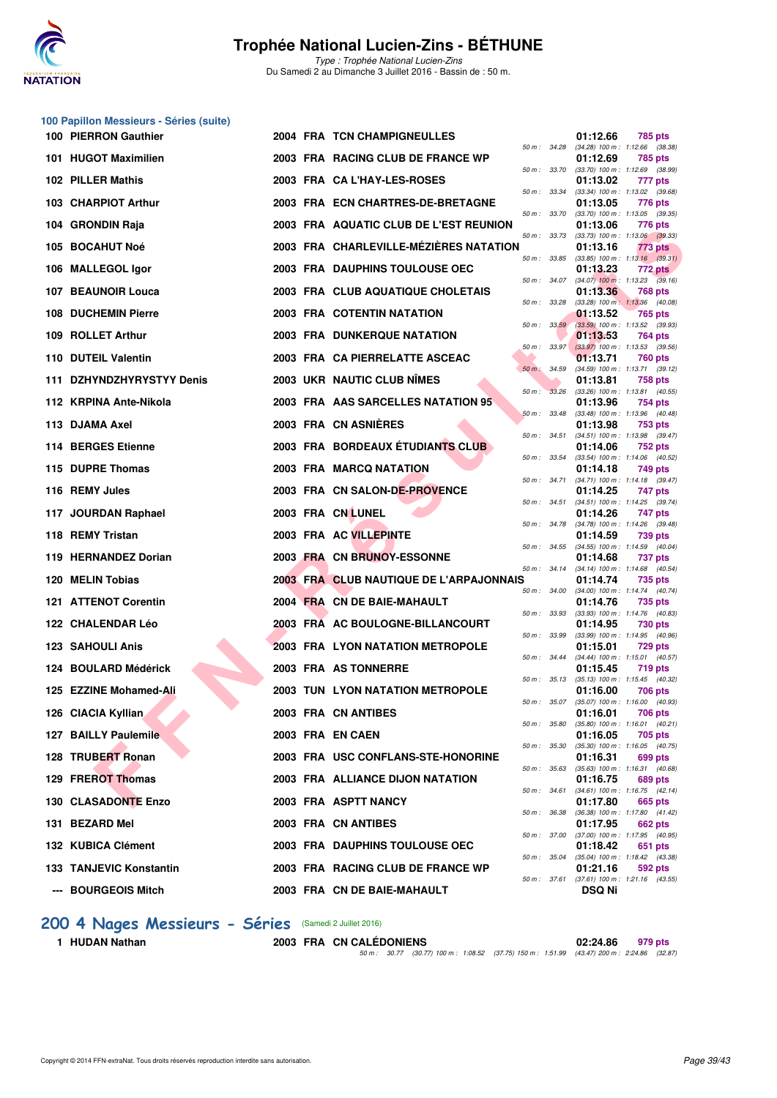

Type : Trophée National Lucien-Zins Du Samedi 2 au Dimanche 3 Juillet 2016 - Bassin de : 50 m.

| 100 Papillon Messieurs - Séries (suite) |  |                                         |                  |               |                                                       |
|-----------------------------------------|--|-----------------------------------------|------------------|---------------|-------------------------------------------------------|
| 100 PIERRON Gauthier                    |  | 2004 FRA TCN CHAMPIGNEULLES             | 50 m : 34.28     | 01:12.66      | 785 pts<br>$(34.28)$ 100 m : 1:12.66 $(38.38)$        |
| 101 HUGOT Maximilien                    |  | 2003 FRA RACING CLUB DE FRANCE WP       | 50 m : 33.70     | 01:12.69      | 785 pts<br>$(33.70)$ 100 m : 1:12.69 $(38.99)$        |
| 102 PILLER Mathis                       |  | 2003 FRA CA L'HAY-LES-ROSES             |                  | 01:13.02      | 777 pts                                               |
| 103 CHARPIOT Arthur                     |  | 2003 FRA ECN CHARTRES-DE-BRETAGNE       | 50 m : 33.34     | 01:13.05      | $(33.34)$ 100 m : 1:13.02 $(39.68)$<br>776 pts        |
| 104 GRONDIN Raja                        |  | 2003 FRA AQUATIC CLUB DE L'EST REUNION  | 50 m : 33.70     | 01:13.06      | (33.70) 100 m: 1:13.05 (39.35)<br>776 pts             |
| 105 BOCAHUT Noé                         |  | 2003 FRA CHARLEVILLE-MÉZIÈRES NATATION  | 50 m: 33.73      | 01:13.16      | $(33.73)$ 100 m : 1:13.06 $(39.33)$<br>773 pts        |
| 106 MALLEGOL Igor                       |  | 2003 FRA DAUPHINS TOULOUSE OEC          | 50 m : 33.85     | 01:13.23      | $(33.85)$ 100 m : 1:13.16 $(39.31)$<br>772 pts        |
| 107 BEAUNOIR Louca                      |  | 2003 FRA CLUB AQUATIQUE CHOLETAIS       | 50 m : 34.07     | 01:13.36      | $(34.07)$ 100 m : 1:13.23 $(39.16)$<br>768 pts        |
| <b>108 DUCHEMIN Pierre</b>              |  | 2003 FRA COTENTIN NATATION              | 50 m : 33.28     | 01:13.52      | $(33.28)$ 100 m : 1:13.36 $(40.08)$<br>765 pts        |
| 109 ROLLET Arthur                       |  | <b>2003 FRA DUNKERQUE NATATION</b>      | 50 m: 33.59      | 01:13.53      | $(33.59)$ 100 m : 1:13.52 $(39.93)$<br>764 pts        |
| 110 DUTEIL Valentin                     |  | 2003 FRA CA PIERRELATTE ASCEAC          | $50 m$ : $33.97$ | 01:13.71      | $(33.97)$ 100 m : 1:13.53 $(39.56)$<br>760 pts        |
| 111 DZHYNDZHYRYSTYY Denis               |  | 2003 UKR NAUTIC CLUB NIMES              | 50 m: 34.59      | 01:13.81      | (34.59) 100 m: 1:13.71 (39.12)                        |
|                                         |  |                                         | 50 m : 33.26     |               | 758 pts<br>$(33.26)$ 100 m : 1:13.81 $(40.55)$        |
| 112 KRPINA Ante-Nikola                  |  | 2003 FRA AAS SARCELLES NATATION 95      | 50 m: 33.48      | 01:13.96      | 754 pts<br>(33.48) 100 m: 1:13.96 (40.48)             |
| 113 DJAMA Axel                          |  | 2003 FRA CN ASNIÈRES                    | 50 m : 34.51     | 01:13.98      | 753 pts<br>$(34.51)$ 100 m : 1:13.98 $(39.47)$        |
| 114 BERGES Etienne                      |  | 2003 FRA BORDEAUX ÉTUDIANTS CLUB        | 50 m : 33.54     | 01:14.06      | 752 pts<br>(33.54) 100 m: 1:14.06 (40.52)             |
| 115 DUPRE Thomas                        |  | 2003 FRA MARCQ NATATION                 | 50 m : 34.71     | 01:14.18      | 749 pts<br>$(34.71)$ 100 m : 1:14.18 $(39.47)$        |
| 116 REMY Jules                          |  | 2003 FRA CN SALON-DE-PROVENCE           | 50 m : 34.51     | 01:14.25      | 747 pts<br>(34.51) 100 m: 1:14.25 (39.74)             |
| 117 JOURDAN Raphael                     |  | 2003 FRA CN LUNEL                       | 50 m : 34.78     | 01:14.26      | 747 pts<br>(34.78) 100 m: 1:14.26 (39.48)             |
| 118 REMY Tristan                        |  | 2003 FRA AC VILLEPINTE                  |                  | 01:14.59      | 739 pts                                               |
| 119 HERNANDEZ Dorian                    |  | 2003 FRA CN BRUNOY-ESSONNE              | 50 m : 34.55     | 01:14.68      | $(34.55)$ 100 m : 1:14.59 $(40.04)$<br><b>737 pts</b> |
| 120 MELIN Tobias                        |  | 2003 FRA CLUB NAUTIQUE DE L'ARPAJONNAIS | 50 m : 34.14     | 01:14.74      | (34.14) 100 m: 1:14.68 (40.54)<br>735 pts             |
| 121 ATTENOT Corentin                    |  | 2004 FRA CN DE BAIE-MAHAULT             | 50 m : 34.00     | 01:14.76      | $(34.00)$ 100 m : 1:14.74 $(40.74)$<br>735 pts        |
| 122 CHALENDAR Léo                       |  | 2003 FRA AC BOULOGNE-BILLANCOURT        | 50 m: 33.93      | 01:14.95      | (33.93) 100 m: 1:14.76 (40.83)<br>730 pts             |
| <b>123 SAHOULI Anis</b>                 |  | <b>2003 FRA LYON NATATION METROPOLE</b> | 50 m : 33.99     | 01:15.01      | (33.99) 100 m: 1:14.95 (40.96)<br>729 pts             |
| 124 BOULARD Médérick                    |  | 2003 FRA AS TONNERRE                    | 50 m : 34.44     | 01:15.45      | $(34.44)$ 100 m : 1:15.01 $(40.57)$<br><b>719 pts</b> |
| 125 EZZINE Mohamed-Ali                  |  | <b>2003 TUN LYON NATATION METROPOLE</b> | 50 m : 35.13     | 01:16.00      | $(35.13)$ 100 m : 1:15.45 $(40.32)$<br>706 pts        |
| 126 CIACIA Kyllian                      |  | 2003 FRA CN ANTIBES                     | 50 m : 35.07     | 01:16.01      | (35.07) 100 m : 1:16.00 (40.93)<br>706 pts            |
| 127 BAILLY Paulemile                    |  | 2003 FRA EN CAEN                        | 50 m : 35.80     | 01:16.05      | $(35.80)$ 100 m : 1:16.01 $(40.21)$                   |
|                                         |  |                                         | 50 m: 35.30      |               | 705 pts<br>$(35.30)$ 100 m : 1:16.05 $(40.75)$        |
| 128 TRUBERT Ronan                       |  | 2003 FRA USC CONFLANS-STE-HONORINE      | 50 m: 35.63      | 01:16.31      | 699 pts<br>(35.63) 100 m: 1:16.31 (40.68)             |
| 129 FREROT Thomas                       |  | 2003 FRA ALLIANCE DIJON NATATION        | 50 m : 34.61     | 01:16.75      | 689 pts<br>$(34.61)$ 100 m : 1:16.75 $(42.14)$        |
| 130 CLASADONTE Enzo                     |  | 2003 FRA ASPTT NANCY                    | 50 m : 36.38     | 01:17.80      | 665 pts<br>(36.38) 100 m: 1:17.80 (41.42)             |
| 131 BEZARD Mel                          |  | 2003 FRA CN ANTIBES                     | 50 m : 37.00     | 01:17.95      | 662 pts<br>(37.00) 100 m: 1:17.95 (40.95)             |
| 132 KUBICA Clément                      |  | 2003 FRA DAUPHINS TOULOUSE OEC          | 50 m : 35.04     | 01:18.42      | 651 pts<br>(35.04) 100 m: 1:18.42 (43.38)             |
| 133 TANJEVIC Konstantin                 |  | 2003 FRA RACING CLUB DE FRANCE WP       | 50 m : 37.61     | 01:21.16      | 592 pts<br>$(37.61)$ 100 m : 1:21.16 $(43.55)$        |
| --- BOURGEOIS Mitch                     |  | 2003 FRA CN DE BAIE-MAHAULT             |                  | <b>DSQ Ni</b> |                                                       |

# **200 4 Nages Messieurs - Séries** (Samedi 2 Juillet 2016)<br>1 HUDAN Nathan 2003 FRA CN CALÉD

**2003 FRA CN CALÉDONIENS** 02:24.86 979 pts 50 m : 30.77 (30.77) 100 m : 1:08.52 (37.75) 150 m : 1:51.99 (43.47) 200 m : 2:24.86 (32.87)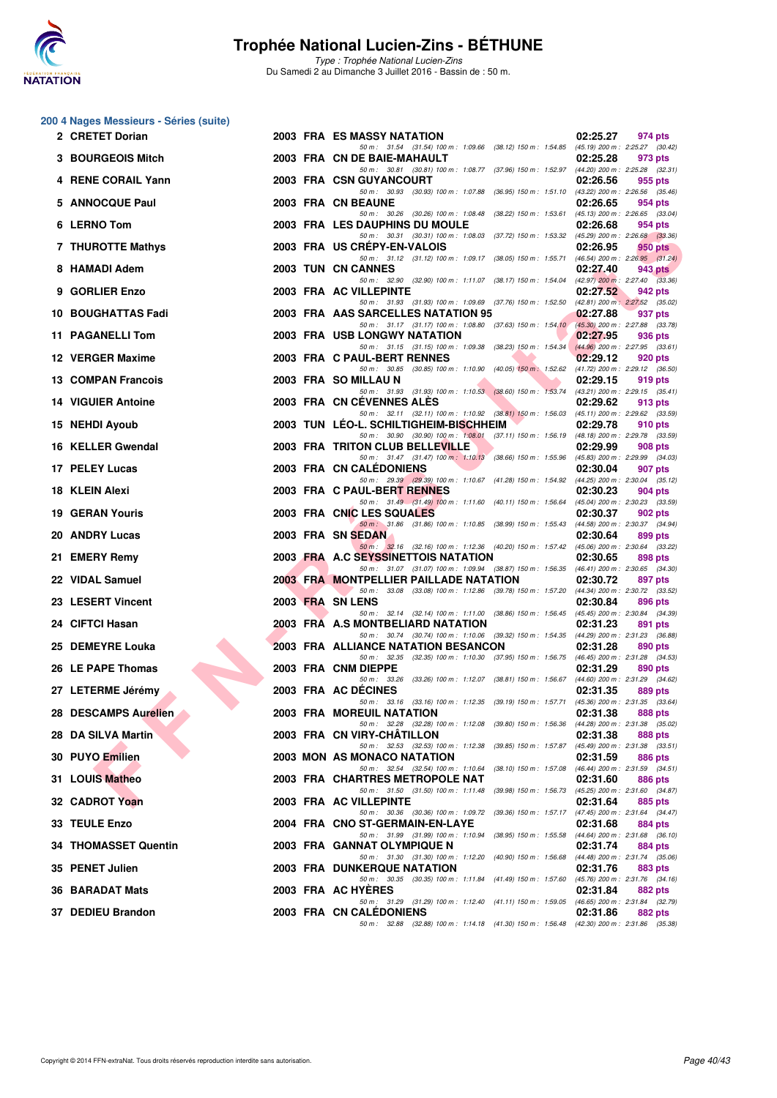

Type : Trophée National Lucien-Zins Du Samedi 2 au Dimanche 3 Juillet 2016 - Bassin de : 50 m.

#### **200 4 Nages Messieurs - Séries (suite)**

| 2 CRETET Dorian             |  | 2003 FRA ES MASSY NATATION                                                                                                         | 02:25.27<br>974 pts                                                            |
|-----------------------------|--|------------------------------------------------------------------------------------------------------------------------------------|--------------------------------------------------------------------------------|
| 3 BOURGEOIS Mitch           |  | 50 m: 31.54 (31.54) 100 m: 1:09.66 (38.12) 150 m: 1:54.85 (45.19) 200 m: 2:25.27 (30.42)<br>2003 FRA CN DE BAIE-MAHAULT            | 02:25.28<br>973 pts                                                            |
| 4 RENE CORAIL Yann          |  | 50 m: 30.81 (30.81) 100 m: 1:08.77 (37.96) 150 m: 1:52.97 (44.20) 200 m: 2:25.28 (32.31)<br>2003 FRA CSN GUYANCOURT                | 02:26.56<br>955 pts                                                            |
| 5 ANNOCQUE Paul             |  | 50 m: 30.93 (30.93) 100 m: 1:07.88 (36.95) 150 m: 1:51.10 (43.22) 200 m: 2:26.56 (35.46)<br>2003 FRA CN BEAUNE                     | 02:26.65<br>954 pts                                                            |
| 6 LERNO Tom                 |  | 50 m: 30.26 (30.26) 100 m: 1:08.48 (38.22) 150 m: 1:53.61 (45.13) 200 m: 2:26.65 (33.04)<br><b>2003 FRA LES DAUPHINS DU MOULE</b>  | 02:26.68<br>954 pts                                                            |
| 7 THUROTTE Mathys           |  | 50 m: 30.31 (30.31) 100 m: 1:08.03 (37.72) 150 m: 1:53.32 (45.29) 200 m: 2:26.68 (33.36)<br>2003 FRA US CREPY-EN-VALOIS            | 02:26.95<br><b>950 pts</b>                                                     |
| 8 HAMADI Adem               |  | 50 m: 31.12 (31.12) 100 m: 1:09.17 (38.05) 150 m: 1:55.71 (46.54) 200 m: 2:26.95 (31.24)<br>2003 TUN CN CANNES                     | 02:27.40<br>943 pts                                                            |
| 9 GORLIER Enzo              |  | 50 m: 32.90 (32.90) 100 m: 1:11.07 (38.17) 150 m: 1:54.04 (42.97) 200 m: 2:27.40 (33.36)<br>2003 FRA AC VILLEPINTE                 | 02:27.52<br>942 pts                                                            |
| 10 BOUGHATTAS Fadi          |  | 50 m: 31.93 (31.93) 100 m: 1:09.69 (37.76) 150 m: 1:52.50 (42.81) 200 m: 2:27.52 (35.02)<br>2003 FRA AAS SARCELLES NATATION 95     | 02:27.88<br>937 pts                                                            |
| 11 PAGANELLI Tom            |  | 50 m: 31.17 (31.17) 100 m: 1:08.80 (37.63) 150 m: 1:54.10 (45.30) 200 m: 2:27.88 (33.78)<br><b>2003 FRA USB LONGWY NATATION</b>    | 02:27.95<br>936 pts                                                            |
| 12 VERGER Maxime            |  | 50 m: 31.15 (31.15) 100 m: 1:09.38 (38.23) 150 m: 1:54.34 (44.96) 200 m: 2:27.95 (33.61)<br>2003 FRA C PAUL-BERT RENNES            | 02:29.12<br>920 pts                                                            |
| <b>13 COMPAN Francois</b>   |  | 50 m: 30.85 (30.85) 100 m: 1:10.90 (40.05) 150 m: 1:52.62 (41.72) 200 m: 2:29.12 (36.50)<br>2003 FRA SO MILLAU N                   | 02:29.15<br>919 pts                                                            |
| <b>14 VIGUIER Antoine</b>   |  | 50 m: 31.93 (31.93) 100 m: 1:10.53 (38.60) 150 m: 1:53.74 (43.21) 200 m: 2:29.15 (35.41)<br>2003 FRA CN CEVENNES ALES              | 02:29.62<br>913 pts                                                            |
| 15 NEHDI Ayoub              |  | 50 m: 32.11 (32.11) 100 m: 1:10.92 (38.81) 150 m: 1:56.03 (45.11) 200 m: 2:29.62 (33.59)<br>2003 TUN LEO-L. SCHILTIGHEIM-BISCHHEIM | 02:29.78<br>910 pts                                                            |
| 16 KELLER Gwendal           |  | 50 m: 30.90 (30.90) 100 m: 1:08.01 (37.11) 150 m: 1:56.19 (48.18) 200 m: 2:29.78 (33.59)<br>2003 FRA TRITON CLUB BELLEVILLE        | 02:29.99<br>908 pts                                                            |
| 17 PELEY Lucas              |  | 50 m: 31.47 (31.47) 100 m: 1:10.13 (38.66) 150 m: 1:55.96 (45.83) 200 m: 2:29.99 (34.03)<br>2003 FRA CN CALEDONIENS                | 02:30.04<br>907 pts                                                            |
| 18 KLEIN Alexi              |  | 50 m: 29.39 (29.39) 100 m: 1:10.67 (41.28) 150 m: 1:54.92 (44.25) 200 m: 2:30.04 (35.12)<br>2003 FRA C PAUL-BERT RENNES            | 02:30.23<br>904 pts                                                            |
| <b>19 GERAN Youris</b>      |  | 50 m: 31.49 (31.49) 100 m: 1:11.60 (40.11) 150 m: 1:56.64 (45.04) 200 m: 2:30.23 (33.59)<br>2003 FRA CNIC LES SQUALES              | 02:30.37<br>902 pts                                                            |
| 20 ANDRY Lucas              |  | 50 m: 31.86 (31.86) 100 m: 1:10.85 (38.99) 150 m: 1:55.43 (44.58) 200 m: 2:30.37 (34.94)<br>2003 FRA SN SEDAN                      | 02:30.64<br>899 pts                                                            |
| 21 EMERY Remy               |  | 50 m: 32.16 (32.16) 100 m: 1.12.36 (40.20) 150 m: 1.57.42 (45.06) 200 m: 2.30.64 (33.22)<br>2003 FRA A.C SEYSSINETTOIS NATATION    | 02:30.65<br>898 pts                                                            |
| 22 VIDAL Samuel             |  | 50 m: 31.07 (31.07) 100 m: 1:09.94 (38.87) 150 m: 1:56.35 (46.41) 200 m: 2:30.65 (34.30)<br>2003 FRA MONTPELLIER PAILLADE NATATION | 02:30.72<br>897 pts                                                            |
| 23 LESERT Vincent           |  | 50 m: 33.08 (33.08) 100 m: 1:12.86 (39.78) 150 m: 1:57.20 (44.34) 200 m: 2:30.72 (33.52)<br>2003 FRA SN LENS                       | 02:30.84<br>896 pts                                                            |
| 24 CIFTCI Hasan             |  | 50 m: 32.14 (32.14) 100 m: 1:11.00 (38.86) 150 m: 1:56.45 (45.45) 200 m: 2:30.84 (34.39)<br>2003 FRA A.S MONTBELIARD NATATION      | 02:31.23<br>891 pts                                                            |
| 25 DEMEYRE Louka            |  | 50 m: 30.74 (30.74) 100 m: 1:10.06 (39.32) 150 m: 1:54.35 (44.29) 200 m: 2:31.23 (36.88)<br>2003 FRA ALLIANCE NATATION BESANCON    | 02:31.28<br>890 pts                                                            |
| 26 LE PAPE Thomas           |  | 50 m: 32.35 (32.35) 100 m: 1:10.30 (37.95) 150 m: 1:56.75 (46.45) 200 m: 2:31.28 (34.53)<br>2003 FRA CNM DIEPPE                    | 02:31.29<br>890 pts                                                            |
| 27 LETERME Jérémy           |  | 50 m: 33.26 (33.26) 100 m: 1:12.07 (38.81) 150 m: 1:56.67 (44.60) 200 m: 2:31.29 (34.62)<br>2003 FRA AC DECINES                    | 02:31.35<br>889 pts                                                            |
| 28 DESCAMPS Aurelien        |  | 50 m: 33.16 (33.16) 100 m: 1:12.35 (39.19) 150 m: 1:57.71<br><b>2003 FRA MOREUIL NATATION</b>                                      | $(45.36)$ 200 m : 2:31.35 $(33.64)$<br>02:31.38<br>888 pts                     |
| 28 DA SILVA Martin          |  | 50 m: 32.28 (32.28) 100 m: 1:12.08<br>2003 FRA CN VIRY-CHATILLON                                                                   | (39.80) 150 m : 1:56.36 (44.28) 200 m : 2:31.38 (35.02)<br>02:31.38<br>888 pts |
| 30 PUYO Emilien             |  | 50 m: 32.53 (32.53) 100 m: 1:12.38<br>$(39.85)$ 150 m : 1:57.87<br>2003 MON AS MONACO NATATION                                     | $(45.49)$ 200 m : 2:31.38 $(33.51)$<br>02:31.59<br>886 pts                     |
| 31 LOUIS Matheo             |  | 50 m : 32.54 (32.54) 100 m : 1:10.64<br>(38.10) 150 m : 1:57.08<br>2003 FRA CHARTRES METROPOLE NAT                                 | $(46.44)$ 200 m : 2:31.59 $(34.51)$<br>02:31.60<br>886 pts                     |
| 32 CADROT Yoan              |  | 50 m: 31.50 (31.50) 100 m: 1:11.48<br>(39.98) 150 m : 1:56.73<br>2003 FRA AC VILLEPINTE                                            | (45.25) 200 m : 2:31.60 (34.87)<br>02:31.64<br>885 pts                         |
| 33 TEULE Enzo               |  | 50 m : 30.36 (30.36) 100 m : 1:09.72<br>(39.36) 150 m : 1:57.17<br>2004 FRA CNO ST-GERMAIN-EN-LAYE                                 | (47.45) 200 m : 2:31.64 (34.47)<br>02:31.68<br>884 pts                         |
| <b>34 THOMASSET Quentin</b> |  | 50 m: 31.99 (31.99) 100 m: 1:10.94<br>$(38.95)$ 150 m : 1:55.58<br>2003 FRA GANNAT OLYMPIQUE N                                     | $(44.64)$ 200 m : 2:31.68 $(36.10)$<br>02:31.74<br>884 pts                     |
| 35 PENET Julien             |  | 50 m: 31.30 (31.30) 100 m: 1:12.20<br>$(40.90)$ 150 m : 1:56.68<br><b>2003 FRA DUNKERQUE NATATION</b>                              | $(44.48)$ 200 m : 2:31.74 $(35.06)$<br>02:31.76<br>883 pts                     |
| 36 BARADAT Mats             |  | 50 m : 30.35 (30.35) 100 m : 1:11.84 (41.49) 150 m : 1:57.60<br>2003 FRA AC HYERES                                                 | (45.76) 200 m : 2:31.76 (34.16)<br>02:31.84<br>882 pts                         |
| 37 DEDIEU Brandon           |  | 50 m: 31.29 (31.29) 100 m: 1:12.40 (41.11) 150 m: 1:59.05<br>2003 FRA CN CALEDONIENS                                               | (46.65) 200 m : 2:31.84 (32.79)<br>02:31.86<br>882 pts                         |
|                             |  | 50 m: 32.88 (32.88) 100 m: 1:14.18 (41.30) 150 m: 1:56.48 (42.30) 200 m: 2:31.86 (35.38)                                           |                                                                                |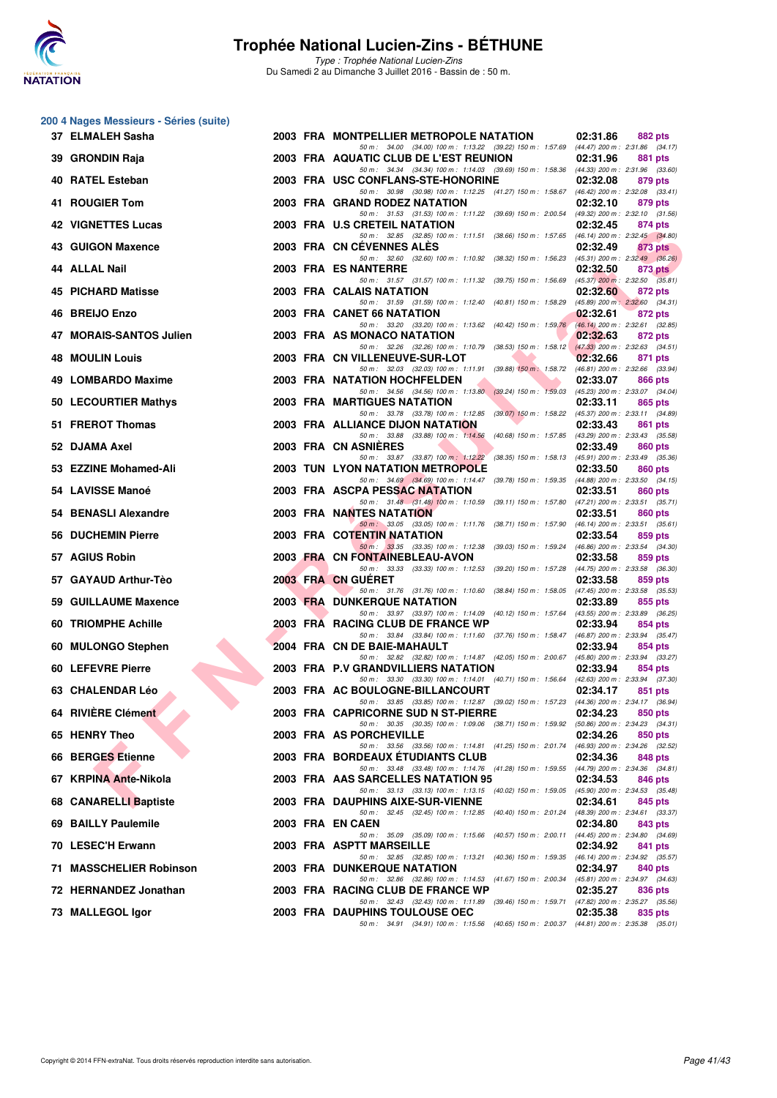

| 200 4 Nages Messieurs - Séries (suite) |
|----------------------------------------|
|----------------------------------------|

| 37 ELMALEH Sasha           |  | 2003 FRA MONTPELLIER METROPOLE NATATION                                                                                                | 02:31.86 | 882 pts                                        |
|----------------------------|--|----------------------------------------------------------------------------------------------------------------------------------------|----------|------------------------------------------------|
| 39 GRONDIN Raja            |  | 50 m: 34.00 (34.00) 100 m: 1:13.22 (39.22) 150 m: 1:57.69 (44.47) 200 m: 2:31.86 (34.17)<br>2003 FRA AQUATIC CLUB DE L'EST REUNION     | 02:31.96 | 881 pts                                        |
| 40 RATEL Esteban           |  | 50 m: 34.34 (34.34) 100 m: 1:14.03 (39.69) 150 m: 1:58.36 (44.33) 200 m: 2:31.96 (33.60)<br>2003 FRA USC CONFLANS-STE-HONORINE         | 02:32.08 | 879 pts                                        |
| 41 ROUGIER Tom             |  | 50 m: 30.98 (30.98) 100 m: 1:12.25 (41.27) 150 m: 1:58.67 (46.42) 200 m: 2:32.08 (33.41)<br>2003 FRA GRAND RODEZ NATATION              | 02:32.10 | 879 pts                                        |
| <b>42 VIGNETTES Lucas</b>  |  | 50 m: 31.53 (31.53) 100 m: 1:11.22 (39.69) 150 m: 2:00.54 (49.32) 200 m: 2:32.10 (31.56)<br>2003 FRA U.S CRETEIL NATATION              | 02:32.45 | 874 pts                                        |
| 43 GUIGON Maxence          |  | 50 m: 32.85 (32.85) 100 m: 1:11.51 (38.66) 150 m: 1:57.65 (46.14) 200 m: 2:32.45 (34.80)<br>2003 FRA CN CEVENNES ALES                  | 02:32.49 | 873 pts                                        |
| 44 ALLAL Nail              |  | 50 m: 32.60 (32.60) 100 m: 1:10.92 (38.32) 150 m: 1:56.23<br>2003 FRA ES NANTERRE                                                      |          | $(45.31)$ 200 m : 2:32.49 $(36.26)$            |
|                            |  | 50 m: 31.57 (31.57) 100 m: 1:11.32 (39.75) 150 m: 1:56.69                                                                              | 02:32.50 | 873 pts<br>$(45.37)$ 200 m : 2:32.50 $(35.81)$ |
| 45 PICHARD Matisse         |  | 2003 FRA CALAIS NATATION<br>50 m: 31.59 (31.59) 100 m: 1:12.40 (40.81) 150 m: 1:58.29                                                  | 02:32.60 | 872 pts<br>$(45.89)$ 200 m : 2:32.60 $(34.31)$ |
| 46 BREIJO Enzo             |  | 2003 FRA CANET 66 NATATION<br>50 m: 33.20 (33.20) 100 m: 1:13.62 (40.42) 150 m: 1:59.76                                                | 02:32.61 | 872 pts<br>$(46.14)$ 200 m : 2:32.61 $(32.85)$ |
| 47 MORAIS-SANTOS Julien    |  | 2003 FRA AS MONACO NATATION<br>50 m: 32.26 (32.26) 100 m: 1:10.79 (38.53) 150 m: 1:58.12 (47.33) 200 m: 2:32.63 (34.51)                | 02:32.63 | 872 pts                                        |
| <b>48 MOULIN Louis</b>     |  | 2003 FRA CN VILLENEUVE-SUR-LOT<br>50 m: 32.03 (32.03) 100 m: 1:11.91 (39.88) 150 m: 1:58.72 (46.81) 200 m: 2:32.66 (33.94)             | 02:32.66 | 871 pts                                        |
| 49 LOMBARDO Maxime         |  | 2003 FRA NATATION HOCHFELDEN                                                                                                           | 02:33.07 | 866 pts                                        |
| 50 LECOURTIER Mathys       |  | 50 m: 34.56 (34.56) 100 m: 1:13.80 (39.24) 150 m: 1:59.03 (45.23) 200 m: 2:33.07 (34.04)<br><b>2003 FRA MARTIGUES NATATION</b>         | 02:33.11 | 865 pts                                        |
| 51 FREROT Thomas           |  | 50 m: 33.78 (33.78) 100 m: 1:12.85 (39.07) 150 m: 1:58.22 (45.37) 200 m: 2:33.11 (34.89)<br>2003 FRA ALLIANCE DIJON NATATION           | 02:33.43 | 861 pts                                        |
| 52 DJAMA Axel              |  | 50 m: 33.88 (33.88) 100 m: 1:14.56 (40.68) 150 m: 1:57.85<br>2003 FRA CN ASNIERES                                                      | 02:33.49 | (43.29) 200 m : 2:33.43 (35.58)<br>860 pts     |
| 53 EZZINE Mohamed-Ali      |  | 50 m: 33.87 (33.87) 100 m: 1:12.22<br>(38.35) 150 m: 1:58.13 (45.91) 200 m: 2:33.49 (35.36)<br><b>2003 TUN LYON NATATION METROPOLE</b> | 02:33.50 | 860 pts                                        |
| 54 LAVISSE Manoé           |  | 50 m: 34.69 (34.69) 100 m: 1:14.47 (39.78) 150 m: 1:59.35 (44.88) 200 m: 2:33.50 (34.15)<br>2003 FRA ASCPA PESSAC NATATION             | 02:33.51 | 860 pts                                        |
|                            |  | 50 m: 31.48 (31.48) 100 m: 1:10.59 (39.11) 150 m: 1:57.80 (47.21) 200 m: 2:33.51 (35.71)                                               |          |                                                |
| 54 BENASLI Alexandre       |  | 2003 FRA NANTES NATATION<br>50 m: 33.05 (33.05) 100 m: 1:11.76 (38.71) 150 m: 1:57.90 (46.14) 200 m: 2:33.51 (35.61)                   | 02:33.51 | 860 pts                                        |
| <b>56 DUCHEMIN Pierre</b>  |  | 2003 FRA COTENTIN NATATION<br>50 m: 33.35 (33.35) 100 m: 1:12.38 (39.03) 150 m: 1:59.24 (46.86) 200 m: 2:33.54 (34.30)                 | 02:33.54 | 859 pts                                        |
| 57 AGIUS Robin             |  | 2003 FRA CN FONTAINEBLEAU-AVON<br>50 m: 33.33 (33.33) 100 m: 1:12.53 (39.20) 150 m: 1:57.28                                            | 02:33.58 | 859 pts<br>(44.75) 200 m : 2:33.58 (36.30)     |
| 57 GAYAUD Arthur-Tèo       |  | 2003 FRA CN GUERET<br>50 m: 31.76 (31.76) 100 m: 1:10.60 (38.84) 150 m: 1:58.05 (47.45) 200 m: 2:33.58 (35.53)                         | 02:33.58 | 859 pts                                        |
| 59 GUILLAUME Maxence       |  | <b>2003 FRA DUNKERQUE NATATION</b><br>50 m: 33.97 (33.97) 100 m: 1:14.09 (40.12) 150 m: 1:57.64 (43.55) 200 m: 2:33.89 (36.25)         | 02:33.89 | 855 pts                                        |
| <b>60 TRIOMPHE Achille</b> |  | 2003 FRA RACING CLUB DE FRANCE WP                                                                                                      | 02:33.94 | 854 pts                                        |
| 60 MULONGO Stephen         |  | 50 m: 33.84 (33.84) 100 m: 1:11.60 (37.76) 150 m: 1:58.47 (46.87) 200 m: 2:33.94 (35.47)<br>2004 FRA CN DE BAIE-MAHAULT                | 02:33.94 | 854 pts                                        |
| 60 LEFEVRE Pierre          |  | 50 m: 32.82 (32.82) 100 m: 1:14.87 (42.05) 150 m: 2:00.67 (45.80) 200 m: 2:33.94 (33.27)<br>2003 FRA P.V GRANDVILLIERS NATATION        | 02:33.94 | 854 pts                                        |
| <b>63 CHALENDAR Léo</b>    |  | 50 m: 33.30 (33.30) 100 m: 1:14.01 (40.71) 150 m: 1:56.64 (42.63) 200 m: 2:33.94 (37.30)<br>2003 FRA AC BOULOGNE-BILLANCOURT           | 02:34.17 | 851 pts                                        |
| 64 RIVIÈRE Clément         |  | 50 m: 33.85 (33.85) 100 m: 1:12.87 (39.02) 150 m: 1:57.23 (44.36) 200 m: 2:34.17 (36.94)<br>2003 FRA CAPRICORNE SUD N ST-PIERRE        | 02:34.23 | 850 pts                                        |
| 65 HENRY Theo              |  | 50 m: 30.35 (30.35) 100 m: 1:09.06<br>(38.71) 150 m : 1:59.92<br>2003 FRA AS PORCHEVILLE                                               | 02:34.26 | (50.86) 200 m : 2:34.23 (34.31)<br>850 pts     |
| 66 BERGES Etienne          |  | 50 m: 33.56 (33.56) 100 m: 1:14.81<br>(41.25) 150 m : 2:01.74 (46.93) 200 m : 2:34.26 (32.52)<br>2003 FRA BORDEAUX ETUDIANTS CLUB      | 02:34.36 | 848 pts                                        |
|                            |  | 50 m : 33.48 (33.48) 100 m : 1:14.76 (41.28) 150 m : 1:59.55 (44.79) 200 m : 2:34.36 (34.81)                                           |          |                                                |
| 67 KRPINA Ante-Nikola      |  | 2003 FRA AAS SARCELLES NATATION 95<br>50 m: 33.13 (33.13) 100 m: 1:13.15 (40.02) 150 m: 1:59.05 (45.90) 200 m: 2:34.53 (35.48)         | 02:34.53 | 846 pts                                        |
| 68 CANARELLI Baptiste      |  | 2003 FRA DAUPHINS AIXE-SUR-VIENNE<br>50 m: 32.45 (32.45) 100 m: 1:12.85<br>(40.40) 150 m : 2:01.24                                     | 02:34.61 | 845 pts<br>(48.39) 200 m : 2:34.61 (33.37)     |
| 69 BAILLY Paulemile        |  | 2003 FRA ENCAEN<br>50 m : 35.09 (35.09) 100 m : 1:15.66<br>(40.57) 150 m : 2:00.11                                                     | 02:34.80 | 843 pts<br>(44.45) 200 m : 2:34.80 (34.69)     |
| 70 LESEC'H Erwann          |  | 2003 FRA ASPTT MARSEILLE<br>50 m: 32.85 (32.85) 100 m: 1:13.21<br>(40.36) 150 m : 1:59.35                                              | 02:34.92 | 841 pts<br>(46.14) 200 m : 2:34.92 (35.57)     |
| 71 MASSCHELIER Robinson    |  | <b>2003 FRA DUNKERQUE NATATION</b><br>50 m : 32.86 (32.86) 100 m : 1:14.53 (41.67) 150 m : 2:00.34                                     | 02:34.97 | 840 pts<br>$(45.81)$ 200 m : 2:34.97 $(34.63)$ |
| 72 HERNANDEZ Jonathan      |  | 2003 FRA RACING CLUB DE FRANCE WP                                                                                                      | 02:35.27 | 836 pts                                        |
| 73 MALLEGOL Igor           |  | 50 m : 32.43 (32.43) 100 m : 1:11.89 (39.46) 150 m : 1:59.71 (47.82) 200 m : 2:35.27 (35.56)<br>2003 FRA DAUPHINS TOULOUSE OEC         | 02:35.38 | 835 pts                                        |
|                            |  | 50 m: 34.91 (34.91) 100 m: 1:15.56 (40.65) 150 m: 2:00.37 (44.81) 200 m: 2:35.38 (35.01)                                               |          |                                                |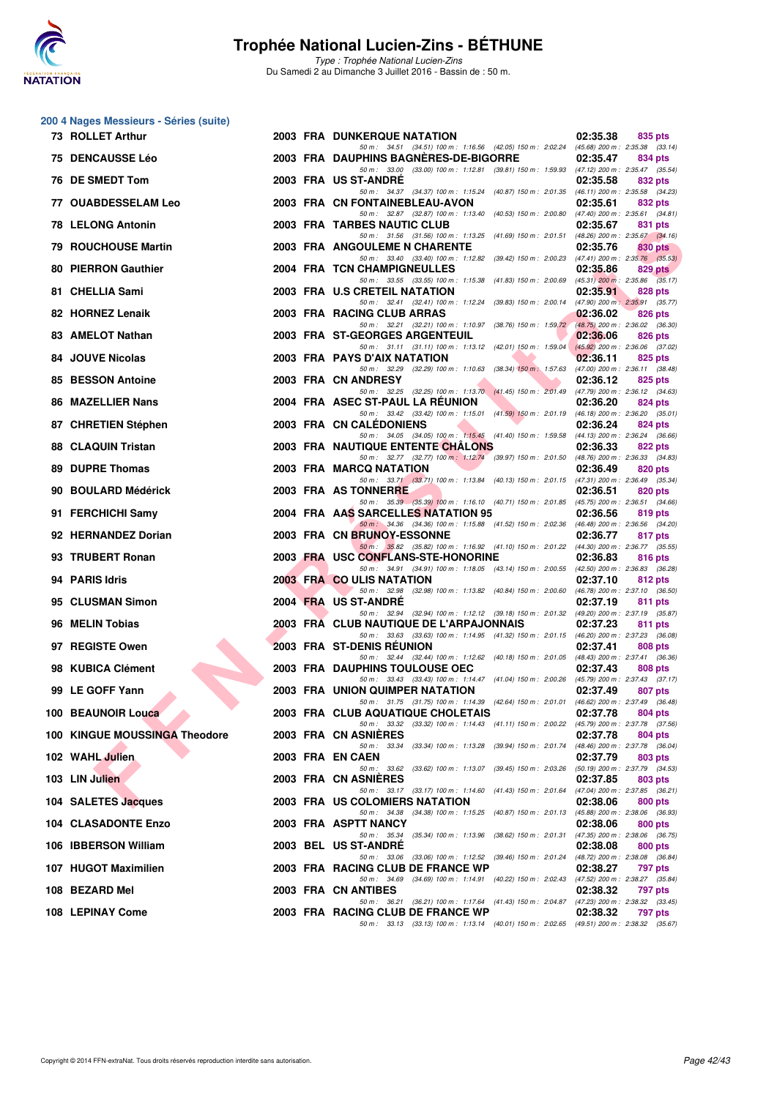

|    | 200 4 Nages Messieurs - Séries (suite) |  |                                                                                                                                     |          |                                                   |
|----|----------------------------------------|--|-------------------------------------------------------------------------------------------------------------------------------------|----------|---------------------------------------------------|
|    | 73 ROLLET Arthur                       |  | <b>2003 FRA DUNKERQUE NATATION</b><br>50 m: 34.51 (34.51) 100 m: 1:16.56 (42.05) 150 m: 2:02.24 (45.68) 200 m: 2:35.38 (33.14)      | 02:35.38 | 835 pts                                           |
|    | <b>75 DENCAUSSE Léo</b>                |  | 2003 FRA DAUPHINS BAGNERES-DE-BIGORRE                                                                                               | 02:35.47 | 834 pts                                           |
|    | 76 DE SMEDT Tom                        |  | 50 m: 33.00 (33.00) 100 m: 1:12.81 (39.81) 150 m: 1:59.93 (47.12) 200 m: 2:35.47 (35.54)<br>2003 FRA US ST-ANDRE                    | 02:35.58 | 832 pts                                           |
|    | <b>77 OUABDESSELAM Leo</b>             |  | 50 m: 34.37 (34.37) 100 m: 1:15.24 (40.87) 150 m: 2:01.35 (46.11) 200 m: 2:35.58 (34.23)<br>2003 FRA CN FONTAINEBLEAU-AVON          | 02:35.61 | 832 pts                                           |
|    | <b>78 LELONG Antonin</b>               |  | 50 m: 32.87 (32.87) 100 m: 1:13.40 (40.53) 150 m: 2:00.80 (47.40) 200 m: 2:35.61 (34.81)<br>2003 FRA TARBES NAUTIC CLUB             | 02:35.67 | 831 pts                                           |
|    | 79 ROUCHOUSE Martin                    |  | 50 m: 31.56 (31.56) 100 m: 1:13.25 (41.69) 150 m: 2:01.51 (48.26) 200 m: 2:35.67 (34.16)<br><b>2003 FRA ANGOULEME N CHARENTE</b>    | 02:35.76 | 830 pts                                           |
|    | <b>80 PIERRON Gauthier</b>             |  | 50 m: 33.40 (33.40) 100 m: 1:12.82 (39.42) 150 m: 2:00.23 (47.41) 200 m: 2:35.76 (35.53)<br>2004 FRA TCN CHAMPIGNEULLES             | 02:35.86 | 829 pts                                           |
|    | 81 CHELLIA Sami                        |  | 50 m: 33.55 (33.55) 100 m: 1:15.38 (41.83) 150 m: 2:00.69 (45.31) 200 m: 2:35.86 (35.17)<br>2003 FRA U.S CRETEIL NATATION           | 02:35.91 | 828 pts                                           |
|    | 82 HORNEZ Lenaik                       |  | 50 m: 32.41 (32.41) 100 m: 1:12.24 (39.83) 150 m: 2:00.14 (47.90) 200 m: 2:35.91 (35.77)<br>2003 FRA RACING CLUB ARRAS              | 02:36.02 | 826 pts                                           |
|    | 83 AMELOT Nathan                       |  | 50 m: 32.21 (32.21) 100 m: 1:10.97 (38.76) 150 m: 1:59.72 (48.75) 200 m: 2:36.02 (36.30)<br><b>2003 FRA ST-GEORGES ARGENTEUIL</b>   | 02:36.06 | 826 pts                                           |
|    | <b>84 JOUVE Nicolas</b>                |  | 50 m: 31.11 (31.11) 100 m: 1:13.12 (42.01) 150 m: 1:59.04<br>2003 FRA PAYS D'AIX NATATION                                           | 02:36.11 | $(45.92)$ 200 m : 2:36.06 (37.02)<br>825 pts      |
| 85 | <b>BESSON Antoine</b>                  |  | 50 m : 32.29 (32.29) 100 m : 1:10.63 (38.34) 150 m : 1:57.63<br>2003 FRA CN ANDRESY                                                 | 02:36.12 | $(47.00)$ 200 m : 2:36.11 $(38.48)$<br>825 pts    |
|    | <b>86 MAZELLIER Nans</b>               |  | 50 m: 32.25 (32.25) 100 m: 1:13.70 (41.45) 150 m: 2:01.49 (47.79) 200 m: 2:36.12 (34.63)<br>2004 FRA ASEC ST-PAUL LA REUNION        | 02:36.20 | 824 pts                                           |
|    | 87 CHRETIEN Stéphen                    |  | 50 m: 33.42 (33.42) 100 m: 1:15.01 (41.59) 150 m: 2:01.19 (46.18) 200 m: 2:36.20 (35.01)<br>2003 FRA CN CALEDONIENS                 | 02:36.24 | 824 pts                                           |
|    | 88 CLAQUIN Tristan                     |  | 50 m: 34.05 (34.05) 100 m: 1:15.45 (41.40) 150 m: 1:59.58 (44.13) 200 m: 2:36.24 (36.66)<br>2003 FRA NAUTIQUE ENTENTE CHALONS       | 02:36.33 | 822 pts                                           |
|    | <b>89 DUPRE Thomas</b>                 |  | 50 m: 32.77 (32.77) 100 m: 1:12.74 (39.97) 150 m: 2:01.50 (48.76) 200 m: 2:36.33 (34.83)<br>2003 FRA MARCQ NATATION                 | 02:36.49 | 820 pts                                           |
|    | 90 BOULARD Médérick                    |  | 50 m: 33.71 (33.71) 100 m: 1:13.84 (40.13) 150 m: 2:01.15 (47.31) 200 m: 2:36.49 (35.34)<br>2003 FRA AS TONNERRE                    | 02:36.51 | 820 pts                                           |
|    | 91 FERCHICHI Samy                      |  | 50 m: 35.39 (35.39) 100 m: 1:16.10 (40.71) 150 m: 2:01.85 (45.75) 200 m: 2:36.51 (34.66)<br>2004 FRA AAS SARCELLES NATATION 95      | 02:36.56 | 819 pts                                           |
|    |                                        |  | 50 m: 34.36 (34.36) 100 m: 1:15.88 (41.52) 150 m: 2:02.36 (46.48) 200 m: 2:36.56 (34.20)                                            |          |                                                   |
|    | 92 HERNANDEZ Dorian                    |  | 2003 FRA CN BRUNOY-ESSONNE<br>50 m: 35.82 (35.82) 100 m: 1:16.92 (41.10) 150 m: 2:01.22 (44.30) 200 m: 2:36.77 (35.55)              | 02:36.77 | 817 pts                                           |
|    | 93 TRUBERT Ronan                       |  | 2003 FRA USC CONFLANS-STE-HONORINE<br>50 m: 34.91 (34.91) 100 m: 1:18.05 (43.14) 150 m: 2:00.55 (42.50) 200 m: 2:36.83 (36.28)      | 02:36.83 | 816 pts                                           |
|    | 94 PARIS Idris                         |  | 2003 FRA CO ULIS NATATION<br>50 m: 32.98 (32.98) 100 m: 1:13.82 (40.84) 150 m: 2:00.60 (46.78) 200 m: 2:37.10 (36.50)               | 02:37.10 | 812 pts                                           |
|    | 95 CLUSMAN Simon                       |  | 2004 FRA US ST-ANDRE<br>50 m: 32.94 (32.94) 100 m: 1:12.12 (39.18) 150 m: 2:01.32 (49.20) 200 m: 2:37.19 (35.87)                    | 02:37.19 | 811 pts                                           |
|    | 96 MELIN Tobias                        |  | 2003 FRA CLUB NAUTIQUE DE L'ARPAJONNAIS<br>50 m: 33.63 (33.63) 100 m: 1:14.95 (41.32) 150 m: 2:01.15 (46.20) 200 m: 2:37.23 (36.08) | 02:37.23 | 811 pts                                           |
|    | 97 REGISTE Owen                        |  | 2003 FRA ST-DENIS REUNION<br>50 m: 32.44 (32.44) 100 m: 1:12.62 (40.18) 150 m: 2:01.05 (48.43) 200 m: 2:37.41 (36.36)               | 02:37.41 | 808 pts                                           |
|    | 98 KUBICA Clément                      |  | 2003 FRA DAUPHINS TOULOUSE OEC<br>50 m: 33.43 (33.43) 100 m: 1:14.47 (41.04) 150 m: 2:00.26 (45.79) 200 m: 2:37.43 (37.17)          | 02:37.43 | 808 pts                                           |
|    | 99 LE GOFF Yann                        |  | <b>2003 FRA UNION QUIMPER NATATION</b>                                                                                              | 02:37.49 | 807 pts                                           |
|    | 100 BEAUNOIR Louca                     |  | 50 m : 31.75 (31.75) 100 m : 1:14.39 (42.64) 150 m : 2:01.01 (46.62) 200 m : 2:37.49 (36.48)<br>2003 FRA CLUB AQUATIQUE CHOLETAIS   | 02:37.78 | 804 pts                                           |
|    | 100 KINGUE MOUSSINGA Theodore          |  | 50 m: 33.32 (33.32) 100 m: 1:14.43 (41.11) 150 m: 2:00.22 (45.79) 200 m: 2:37.78 (37.56)<br>2003 FRA CN ASNIERES                    | 02:37.78 | 804 pts                                           |
|    | 102 WAHL Julien                        |  | 50 m: 33.34 (33.34) 100 m: 1:13.28 (39.94) 150 m: 2:01.74<br>2003 FRA EN CAEN                                                       | 02:37.79 | (48.46) 200 m : 2:37.78 (36.04)<br>803 pts        |
|    | 103 LIN Julien                         |  | 50 m : 33.62 (33.62) 100 m : 1:13.07 (39.45) 150 m : 2:03.26<br>2003 FRA CN ASNIERES                                                | 02:37.85 | (50.19) 200 m : 2:37.79 (34.53)<br>803 pts        |
|    | 104 SALETES Jacques                    |  | 50 m: 33.17 (33.17) 100 m: 1:14.60 (41.43) 150 m: 2:01.64 (47.04) 200 m: 2:37.85 (36.21)<br>2003 FRA US COLOMIERS NATATION          | 02:38.06 | 800 pts                                           |
|    | <b>104 CLASADONTE Enzo</b>             |  | 50 m: 34.38 (34.38) 100 m: 1:15.25 (40.87) 150 m: 2:01.13<br>2003 FRA ASPTT NANCY                                                   | 02:38.06 | (45.88) 200 m : 2:38.06 (36.93)<br>800 pts        |
|    | 106 IBBERSON William                   |  | 50 m: 35.34 (35.34) 100 m: 1:13.96 (38.62) 150 m: 2:01.31<br>2003 BEL US ST-ANDRE                                                   | 02:38.08 | (47.35) 200 m : 2:38.06 (36.75)<br><b>800 pts</b> |
|    | 107 HUGOT Maximilien                   |  | 50 m: 33.06 (33.06) 100 m: 1:12.52 (39.46) 150 m: 2:01.24 (48.72) 200 m: 2:38.08 (36.84)<br>2003 FRA RACING CLUB DE FRANCE WP       | 02:38.27 | 797 pts                                           |
|    | 108 BEZARD Mel                         |  | 50 m: 34.69 (34.69) 100 m: 1:14.91 (40.22) 150 m: 2:02.43 (47.52) 200 m: 2:38.27 (35.84)<br>2003 FRA CN ANTIBES                     | 02:38.32 | 797 pts                                           |
|    | 108 LEPINAY Come                       |  | 50 m: 36.21 (36.21) 100 m: 1:17.64 (41.43) 150 m: 2:04.87 (47.23) 200 m: 2:38.32 (33.45)<br>2003 FRA RACING CLUB DE FRANCE WP       | 02:38.32 | 797 pts                                           |
|    |                                        |  | 50 m: 33.13 (33.13) 100 m: 1:13.14 (40.01) 150 m: 2:02.65 (49.51) 200 m: 2:38.32 (35.67)                                            |          |                                                   |